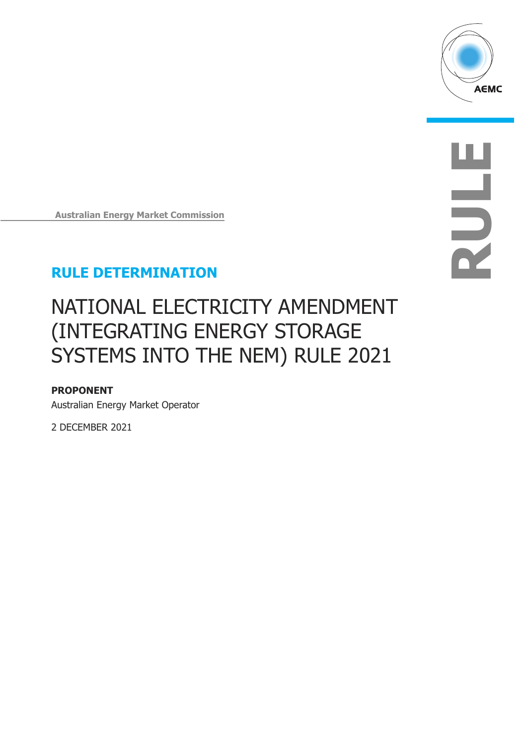

**RULE**

**Australian Energy Market Commission** 

## **RULE DETERMINATION**

# NATIONAL ELECTRICITY AMENDMENT (INTEGRATING ENERGY STORAGE SYSTEMS INTO THE NEM) RULE 2021

### **PROPONENT**

Australian Energy Market Operator

2 DECEMBER 2021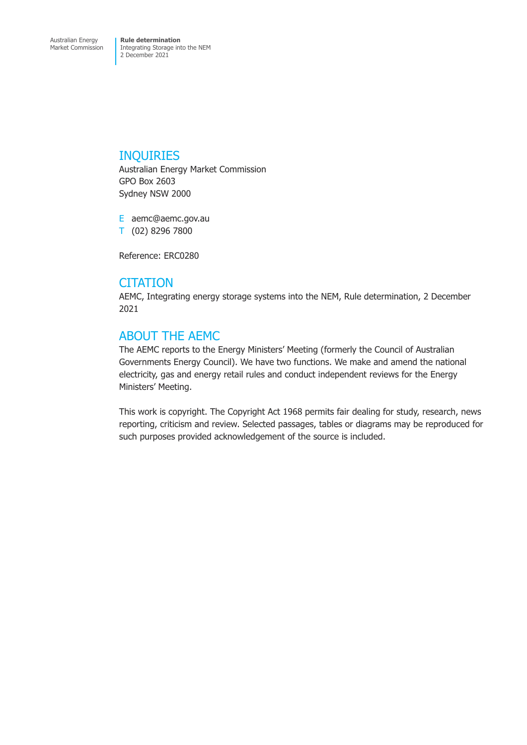### INQUIRIES

Australian Energy Market Commission GPO Box 2603 Sydney NSW 2000

E aemc@aemc.gov.au T (02) 8296 7800

Reference: ERC0280

### **CITATION**

AEMC, Integrating energy storage systems into the NEM, Rule determination, 2 December 2021

### ABOUT THE AEMC

The AEMC reports to the Energy Ministers' Meeting (formerly the Council of Australian Governments Energy Council). We have two functions. We make and amend the national electricity, gas and energy retail rules and conduct independent reviews for the Energy Ministers' Meeting.

This work is copyright. The Copyright Act 1968 permits fair dealing for study, research, news reporting, criticism and review. Selected passages, tables or diagrams may be reproduced for such purposes provided acknowledgement of the source is included.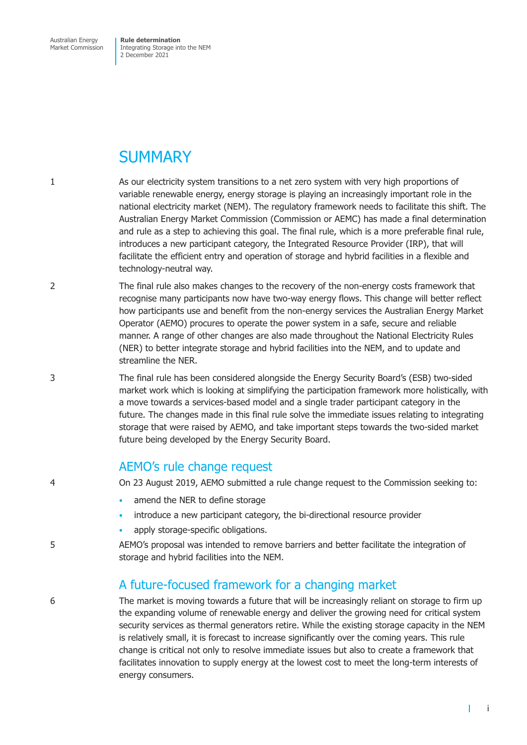Australian Energy Market Commission

**Rule determination**  Integrating Storage into the NEM 2 December 2021

## **SUMMARY**

- 1 As our electricity system transitions to a net zero system with very high proportions of variable renewable energy, energy storage is playing an increasingly important role in the national electricity market (NEM). The regulatory framework needs to facilitate this shift. The Australian Energy Market Commission (Commission or AEMC) has made a final determination and rule as a step to achieving this goal. The final rule, which is a more preferable final rule, introduces a new participant category, the Integrated Resource Provider (IRP), that will facilitate the efficient entry and operation of storage and hybrid facilities in a flexible and technology-neutral way.
- 2 The final rule also makes changes to the recovery of the non-energy costs framework that recognise many participants now have two-way energy flows. This change will better reflect how participants use and benefit from the non-energy services the Australian Energy Market Operator (AEMO) procures to operate the power system in a safe, secure and reliable manner. A range of other changes are also made throughout the National Electricity Rules (NER) to better integrate storage and hybrid facilities into the NEM, and to update and streamline the NER.
- 3 The final rule has been considered alongside the Energy Security Board's (ESB) two-sided market work which is looking at simplifying the participation framework more holistically, with a move towards a services-based model and a single trader participant category in the future. The changes made in this final rule solve the immediate issues relating to integrating storage that were raised by AEMO, and take important steps towards the two-sided market future being developed by the Energy Security Board.

### AEMO's rule change request

- 4 On 23 August 2019, AEMO submitted a rule change request to the Commission seeking to:
	- amend the NER to define storage
	- introduce a new participant category, the bi-directional resource provider
	- apply storage-specific obligations.
- 5 AEMO's proposal was intended to remove barriers and better facilitate the integration of storage and hybrid facilities into the NEM.

### A future-focused framework for a changing market

6 The market is moving towards a future that will be increasingly reliant on storage to firm up the expanding volume of renewable energy and deliver the growing need for critical system security services as thermal generators retire. While the existing storage capacity in the NEM is relatively small, it is forecast to increase significantly over the coming years. This rule change is critical not only to resolve immediate issues but also to create a framework that facilitates innovation to supply energy at the lowest cost to meet the long-term interests of energy consumers.

 $\mathbf{I}$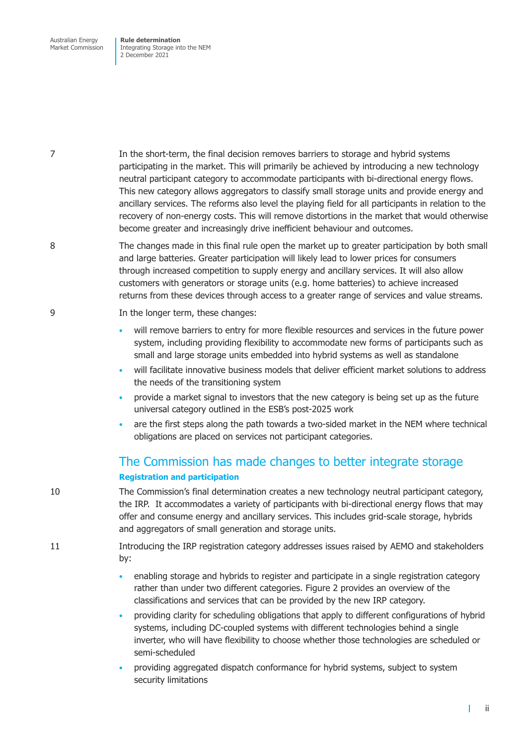Australian Energy Market Commission **Rule determination**  Integrating Storage into the NEM 2 December 2021

7 In the short-term, the final decision removes barriers to storage and hybrid systems participating in the market. This will primarily be achieved by introducing a new technology neutral participant category to accommodate participants with bi-directional energy flows. This new category allows aggregators to classify small storage units and provide energy and ancillary services. The reforms also level the playing field for all participants in relation to the recovery of non-energy costs. This will remove distortions in the market that would otherwise become greater and increasingly drive inefficient behaviour and outcomes.

8 The changes made in this final rule open the market up to greater participation by both small and large batteries. Greater participation will likely lead to lower prices for consumers through increased competition to supply energy and ancillary services. It will also allow customers with generators or storage units (e.g. home batteries) to achieve increased returns from these devices through access to a greater range of services and value streams.

#### 9 In the longer term, these changes:

- will remove barriers to entry for more flexible resources and services in the future power system, including providing flexibility to accommodate new forms of participants such as small and large storage units embedded into hybrid systems as well as standalone
- will facilitate innovative business models that deliver efficient market solutions to address the needs of the transitioning system
- provide a market signal to investors that the new category is being set up as the future universal category outlined in the ESB's post-2025 work
- are the first steps along the path towards a two-sided market in the NEM where technical obligations are placed on services not participant categories.

### The Commission has made changes to better integrate storage **Registration and participation**

- 10 The Commission's final determination creates a new technology neutral participant category, the IRP. It accommodates a variety of participants with bi-directional energy flows that may offer and consume energy and ancillary services. This includes grid-scale storage, hybrids and aggregators of small generation and storage units.
- 11 Introducing the IRP registration category addresses issues raised by AEMO and stakeholders by:
	- enabling storage and hybrids to register and participate in a single registration category rather than under two different categories. Figure 2 provides an overview of the classifications and services that can be provided by the new IRP category.
	- providing clarity for scheduling obligations that apply to different configurations of hybrid systems, including DC-coupled systems with different technologies behind a single inverter, who will have flexibility to choose whether those technologies are scheduled or semi-scheduled
	- providing aggregated dispatch conformance for hybrid systems, subject to system security limitations

ii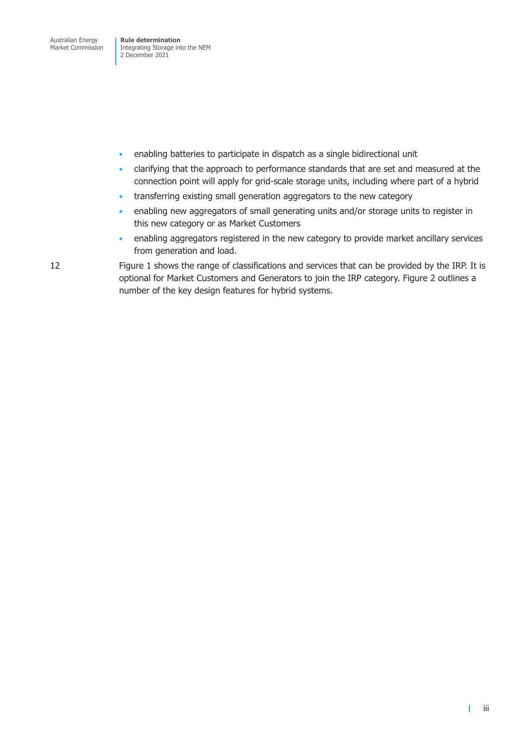Integrating Storage into the NEM 2 December 2021

- enabling batteries to participate in dispatch as a single bidirectional unit
- clarifying that the approach to performance standards that are set and measured at the connection point will apply for grid-scale storage units, including where part of a hybrid
- transferring existing small generation aggregators to the new category
- enabling new aggregators of small generating units and/or storage units to register in this new category or as Market Customers
- enabling aggregators registered in the new category to provide market ancillary services from generation and load.

12 Figure 1 shows the range of classifications and services that can be provided by the IRP. It is optional for Market Customers and Generators to join the IRP category. Figure 2 outlines a number of the key design features for hybrid systems.

 $\mathbf{I}$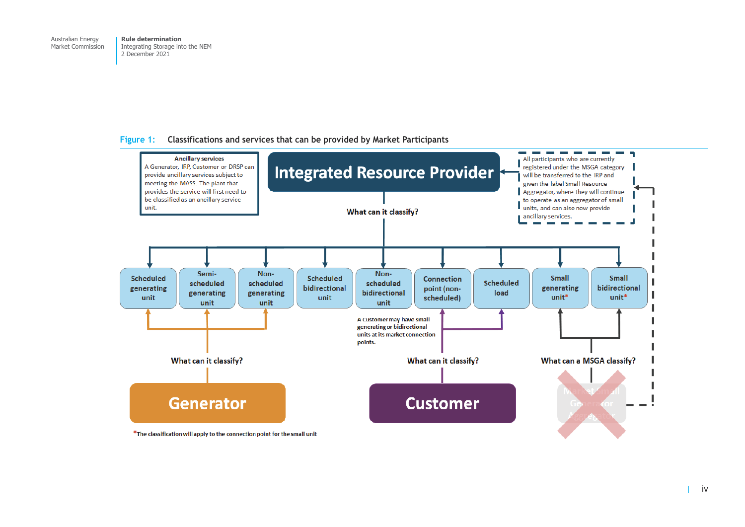#### <span id="page-5-0"></span>**Figure 1: Classifications and services that can be provided by Market Participants**



\*The classification will apply to the connection point for the small unit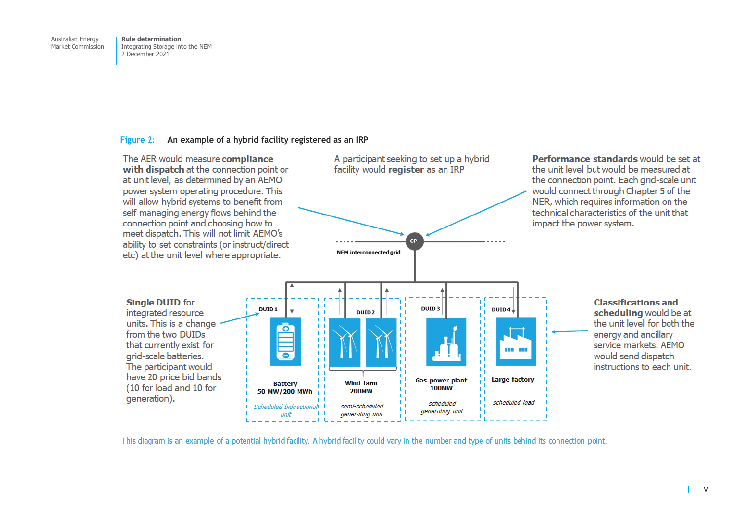#### <span id="page-6-0"></span>**Figure 2: An example of a hybrid facility registered as an IRP**



This diagram is an example of a potential hybrid facility. A hybrid facility could vary in the number and type of units behind its connection point.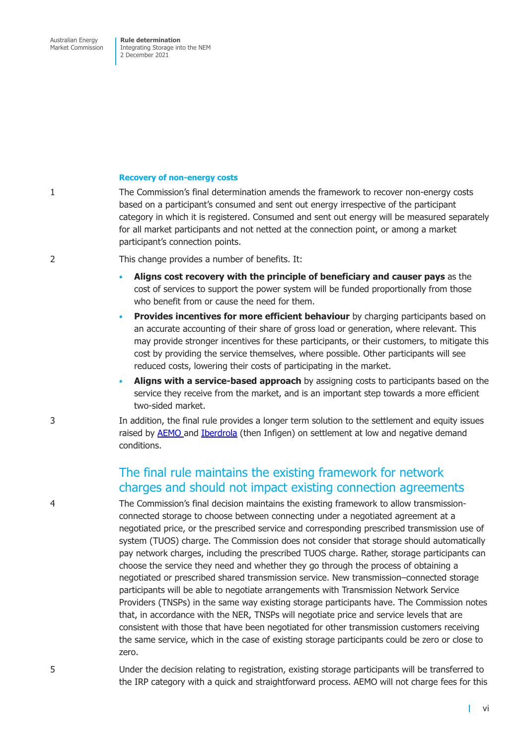Market Commission

Integrating Storage into the NEM 2 December 2021

#### **Recovery of non-energy costs**

1 The Commission's final determination amends the framework to recover non-energy costs based on a participant's consumed and sent out energy irrespective of the participant category in which it is registered. Consumed and sent out energy will be measured separately for all market participants and not netted at the connection point, or among a market participant's connection points.

#### 2 This change provides a number of benefits. It:

- **Aligns cost recovery with the principle of beneficiary and causer pays** as the cost of services to support the power system will be funded proportionally from those who benefit from or cause the need for them.
- **Provides incentives for more efficient behaviour** by charging participants based on an accurate accounting of their share of gross load or generation, where relevant. This may provide stronger incentives for these participants, or their customers, to mitigate this cost by providing the service themselves, where possible. Other participants will see reduced costs, lowering their costs of participating in the market.
- **Aligns with a service-based approach** by assigning costs to participants based on the service they receive from the market, and is an important step towards a more efficient two-sided market.

3 In addition, the final rule provides a longer term solution to the settlement and equity issues raised by **AEMO** and **Iberdrola** (then Infigen) on settlement at low and negative demand conditions.

### The fi[nal rule](https://www.aemc.gov.au/rule-changes/nem-settlement-under-low-zero-and-negative-demand-conditions) [maintain](https://www.aemc.gov.au/rule-changes/settlement-under-low-operational-demand)s the existing framework for network charges and should not impact existing connection agreements

4 The Commission's final decision maintains the existing framework to allow transmissionconnected storage to choose between connecting under a negotiated agreement at a negotiated price, or the prescribed service and corresponding prescribed transmission use of system (TUOS) charge. The Commission does not consider that storage should automatically pay network charges, including the prescribed TUOS charge. Rather, storage participants can choose the service they need and whether they go through the process of obtaining a negotiated or prescribed shared transmission service. New transmission–connected storage participants will be able to negotiate arrangements with Transmission Network Service Providers (TNSPs) in the same way existing storage participants have. The Commission notes that, in accordance with the NER, TNSPs will negotiate price and service levels that are consistent with those that have been negotiated for other transmission customers receiving the same service, which in the case of existing storage participants could be zero or close to zero.

5 Under the decision relating to registration, existing storage participants will be transferred to the IRP category with a quick and straightforward process. AEMO will not charge fees for this

 $\mathbf{I}$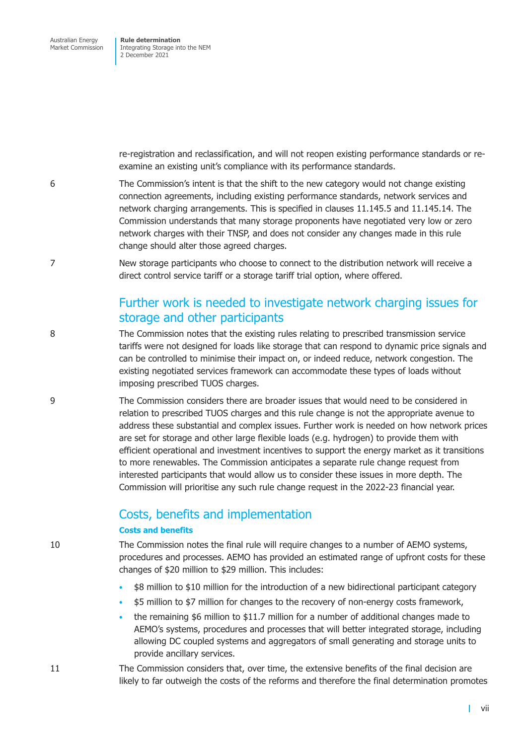re-registration and reclassification, and will not reopen existing performance standards or reexamine an existing unit's compliance with its performance standards.

- 6 The Commission's intent is that the shift to the new category would not change existing connection agreements, including existing performance standards, network services and network charging arrangements. This is specified in clauses 11.145.5 and 11.145.14. The Commission understands that many storage proponents have negotiated very low or zero network charges with their TNSP, and does not consider any changes made in this rule change should alter those agreed charges.
- 7 New storage participants who choose to connect to the distribution network will receive a direct control service tariff or a storage tariff trial option, where offered.

### Further work is needed to investigate network charging issues for storage and other participants

- 8 The Commission notes that the existing rules relating to prescribed transmission service tariffs were not designed for loads like storage that can respond to dynamic price signals and can be controlled to minimise their impact on, or indeed reduce, network congestion. The existing negotiated services framework can accommodate these types of loads without imposing prescribed TUOS charges.
- 9 The Commission considers there are broader issues that would need to be considered in relation to prescribed TUOS charges and this rule change is not the appropriate avenue to address these substantial and complex issues. Further work is needed on how network prices are set for storage and other large flexible loads (e.g. hydrogen) to provide them with efficient operational and investment incentives to support the energy market as it transitions to more renewables. The Commission anticipates a separate rule change request from interested participants that would allow us to consider these issues in more depth. The Commission will prioritise any such rule change request in the 2022-23 financial year.

### Costs, benefits and implementation

#### **Costs and benefits**

10 The Commission notes the final rule will require changes to a number of AEMO systems, procedures and processes. AEMO has provided an estimated range of upfront costs for these changes of \$20 million to \$29 million. This includes:

- \$8 million to \$10 million for the introduction of a new bidirectional participant category
- \$5 million to \$7 million for changes to the recovery of non-energy costs framework,
- the remaining \$6 million to \$11.7 million for a number of additional changes made to AEMO's systems, procedures and processes that will better integrated storage, including allowing DC coupled systems and aggregators of small generating and storage units to provide ancillary services.
- 11 The Commission considers that, over time, the extensive benefits of the final decision are likely to far outweigh the costs of the reforms and therefore the final determination promotes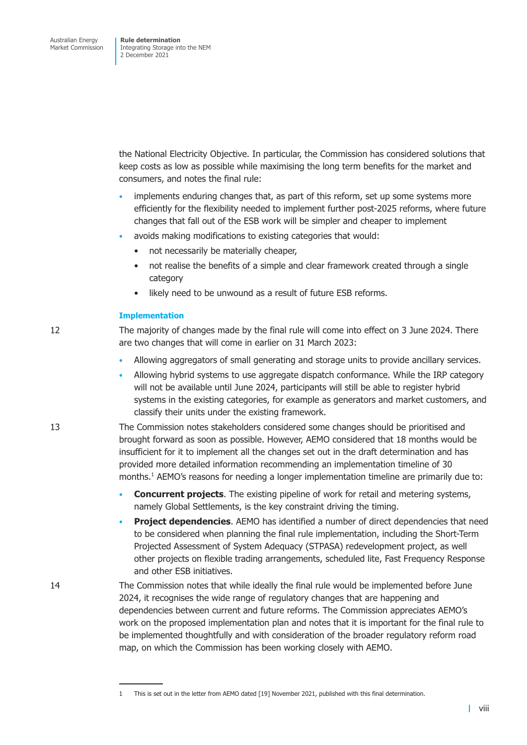the National Electricity Objective. In particular, the Commission has considered solutions that keep costs as low as possible while maximising the long term benefits for the market and consumers, and notes the final rule:

- implements enduring changes that, as part of this reform, set up some systems more efficiently for the flexibility needed to implement further post-2025 reforms, where future changes that fall out of the ESB work will be simpler and cheaper to implement
- avoids making modifications to existing categories that would:
	- not necessarily be materially cheaper,
	- not realise the benefits of a simple and clear framework created through a single category
	- likely need to be unwound as a result of future ESB reforms.

#### **Implementation**

12 The majority of changes made by the final rule will come into effect on 3 June 2024. There are two changes that will come in earlier on 31 March 2023:

- Allowing aggregators of small generating and storage units to provide ancillary services.
- Allowing hybrid systems to use aggregate dispatch conformance. While the IRP category will not be available until June 2024, participants will still be able to register hybrid systems in the existing categories, for example as generators and market customers, and classify their units under the existing framework.

13 The Commission notes stakeholders considered some changes should be prioritised and brought forward as soon as possible. However, AEMO considered that 18 months would be insufficient for it to implement all the changes set out in the draft determination and has provided more detailed information recommending an implementation timeline of 30 months.<sup>1</sup> AEMO's reasons for needing a longer implementation timeline are primarily due to:

- **Concurrent projects**. The existing pipeline of work for retail and metering systems, namely Global Settlements, is the key constraint driving the timing.
- **Project dependencies**. AEMO has identified a number of direct dependencies that need to be considered when planning the final rule implementation, including the Short-Term Projected Assessment of System Adequacy (STPASA) redevelopment project, as well other projects on flexible trading arrangements, scheduled lite, Fast Frequency Response and other ESB initiatives.
- 14 The Commission notes that while ideally the final rule would be implemented before June 2024, it recognises the wide range of regulatory changes that are happening and dependencies between current and future reforms. The Commission appreciates AEMO's work on the proposed implementation plan and notes that it is important for the final rule to be implemented thoughtfully and with consideration of the broader regulatory reform road map, on which the Commission has been working closely with AEMO.

<sup>1</sup> This is set out in the letter from AEMO dated [19] November 2021, published with this final determination.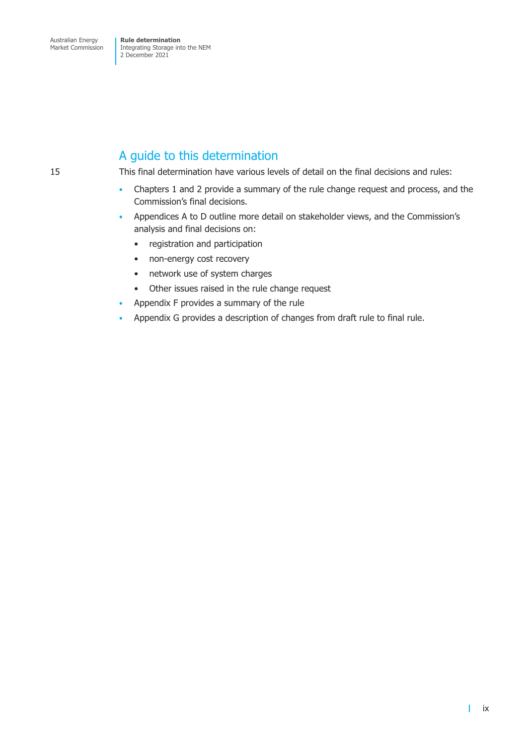### A guide to this determination

15 This final determination have various levels of detail on the final decisions and rules:

- Chapters 1 and 2 provide a summary of the rule change request and process, and the Commission's final decisions.
- Appendices A to D outline more detail on stakeholder views, and the Commission's analysis and final decisions on:
	- registration and participation
	- non-energy cost recovery
	- network use of system charges
	- Other issues raised in the rule change request
- Appendix F provides a summary of the rule
- Appendix G provides a description of changes from draft rule to final rule.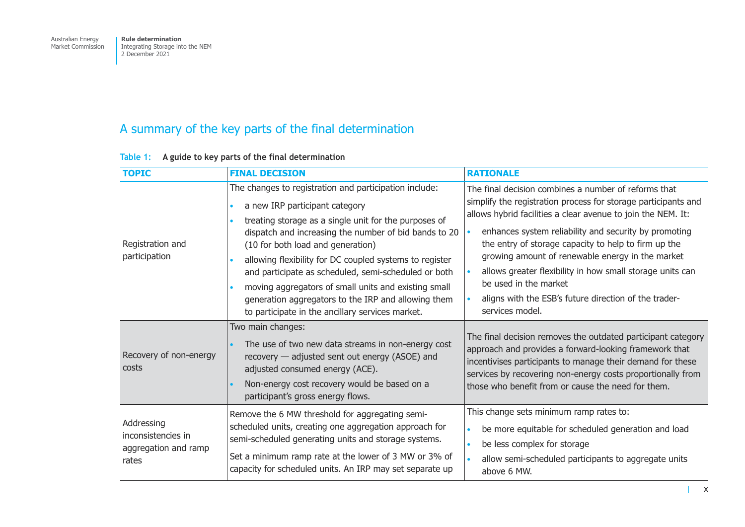## <span id="page-11-0"></span>A summary of the key parts of the final determination

| <b>TOPIC</b>                                                      | <b>FINAL DECISION</b>                                                                                                                                                                                                                                                                                                                                                                                                                                                                                                                 | <b>RATIONALE</b>                                                                                                                                                                                                                                                                                                                                                                                                                                                                                                              |
|-------------------------------------------------------------------|---------------------------------------------------------------------------------------------------------------------------------------------------------------------------------------------------------------------------------------------------------------------------------------------------------------------------------------------------------------------------------------------------------------------------------------------------------------------------------------------------------------------------------------|-------------------------------------------------------------------------------------------------------------------------------------------------------------------------------------------------------------------------------------------------------------------------------------------------------------------------------------------------------------------------------------------------------------------------------------------------------------------------------------------------------------------------------|
| Registration and<br>participation                                 | The changes to registration and participation include:<br>a new IRP participant category<br>treating storage as a single unit for the purposes of<br>dispatch and increasing the number of bid bands to 20<br>(10 for both load and generation)<br>allowing flexibility for DC coupled systems to register<br>and participate as scheduled, semi-scheduled or both<br>moving aggregators of small units and existing small<br>generation aggregators to the IRP and allowing them<br>to participate in the ancillary services market. | The final decision combines a number of reforms that<br>simplify the registration process for storage participants and<br>allows hybrid facilities a clear avenue to join the NEM. It:<br>enhances system reliability and security by promoting<br>the entry of storage capacity to help to firm up the<br>growing amount of renewable energy in the market<br>allows greater flexibility in how small storage units can<br>be used in the market<br>aligns with the ESB's future direction of the trader-<br>services model. |
| Recovery of non-energy<br>costs                                   | Two main changes:<br>The use of two new data streams in non-energy cost<br>recovery - adjusted sent out energy (ASOE) and<br>adjusted consumed energy (ACE).<br>Non-energy cost recovery would be based on a<br>participant's gross energy flows.                                                                                                                                                                                                                                                                                     | The final decision removes the outdated participant category<br>approach and provides a forward-looking framework that<br>incentivises participants to manage their demand for these<br>services by recovering non-energy costs proportionally from<br>those who benefit from or cause the need for them.                                                                                                                                                                                                                     |
| Addressing<br>inconsistencies in<br>aggregation and ramp<br>rates | Remove the 6 MW threshold for aggregating semi-<br>scheduled units, creating one aggregation approach for<br>semi-scheduled generating units and storage systems.<br>Set a minimum ramp rate at the lower of 3 MW or 3% of<br>capacity for scheduled units. An IRP may set separate up                                                                                                                                                                                                                                                | This change sets minimum ramp rates to:<br>be more equitable for scheduled generation and load<br>$\bullet$<br>be less complex for storage<br>$\bullet$<br>allow semi-scheduled participants to aggregate units<br>$\bullet$<br>above 6 MW.                                                                                                                                                                                                                                                                                   |

### **Table 1: A guide to key parts of the final determination**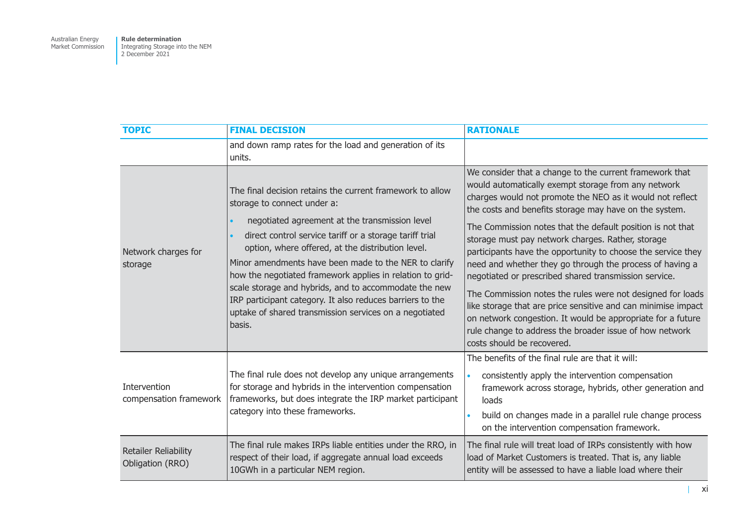| <b>TOPIC</b>                             | <b>FINAL DECISION</b>                                                                                                                                                                                                                                                                                                                                                                                                                                                                                                                                                      | <b>RATIONALE</b>                                                                                                                                                                                                                                                                                                                                                                                                                                                                                                                                                                                                                                                                                                                                                                                                                     |
|------------------------------------------|----------------------------------------------------------------------------------------------------------------------------------------------------------------------------------------------------------------------------------------------------------------------------------------------------------------------------------------------------------------------------------------------------------------------------------------------------------------------------------------------------------------------------------------------------------------------------|--------------------------------------------------------------------------------------------------------------------------------------------------------------------------------------------------------------------------------------------------------------------------------------------------------------------------------------------------------------------------------------------------------------------------------------------------------------------------------------------------------------------------------------------------------------------------------------------------------------------------------------------------------------------------------------------------------------------------------------------------------------------------------------------------------------------------------------|
|                                          | and down ramp rates for the load and generation of its<br>units.                                                                                                                                                                                                                                                                                                                                                                                                                                                                                                           |                                                                                                                                                                                                                                                                                                                                                                                                                                                                                                                                                                                                                                                                                                                                                                                                                                      |
| Network charges for<br>storage           | The final decision retains the current framework to allow<br>storage to connect under a:<br>negotiated agreement at the transmission level<br>direct control service tariff or a storage tariff trial<br>option, where offered, at the distribution level.<br>Minor amendments have been made to the NER to clarify<br>how the negotiated framework applies in relation to grid-<br>scale storage and hybrids, and to accommodate the new<br>IRP participant category. It also reduces barriers to the<br>uptake of shared transmission services on a negotiated<br>basis. | We consider that a change to the current framework that<br>would automatically exempt storage from any network<br>charges would not promote the NEO as it would not reflect<br>the costs and benefits storage may have on the system.<br>The Commission notes that the default position is not that<br>storage must pay network charges. Rather, storage<br>participants have the opportunity to choose the service they<br>need and whether they go through the process of having a<br>negotiated or prescribed shared transmission service.<br>The Commission notes the rules were not designed for loads<br>like storage that are price sensitive and can minimise impact<br>on network congestion. It would be appropriate for a future<br>rule change to address the broader issue of how network<br>costs should be recovered. |
| Intervention<br>compensation framework   | The final rule does not develop any unique arrangements<br>for storage and hybrids in the intervention compensation<br>frameworks, but does integrate the IRP market participant<br>category into these frameworks.                                                                                                                                                                                                                                                                                                                                                        | The benefits of the final rule are that it will:<br>consistently apply the intervention compensation<br>$\bullet$<br>framework across storage, hybrids, other generation and<br>loads<br>build on changes made in a parallel rule change process<br>$\bullet$<br>on the intervention compensation framework.                                                                                                                                                                                                                                                                                                                                                                                                                                                                                                                         |
| Retailer Reliability<br>Obligation (RRO) | The final rule makes IRPs liable entities under the RRO, in<br>respect of their load, if aggregate annual load exceeds<br>10GWh in a particular NEM region.                                                                                                                                                                                                                                                                                                                                                                                                                | The final rule will treat load of IRPs consistently with how<br>load of Market Customers is treated. That is, any liable<br>entity will be assessed to have a liable load where their                                                                                                                                                                                                                                                                                                                                                                                                                                                                                                                                                                                                                                                |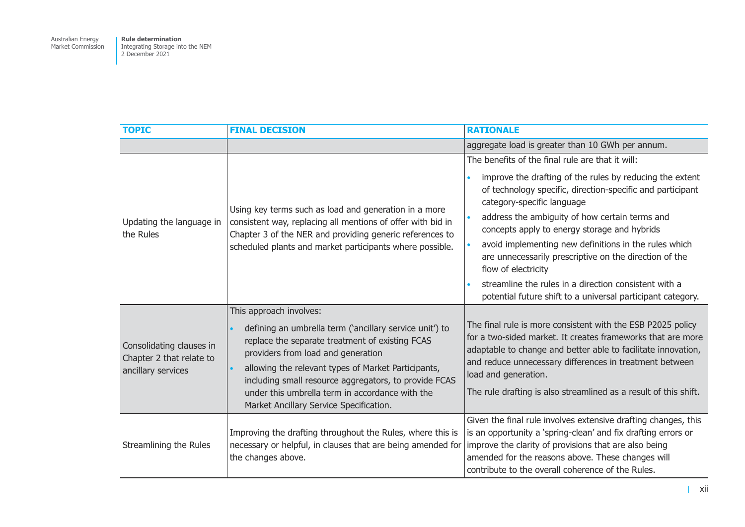| <b>TOPIC</b>                                                               | <b>FINAL DECISION</b>                                                                                                                                                                                                                                                                                                                                                                                               | <b>RATIONALE</b>                                                                                                                                                                                                                                                                                                                                                                                                                                                                                                                                                                                                                 |  |
|----------------------------------------------------------------------------|---------------------------------------------------------------------------------------------------------------------------------------------------------------------------------------------------------------------------------------------------------------------------------------------------------------------------------------------------------------------------------------------------------------------|----------------------------------------------------------------------------------------------------------------------------------------------------------------------------------------------------------------------------------------------------------------------------------------------------------------------------------------------------------------------------------------------------------------------------------------------------------------------------------------------------------------------------------------------------------------------------------------------------------------------------------|--|
|                                                                            |                                                                                                                                                                                                                                                                                                                                                                                                                     | aggregate load is greater than 10 GWh per annum.                                                                                                                                                                                                                                                                                                                                                                                                                                                                                                                                                                                 |  |
| Updating the language in<br>the Rules                                      | Using key terms such as load and generation in a more<br>consistent way, replacing all mentions of offer with bid in<br>Chapter 3 of the NER and providing generic references to<br>scheduled plants and market participants where possible.                                                                                                                                                                        | The benefits of the final rule are that it will:<br>improve the drafting of the rules by reducing the extent<br>$\bullet$<br>of technology specific, direction-specific and participant<br>category-specific language<br>address the ambiguity of how certain terms and<br>$\bullet$<br>concepts apply to energy storage and hybrids<br>avoid implementing new definitions in the rules which<br>$\bullet$<br>are unnecessarily prescriptive on the direction of the<br>flow of electricity<br>streamline the rules in a direction consistent with a<br>$\bullet$<br>potential future shift to a universal participant category. |  |
| Consolidating clauses in<br>Chapter 2 that relate to<br>ancillary services | This approach involves:<br>defining an umbrella term ('ancillary service unit') to<br>$\bullet$<br>replace the separate treatment of existing FCAS<br>providers from load and generation<br>allowing the relevant types of Market Participants,<br>$\bullet$<br>including small resource aggregators, to provide FCAS<br>under this umbrella term in accordance with the<br>Market Ancillary Service Specification. | The final rule is more consistent with the ESB P2025 policy<br>for a two-sided market. It creates frameworks that are more<br>adaptable to change and better able to facilitate innovation,<br>and reduce unnecessary differences in treatment between<br>load and generation.<br>The rule drafting is also streamlined as a result of this shift.                                                                                                                                                                                                                                                                               |  |
| Streamlining the Rules                                                     | Improving the drafting throughout the Rules, where this is<br>necessary or helpful, in clauses that are being amended for<br>the changes above.                                                                                                                                                                                                                                                                     | Given the final rule involves extensive drafting changes, this<br>is an opportunity a 'spring-clean' and fix drafting errors or<br>improve the clarity of provisions that are also being<br>amended for the reasons above. These changes will<br>contribute to the overall coherence of the Rules.                                                                                                                                                                                                                                                                                                                               |  |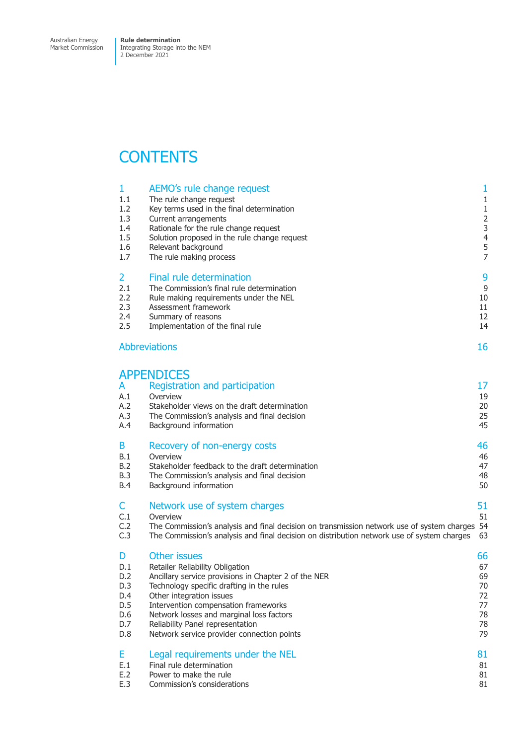Market Commission

Integrating Storage into the NEM 2 December 2021

## **CONTENTS**

| 1                             | AEMO's rule change request                                                                                                                                                                | $\mathbf{1}$               |
|-------------------------------|-------------------------------------------------------------------------------------------------------------------------------------------------------------------------------------------|----------------------------|
| 1.1                           | The rule change request                                                                                                                                                                   | $\mathbf{1}$               |
| 1.2                           | Key terms used in the final determination                                                                                                                                                 | $1\,$                      |
| 1.3                           | Current arrangements                                                                                                                                                                      | $\overline{2}$             |
| 1.4                           | Rationale for the rule change request                                                                                                                                                     | 3                          |
| 1.5                           | Solution proposed in the rule change request                                                                                                                                              | $\overline{4}$             |
| 1.6                           | Relevant background                                                                                                                                                                       | 5                          |
| 1.7                           | The rule making process                                                                                                                                                                   | $\overline{7}$             |
| 2                             | <b>Final rule determination</b>                                                                                                                                                           | 9                          |
| 2.1                           | The Commission's final rule determination                                                                                                                                                 | 9                          |
| 2.2                           | Rule making requirements under the NEL                                                                                                                                                    | 10                         |
| 2.3                           | Assessment framework                                                                                                                                                                      | 11                         |
| 2.4                           | Summary of reasons                                                                                                                                                                        | 12                         |
| 2.5                           | Implementation of the final rule                                                                                                                                                          | 14                         |
|                               | <b>Abbreviations</b>                                                                                                                                                                      | 16                         |
| A<br>A.1<br>A.2<br>A.3<br>A.4 | <b>APPENDICES</b><br>Registration and participation<br>Overview<br>Stakeholder views on the draft determination<br>The Commission's analysis and final decision<br>Background information | 17<br>19<br>20<br>25<br>45 |
| B                             | Recovery of non-energy costs                                                                                                                                                              | 46                         |
| B.1                           | Overview                                                                                                                                                                                  | 46                         |
| B.2                           | Stakeholder feedback to the draft determination                                                                                                                                           | 47                         |
| <b>B.3</b>                    | The Commission's analysis and final decision                                                                                                                                              | 48                         |
| <b>B.4</b>                    | Background information                                                                                                                                                                    | 50                         |
| C                             | Network use of system charges                                                                                                                                                             | 51                         |
| C.1                           | Overview                                                                                                                                                                                  | 51                         |
| C.2                           | The Commission's analysis and final decision on transmission network use of system charges                                                                                                | 54                         |
| C.3                           | The Commission's analysis and final decision on distribution network use of system charges                                                                                                | 63                         |
| D                             | <b>Other issues</b>                                                                                                                                                                       | 66                         |
| D.1                           | Retailer Reliability Obligation                                                                                                                                                           | 67                         |
| D.2                           | Ancillary service provisions in Chapter 2 of the NER                                                                                                                                      | 69                         |
| D.3                           | Technology specific drafting in the rules                                                                                                                                                 | 70                         |
| D.4                           | Other integration issues                                                                                                                                                                  | 72                         |
| D.5                           | Intervention compensation frameworks                                                                                                                                                      | 77                         |
| D.6                           | Network losses and marginal loss factors                                                                                                                                                  | 78                         |
| D.7                           | Reliability Panel representation                                                                                                                                                          | 78                         |
| D.8                           | Network service provider connection points                                                                                                                                                | 79                         |
| Е                             | Legal requirements under the NEL                                                                                                                                                          | 81                         |
| E.1                           | Final rule determination                                                                                                                                                                  | 81                         |
| E.2                           | Power to make the rule                                                                                                                                                                    | 81                         |
| E.3                           | Commission's considerations                                                                                                                                                               | 81                         |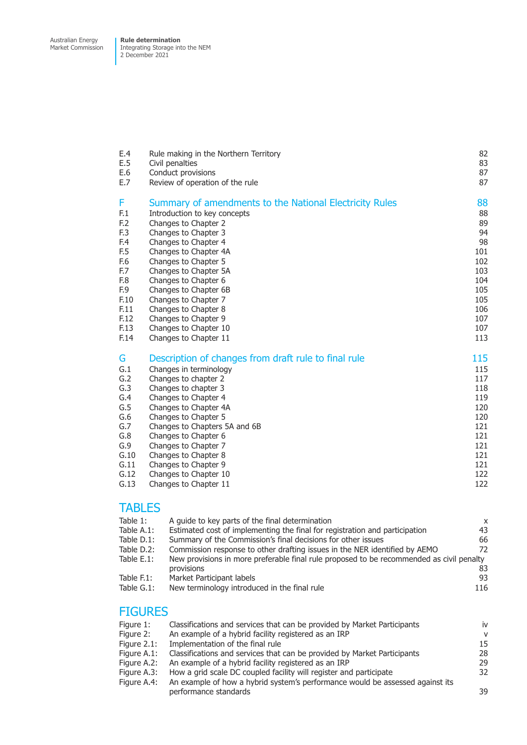Market Commission Integrating Storage into the NEM 2 December 2021

| Rule making in the Northern Territory                                                                                                                                                                                                                                                                                                                             | 82                                                                                             |
|-------------------------------------------------------------------------------------------------------------------------------------------------------------------------------------------------------------------------------------------------------------------------------------------------------------------------------------------------------------------|------------------------------------------------------------------------------------------------|
| Civil penalties                                                                                                                                                                                                                                                                                                                                                   | 83                                                                                             |
| Conduct provisions                                                                                                                                                                                                                                                                                                                                                | 87                                                                                             |
| Review of operation of the rule                                                                                                                                                                                                                                                                                                                                   | 87                                                                                             |
| Summary of amendments to the National Electricity Rules                                                                                                                                                                                                                                                                                                           | 88                                                                                             |
| Introduction to key concepts                                                                                                                                                                                                                                                                                                                                      | 88                                                                                             |
| Changes to Chapter 2                                                                                                                                                                                                                                                                                                                                              | 89                                                                                             |
| Changes to Chapter 3                                                                                                                                                                                                                                                                                                                                              | 94                                                                                             |
| Changes to Chapter 4                                                                                                                                                                                                                                                                                                                                              | 98                                                                                             |
| Changes to Chapter 4A                                                                                                                                                                                                                                                                                                                                             | 101                                                                                            |
| Changes to Chapter 5                                                                                                                                                                                                                                                                                                                                              | 102                                                                                            |
| Changes to Chapter 5A                                                                                                                                                                                                                                                                                                                                             | 103                                                                                            |
| Changes to Chapter 6                                                                                                                                                                                                                                                                                                                                              | 104                                                                                            |
| Changes to Chapter 6B                                                                                                                                                                                                                                                                                                                                             | 105                                                                                            |
| Changes to Chapter 7                                                                                                                                                                                                                                                                                                                                              | 105                                                                                            |
| Changes to Chapter 8                                                                                                                                                                                                                                                                                                                                              | 106                                                                                            |
| Changes to Chapter 9                                                                                                                                                                                                                                                                                                                                              | 107                                                                                            |
| Changes to Chapter 10                                                                                                                                                                                                                                                                                                                                             | 107                                                                                            |
| Changes to Chapter 11                                                                                                                                                                                                                                                                                                                                             | 113                                                                                            |
| Description of changes from draft rule to final rule<br>Changes in terminology<br>Changes to chapter 2<br>Changes to chapter 3<br>Changes to Chapter 4<br>Changes to Chapter 4A<br>Changes to Chapter 5<br>Changes to Chapters 5A and 6B<br>Changes to Chapter 6<br>Changes to Chapter 7<br>Changes to Chapter 8<br>Changes to Chapter 9<br>Changes to Chapter 10 | 115<br>115<br>117<br>118<br>119<br>120<br>120<br>121<br>121<br>121<br>121<br>121<br>122<br>122 |
|                                                                                                                                                                                                                                                                                                                                                                   | Changes to Chapter 11                                                                          |

### **TABLES**

| Table 1:       | A quide to key parts of the final determination                                          | X   |
|----------------|------------------------------------------------------------------------------------------|-----|
| Table $A.1$ :  | Estimated cost of implementing the final for registration and participation              | 43  |
| Table $D.1$ :  | Summary of the Commission's final decisions for other issues                             | 66  |
| Table D.2:     | Commission response to other drafting issues in the NER identified by AEMO               | 72  |
| Table $E.1$ :  | New provisions in more preferable final rule proposed to be recommended as civil penalty |     |
|                | provisions                                                                               | 83  |
| Table $F.1$ :  | Market Participant labels                                                                | 93  |
| Table $G.1$ :  | New terminology introduced in the final rule                                             | 116 |
| <b>FIGURES</b> |                                                                                          |     |
| Figure 1:      | Classifications and services that can be provided by Market Participants                 | iv  |
| Figure 2:      | An example of a hybrid facility registered as an IRP                                     | v   |
| Figure $21$    | of the final rule Implementation of the final rule                                       | 15. |

| Figure 2.1: Implementation of the final rule                                              | 15  |
|-------------------------------------------------------------------------------------------|-----|
| Figure A.1: Classifications and services that can be provided by Market Participants      | 28  |
| Figure A.2: An example of a hybrid facility registered as an IRP                          | 29  |
| Figure A.3: How a grid scale DC coupled facility will register and participate            | 32. |
| Figure A.4: An example of how a hybrid system's performance would be assessed against its |     |
| performance standards                                                                     | 39  |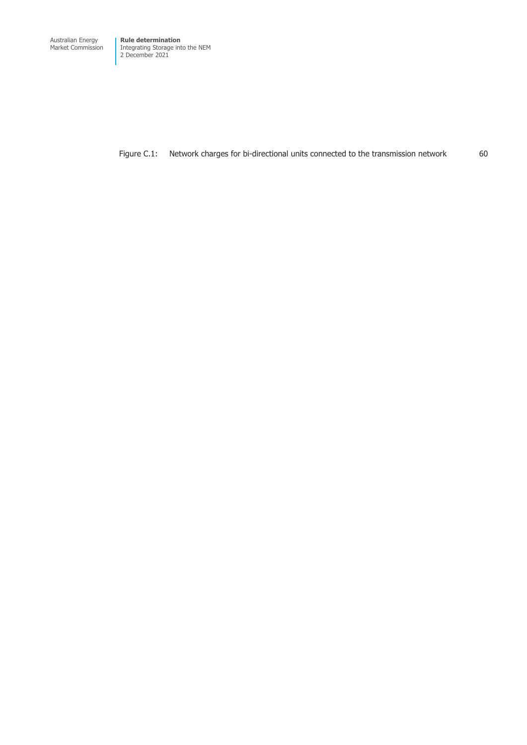Market Commission

Integrating Storage into the NEM 2 December 2021

Figure C.1: Network charges for bi-directional units connected to the transmission network 60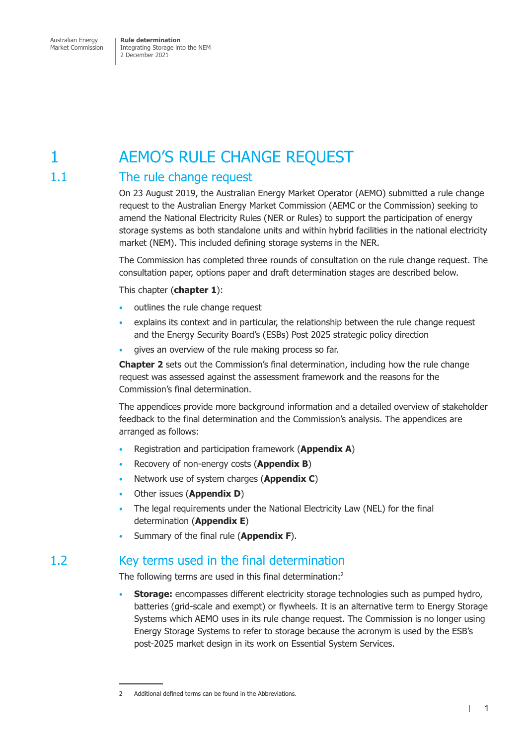## <span id="page-17-0"></span>1 AEMO'S RULE CHANGE REQUEST

### 1.1 The rule change request

On 23 August 2019, the Australian Energy Market Operator (AEMO) submitted a rule change request to the Australian Energy Market Commission (AEMC or the Commission) seeking to amend the National Electricity Rules (NER or Rules) to support the participation of energy storage systems as both standalone units and within hybrid facilities in the national electricity market (NEM). This included defining storage systems in the NER.

The Commission has completed three rounds of consultation on the rule change request. The consultation paper, options paper and draft determination stages are described below.

This chapter (**chapter 1**):

- outlines the rule change request
- explains its context and in particular, the relationship between the rule change request and the Energy Security Board's (ESBs) Post 2025 strategic policy direction
- gives an overview of the rule making process so far.

**Chapter 2** sets out the Commission's final determination, including how the rule change request was assessed against the assessment framework and the reasons for the Commission's final determination.

The appendices provide more background information and a detailed overview of stakeholder feedback to the final determination and the Commission's analysis. The appendices are arranged as follows:

- Registration and participation framework (**Appendix A**)
- Recovery of non-energy costs (**Appendix B**)
- Network use of system charges (**Appendix C**)
- Other issues (**Appendix D**)
- The legal requirements under the National Electricity Law (NEL) for the final determination (**Appendix E**)
- Summary of the final rule (**Appendix F**).

### 1.2 Key terms used in the final determination

The following terms are used in this final determination:<sup>2</sup>

• **Storage:** encompasses different electricity storage technologies such as pumped hydro, batteries (grid-scale and exempt) or flywheels. It is an alternative term to Energy Storage Systems which AEMO uses in its rule change request. The Commission is no longer using Energy Storage Systems to refer to storage because the acronym is used by the ESB's post-2025 market design in its work on Essential System Services.

<sup>2</sup> Additional defined terms can be found in the Abbreviations.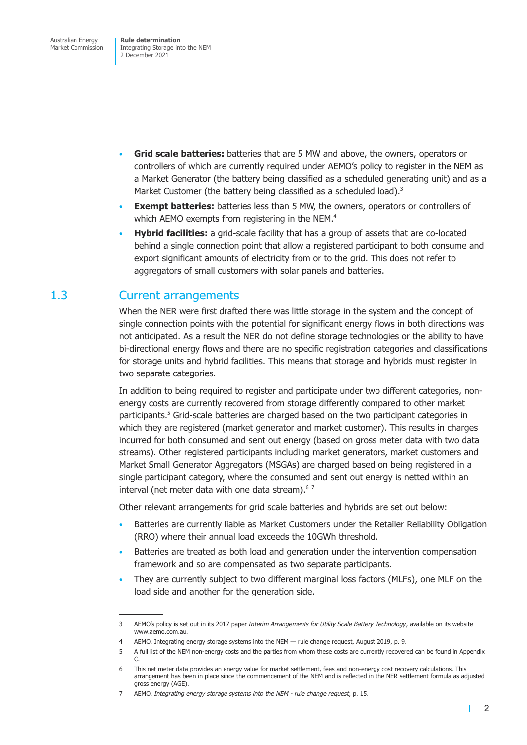- <span id="page-18-0"></span>• **Grid scale batteries:** batteries that are 5 MW and above, the owners, operators or controllers of which are currently required under AEMO's policy to register in the NEM as a Market Generator (the battery being classified as a scheduled generating unit) and as a Market Customer (the battery being classified as a scheduled load). $3$
- **Exempt batteries:** batteries less than 5 MW, the owners, operators or controllers of which AEMO exempts from registering in the NEM.<sup>4</sup>
- **Hybrid facilities:** a grid-scale facility that has a group of assets that are co-located behind a single connection point that allow a registered participant to both consume and export significant amounts of electricity from or to the grid. This does not refer to aggregators of small customers with solar panels and batteries.

### 1.3 Current arrangements

When the NER were first drafted there was little storage in the system and the concept of single connection points with the potential for significant energy flows in both directions was not anticipated. As a result the NER do not define storage technologies or the ability to have bi-directional energy flows and there are no specific registration categories and classifications for storage units and hybrid facilities. This means that storage and hybrids must register in two separate categories.

In addition to being required to register and participate under two different categories, nonenergy costs are currently recovered from storage differently compared to other market participants.<sup>5</sup> Grid-scale batteries are charged based on the two participant categories in which they are registered (market generator and market customer). This results in charges incurred for both consumed and sent out energy (based on gross meter data with two data streams). Other registered participants including market generators, market customers and Market Small Generator Aggregators (MSGAs) are charged based on being registered in a single participant category, where the consumed and sent out energy is netted within an interval (net meter data with one data stream). $67$ 

Other relevant arrangements for grid scale batteries and hybrids are set out below:

- Batteries are currently liable as Market Customers under the Retailer Reliability Obligation (RRO) where their annual load exceeds the 10GWh threshold.
- Batteries are treated as both load and generation under the intervention compensation framework and so are compensated as two separate participants.
- They are currently subject to two different marginal loss factors (MLFs), one MLF on the load side and another for the generation side.

<sup>3</sup> AEMO's policy is set out in its 2017 paper *Interim Arrangements for Utility Scale Battery Technology*, available on its website www.aemo.com.au*.*

<sup>4</sup> AEMO, Integrating energy storage systems into the NEM — rule change request, August 2019, p. 9.

<sup>5</sup> A full list of the NEM non-energy costs and the parties from whom these costs are currently recovered can be found in Appendix C.

<sup>6</sup> This net meter data provides an energy value for market settlement, fees and non-energy cost recovery calculations. This arrangement has been in place since the commencement of the NEM and is reflected in the NER settlement formula as adjusted gross energy (AGE).

<sup>7</sup> AEMO, *Integrating energy storage systems into the NEM - rule change request*, p. 15.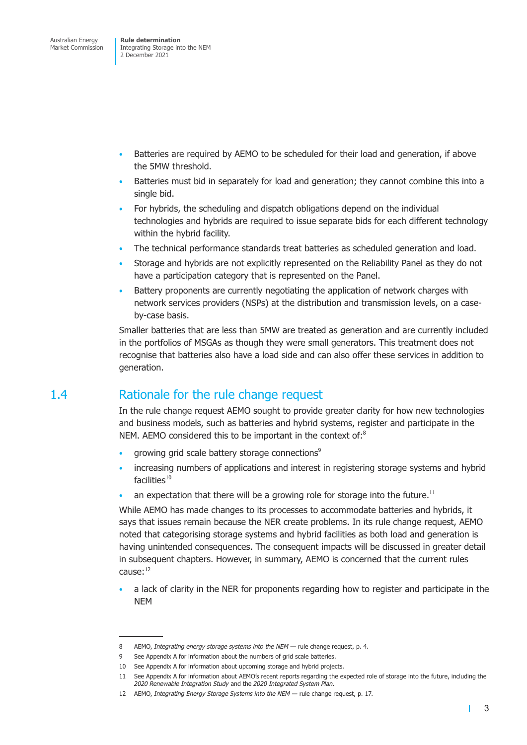- <span id="page-19-0"></span>• Batteries are required by AEMO to be scheduled for their load and generation, if above the 5MW threshold.
- Batteries must bid in separately for load and generation; they cannot combine this into a single bid.
- For hybrids, the scheduling and dispatch obligations depend on the individual technologies and hybrids are required to issue separate bids for each different technology within the hybrid facility.
- The technical performance standards treat batteries as scheduled generation and load.
- Storage and hybrids are not explicitly represented on the Reliability Panel as they do not have a participation category that is represented on the Panel.
- Battery proponents are currently negotiating the application of network charges with network services providers (NSPs) at the distribution and transmission levels, on a caseby-case basis.

Smaller batteries that are less than 5MW are treated as generation and are currently included in the portfolios of MSGAs as though they were small generators. This treatment does not recognise that batteries also have a load side and can also offer these services in addition to generation.

### 1.4 Rationale for the rule change request

In the rule change request AEMO sought to provide greater clarity for how new technologies and business models, such as batteries and hybrid systems, register and participate in the NEM. AEMO considered this to be important in the context of:<sup>8</sup>

- growing grid scale battery storage connections<sup>9</sup>
- increasing numbers of applications and interest in registering storage systems and hybrid  $facilities<sup>10</sup>$
- an expectation that there will be a growing role for storage into the future.<sup>11</sup>

While AEMO has made changes to its processes to accommodate batteries and hybrids, it says that issues remain because the NER create problems. In its rule change request, AEMO noted that categorising storage systems and hybrid facilities as both load and generation is having unintended consequences. The consequent impacts will be discussed in greater detail in subsequent chapters. However, in summary, AEMO is concerned that the current rules cause:12

• a lack of clarity in the NER for proponents regarding how to register and participate in the NEM

<sup>8</sup> AEMO, *Integrating energy storage systems into the NEM* — rule change request, p. 4.

<sup>9</sup> See Appendix A for information about the numbers of grid scale batteries.

<sup>10</sup> See Appendix A for information about upcoming storage and hybrid projects.

<sup>11</sup> See Appendix A for information about AEMO's recent reports regarding the expected role of storage into the future, including the *2020 Renewable Integration Study* and the *2020 Integrated System Plan*.

<sup>12</sup> AEMO, *Integrating Energy Storage Systems into the NEM —* rule change request, p. 17.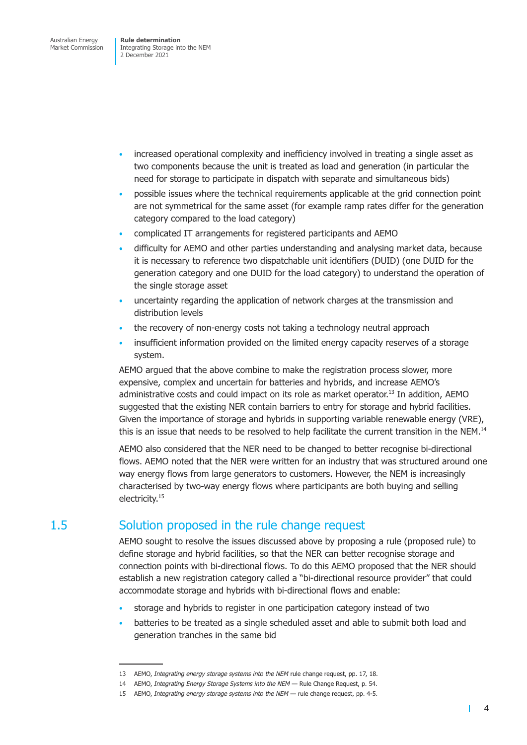- <span id="page-20-0"></span>• increased operational complexity and inefficiency involved in treating a single asset as two components because the unit is treated as load and generation (in particular the need for storage to participate in dispatch with separate and simultaneous bids)
- possible issues where the technical requirements applicable at the grid connection point are not symmetrical for the same asset (for example ramp rates differ for the generation category compared to the load category)
- complicated IT arrangements for registered participants and AEMO
- difficulty for AEMO and other parties understanding and analysing market data, because it is necessary to reference two dispatchable unit identifiers (DUID) (one DUID for the generation category and one DUID for the load category) to understand the operation of the single storage asset
- uncertainty regarding the application of network charges at the transmission and distribution levels
- the recovery of non-energy costs not taking a technology neutral approach
- insufficient information provided on the limited energy capacity reserves of a storage system.

AEMO argued that the above combine to make the registration process slower, more expensive, complex and uncertain for batteries and hybrids, and increase AEMO's administrative costs and could impact on its role as market operator.<sup>13</sup> In addition, AEMO suggested that the existing NER contain barriers to entry for storage and hybrid facilities. Given the importance of storage and hybrids in supporting variable renewable energy (VRE), this is an issue that needs to be resolved to help facilitate the current transition in the NEM.<sup>14</sup>

AEMO also considered that the NER need to be changed to better recognise bi-directional flows. AEMO noted that the NER were written for an industry that was structured around one way energy flows from large generators to customers. However, the NEM is increasingly characterised by two-way energy flows where participants are both buying and selling electricity.<sup>15</sup>

### 1.5 Solution proposed in the rule change request

AEMO sought to resolve the issues discussed above by proposing a rule (proposed rule) to define storage and hybrid facilities, so that the NER can better recognise storage and connection points with bi-directional flows. To do this AEMO proposed that the NER should establish a new registration category called a "bi-directional resource provider" that could accommodate storage and hybrids with bi-directional flows and enable:

- storage and hybrids to register in one participation category instead of two
- batteries to be treated as a single scheduled asset and able to submit both load and generation tranches in the same bid

<sup>13</sup> AEMO, *Integrating energy storage systems into the NEM* rule change request, pp. 17, 18.

<sup>14</sup> AEMO, *Integrating Energy Storage Systems into the NEM* — Rule Change Request, p. 54.

<sup>15</sup> AEMO, *Integrating energy storage systems into the NEM* — rule change request, pp. 4-5.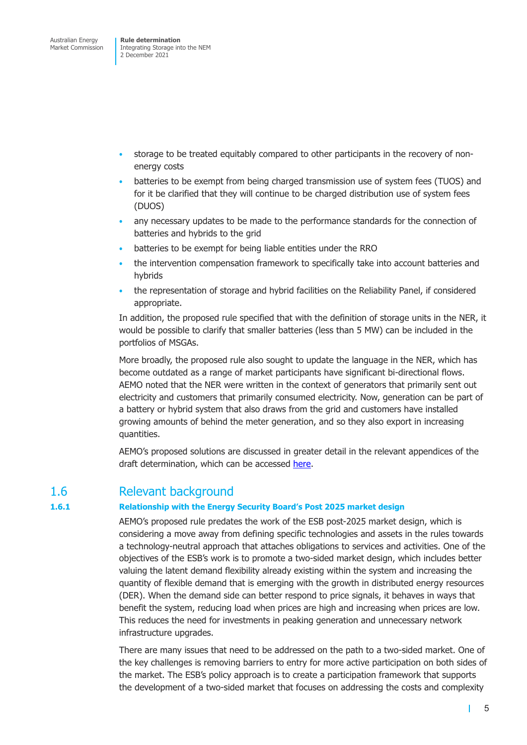<span id="page-21-0"></span>Integrating Storage into the NEM 2 December 2021

- storage to be treated equitably compared to other participants in the recovery of nonenergy costs
- batteries to be exempt from being charged transmission use of system fees (TUOS) and for it be clarified that they will continue to be charged distribution use of system fees (DUOS)
- any necessary updates to be made to the performance standards for the connection of batteries and hybrids to the grid
- batteries to be exempt for being liable entities under the RRO
- the intervention compensation framework to specifically take into account batteries and hybrids
- the representation of storage and hybrid facilities on the Reliability Panel, if considered appropriate.

In addition, the proposed rule specified that with the definition of storage units in the NER, it would be possible to clarify that smaller batteries (less than 5 MW) can be included in the portfolios of MSGAs.

More broadly, the proposed rule also sought to update the language in the NER, which has become outdated as a range of market participants have significant bi-directional flows. AEMO noted that the NER were written in the context of generators that primarily sent out electricity and customers that primarily consumed electricity. Now, generation can be part of a battery or hybrid system that also draws from the grid and customers have installed growing amounts of behind the meter generation, and so they also export in increasing quantities.

AEMO's proposed solutions are discussed in greater detail in the relevant appendices of the draft determination, which can be accessed here.

### 1.6 Relevant background

#### **1.6.1 Relationship with the Energy Security Boar[d's Po](https://www.aemc.gov.au/rule-changes/integrating-energy-storage-systems-nem)st 2025 market design**

AEMO's proposed rule predates the work of the ESB post-2025 market design, which is considering a move away from defining specific technologies and assets in the rules towards a technology-neutral approach that attaches obligations to services and activities. One of the objectives of the ESB's work is to promote a two-sided market design, which includes better valuing the latent demand flexibility already existing within the system and increasing the quantity of flexible demand that is emerging with the growth in distributed energy resources (DER). When the demand side can better respond to price signals, it behaves in ways that benefit the system, reducing load when prices are high and increasing when prices are low. This reduces the need for investments in peaking generation and unnecessary network infrastructure upgrades.

There are many issues that need to be addressed on the path to a two-sided market. One of the key challenges is removing barriers to entry for more active participation on both sides of the market. The ESB's policy approach is to create a participation framework that supports the development of a two-sided market that focuses on addressing the costs and complexity

 $\mathbf{I}$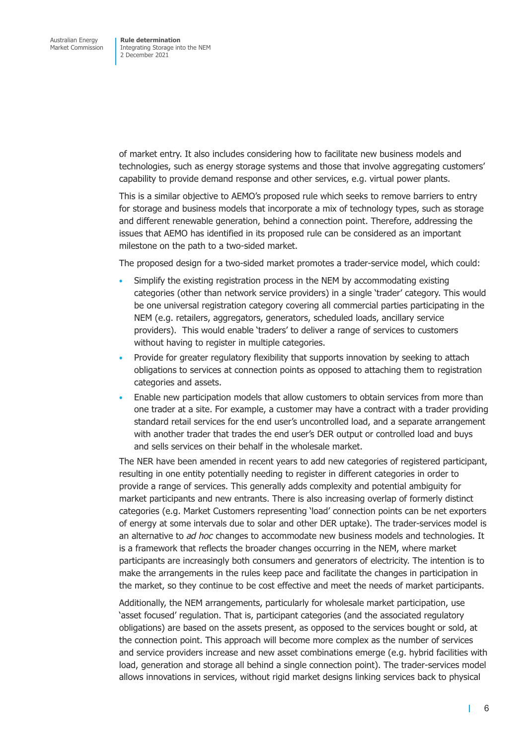of market entry. It also includes considering how to facilitate new business models and technologies, such as energy storage systems and those that involve aggregating customers' capability to provide demand response and other services, e.g. virtual power plants.

This is a similar objective to AEMO's proposed rule which seeks to remove barriers to entry for storage and business models that incorporate a mix of technology types, such as storage and different renewable generation, behind a connection point. Therefore, addressing the issues that AEMO has identified in its proposed rule can be considered as an important milestone on the path to a two-sided market.

The proposed design for a two-sided market promotes a trader-service model, which could:

- Simplify the existing registration process in the NEM by accommodating existing categories (other than network service providers) in a single 'trader' category. This would be one universal registration category covering all commercial parties participating in the NEM (e.g. retailers, aggregators, generators, scheduled loads, ancillary service providers). This would enable 'traders' to deliver a range of services to customers without having to register in multiple categories.
- Provide for greater regulatory flexibility that supports innovation by seeking to attach obligations to services at connection points as opposed to attaching them to registration categories and assets.
- Enable new participation models that allow customers to obtain services from more than one trader at a site. For example, a customer may have a contract with a trader providing standard retail services for the end user's uncontrolled load, and a separate arrangement with another trader that trades the end user's DER output or controlled load and buys and sells services on their behalf in the wholesale market.

The NER have been amended in recent years to add new categories of registered participant, resulting in one entity potentially needing to register in different categories in order to provide a range of services. This generally adds complexity and potential ambiguity for market participants and new entrants. There is also increasing overlap of formerly distinct categories (e.g. Market Customers representing 'load' connection points can be net exporters of energy at some intervals due to solar and other DER uptake). The trader-services model is an alternative to *ad hoc* changes to accommodate new business models and technologies. It is a framework that reflects the broader changes occurring in the NEM, where market participants are increasingly both consumers and generators of electricity. The intention is to make the arrangements in the rules keep pace and facilitate the changes in participation in the market, so they continue to be cost effective and meet the needs of market participants.

Additionally, the NEM arrangements, particularly for wholesale market participation, use 'asset focused' regulation. That is, participant categories (and the associated regulatory obligations) are based on the assets present, as opposed to the services bought or sold, at the connection point. This approach will become more complex as the number of services and service providers increase and new asset combinations emerge (e.g. hybrid facilities with load, generation and storage all behind a single connection point). The trader-services model allows innovations in services, without rigid market designs linking services back to physical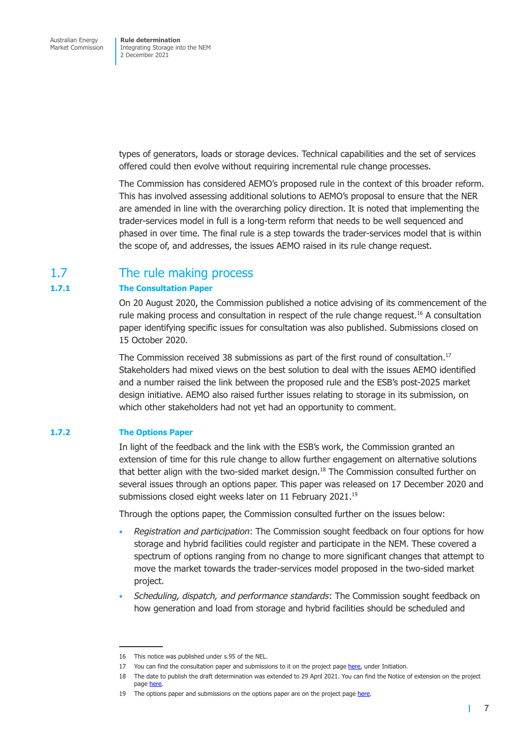<span id="page-23-0"></span>types of generators, loads or storage devices. Technical capabilities and the set of services offered could then evolve without requiring incremental rule change processes.

The Commission has considered AEMO's proposed rule in the context of this broader reform. This has involved assessing additional solutions to AEMO's proposal to ensure that the NER are amended in line with the overarching policy direction. It is noted that implementing the trader-services model in full is a long-term reform that needs to be well sequenced and phased in over time. The final rule is a step towards the trader-services model that is within the scope of, and addresses, the issues AEMO raised in its rule change request.

### 1.7 The rule making process

#### **1.7.1 The Consultation Paper**

On 20 August 2020, the Commission published a notice advising of its commencement of the rule making process and consultation in respect of the rule change request.<sup>16</sup> A consultation paper identifying specific issues for consultation was also published. Submissions closed on 15 October 2020.

The Commission received 38 submissions as part of the first round of consultation.<sup>17</sup> Stakeholders had mixed views on the best solution to deal with the issues AEMO identified and a number raised the link between the proposed rule and the ESB's post-2025 market design initiative. AEMO also raised further issues relating to storage in its submission, on which other stakeholders had not yet had an opportunity to comment.

#### **1.7.2 The Options Paper**

In light of the feedback and the link with the ESB's work, the Commission granted an extension of time for this rule change to allow further engagement on alternative solutions that better align with the two-sided market design. $18$  The Commission consulted further on several issues through an options paper. This paper was released on 17 December 2020 and submissions closed eight weeks later on 11 February 2021.<sup>19</sup>

Through the options paper, the Commission consulted further on the issues below:

- *Registration and participation*: The Commission sought feedback on four options for how storage and hybrid facilities could register and participate in the NEM. These covered a spectrum of options ranging from no change to more significant changes that attempt to move the market towards the trader-services model proposed in the two-sided market project.
- *Scheduling, dispatch, and performance standards*: The Commission sought feedback on how generation and load from storage and hybrid facilities should be scheduled and

 $\mathbf{I}$ 

<sup>16</sup> This notice was published under s.95 of the NEL.

<sup>17</sup> You can find the consultation paper and submissions to it on the project page here, under Initiation.

<sup>18</sup> The date to publish the draft determination was extended to 29 April 2021. You can find the Notice of extension on the project page here.

<sup>19</sup> The options paper and submissions on the options paper are on the project page here.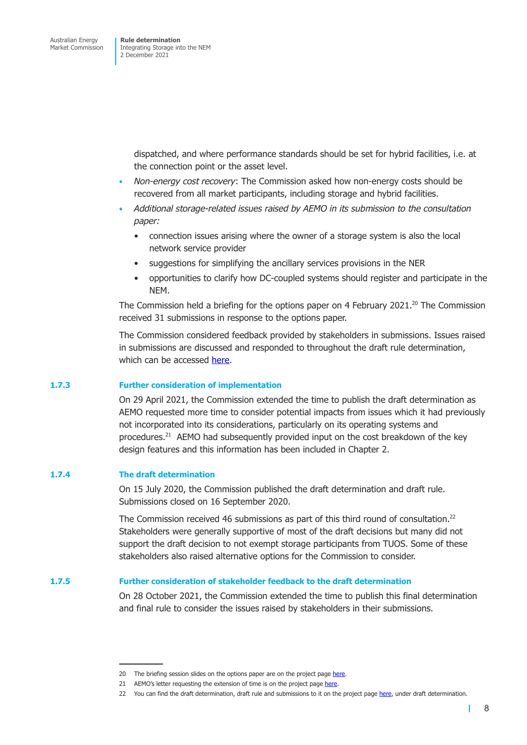dispatched, and where performance standards should be set for hybrid facilities, i.e. at the connection point or the asset level.

- *Non*-*energy cost recovery*: The Commission asked how non-energy costs should be recovered from all market participants, including storage and hybrid facilities.
- *Additional storage-related issues raised by AEMO in its submission to the consultation paper:* 
	- connection issues arising where the owner of a storage system is also the local network service provider
	- suggestions for simplifying the ancillary services provisions in the NER
	- opportunities to clarify how DC-coupled systems should register and participate in the NEM.

The Commission held a briefing for the options paper on 4 February 2021.<sup>20</sup> The Commission received 31 submissions in response to the options paper.

The Commission considered feedback provided by stakeholders in submissions. Issues raised in submissions are discussed and responded to throughout the draft rule determination, which can be accessed here.

#### **1.7.3 Further consideration of implementation**

On 29 April 2021, the [Comm](https://www.aemc.gov.au/sites/default/files/2021-07/integrating_energy_storage_systems_into_the_nem_-_erc0280_-_draft_determination.pdf)ission extended the time to publish the draft determination as AEMO requested more time to consider potential impacts from issues which it had previously not incorporated into its considerations, particularly on its operating systems and procedures. $21$  AEMO had subsequently provided input on the cost breakdown of the key design features and this information has been included in Chapter 2.

#### **1.7.4 The draft determination**

On 15 July 2020, the Commission published the draft determination and draft rule. Submissions closed on 16 September 2020.

The Commission received 46 submissions as part of this third round of consultation.<sup>22</sup> Stakeholders were generally supportive of most of the draft decisions but many did not support the draft decision to not exempt storage participants from TUOS. Some of these stakeholders also raised alternative options for the Commission to consider.

#### **1.7.5 Further consideration of stakeholder feedback to the draft determination**

On 28 October 2021, the Commission extended the time to publish this final determination and final rule to consider the issues raised by stakeholders in their submissions.

<sup>20</sup> The briefing session slides on the options paper are on the project page here.

<sup>21</sup> AEMO's letter requesting the extension of time is on the project page here.

<sup>22</sup> You can find the draft determination, draft rule and submissions to it on the project page here, under draft determination.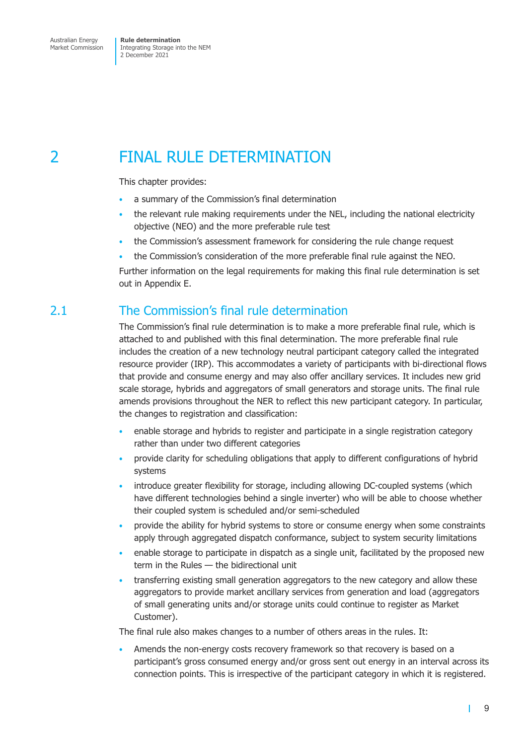## <span id="page-25-0"></span>2 FINAL RULE DETERMINATION

This chapter provides:

- a summary of the Commission's final determination
- the relevant rule making requirements under the NEL, including the national electricity objective (NEO) and the more preferable rule test
- the Commission's assessment framework for considering the rule change request
- the Commission's consideration of the more preferable final rule against the NEO.

Further information on the legal requirements for making this final rule determination is set out in Appendix E.

### 2.1 The Commission's final rule determination

The Commission's final rule determination is to make a more preferable final rule, which is attached to and published with this final determination. The more preferable final rule includes the creation of a new technology neutral participant category called the integrated resource provider (IRP). This accommodates a variety of participants with bi-directional flows that provide and consume energy and may also offer ancillary services. It includes new grid scale storage, hybrids and aggregators of small generators and storage units. The final rule amends provisions throughout the NER to reflect this new participant category. In particular, the changes to registration and classification:

- enable storage and hybrids to register and participate in a single registration category rather than under two different categories
- provide clarity for scheduling obligations that apply to different configurations of hybrid systems
- introduce greater flexibility for storage, including allowing DC-coupled systems (which have different technologies behind a single inverter) who will be able to choose whether their coupled system is scheduled and/or semi-scheduled
- provide the ability for hybrid systems to store or consume energy when some constraints apply through aggregated dispatch conformance, subject to system security limitations
- enable storage to participate in dispatch as a single unit, facilitated by the proposed new term in the Rules — the bidirectional unit
- transferring existing small generation aggregators to the new category and allow these aggregators to provide market ancillary services from generation and load (aggregators of small generating units and/or storage units could continue to register as Market Customer).

The final rule also makes changes to a number of others areas in the rules. It:

• Amends the non-energy costs recovery framework so that recovery is based on a participant's gross consumed energy and/or gross sent out energy in an interval across its connection points. This is irrespective of the participant category in which it is registered.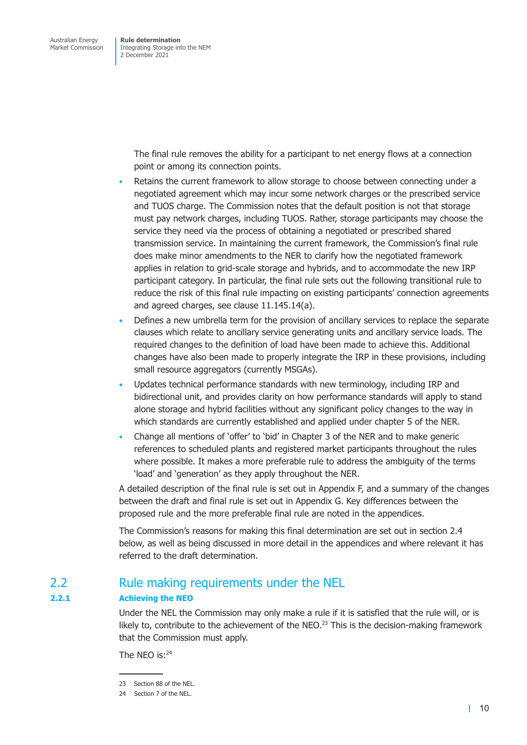<span id="page-26-0"></span>The final rule removes the ability for a participant to net energy flows at a connection point or among its connection points.

- Retains the current framework to allow storage to choose between connecting under a negotiated agreement which may incur some network charges or the prescribed service and TUOS charge. The Commission notes that the default position is not that storage must pay network charges, including TUOS. Rather, storage participants may choose the service they need via the process of obtaining a negotiated or prescribed shared transmission service. In maintaining the current framework, the Commission's final rule does make minor amendments to the NER to clarify how the negotiated framework applies in relation to grid-scale storage and hybrids, and to accommodate the new IRP participant category. In particular, the final rule sets out the following transitional rule to reduce the risk of this final rule impacting on existing participants' connection agreements and agreed charges, see clause 11.145.14(a).
- Defines a new umbrella term for the provision of ancillary services to replace the separate clauses which relate to ancillary service generating units and ancillary service loads. The required changes to the definition of load have been made to achieve this. Additional changes have also been made to properly integrate the IRP in these provisions, including small resource aggregators (currently MSGAs).
- Updates technical performance standards with new terminology, including IRP and bidirectional unit, and provides clarity on how performance standards will apply to stand alone storage and hybrid facilities without any significant policy changes to the way in which standards are currently established and applied under chapter 5 of the NER.
- Change all mentions of 'offer' to 'bid' in Chapter 3 of the NER and to make generic references to scheduled plants and registered market participants throughout the rules where possible. It makes a more preferable rule to address the ambiguity of the terms 'load' and 'generation' as they apply throughout the NER.

A detailed description of the final rule is set out in Appendix F, and a summary of the changes between the draft and final rule is set out in Appendix G. Key differences between the proposed rule and the more preferable final rule are noted in the appendices.

The Commission's reasons for making this final determination are set out in section 2.4 below, as well as being discussed in more detail in the appendices and where relevant it has referred to the draft determination.

### 2.2 Rule making requirements under the NEL

#### **2.2.1 Achieving the NEO**

Under the NEL the Commission may only make a rule if it is satisfied that the rule will, or is likely to, contribute to the achievement of the NEO.<sup>23</sup> This is the decision-making framework that the Commission must apply.

The NFO  $is: ^{24}$ 

<sup>23</sup> Section 88 of the NEL.

<sup>24</sup> Section 7 of the NEL.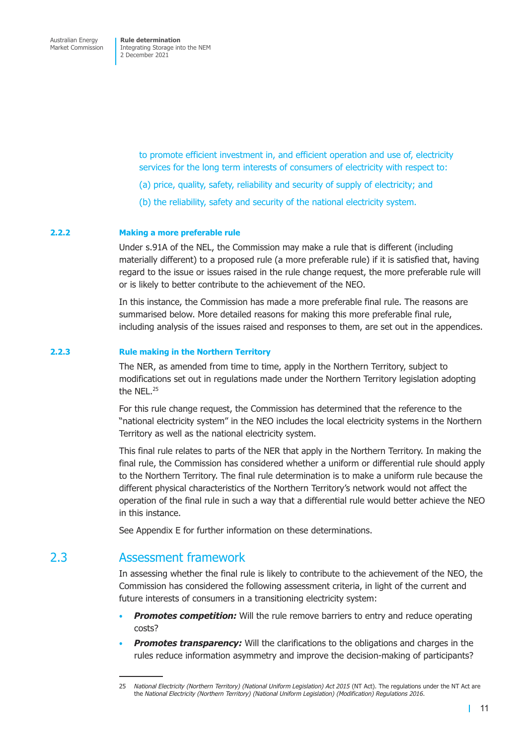> <span id="page-27-0"></span>to promote efficient investment in, and efficient operation and use of, electricity services for the long term interests of consumers of electricity with respect to:

- (a) price, quality, safety, reliability and security of supply of electricity; and
- (b) the reliability, safety and security of the national electricity system.

#### **2.2.2 Making a more preferable rule**

Under s.91A of the NEL, the Commission may make a rule that is different (including materially different) to a proposed rule (a more preferable rule) if it is satisfied that, having regard to the issue or issues raised in the rule change request, the more preferable rule will or is likely to better contribute to the achievement of the NEO.

In this instance, the Commission has made a more preferable final rule. The reasons are summarised below. More detailed reasons for making this more preferable final rule, including analysis of the issues raised and responses to them, are set out in the appendices.

#### **2.2.3 Rule making in the Northern Territory**

The NER, as amended from time to time, apply in the Northern Territory, subject to modifications set out in regulations made under the Northern Territory legislation adopting the NEL.<sup>25</sup>

For this rule change request, the Commission has determined that the reference to the "national electricity system" in the NEO includes the local electricity systems in the Northern Territory as well as the national electricity system.

This final rule relates to parts of the NER that apply in the Northern Territory. In making the final rule, the Commission has considered whether a uniform or differential rule should apply to the Northern Territory. The final rule determination is to make a uniform rule because the different physical characteristics of the Northern Territory's network would not affect the operation of the final rule in such a way that a differential rule would better achieve the NEO in this instance.

See Appendix E for further information on these determinations.

### 2.3 Assessment framework

In assessing whether the final rule is likely to contribute to the achievement of the NEO, the Commission has considered the following assessment criteria, in light of the current and future interests of consumers in a transitioning electricity system:

- **Promotes competition:** Will the rule remove barriers to entry and reduce operating costs?
- **Promotes transparency:** Will the clarifications to the obligations and charges in the rules reduce information asymmetry and improve the decision-making of participants?

<sup>25</sup> *National Electricity (Northern Territory) (National Uniform Legislation) Act 2015* (NT Act). The regulations under the NT Act are the *National Electricity (Northern Territory) (National Uniform Legislation) (Modification) Regulations 2016*.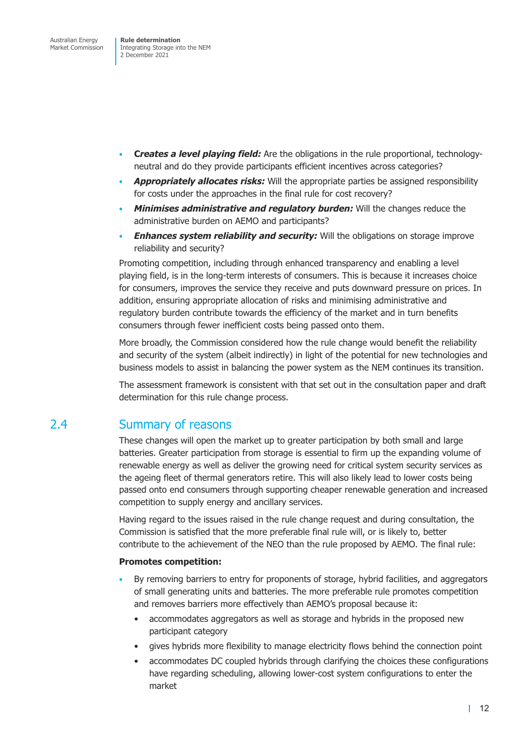- **C***reates a level playing field:* Are the obligations in the rule proportional, technologyneutral and do they provide participants efficient incentives across categories?
- *Appropriately allocates risks:* Will the appropriate parties be assigned responsibility for costs under the approaches in the final rule for cost recovery?
- *Minimises administrative and regulatory burden:* Will the changes reduce the administrative burden on AEMO and participants?
- *Enhances system reliability and security:* Will the obligations on storage improve reliability and security?

Promoting competition, including through enhanced transparency and enabling a level playing field, is in the long-term interests of consumers. This is because it increases choice for consumers, improves the service they receive and puts downward pressure on prices. In addition, ensuring appropriate allocation of risks and minimising administrative and regulatory burden contribute towards the efficiency of the market and in turn benefits consumers through fewer inefficient costs being passed onto them.

More broadly, the Commission considered how the rule change would benefit the reliability and security of the system (albeit indirectly) in light of the potential for new technologies and business models to assist in balancing the power system as the NEM continues its transition.

The assessment framework is consistent with that set out in the consultation paper and draft determination for this rule change process.

### 2.4 Summary of reasons

These changes will open the market up to greater participation by both small and large batteries. Greater participation from storage is essential to firm up the expanding volume of renewable energy as well as deliver the growing need for critical system security services as the ageing fleet of thermal generators retire. This will also likely lead to lower costs being passed onto end consumers through supporting cheaper renewable generation and increased competition to supply energy and ancillary services.

Having regard to the issues raised in the rule change request and during consultation, the Commission is satisfied that the more preferable final rule will, or is likely to, better contribute to the achievement of the NEO than the rule proposed by AEMO. The final rule:

#### **Promotes competition:**

- By removing barriers to entry for proponents of storage, hybrid facilities, and aggregators of small generating units and batteries. The more preferable rule promotes competition and removes barriers more effectively than AEMO's proposal because it:
	- accommodates aggregators as well as storage and hybrids in the proposed new participant category
	- gives hybrids more flexibility to manage electricity flows behind the connection point
	- accommodates DC coupled hybrids through clarifying the choices these configurations have regarding scheduling, allowing lower-cost system configurations to enter the market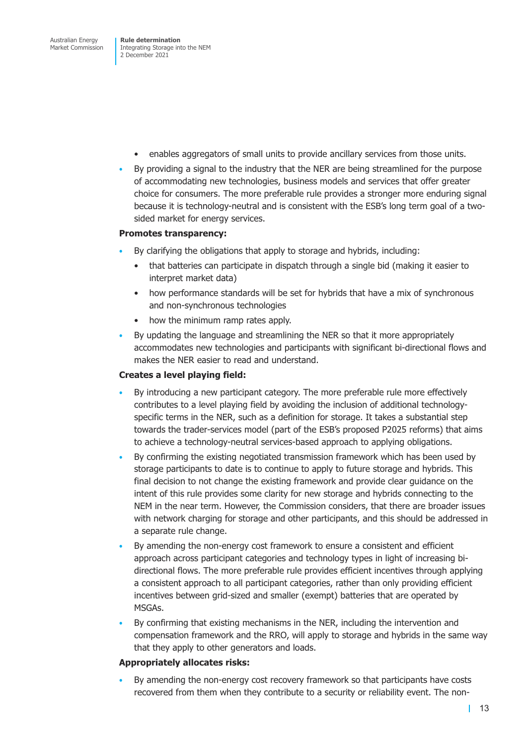- enables aggregators of small units to provide ancillary services from those units.
- By providing a signal to the industry that the NER are being streamlined for the purpose of accommodating new technologies, business models and services that offer greater choice for consumers. The more preferable rule provides a stronger more enduring signal because it is technology-neutral and is consistent with the ESB's long term goal of a twosided market for energy services.

#### **Promotes transparency:**

- By clarifying the obligations that apply to storage and hybrids, including:
	- that batteries can participate in dispatch through a single bid (making it easier to interpret market data)
	- how performance standards will be set for hybrids that have a mix of synchronous and non-synchronous technologies
	- how the minimum ramp rates apply.
- By updating the language and streamlining the NER so that it more appropriately accommodates new technologies and participants with significant bi-directional flows and makes the NER easier to read and understand.

#### **Creates a level playing field:**

- By introducing a new participant category. The more preferable rule more effectively contributes to a level playing field by avoiding the inclusion of additional technologyspecific terms in the NER, such as a definition for storage. It takes a substantial step towards the trader-services model (part of the ESB's proposed P2025 reforms) that aims to achieve a technology-neutral services-based approach to applying obligations.
- By confirming the existing negotiated transmission framework which has been used by storage participants to date is to continue to apply to future storage and hybrids. This final decision to not change the existing framework and provide clear guidance on the intent of this rule provides some clarity for new storage and hybrids connecting to the NEM in the near term. However, the Commission considers, that there are broader issues with network charging for storage and other participants, and this should be addressed in a separate rule change.
- By amending the non-energy cost framework to ensure a consistent and efficient approach across participant categories and technology types in light of increasing bidirectional flows. The more preferable rule provides efficient incentives through applying a consistent approach to all participant categories, rather than only providing efficient incentives between grid-sized and smaller (exempt) batteries that are operated by MSGAs.
- By confirming that existing mechanisms in the NER, including the intervention and compensation framework and the RRO, will apply to storage and hybrids in the same way that they apply to other generators and loads.

#### **Appropriately allocates risks:**

• By amending the non-energy cost recovery framework so that participants have costs recovered from them when they contribute to a security or reliability event. The non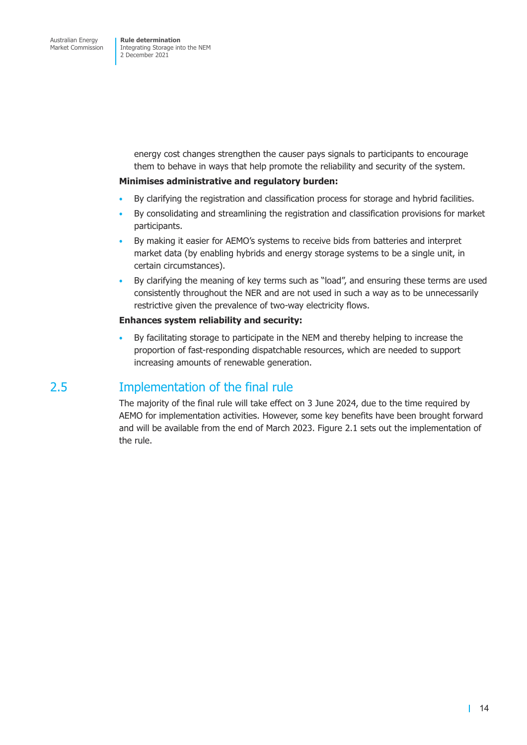<span id="page-30-0"></span>energy cost changes strengthen the causer pays signals to participants to encourage them to behave in ways that help promote the reliability and security of the system.

#### **Minimises administrative and regulatory burden:**

- By clarifying the registration and classification process for storage and hybrid facilities.
- By consolidating and streamlining the registration and classification provisions for market participants.
- By making it easier for AEMO's systems to receive bids from batteries and interpret market data (by enabling hybrids and energy storage systems to be a single unit, in certain circumstances).
- By clarifying the meaning of key terms such as "load", and ensuring these terms are used consistently throughout the NER and are not used in such a way as to be unnecessarily restrictive given the prevalence of two-way electricity flows.

#### **Enhances system reliability and security:**

• By facilitating storage to participate in the NEM and thereby helping to increase the proportion of fast-responding dispatchable resources, which are needed to support increasing amounts of renewable generation.

### 2.5 Implementation of the final rule

The majority of the final rule will take effect on 3 June 2024, due to the time required by AEMO for implementation activities. However, some key benefits have been brought forward and will be available from the end of March 2023. Figure 2.1 sets out the implementation of the rule.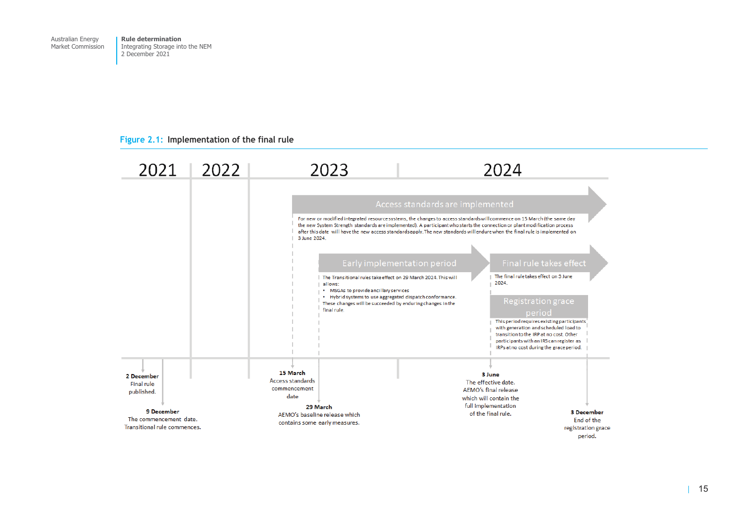<span id="page-31-0"></span>Australian Energy Market Commission

**Rule determination**  Integrating Storage into the NEM 2 December 2021

#### **Figure 2.1: Implementation of the final rule**

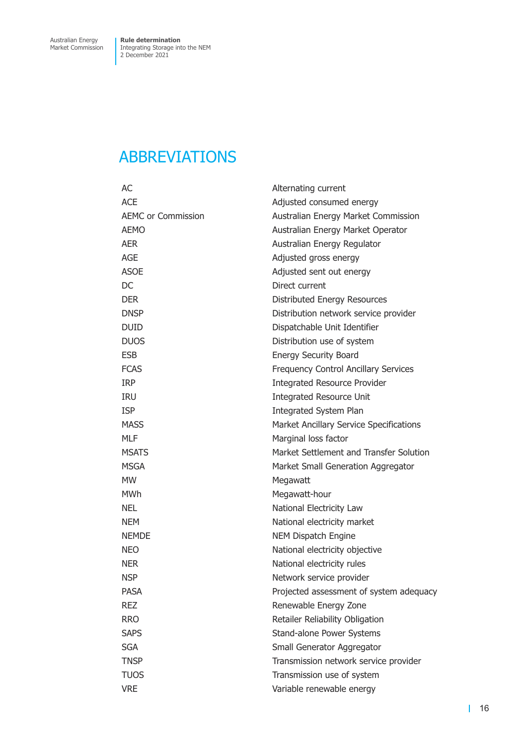## <span id="page-32-0"></span>ABBREVIATIONS

| AC                        | Alternating current                         |
|---------------------------|---------------------------------------------|
| <b>ACE</b>                | Adjusted consumed energy                    |
| <b>AEMC or Commission</b> | Australian Energy Market Commission         |
| <b>AEMO</b>               | Australian Energy Market Operator           |
| <b>AER</b>                | Australian Energy Regulator                 |
| <b>AGE</b>                | Adjusted gross energy                       |
| <b>ASOE</b>               | Adjusted sent out energy                    |
| DC                        | Direct current                              |
| <b>DER</b>                | Distributed Energy Resources                |
| <b>DNSP</b>               | Distribution network service provider       |
| <b>DUID</b>               | Dispatchable Unit Identifier                |
| <b>DUOS</b>               | Distribution use of system                  |
| <b>ESB</b>                | <b>Energy Security Board</b>                |
| <b>FCAS</b>               | <b>Frequency Control Ancillary Services</b> |
| <b>IRP</b>                | <b>Integrated Resource Provider</b>         |
| <b>IRU</b>                | <b>Integrated Resource Unit</b>             |
| <b>ISP</b>                | Integrated System Plan                      |
| <b>MASS</b>               | Market Ancillary Service Specifications     |
| <b>MLF</b>                | Marginal loss factor                        |
| <b>MSATS</b>              | Market Settlement and Transfer Solution     |
| <b>MSGA</b>               | Market Small Generation Aggregator          |
| <b>MW</b>                 | Megawatt                                    |
| <b>MWh</b>                | Megawatt-hour                               |
| <b>NEL</b>                | National Electricity Law                    |
| <b>NEM</b>                | National electricity market                 |
| <b>NEMDE</b>              | <b>NEM Dispatch Engine</b>                  |
| <b>NEO</b>                | National electricity objective              |
| <b>NER</b>                | National electricity rules                  |
| <b>NSP</b>                | Network service provider                    |
| <b>PASA</b>               | Projected assessment of system adequacy     |
| <b>REZ</b>                | Renewable Energy Zone                       |
| <b>RRO</b>                | Retailer Reliability Obligation             |
| <b>SAPS</b>               | Stand-alone Power Systems                   |
| <b>SGA</b>                | Small Generator Aggregator                  |
| <b>TNSP</b>               | Transmission network service provider       |
| <b>TUOS</b>               | Transmission use of system                  |
| <b>VRE</b>                | Variable renewable energy                   |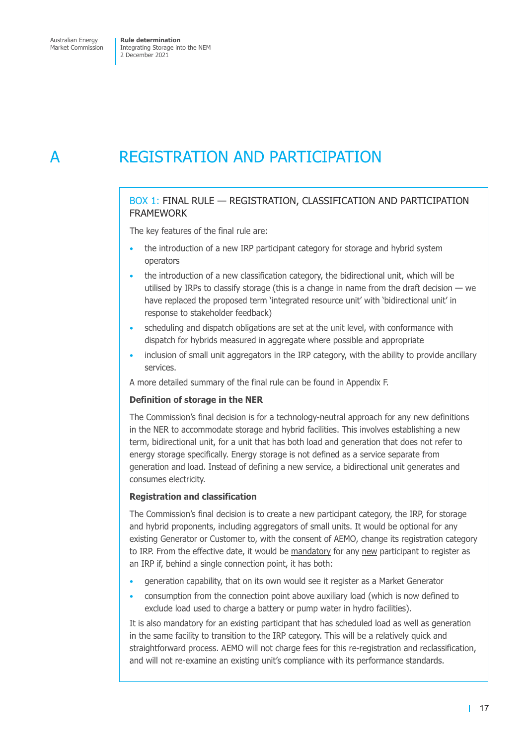## <span id="page-33-0"></span>A REGISTRATION AND PARTICIPATION

### BOX 1: FINAL RULE — REGISTRATION, CLASSIFICATION AND PARTICIPATION FRAMEWORK

The key features of the final rule are:

- the introduction of a new IRP participant category for storage and hybrid system operators
- the introduction of a new classification category, the bidirectional unit, which will be utilised by IRPs to classify storage (this is a change in name from the draft decision  $-$  we have replaced the proposed term 'integrated resource unit' with 'bidirectional unit' in response to stakeholder feedback)
- scheduling and dispatch obligations are set at the unit level, with conformance with dispatch for hybrids measured in aggregate where possible and appropriate
- inclusion of small unit aggregators in the IRP category, with the ability to provide ancillary services.

A more detailed summary of the final rule can be found in Appendix F.

#### **Definition of storage in the NER**

The Commission's final decision is for a technology-neutral approach for any new definitions in the NER to accommodate storage and hybrid facilities. This involves establishing a new term, bidirectional unit, for a unit that has both load and generation that does not refer to energy storage specifically. Energy storage is not defined as a service separate from generation and load. Instead of defining a new service, a bidirectional unit generates and consumes electricity.

#### **Registration and classification**

The Commission's final decision is to create a new participant category, the IRP, for storage and hybrid proponents, including aggregators of small units. It would be optional for any existing Generator or Customer to, with the consent of AEMO, change its registration category to IRP. From the effective date, it would be mandatory for any new participant to register as an IRP if, behind a single connection point, it has both:

- generation capability, that on its own would see it register as a Market Generator
- consumption from the connection point above auxiliary load (which is now defined to exclude load used to charge a battery or pump water in hydro facilities).

It is also mandatory for an existing participant that has scheduled load as well as generation in the same facility to transition to the IRP category. This will be a relatively quick and straightforward process. AEMO will not charge fees for this re-registration and reclassification, and will not re-examine an existing unit's compliance with its performance standards.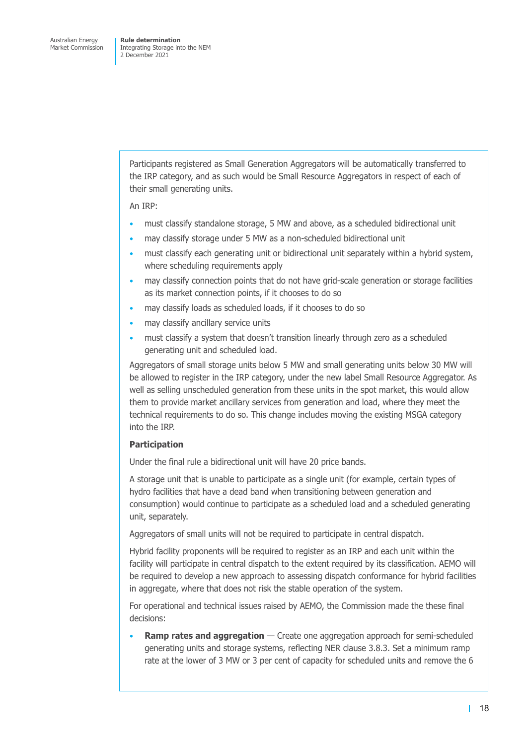> Participants registered as Small Generation Aggregators will be automatically transferred to the IRP category, and as such would be Small Resource Aggregators in respect of each of their small generating units.

An IRP:

- must classify standalone storage, 5 MW and above, as a scheduled bidirectional unit
- may classify storage under 5 MW as a non-scheduled bidirectional unit
- must classify each generating unit or bidirectional unit separately within a hybrid system, where scheduling requirements apply
- may classify connection points that do not have grid-scale generation or storage facilities as its market connection points, if it chooses to do so
- may classify loads as scheduled loads, if it chooses to do so
- may classify ancillary service units
- must classify a system that doesn't transition linearly through zero as a scheduled generating unit and scheduled load.

Aggregators of small storage units below 5 MW and small generating units below 30 MW will be allowed to register in the IRP category, under the new label Small Resource Aggregator. As well as selling unscheduled generation from these units in the spot market, this would allow them to provide market ancillary services from generation and load, where they meet the technical requirements to do so. This change includes moving the existing MSGA category into the IRP.

#### **Participation**

Under the final rule a bidirectional unit will have 20 price bands.

A storage unit that is unable to participate as a single unit (for example, certain types of hydro facilities that have a dead band when transitioning between generation and consumption) would continue to participate as a scheduled load and a scheduled generating unit, separately.

Aggregators of small units will not be required to participate in central dispatch.

Hybrid facility proponents will be required to register as an IRP and each unit within the facility will participate in central dispatch to the extent required by its classification. AEMO will be required to develop a new approach to assessing dispatch conformance for hybrid facilities in aggregate, where that does not risk the stable operation of the system.

For operational and technical issues raised by AEMO, the Commission made the these final decisions:

**Ramp rates and aggregation** — Create one aggregation approach for semi-scheduled generating units and storage systems, reflecting NER clause 3.8.3. Set a minimum ramp rate at the lower of 3 MW or 3 per cent of capacity for scheduled units and remove the 6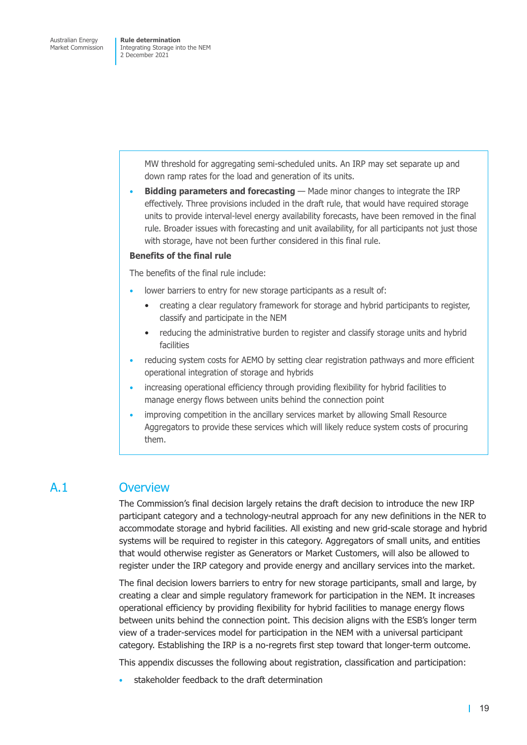> <span id="page-35-0"></span>MW threshold for aggregating semi-scheduled units. An IRP may set separate up and down ramp rates for the load and generation of its units.

**Bidding parameters and forecasting** — Made minor changes to integrate the IRP effectively. Three provisions included in the draft rule, that would have required storage units to provide interval-level energy availability forecasts, have been removed in the final rule. Broader issues with forecasting and unit availability, for all participants not just those with storage, have not been further considered in this final rule.

#### **Benefits of the final rule**

The benefits of the final rule include:

- lower barriers to entry for new storage participants as a result of:
	- creating a clear regulatory framework for storage and hybrid participants to register, classify and participate in the NEM
	- reducing the administrative burden to register and classify storage units and hybrid facilities
- reducing system costs for AEMO by setting clear registration pathways and more efficient operational integration of storage and hybrids
- increasing operational efficiency through providing flexibility for hybrid facilities to manage energy flows between units behind the connection point
- improving competition in the ancillary services market by allowing Small Resource Aggregators to provide these services which will likely reduce system costs of procuring them.

### A.1 Overview

The Commission's final decision largely retains the draft decision to introduce the new IRP participant category and a technology-neutral approach for any new definitions in the NER to accommodate storage and hybrid facilities. All existing and new grid-scale storage and hybrid systems will be required to register in this category. Aggregators of small units, and entities that would otherwise register as Generators or Market Customers, will also be allowed to register under the IRP category and provide energy and ancillary services into the market.

The final decision lowers barriers to entry for new storage participants, small and large, by creating a clear and simple regulatory framework for participation in the NEM. It increases operational efficiency by providing flexibility for hybrid facilities to manage energy flows between units behind the connection point. This decision aligns with the ESB's longer term view of a trader-services model for participation in the NEM with a universal participant category. Establishing the IRP is a no-regrets first step toward that longer-term outcome.

This appendix discusses the following about registration, classification and participation:

stakeholder feedback to the draft determination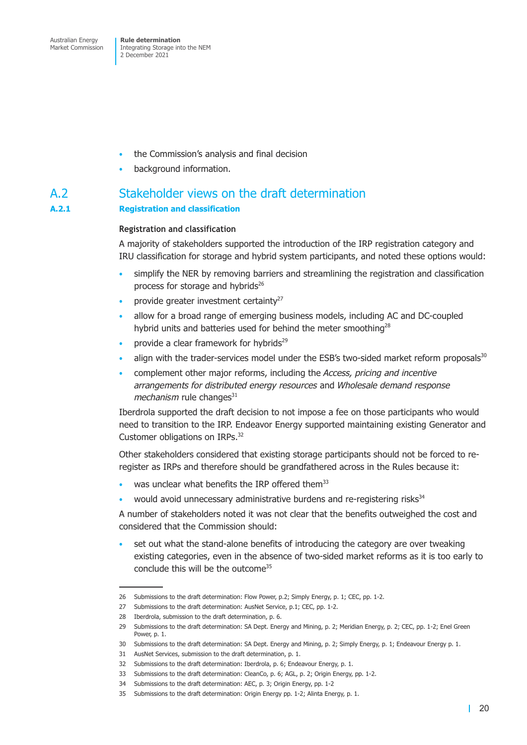- the Commission's analysis and final decision
- background information.

# A.2 Stakeholder views on the draft determination

## **A.2.1 Registration and classification**

## **Registration and classification**

A majority of stakeholders supported the introduction of the IRP registration category and IRU classification for storage and hybrid system participants, and noted these options would:

- simplify the NER by removing barriers and streamlining the registration and classification process for storage and hybrids<sup>26</sup>
- provide greater investment certainty<sup>27</sup>
- allow for a broad range of emerging business models, including AC and DC-coupled hybrid units and batteries used for behind the meter smoothing<sup>28</sup>
- provide a clear framework for hybrids<sup>29</sup>
- align with the trader-services model under the ESB's two-sided market reform proposals $30$
- complement other major reforms, including the *Access, pricing and incentive arrangements for distributed energy resources* and *Wholesale demand response mechanism* rule changes<sup>31</sup>

Iberdrola supported the draft decision to not impose a fee on those participants who would need to transition to the IRP. Endeavor Energy supported maintaining existing Generator and Customer obligations on IRPs.<sup>32</sup>

Other stakeholders considered that existing storage participants should not be forced to reregister as IRPs and therefore should be grandfathered across in the Rules because it:

- was unclear what benefits the IRP offered them<sup>33</sup>
- would avoid unnecessary administrative burdens and re-registering risks<sup>34</sup>

A number of stakeholders noted it was not clear that the benefits outweighed the cost and considered that the Commission should:

• set out what the stand-alone benefits of introducing the category are over tweaking existing categories, even in the absence of two-sided market reforms as it is too early to conclude this will be the outcome<sup>35</sup>

<sup>26</sup> Submissions to the draft determination: Flow Power, p.2; Simply Energy, p. 1; CEC, pp. 1-2.

<sup>27</sup> Submissions to the draft determination: AusNet Service, p.1; CEC, pp. 1-2.

<sup>28</sup> Iberdrola, submission to the draft determination, p. 6.

<sup>29</sup> Submissions to the draft determination: SA Dept. Energy and Mining, p. 2; Meridian Energy, p. 2; CEC, pp. 1-2; Enel Green Power, p. 1.

<sup>30</sup> Submissions to the draft determination: SA Dept. Energy and Mining, p. 2; Simply Energy, p. 1; Endeavour Energy p. 1.

<sup>31</sup> AusNet Services, submission to the draft determination, p. 1.

<sup>32</sup> Submissions to the draft determination: Iberdrola, p. 6; Endeavour Energy, p. 1.

<sup>33</sup> Submissions to the draft determination: CleanCo, p. 6; AGL, p. 2; Origin Energy, pp. 1-2.

<sup>34</sup> Submissions to the draft determination: AEC, p. 3; Origin Energy, pp. 1-2

<sup>35</sup> Submissions to the draft determination: Origin Energy pp. 1-2; Alinta Energy, p. 1.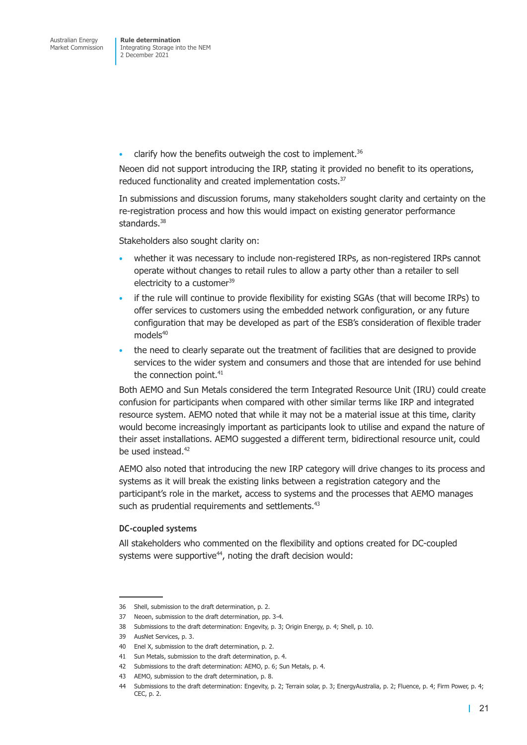clarify how the benefits outweigh the cost to implement. $36$ 

Neoen did not support introducing the IRP, stating it provided no benefit to its operations, reduced functionality and created implementation costs.<sup>37</sup>

In submissions and discussion forums, many stakeholders sought clarity and certainty on the re-registration process and how this would impact on existing generator performance standards.<sup>38</sup>

Stakeholders also sought clarity on:

- whether it was necessary to include non-registered IRPs, as non-registered IRPs cannot operate without changes to retail rules to allow a party other than a retailer to sell electricity to a customer<sup>39</sup>
- if the rule will continue to provide flexibility for existing SGAs (that will become IRPs) to offer services to customers using the embedded network configuration, or any future configuration that may be developed as part of the ESB's consideration of flexible trader  $models<sup>40</sup>$
- the need to clearly separate out the treatment of facilities that are designed to provide services to the wider system and consumers and those that are intended for use behind the connection point. $41$

Both AEMO and Sun Metals considered the term Integrated Resource Unit (IRU) could create confusion for participants when compared with other similar terms like IRP and integrated resource system. AEMO noted that while it may not be a material issue at this time, clarity would become increasingly important as participants look to utilise and expand the nature of their asset installations. AEMO suggested a different term, bidirectional resource unit, could be used instead.42

AEMO also noted that introducing the new IRP category will drive changes to its process and systems as it will break the existing links between a registration category and the participant's role in the market, access to systems and the processes that AEMO manages such as prudential requirements and settlements.<sup>43</sup>

## **DC-coupled systems**

All stakeholders who commented on the flexibility and options created for DC-coupled systems were supportive $44$ , noting the draft decision would:

<sup>36</sup> Shell, submission to the draft determination, p. 2.

<sup>37</sup> Neoen, submission to the draft determination, pp. 3-4.

<sup>38</sup> Submissions to the draft determination: Engevity, p. 3; Origin Energy, p. 4; Shell, p. 10.

<sup>39</sup> AusNet Services, p. 3.

<sup>40</sup> Fnel X, submission to the draft determination, p. 2.

<sup>41</sup> Sun Metals, submission to the draft determination, p. 4.

<sup>42</sup> Submissions to the draft determination: AEMO, p. 6; Sun Metals, p. 4.

<sup>43</sup> AEMO, submission to the draft determination, p. 8.

<sup>44</sup> Submissions to the draft determination: Engevity, p. 2; Terrain solar, p. 3; EnergyAustralia, p. 2; Fluence, p. 4; Firm Power, p. 4; CEC, p. 2.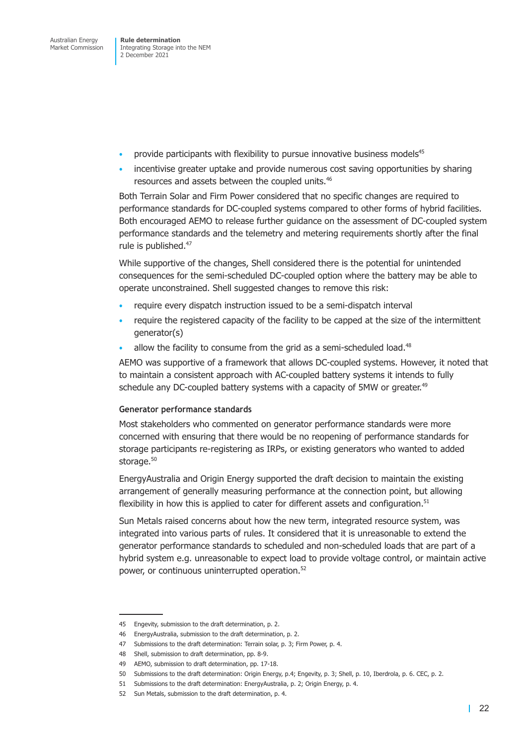- provide participants with flexibility to pursue innovative business models<sup>45</sup>
- incentivise greater uptake and provide numerous cost saving opportunities by sharing resources and assets between the coupled units.46

Both Terrain Solar and Firm Power considered that no specific changes are required to performance standards for DC-coupled systems compared to other forms of hybrid facilities. Both encouraged AEMO to release further guidance on the assessment of DC-coupled system performance standards and the telemetry and metering requirements shortly after the final rule is published.<sup>47</sup>

While supportive of the changes, Shell considered there is the potential for unintended consequences for the semi-scheduled DC-coupled option where the battery may be able to operate unconstrained. Shell suggested changes to remove this risk:

- require every dispatch instruction issued to be a semi-dispatch interval
- require the registered capacity of the facility to be capped at the size of the intermittent generator(s)
- allow the facility to consume from the grid as a semi-scheduled load.<sup>48</sup>

AEMO was supportive of a framework that allows DC-coupled systems. However, it noted that to maintain a consistent approach with AC-coupled battery systems it intends to fully schedule any DC-coupled battery systems with a capacity of 5MW or greater.<sup>49</sup>

#### **Generator performance standards**

Most stakeholders who commented on generator performance standards were more concerned with ensuring that there would be no reopening of performance standards for storage participants re-registering as IRPs, or existing generators who wanted to added storage.<sup>50</sup>

EnergyAustralia and Origin Energy supported the draft decision to maintain the existing arrangement of generally measuring performance at the connection point, but allowing flexibility in how this is applied to cater for different assets and configuration.<sup>51</sup>

Sun Metals raised concerns about how the new term, integrated resource system, was integrated into various parts of rules. It considered that it is unreasonable to extend the generator performance standards to scheduled and non-scheduled loads that are part of a hybrid system e.g. unreasonable to expect load to provide voltage control, or maintain active power, or continuous uninterrupted operation.<sup>52</sup>

<sup>45</sup> Engevity, submission to the draft determination, p. 2.

<sup>46</sup> EnergyAustralia, submission to the draft determination, p. 2.

<sup>47</sup> Submissions to the draft determination: Terrain solar, p. 3; Firm Power, p. 4.

<sup>48</sup> Shell, submission to draft determination, pp. 8-9.

<sup>49</sup> AEMO, submission to draft determination, pp. 17-18.

<sup>50</sup> Submissions to the draft determination: Origin Energy, p.4; Engevity, p. 3; Shell, p. 10, Iberdrola, p. 6. CEC, p. 2.

<sup>51</sup> Submissions to the draft determination: EnergyAustralia, p. 2; Origin Energy, p. 4.

<sup>52</sup> Sun Metals, submission to the draft determination, p. 4.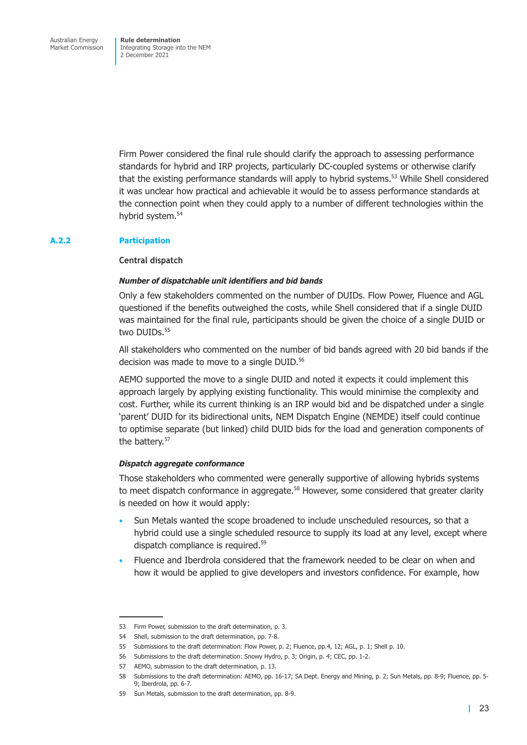Firm Power considered the final rule should clarify the approach to assessing performance standards for hybrid and IRP projects, particularly DC-coupled systems or otherwise clarify that the existing performance standards will apply to hybrid systems.<sup>53</sup> While Shell considered it was unclear how practical and achievable it would be to assess performance standards at the connection point when they could apply to a number of different technologies within the hybrid system.<sup>54</sup>

## **A.2.2 Participation**

#### **Central dispatch**

## *Number of dispatchable unit identifiers and bid bands*

Only a few stakeholders commented on the number of DUIDs. Flow Power, Fluence and AGL questioned if the benefits outweighed the costs, while Shell considered that if a single DUID was maintained for the final rule, participants should be given the choice of a single DUID or two DUIDs.<sup>55</sup>

All stakeholders who commented on the number of bid bands agreed with 20 bid bands if the decision was made to move to a single DUID.<sup>56</sup>

AEMO supported the move to a single DUID and noted it expects it could implement this approach largely by applying existing functionality. This would minimise the complexity and cost. Further, while its current thinking is an IRP would bid and be dispatched under a single 'parent' DUID for its bidirectional units, NEM Dispatch Engine (NEMDE) itself could continue to optimise separate (but linked) child DUID bids for the load and generation components of the battery.<sup>57</sup>

## *Dispatch aggregate conformance*

Those stakeholders who commented were generally supportive of allowing hybrids systems to meet dispatch conformance in aggregate.<sup>58</sup> However, some considered that greater clarity is needed on how it would apply:

- Sun Metals wanted the scope broadened to include unscheduled resources, so that a hybrid could use a single scheduled resource to supply its load at any level, except where dispatch compliance is required.59
- Fluence and Iberdrola considered that the framework needed to be clear on when and how it would be applied to give developers and investors confidence. For example, how

<sup>53</sup> Firm Power, submission to the draft determination, p. 3.

<sup>54</sup> Shell, submission to the draft determination, pp. 7-8.

<sup>55</sup> Submissions to the draft determination: Flow Power, p. 2; Fluence, pp.4, 12; AGL, p. 1; Shell p. 10.

<sup>56</sup> Submissions to the draft determination: Snowy Hydro, p. 3; Origin, p. 4; CEC, pp. 1-2.

<sup>57</sup> AEMO, submission to the draft determination, p. 13.

<sup>58</sup> Submissions to the draft determination: AEMO, pp. 16-17; SA Dept. Energy and Mining, p. 2; Sun Metals, pp. 8-9; Fluence, pp. 5- 9; Iberdrola, pp. 6-7.

<sup>59</sup> Sun Metals, submission to the draft determination, pp. 8-9.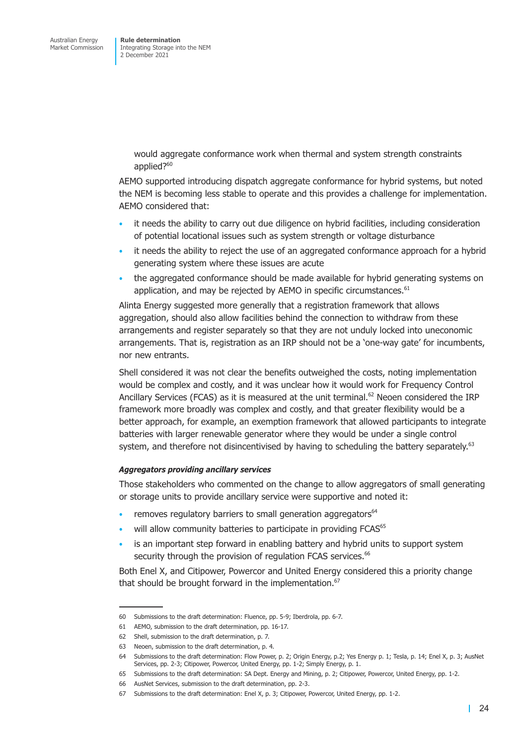> would aggregate conformance work when thermal and system strength constraints applied?<sup>60</sup>

AEMO supported introducing dispatch aggregate conformance for hybrid systems, but noted the NEM is becoming less stable to operate and this provides a challenge for implementation. AEMO considered that:

- it needs the ability to carry out due diligence on hybrid facilities, including consideration of potential locational issues such as system strength or voltage disturbance
- it needs the ability to reject the use of an aggregated conformance approach for a hybrid generating system where these issues are acute
- the aggregated conformance should be made available for hybrid generating systems on application, and may be rejected by AEMO in specific circumstances.<sup>61</sup>

Alinta Energy suggested more generally that a registration framework that allows aggregation, should also allow facilities behind the connection to withdraw from these arrangements and register separately so that they are not unduly locked into uneconomic arrangements. That is, registration as an IRP should not be a 'one-way gate' for incumbents, nor new entrants.

Shell considered it was not clear the benefits outweighed the costs, noting implementation would be complex and costly, and it was unclear how it would work for Frequency Control Ancillary Services (FCAS) as it is measured at the unit terminal.<sup>62</sup> Neoen considered the IRP framework more broadly was complex and costly, and that greater flexibility would be a better approach, for example, an exemption framework that allowed participants to integrate batteries with larger renewable generator where they would be under a single control system, and therefore not disincentivised by having to scheduling the battery separately.<sup>63</sup>

## *Aggregators providing ancillary services*

Those stakeholders who commented on the change to allow aggregators of small generating or storage units to provide ancillary service were supportive and noted it:

- removes regulatory barriers to small generation aggregators<sup>64</sup>
- will allow community batteries to participate in providing FCAS<sup>65</sup>
- is an important step forward in enabling battery and hybrid units to support system security through the provision of regulation FCAS services.<sup>66</sup>

Both Enel X, and Citipower, Powercor and United Energy considered this a priority change that should be brought forward in the implementation.<sup>67</sup>

<sup>60</sup> Submissions to the draft determination: Fluence, pp. 5-9; Iberdrola, pp. 6-7.

<sup>61</sup> AEMO, submission to the draft determination, pp. 16-17.

<sup>62</sup> Shell, submission to the draft determination, p. 7.

<sup>63</sup> Neoen, submission to the draft determination, p. 4.

<sup>64</sup> Submissions to the draft determination: Flow Power, p. 2; Origin Energy, p.2; Yes Energy p. 1; Tesla, p. 14; Enel X, p. 3; AusNet Services, pp. 2-3; Citipower, Powercor, United Energy, pp. 1-2; Simply Energy, p. 1.

<sup>65</sup> Submissions to the draft determination: SA Dept. Energy and Mining, p. 2; Citipower, Powercor, United Energy, pp. 1-2.

<sup>66</sup> AusNet Services, submission to the draft determination, pp. 2-3.

<sup>67</sup> Submissions to the draft determination: Enel X, p. 3; Citipower, Powercor, United Energy, pp. 1-2.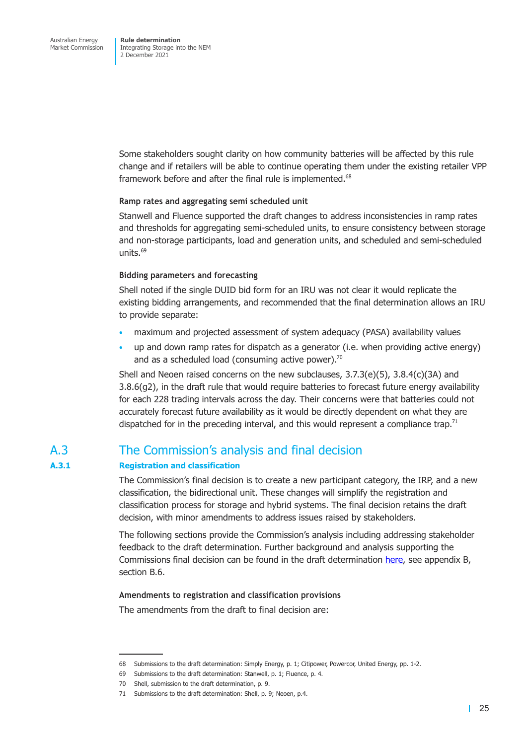Some stakeholders sought clarity on how community batteries will be affected by this rule change and if retailers will be able to continue operating them under the existing retailer VPP framework before and after the final rule is implemented.<sup>68</sup>

## **Ramp rates and aggregating semi scheduled unit**

Stanwell and Fluence supported the draft changes to address inconsistencies in ramp rates and thresholds for aggregating semi-scheduled units, to ensure consistency between storage and non-storage participants, load and generation units, and scheduled and semi-scheduled units. $69$ 

#### **Bidding parameters and forecasting**

Shell noted if the single DUID bid form for an IRU was not clear it would replicate the existing bidding arrangements, and recommended that the final determination allows an IRU to provide separate:

- maximum and projected assessment of system adequacy (PASA) availability values
- up and down ramp rates for dispatch as a generator (i.e. when providing active energy) and as a scheduled load (consuming active power). $70$

Shell and Neoen raised concerns on the new subclauses, 3.7.3(e)(5), 3.8.4(c)(3A) and 3.8.6(g2), in the draft rule that would require batteries to forecast future energy availability for each 228 trading intervals across the day. Their concerns were that batteries could not accurately forecast future availability as it would be directly dependent on what they are dispatched for in the preceding interval, and this would represent a compliance trap.<sup>71</sup>

# A.3 The Commission's analysis and final decision

## **A.3.1 Registration and classification**

The Commission's final decision is to create a new participant category, the IRP, and a new classification, the bidirectional unit. These changes will simplify the registration and classification process for storage and hybrid systems. The final decision retains the draft decision, with minor amendments to address issues raised by stakeholders.

The following sections provide the Commission's analysis including addressing stakeholder feedback to the draft determination. Further background and analysis supporting the Commissions final decision can be found in the draft determination here, see appendix B, section B.6.

## **Amendments to registration and classification provisions**

The amendments from the draft to final decision are:

<sup>68</sup> Submissions to the draft determination: Simply Energy, p. 1; Citipower, Powercor, United Energy, pp. 1-2.

<sup>69</sup> Submissions to the draft determination: Stanwell, p. 1; Fluence, p. 4.

<sup>70</sup> Shell, submission to the draft determination, p. 9.

<sup>71</sup> Submissions to the draft determination: Shell, p. 9; Neoen, p.4.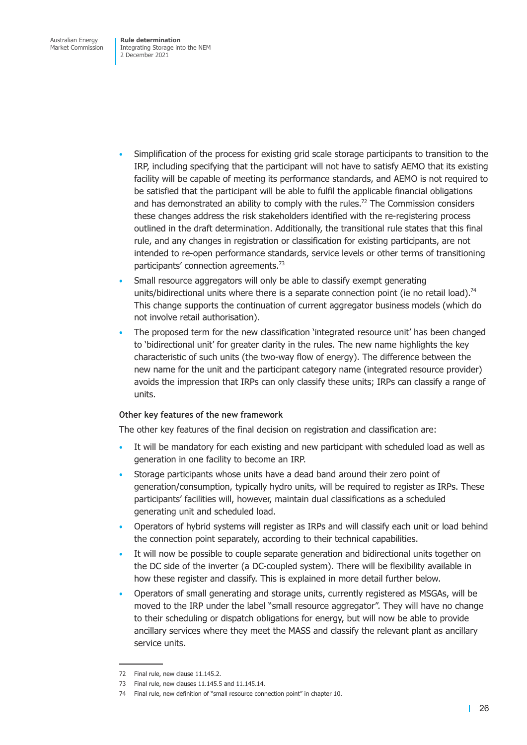- Simplification of the process for existing grid scale storage participants to transition to the IRP, including specifying that the participant will not have to satisfy AEMO that its existing facility will be capable of meeting its performance standards, and AEMO is not required to be satisfied that the participant will be able to fulfil the applicable financial obligations and has demonstrated an ability to comply with the rules.<sup>72</sup> The Commission considers these changes address the risk stakeholders identified with the re-registering process outlined in the draft determination. Additionally, the transitional rule states that this final rule, and any changes in registration or classification for existing participants, are not intended to re-open performance standards, service levels or other terms of transitioning participants' connection agreements.73
- Small resource aggregators will only be able to classify exempt generating units/bidirectional units where there is a separate connection point (ie no retail load).<sup>74</sup> This change supports the continuation of current aggregator business models (which do not involve retail authorisation).
- The proposed term for the new classification 'integrated resource unit' has been changed to 'bidirectional unit' for greater clarity in the rules. The new name highlights the key characteristic of such units (the two-way flow of energy). The difference between the new name for the unit and the participant category name (integrated resource provider) avoids the impression that IRPs can only classify these units; IRPs can classify a range of units.

## **Other key features of the new framework**

The other key features of the final decision on registration and classification are:

- It will be mandatory for each existing and new participant with scheduled load as well as generation in one facility to become an IRP.
- Storage participants whose units have a dead band around their zero point of generation/consumption, typically hydro units, will be required to register as IRPs. These participants' facilities will, however, maintain dual classifications as a scheduled generating unit and scheduled load.
- Operators of hybrid systems will register as IRPs and will classify each unit or load behind the connection point separately, according to their technical capabilities.
- It will now be possible to couple separate generation and bidirectional units together on the DC side of the inverter (a DC-coupled system). There will be flexibility available in how these register and classify. This is explained in more detail further below.
- Operators of small generating and storage units, currently registered as MSGAs, will be moved to the IRP under the label "small resource aggregator". They will have no change to their scheduling or dispatch obligations for energy, but will now be able to provide ancillary services where they meet the MASS and classify the relevant plant as ancillary service units.

<sup>72</sup> Final rule, new clause 11.145.2.

<sup>73</sup> Final rule, new clauses 11.145.5 and 11.145.14.

<sup>74</sup> Final rule, new definition of "small resource connection point" in chapter 10.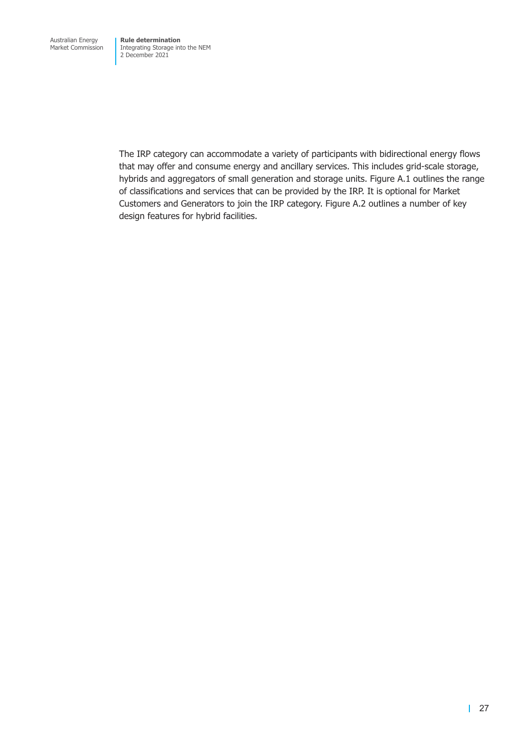Integrating Storage into the NEM 2 December 2021

The IRP category can accommodate a variety of participants with bidirectional energy flows that may offer and consume energy and ancillary services. This includes grid-scale storage, hybrids and aggregators of small generation and storage units. Figure A.1 outlines the range of classifications and services that can be provided by the IRP. It is optional for Market Customers and Generators to join the IRP category. Figure A.2 outlines a number of key design features for hybrid facilities.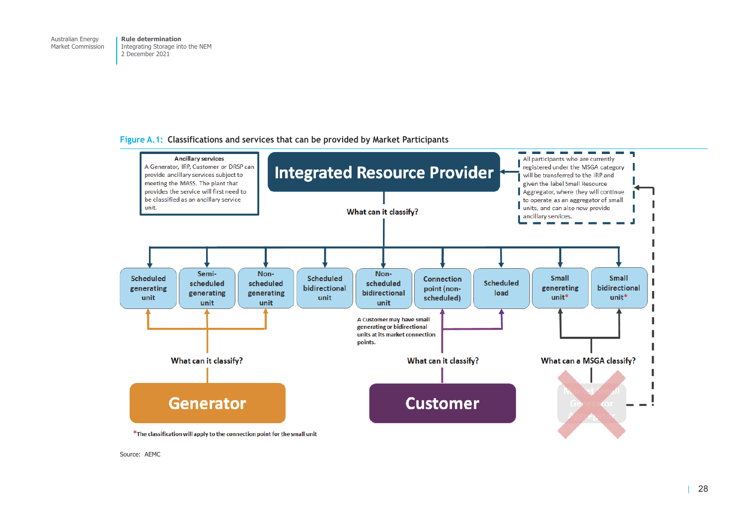## **Figure A.1: Classifications and services that can be provided by Market Participants**



Source: AEMC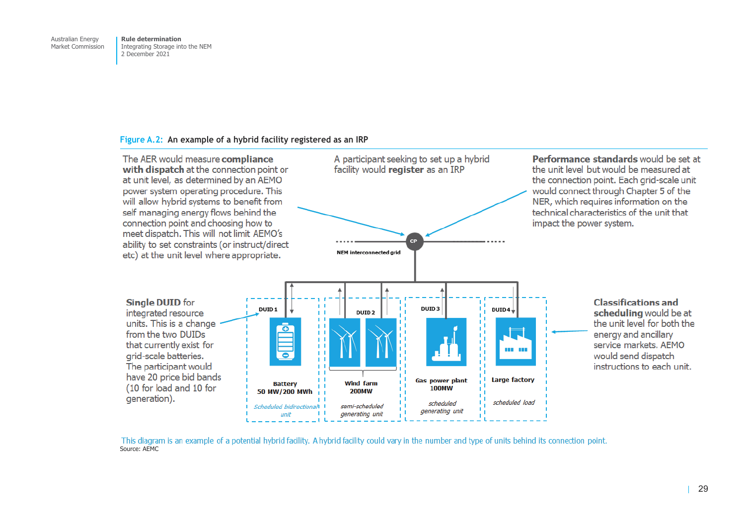#### **Figure A.2: An example of a hybrid facility registered as an IRP**



This diagram is an example of a potential hybrid facility. A hybrid facility could vary in the number and type of units behind its connection point. Source: AEMC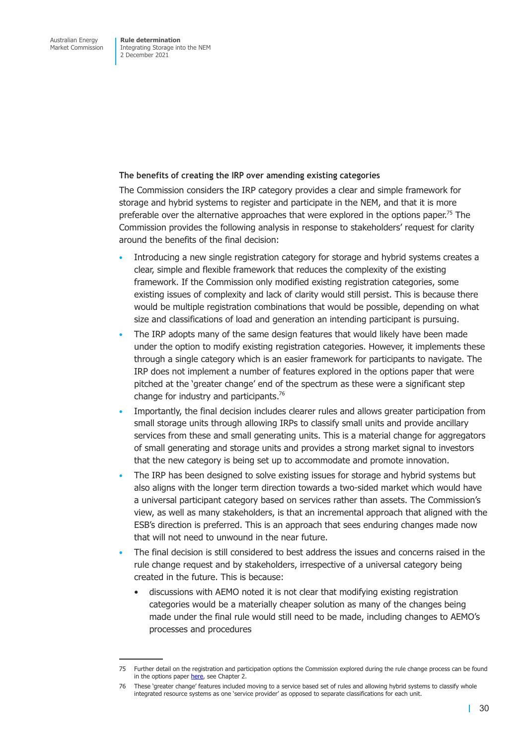#### **The benefits of creating the IRP over amending existing categories**

The Commission considers the IRP category provides a clear and simple framework for storage and hybrid systems to register and participate in the NEM, and that it is more preferable over the alternative approaches that were explored in the options paper.<sup>75</sup> The Commission provides the following analysis in response to stakeholders' request for clarity around the benefits of the final decision:

- Introducing a new single registration category for storage and hybrid systems creates a clear, simple and flexible framework that reduces the complexity of the existing framework. If the Commission only modified existing registration categories, some existing issues of complexity and lack of clarity would still persist. This is because there would be multiple registration combinations that would be possible, depending on what size and classifications of load and generation an intending participant is pursuing.
- The IRP adopts many of the same design features that would likely have been made under the option to modify existing registration categories. However, it implements these through a single category which is an easier framework for participants to navigate. The IRP does not implement a number of features explored in the options paper that were pitched at the 'greater change' end of the spectrum as these were a significant step change for industry and participants.76
- Importantly, the final decision includes clearer rules and allows greater participation from small storage units through allowing IRPs to classify small units and provide ancillary services from these and small generating units. This is a material change for aggregators of small generating and storage units and provides a strong market signal to investors that the new category is being set up to accommodate and promote innovation.
- The IRP has been designed to solve existing issues for storage and hybrid systems but also aligns with the longer term direction towards a two-sided market which would have a universal participant category based on services rather than assets. The Commission's view, as well as many stakeholders, is that an incremental approach that aligned with the ESB's direction is preferred. This is an approach that sees enduring changes made now that will not need to unwound in the near future.
- The final decision is still considered to best address the issues and concerns raised in the rule change request and by stakeholders, irrespective of a universal category being created in the future. This is because:
	- discussions with AEMO noted it is not clear that modifying existing registration categories would be a materially cheaper solution as many of the changes being made under the final rule would still need to be made, including changes to AEMO's processes and procedures

<sup>75</sup> Further detail on the registration and participation options the Commission explored during the rule change process can be found in the options paper here, see Chapter 2.

<sup>76</sup> These 'greater change' features included moving to a service based set of rules and allowing hybrid systems to classify whole integrated resource systems as one 'service provider' as opposed to separate classifications for each unit.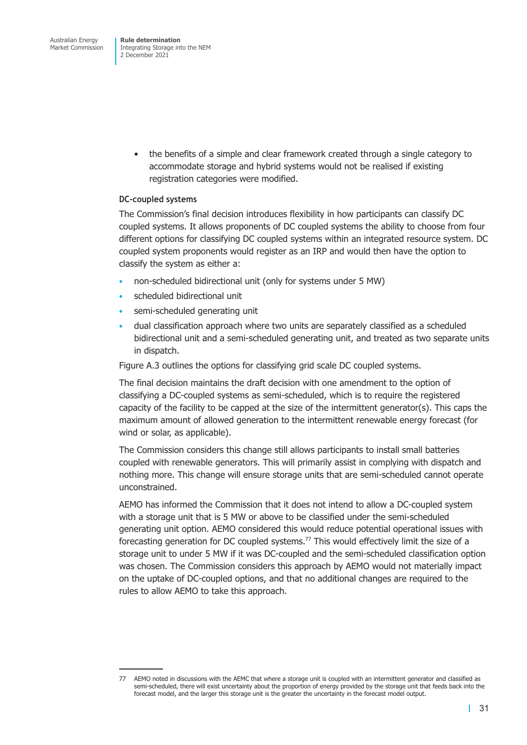Integrating Storage into the NEM 2 December 2021

> • the benefits of a simple and clear framework created through a single category to accommodate storage and hybrid systems would not be realised if existing registration categories were modified.

## **DC-coupled systems**

The Commission's final decision introduces flexibility in how participants can classify DC coupled systems. It allows proponents of DC coupled systems the ability to choose from four different options for classifying DC coupled systems within an integrated resource system. DC coupled system proponents would register as an IRP and would then have the option to classify the system as either a:

- non-scheduled bidirectional unit (only for systems under 5 MW)
- scheduled bidirectional unit
- semi-scheduled generating unit
- dual classification approach where two units are separately classified as a scheduled bidirectional unit and a semi-scheduled generating unit, and treated as two separate units in dispatch.

Figure A.3 outlines the options for classifying grid scale DC coupled systems.

The final decision maintains the draft decision with one amendment to the option of classifying a DC-coupled systems as semi-scheduled, which is to require the registered [capacity of](#page-48-0) the facility to be capped at the size of the intermittent generator(s). This caps the maximum amount of allowed generation to the intermittent renewable energy forecast (for wind or solar, as applicable).

The Commission considers this change still allows participants to install small batteries coupled with renewable generators. This will primarily assist in complying with dispatch and nothing more. This change will ensure storage units that are semi-scheduled cannot operate unconstrained.

AEMO has informed the Commission that it does not intend to allow a DC-coupled system with a storage unit that is 5 MW or above to be classified under the semi-scheduled generating unit option. AEMO considered this would reduce potential operational issues with forecasting generation for DC coupled systems.<sup>77</sup> This would effectively limit the size of a storage unit to under 5 MW if it was DC-coupled and the semi-scheduled classification option was chosen. The Commission considers this approach by AEMO would not materially impact on the uptake of DC-coupled options, and that no additional changes are required to the rules to allow AEMO to take this approach.

<sup>77</sup> AEMO noted in discussions with the AEMC that where a storage unit is coupled with an intermittent generator and classified as semi-scheduled, there will exist uncertainty about the proportion of energy provided by the storage unit that feeds back into the forecast model, and the larger this storage unit is the greater the uncertainty in the forecast model output.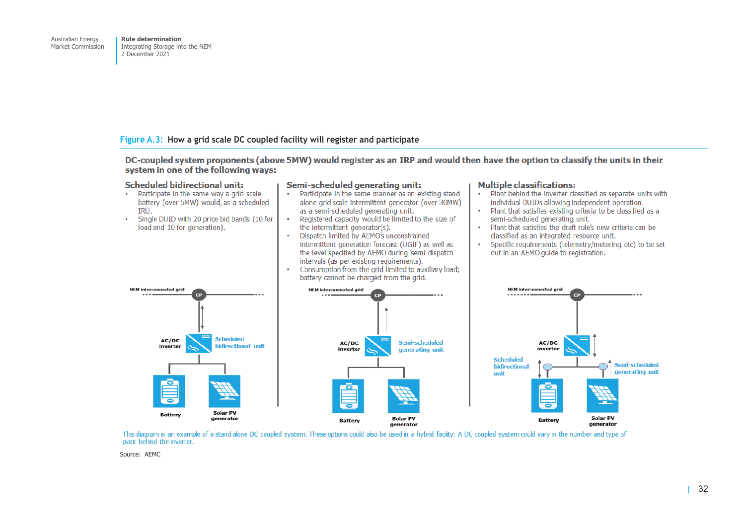#### <span id="page-48-0"></span>**Figure A.3: How a grid scale DC coupled facility will register and participate**

DC-coupled system proponents (above 5MW) would register as an IRP and would then have the option to classify the units in their system in one of the following ways:

#### **Scheduled bidirectional unit:** Semi-scheduled generating unit: • Participate in the same way a grid-scale • Participate in the same manner as an existing stand battery (over 5MW) would as a scheduled alone grid scale intermittent generator (over 30MW) as a semi-scheduled generating unit. **TRU**  $\bullet$ Single DUID with 20 price bid bands (10 for Registered capacity would be limited to the size of  $\ddot{\phantom{a}}$ load and 10 for generation). the intermittent generator(s).  $\bullet$ Dispatch limited by AEMO's unconstrained  $\bullet$ intermittent generation forecast (UGIF) as well as  $\ddot{\phantom{a}}$ the level specified by AEMO during 'semi-dispatch' intervals (as per existing requirements). Consumption from the grid limited to auxiliary load;  $\ddot{\phantom{a}}$

# **Multiple classifications:**

- Plant behind the inverter classified as separate units with individual DUIDs allowing independent operation.
- Plant that satisfies existing criteria to be classified as a semi-scheduled generating unit.
- Plant that satisfies the draft rule's new criteria can be classified as an integrated resource unit.
- Specific requirements (telemetry/metering etc) to be set out in an AEMO quide to registration.





This diagram is an example of a stand alone DC coupled system. These options could also be used in a hybrid facility. A DC coupled system could vary in the number and type of plant behind the inverter.

Source: AEMC

 $\ddot{\phantom{0}}$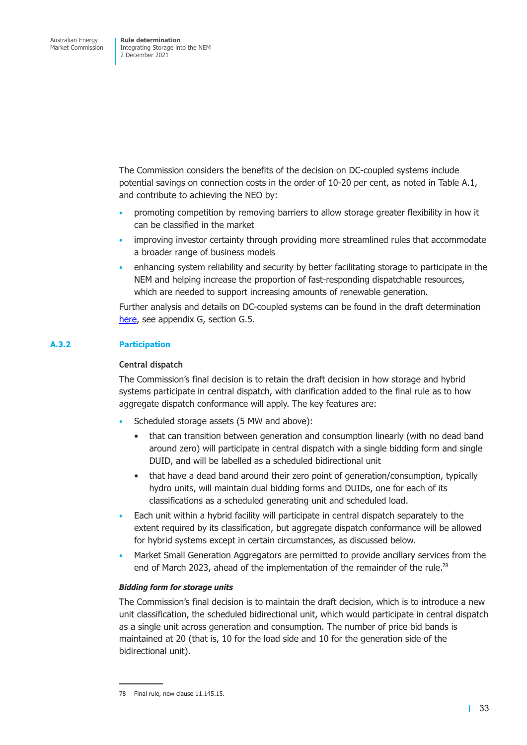The Commission considers the benefits of the decision on DC-coupled systems include potential savings on connection costs in the order of 10-20 per cent, as noted in Table A.1, and contribute to achieving the NEO by:

- promoting competition by removing barriers to allow storage greater flexibility in how it can be classified in the market
- improving investor certainty through providing more streamlined rules that accommodate a broader range of business models
- enhancing system reliability and security by better facilitating storage to participate in the NEM and helping increase the proportion of fast-responding dispatchable resources, which are needed to support increasing amounts of renewable generation.

Further analysis and details on DC-coupled systems can be found in the draft determination here, see appendix G, section G.5.

## **A.3.2 Participation**

## **[Centr](https://www.aemc.gov.au/sites/default/files/2021-07/integrating_energy_storage_systems_into_the_nem_-_erc0280_-_draft_determination.pdf)al dispatch**

The Commission's final decision is to retain the draft decision in how storage and hybrid systems participate in central dispatch, with clarification added to the final rule as to how aggregate dispatch conformance will apply. The key features are:

- Scheduled storage assets (5 MW and above):
	- that can transition between generation and consumption linearly (with no dead band around zero) will participate in central dispatch with a single bidding form and single DUID, and will be labelled as a scheduled bidirectional unit
	- that have a dead band around their zero point of generation/consumption, typically hydro units, will maintain dual bidding forms and DUIDs, one for each of its classifications as a scheduled generating unit and scheduled load.
- Each unit within a hybrid facility will participate in central dispatch separately to the extent required by its classification, but aggregate dispatch conformance will be allowed for hybrid systems except in certain circumstances, as discussed below.
- Market Small Generation Aggregators are permitted to provide ancillary services from the end of March 2023, ahead of the implementation of the remainder of the rule.<sup>78</sup>

## *Bidding form for storage units*

The Commission's final decision is to maintain the draft decision, which is to introduce a new unit classification, the scheduled bidirectional unit, which would participate in central dispatch as a single unit across generation and consumption. The number of price bid bands is maintained at 20 (that is, 10 for the load side and 10 for the generation side of the bidirectional unit).

<sup>78</sup> Final rule, new clause 11.145.15.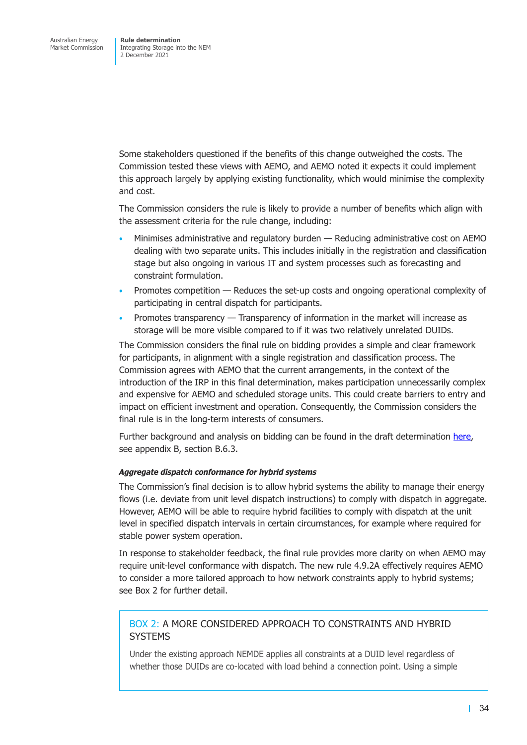Some stakeholders questioned if the benefits of this change outweighed the costs. The Commission tested these views with AEMO, and AEMO noted it expects it could implement this approach largely by applying existing functionality, which would minimise the complexity and cost.

The Commission considers the rule is likely to provide a number of benefits which align with the assessment criteria for the rule change, including:

- Minimises administrative and regulatory burden Reducing administrative cost on AEMO dealing with two separate units. This includes initially in the registration and classification stage but also ongoing in various IT and system processes such as forecasting and constraint formulation.
- Promotes competition Reduces the set-up costs and ongoing operational complexity of participating in central dispatch for participants.
- Promotes transparency Transparency of information in the market will increase as storage will be more visible compared to if it was two relatively unrelated DUIDs.

The Commission considers the final rule on bidding provides a simple and clear framework for participants, in alignment with a single registration and classification process. The Commission agrees with AEMO that the current arrangements, in the context of the introduction of the IRP in this final determination, makes participation unnecessarily complex and expensive for AEMO and scheduled storage units. This could create barriers to entry and impact on efficient investment and operation. Consequently, the Commission considers the final rule is in the long-term interests of consumers.

Further background and analysis on bidding can be found in the draft determination here, see appendix B, section B.6.3.

## *Aggregate dispatch conformance for hybrid systems*

The Commission's final decision is to allow hybrid systems the ability to manage thei[r ene](https://www.aemc.gov.au/sites/default/files/2021-07/integrating_energy_storage_systems_into_the_nem_-_erc0280_-_draft_determination.pdf)rgy flows (i.e. deviate from unit level dispatch instructions) to comply with dispatch in aggregate. However, AEMO will be able to require hybrid facilities to comply with dispatch at the unit level in specified dispatch intervals in certain circumstances, for example where required for stable power system operation.

In response to stakeholder feedback, the final rule provides more clarity on when AEMO may require unit-level conformance with dispatch. The new rule 4.9.2A effectively requires AEMO to consider a more tailored approach to how network constraints apply to hybrid systems; see Box 2 for further detail.

## BOX 2: A MORE CONSIDERED APPROACH TO CONSTRAINTS AND HYBRID **[SYSTEM](#page-50-0)S**

<span id="page-50-0"></span>Under the existing approach NEMDE applies all constraints at a DUID level regardless of whether those DUIDs are co-located with load behind a connection point. Using a simple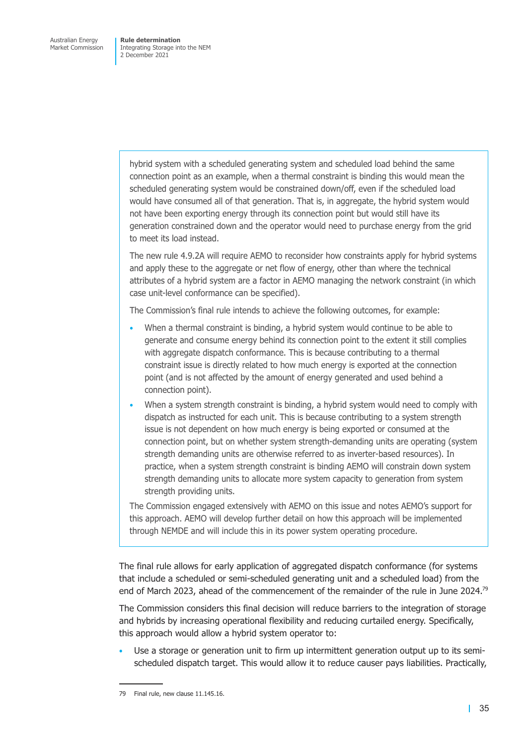> hybrid system with a scheduled generating system and scheduled load behind the same connection point as an example, when a thermal constraint is binding this would mean the scheduled generating system would be constrained down/off, even if the scheduled load would have consumed all of that generation. That is, in aggregate, the hybrid system would not have been exporting energy through its connection point but would still have its generation constrained down and the operator would need to purchase energy from the grid to meet its load instead.

The new rule 4.9.2A will require AEMO to reconsider how constraints apply for hybrid systems and apply these to the aggregate or net flow of energy, other than where the technical attributes of a hybrid system are a factor in AEMO managing the network constraint (in which case unit-level conformance can be specified).

The Commission's final rule intends to achieve the following outcomes, for example:

- When a thermal constraint is binding, a hybrid system would continue to be able to generate and consume energy behind its connection point to the extent it still complies with aggregate dispatch conformance. This is because contributing to a thermal constraint issue is directly related to how much energy is exported at the connection point (and is not affected by the amount of energy generated and used behind a connection point).
- When a system strength constraint is binding, a hybrid system would need to comply with dispatch as instructed for each unit. This is because contributing to a system strength issue is not dependent on how much energy is being exported or consumed at the connection point, but on whether system strength-demanding units are operating (system strength demanding units are otherwise referred to as inverter-based resources). In practice, when a system strength constraint is binding AEMO will constrain down system strength demanding units to allocate more system capacity to generation from system strength providing units.

The Commission engaged extensively with AEMO on this issue and notes AEMO's support for this approach. AEMO will develop further detail on how this approach will be implemented through NEMDE and will include this in its power system operating procedure.

The final rule allows for early application of aggregated dispatch conformance (for systems that include a scheduled or semi-scheduled generating unit and a scheduled load) from the end of March 2023, ahead of the commencement of the remainder of the rule in June 2024.<sup>79</sup>

The Commission considers this final decision will reduce barriers to the integration of storage and hybrids by increasing operational flexibility and reducing curtailed energy. Specifically, this approach would allow a hybrid system operator to:

• Use a storage or generation unit to firm up intermittent generation output up to its semischeduled dispatch target. This would allow it to reduce causer pays liabilities. Practically,

<sup>79</sup> Final rule, new clause 11.145.16.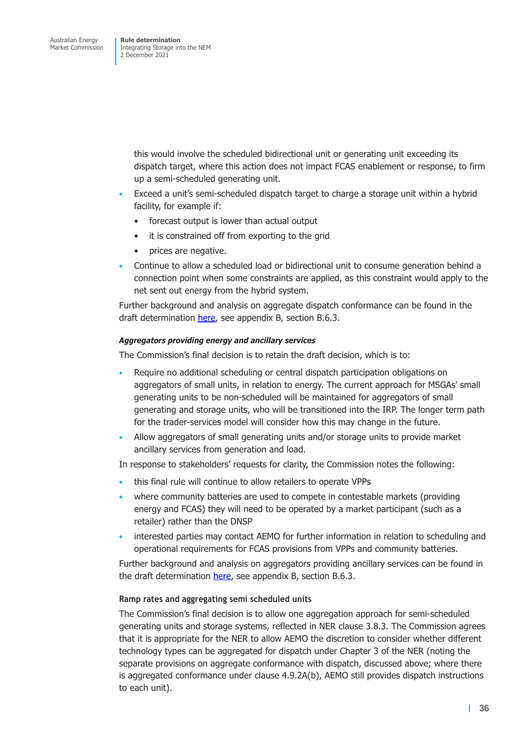this would involve the scheduled bidirectional unit or generating unit exceeding its dispatch target, where this action does not impact FCAS enablement or response, to firm up a semi-scheduled generating unit.

- Exceed a unit's semi-scheduled dispatch target to charge a storage unit within a hybrid facility, for example if:
	- forecast output is lower than actual output
	- it is constrained off from exporting to the grid
	- prices are negative.
- Continue to allow a scheduled load or bidirectional unit to consume generation behind a connection point when some constraints are applied, as this constraint would apply to the net sent out energy from the hybrid system.

Further background and analysis on aggregate dispatch conformance can be found in the draft determination here, see appendix B, section B.6.3.

#### *Aggregators providing energy and ancillary services*

The Commission's fi[nal de](https://www.aemc.gov.au/sites/default/files/2021-07/integrating_energy_storage_systems_into_the_nem_-_erc0280_-_draft_determination.pdf)cision is to retain the draft decision, which is to:

- Require no additional scheduling or central dispatch participation obligations on aggregators of small units, in relation to energy. The current approach for MSGAs' small generating units to be non-scheduled will be maintained for aggregators of small generating and storage units, who will be transitioned into the IRP. The longer term path for the trader-services model will consider how this may change in the future.
- Allow aggregators of small generating units and/or storage units to provide market ancillary services from generation and load.

In response to stakeholders' requests for clarity, the Commission notes the following:

- this final rule will continue to allow retailers to operate VPPs
- where community batteries are used to compete in contestable markets (providing energy and FCAS) they will need to be operated by a market participant (such as a retailer) rather than the DNSP
- interested parties may contact AEMO for further information in relation to scheduling and operational requirements for FCAS provisions from VPPs and community batteries.

Further background and analysis on aggregators providing ancillary services can be found in the draft determination here, see appendix B, section B.6.3.

## **Ramp rates and aggregating semi scheduled units**

The Commission's final [decisi](https://www.aemc.gov.au/sites/default/files/2021-07/integrating_energy_storage_systems_into_the_nem_-_erc0280_-_draft_determination.pdf)on is to allow one aggregation approach for semi-scheduled generating units and storage systems, reflected in NER clause 3.8.3. The Commission agrees that it is appropriate for the NER to allow AEMO the discretion to consider whether different technology types can be aggregated for dispatch under Chapter 3 of the NER (noting the separate provisions on aggregate conformance with dispatch, discussed above; where there is aggregated conformance under clause 4.9.2A(b), AEMO still provides dispatch instructions to each unit).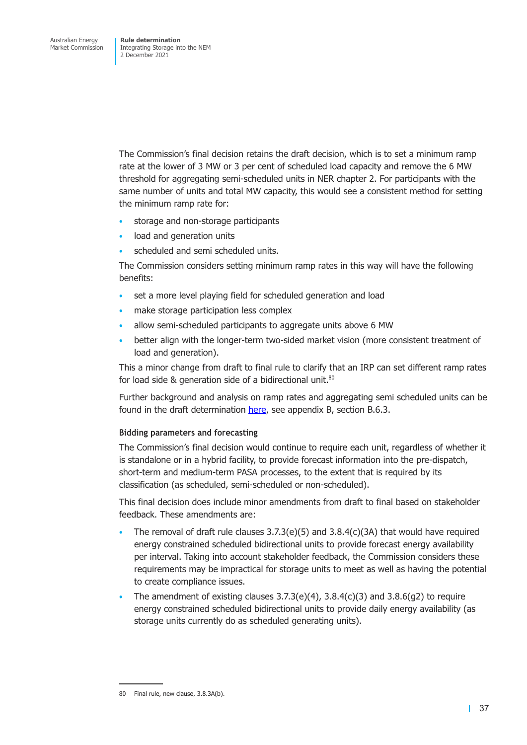The Commission's final decision retains the draft decision, which is to set a minimum ramp rate at the lower of 3 MW or 3 per cent of scheduled load capacity and remove the 6 MW threshold for aggregating semi-scheduled units in NER chapter 2. For participants with the same number of units and total MW capacity, this would see a consistent method for setting the minimum ramp rate for:

- storage and non-storage participants
- load and generation units
- scheduled and semi scheduled units.

The Commission considers setting minimum ramp rates in this way will have the following benefits:

- set a more level playing field for scheduled generation and load
- make storage participation less complex
- allow semi-scheduled participants to aggregate units above 6 MW
- better align with the longer-term two-sided market vision (more consistent treatment of load and generation).

This a minor change from draft to final rule to clarify that an IRP can set different ramp rates for load side & generation side of a bidirectional unit. $80$ 

Further background and analysis on ramp rates and aggregating semi scheduled units can be found in the draft determination here, see appendix B, section B.6.3.

## **Bidding parameters and forecasting**

The Commission's final decision [would](https://www.aemc.gov.au/sites/default/files/2021-07/integrating_energy_storage_systems_into_the_nem_-_erc0280_-_draft_determination.pdf) continue to require each unit, regardless of whether it is standalone or in a hybrid facility, to provide forecast information into the pre-dispatch, short-term and medium-term PASA processes, to the extent that is required by its classification (as scheduled, semi-scheduled or non-scheduled).

This final decision does include minor amendments from draft to final based on stakeholder feedback. These amendments are:

- The removal of draft rule clauses  $3.7.3(e)(5)$  and  $3.8.4(c)(3A)$  that would have required energy constrained scheduled bidirectional units to provide forecast energy availability per interval. Taking into account stakeholder feedback, the Commission considers these requirements may be impractical for storage units to meet as well as having the potential to create compliance issues.
- The amendment of existing clauses  $3.7.3(e)(4)$ ,  $3.8.4(c)(3)$  and  $3.8.6(q2)$  to require energy constrained scheduled bidirectional units to provide daily energy availability (as storage units currently do as scheduled generating units).

<sup>80</sup> Final rule, new clause, 3.8.3A(b).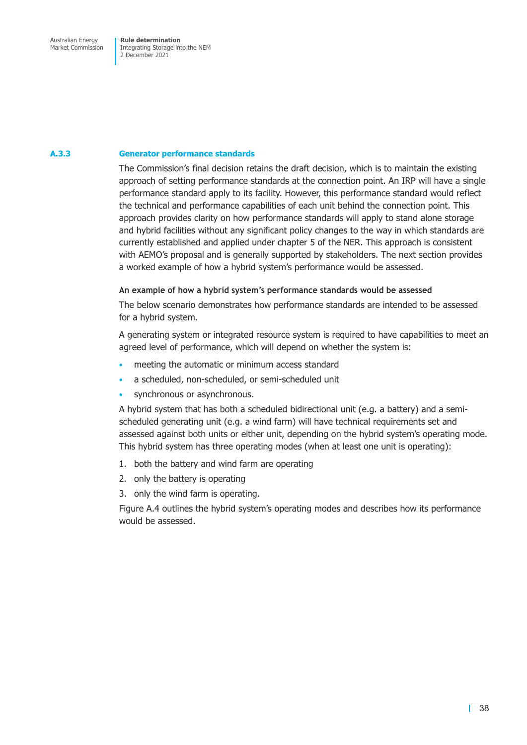Market Commission

Integrating Storage into the NEM 2 December 2021

#### **A.3.3 Generator performance standards**

The Commission's final decision retains the draft decision, which is to maintain the existing approach of setting performance standards at the connection point. An IRP will have a single performance standard apply to its facility. However, this performance standard would reflect the technical and performance capabilities of each unit behind the connection point. This approach provides clarity on how performance standards will apply to stand alone storage and hybrid facilities without any significant policy changes to the way in which standards are currently established and applied under chapter 5 of the NER. This approach is consistent with AEMO's proposal and is generally supported by stakeholders. The next section provides a worked example of how a hybrid system's performance would be assessed.

## **An example of how a hybrid system's performance standards would be assessed**

The below scenario demonstrates how performance standards are intended to be assessed for a hybrid system.

A generating system or integrated resource system is required to have capabilities to meet an agreed level of performance, which will depend on whether the system is:

- meeting the automatic or minimum access standard
- a scheduled, non-scheduled, or semi-scheduled unit
- synchronous or asynchronous.

A hybrid system that has both a scheduled bidirectional unit (e.g. a battery) and a semischeduled generating unit (e.g. a wind farm) will have technical requirements set and assessed against both units or either unit, depending on the hybrid system's operating mode. This hybrid system has three operating modes (when at least one unit is operating):

- 1. both the battery and wind farm are operating
- 2. only the battery is operating
- 3. only the wind farm is operating.

Figure A.4 outlines the hybrid system's operating modes and describes how its performance would be assessed.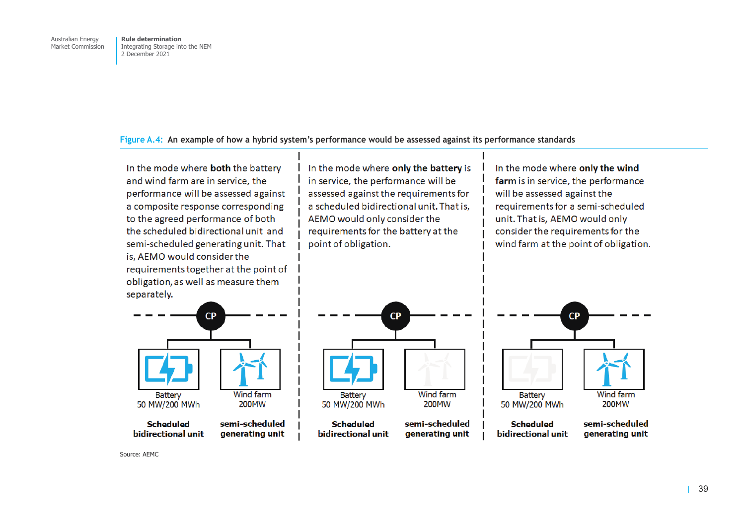## **Figure A.4: An example of how a hybrid system's performance would be assessed against its performance standards**

In the mode where **both** the battery and wind farm are in service, the performance will be assessed against a composite response corresponding to the agreed performance of both the scheduled bidirectional unit and semi-scheduled generating unit. That is. AEMO would consider the requirements together at the point of obligation, as well as measure them separately.  $CP$ 

**Wind farm Battery** 50 MW/200 MWh 200MW semi-scheduled **Scheduled** bidirectional unit generating unit In the mode where only the battery is in service, the performance will be assessed against the requirements for a scheduled bidirectional unit. That is, AEMO would only consider the requirements for the battery at the point of obligation.

In the mode where only the wind farm is in service, the performance will be assessed against the requirements for a semi-scheduled unit. That is, AEMO would only consider the requirements for the wind farm at the point of obligation.



Source: AEMC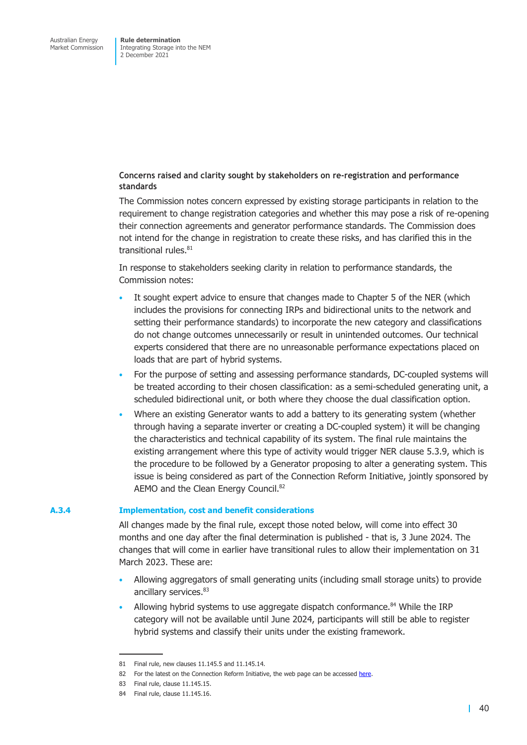**Concerns raised and clarity sought by stakeholders on re-registration and performance standards** 

The Commission notes concern expressed by existing storage participants in relation to the requirement to change registration categories and whether this may pose a risk of re-opening their connection agreements and generator performance standards. The Commission does not intend for the change in registration to create these risks, and has clarified this in the transitional rules. $81$ 

In response to stakeholders seeking clarity in relation to performance standards, the Commission notes:

- It sought expert advice to ensure that changes made to Chapter 5 of the NER (which includes the provisions for connecting IRPs and bidirectional units to the network and setting their performance standards) to incorporate the new category and classifications do not change outcomes unnecessarily or result in unintended outcomes. Our technical experts considered that there are no unreasonable performance expectations placed on loads that are part of hybrid systems.
- For the purpose of setting and assessing performance standards, DC-coupled systems will be treated according to their chosen classification: as a semi-scheduled generating unit, a scheduled bidirectional unit, or both where they choose the dual classification option.
- Where an existing Generator wants to add a battery to its generating system (whether through having a separate inverter or creating a DC-coupled system) it will be changing the characteristics and technical capability of its system. The final rule maintains the existing arrangement where this type of activity would trigger NER clause 5.3.9, which is the procedure to be followed by a Generator proposing to alter a generating system. This issue is being considered as part of the Connection Reform Initiative, jointly sponsored by AEMO and the Clean Energy Council.<sup>82</sup>

#### **A.3.4 Implementation, cost and benefit considerations**

All changes made by the final rule, except those noted below, will come into effect 30 months and one day after the final determination is published - that is, 3 June 2024. The changes that will come in earlier have transitional rules to allow their implementation on 31 March 2023. These are:

- Allowing aggregators of small generating units (including small storage units) to provide ancillary services. 83
- Allowing hybrid systems to use aggregate dispatch conformance. $84$  While the IRP category will not be available until June 2024, participants will still be able to register hybrid systems and classify their units under the existing framework.

<sup>81</sup> Final rule, new clauses 11.145.5 and 11.145.14.

<sup>82</sup> For the latest on the Connection Reform Initiative, the web page can be accessed here.

<sup>83</sup> Final rule, clause 11.145.15.

<sup>84</sup> Final rule, clause 11.145.16.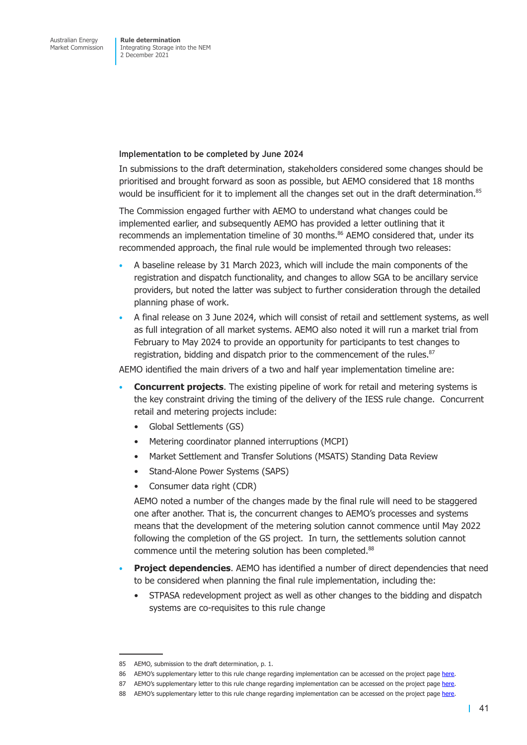Integrating Storage into the NEM 2 December 2021

**Implementation to be completed by June 2024** 

In submissions to the draft determination, stakeholders considered some changes should be prioritised and brought forward as soon as possible, but AEMO considered that 18 months would be insufficient for it to implement all the changes set out in the draft determination.<sup>85</sup>

The Commission engaged further with AEMO to understand what changes could be implemented earlier, and subsequently AEMO has provided a letter outlining that it recommends an implementation timeline of 30 months. $86$  AEMO considered that, under its recommended approach, the final rule would be implemented through two releases:

- A baseline release by 31 March 2023, which will include the main components of the registration and dispatch functionality, and changes to allow SGA to be ancillary service providers, but noted the latter was subject to further consideration through the detailed planning phase of work.
- A final release on 3 June 2024, which will consist of retail and settlement systems, as well as full integration of all market systems. AEMO also noted it will run a market trial from February to May 2024 to provide an opportunity for participants to test changes to registration, bidding and dispatch prior to the commencement of the rules.<sup>87</sup>

AEMO identified the main drivers of a two and half year implementation timeline are:

- **Concurrent projects**. The existing pipeline of work for retail and metering systems is the key constraint driving the timing of the delivery of the IESS rule change. Concurrent retail and metering projects include:
	- Global Settlements (GS)
	- Metering coordinator planned interruptions (MCPI)
	- Market Settlement and Transfer Solutions (MSATS) Standing Data Review
	- Stand-Alone Power Systems (SAPS)
	- Consumer data right (CDR)

AEMO noted a number of the changes made by the final rule will need to be staggered one after another. That is, the concurrent changes to AEMO's processes and systems means that the development of the metering solution cannot commence until May 2022 following the completion of the GS project. In turn, the settlements solution cannot commence until the metering solution has been completed.<sup>88</sup>

- **Project dependencies**. AEMO has identified a number of direct dependencies that need to be considered when planning the final rule implementation, including the:
	- STPASA redevelopment project as well as other changes to the bidding and dispatch systems are co-requisites to this rule change

<sup>85</sup> AEMO, submission to the draft determination, p. 1.

<sup>86</sup> AEMO's supplementary letter to this rule change regarding implementation can be accessed on the project page here.

<sup>87</sup> AEMO's supplementary letter to this rule change regarding implementation can be accessed on the project page here.

<sup>88</sup> AEMO's supplementary letter to this rule change regarding implementation can be accessed on the project page here.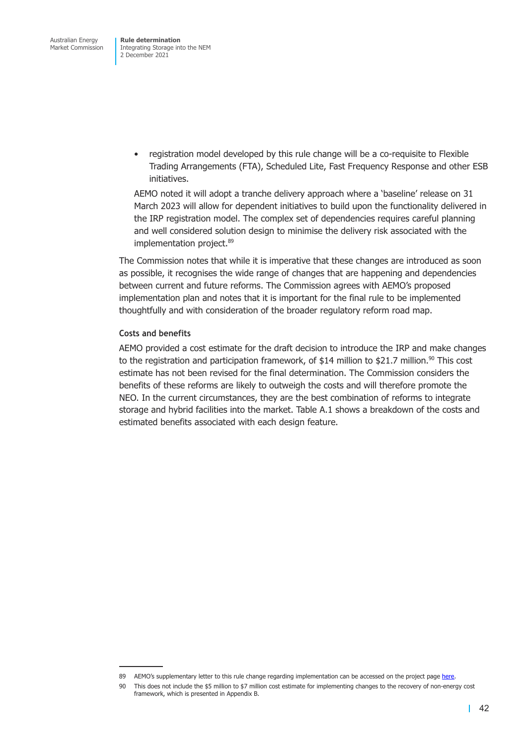• registration model developed by this rule change will be a co-requisite to Flexible Trading Arrangements (FTA), Scheduled Lite, Fast Frequency Response and other ESB initiatives.

AEMO noted it will adopt a tranche delivery approach where a 'baseline' release on 31 March 2023 will allow for dependent initiatives to build upon the functionality delivered in the IRP registration model. The complex set of dependencies requires careful planning and well considered solution design to minimise the delivery risk associated with the implementation project.<sup>89</sup>

The Commission notes that while it is imperative that these changes are introduced as soon as possible, it recognises the wide range of changes that are happening and dependencies between current and future reforms. The Commission agrees with AEMO's proposed implementation plan and notes that it is important for the final rule to be implemented thoughtfully and with consideration of the broader regulatory reform road map.

## **Costs and benefits**

AEMO provided a cost estimate for the draft decision to introduce the IRP and make changes to the registration and participation framework, of \$14 million to \$21.7 million.<sup>90</sup> This cost estimate has not been revised for the final determination. The Commission considers the benefits of these reforms are likely to outweigh the costs and will therefore promote the NEO. In the current circumstances, they are the best combination of reforms to integrate storage and hybrid facilities into the market. Table A.1 shows a breakdown of the costs and estimated benefits associated with each design feature.

<sup>89</sup> AEMO's supplementary letter to this rule change regarding implementation can be accessed on the project page here.

<sup>90</sup> This does not include the \$5 million to \$7 million cost estimate for implementing changes to the recovery of non-energy cost framework, which is presented in Appendix B.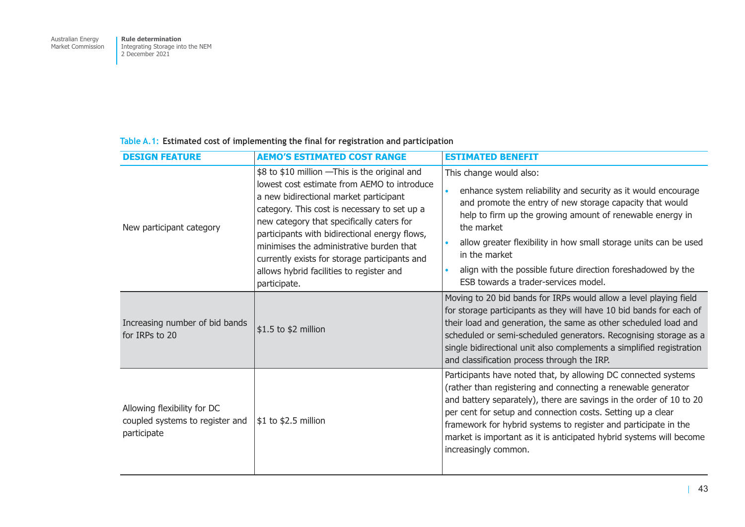## **Table A.1: Estimated cost of implementing the final for registration and participation**

| <b>DESIGN FEATURE</b>                                                         | <b>AEMO'S ESTIMATED COST RANGE</b>                                                                                                                                                                                                                                                                                                                                                                                                             | <b>ESTIMATED BENEFIT</b>                                                                                                                                                                                                                                                                                                                                                                                                                |
|-------------------------------------------------------------------------------|------------------------------------------------------------------------------------------------------------------------------------------------------------------------------------------------------------------------------------------------------------------------------------------------------------------------------------------------------------------------------------------------------------------------------------------------|-----------------------------------------------------------------------------------------------------------------------------------------------------------------------------------------------------------------------------------------------------------------------------------------------------------------------------------------------------------------------------------------------------------------------------------------|
| New participant category                                                      | \$8 to \$10 million - This is the original and<br>lowest cost estimate from AEMO to introduce<br>a new bidirectional market participant<br>category. This cost is necessary to set up a<br>new category that specifically caters for<br>participants with bidirectional energy flows,<br>minimises the administrative burden that<br>currently exists for storage participants and<br>allows hybrid facilities to register and<br>participate. | This change would also:<br>enhance system reliability and security as it would encourage<br>and promote the entry of new storage capacity that would<br>help to firm up the growing amount of renewable energy in<br>the market<br>allow greater flexibility in how small storage units can be used<br>in the market<br>align with the possible future direction foreshadowed by the<br>ESB towards a trader-services model.            |
| Increasing number of bid bands<br>for IRPs to 20                              | \$1.5 to \$2 million                                                                                                                                                                                                                                                                                                                                                                                                                           | Moving to 20 bid bands for IRPs would allow a level playing field<br>for storage participants as they will have 10 bid bands for each of<br>their load and generation, the same as other scheduled load and<br>scheduled or semi-scheduled generators. Recognising storage as a<br>single bidirectional unit also complements a simplified registration<br>and classification process through the IRP.                                  |
| Allowing flexibility for DC<br>coupled systems to register and<br>participate | \$1 to \$2.5 million                                                                                                                                                                                                                                                                                                                                                                                                                           | Participants have noted that, by allowing DC connected systems<br>(rather than registering and connecting a renewable generator<br>and battery separately), there are savings in the order of 10 to 20<br>per cent for setup and connection costs. Setting up a clear<br>framework for hybrid systems to register and participate in the<br>market is important as it is anticipated hybrid systems will become<br>increasingly common. |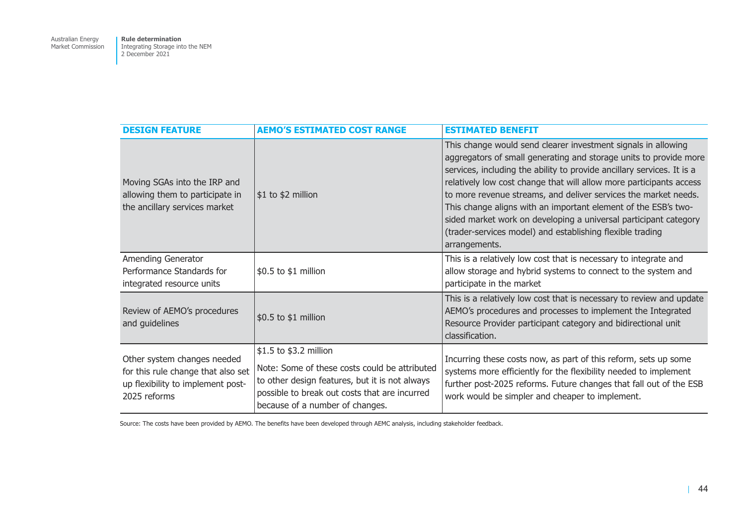| <b>DESIGN FEATURE</b>                                                                                                  | <b>AEMO'S ESTIMATED COST RANGE</b>                                                                                                                                                                            | <b>ESTIMATED BENEFIT</b>                                                                                                                                                                                                                                                                                                                                                                                                                                                                                                                                                   |
|------------------------------------------------------------------------------------------------------------------------|---------------------------------------------------------------------------------------------------------------------------------------------------------------------------------------------------------------|----------------------------------------------------------------------------------------------------------------------------------------------------------------------------------------------------------------------------------------------------------------------------------------------------------------------------------------------------------------------------------------------------------------------------------------------------------------------------------------------------------------------------------------------------------------------------|
| Moving SGAs into the IRP and<br>allowing them to participate in<br>the ancillary services market                       | $$1$ to \$2 million                                                                                                                                                                                           | This change would send clearer investment signals in allowing<br>aggregators of small generating and storage units to provide more<br>services, including the ability to provide ancillary services. It is a<br>relatively low cost change that will allow more participants access<br>to more revenue streams, and deliver services the market needs.<br>This change aligns with an important element of the ESB's two-<br>sided market work on developing a universal participant category<br>(trader-services model) and establishing flexible trading<br>arrangements. |
| Amending Generator<br>Performance Standards for<br>integrated resource units                                           | \$0.5 to \$1 million                                                                                                                                                                                          | This is a relatively low cost that is necessary to integrate and<br>allow storage and hybrid systems to connect to the system and<br>participate in the market                                                                                                                                                                                                                                                                                                                                                                                                             |
| Review of AEMO's procedures<br>and guidelines                                                                          | \$0.5 to \$1 million                                                                                                                                                                                          | This is a relatively low cost that is necessary to review and update<br>AEMO's procedures and processes to implement the Integrated<br>Resource Provider participant category and bidirectional unit<br>classification.                                                                                                                                                                                                                                                                                                                                                    |
| Other system changes needed<br>for this rule change that also set<br>up flexibility to implement post-<br>2025 reforms | \$1.5 to \$3.2 million<br>Note: Some of these costs could be attributed<br>to other design features, but it is not always<br>possible to break out costs that are incurred<br>because of a number of changes. | Incurring these costs now, as part of this reform, sets up some<br>systems more efficiently for the flexibility needed to implement<br>further post-2025 reforms. Future changes that fall out of the ESB<br>work would be simpler and cheaper to implement.                                                                                                                                                                                                                                                                                                               |

Source: The costs have been provided by AEMO. The benefits have been developed through AEMC analysis, including stakeholder feedback.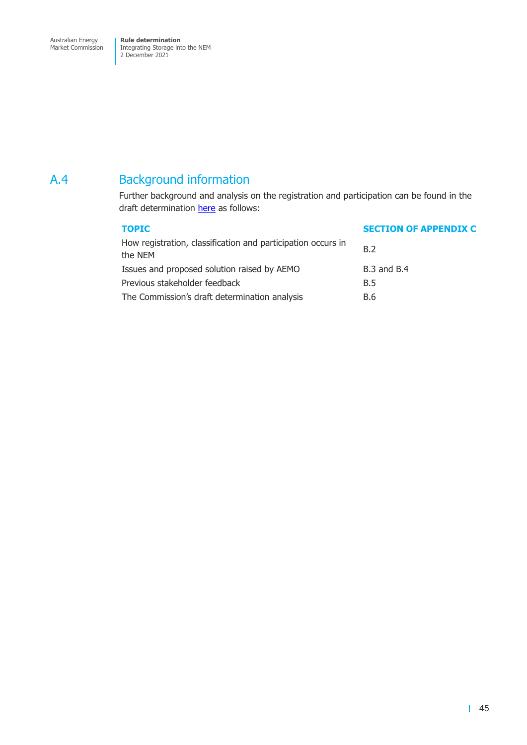Market Commission

Integrating Storage into the NEM 2 December 2021

# A.4 Background information

Further background and analysis on the registration and participation can be found in the draft determination here as follows:

| <b>TOPIC</b>                                                            | <b>SECTION OF APPENDIX C</b> |
|-------------------------------------------------------------------------|------------------------------|
| How registration, classification and participation occurs in<br>the NEM | B.2                          |
| Issues and proposed solution raised by AEMO                             | <b>B.3 and B.4</b>           |
| Previous stakeholder feedback                                           | <b>B.5</b>                   |
| The Commission's draft determination analysis                           | B.6                          |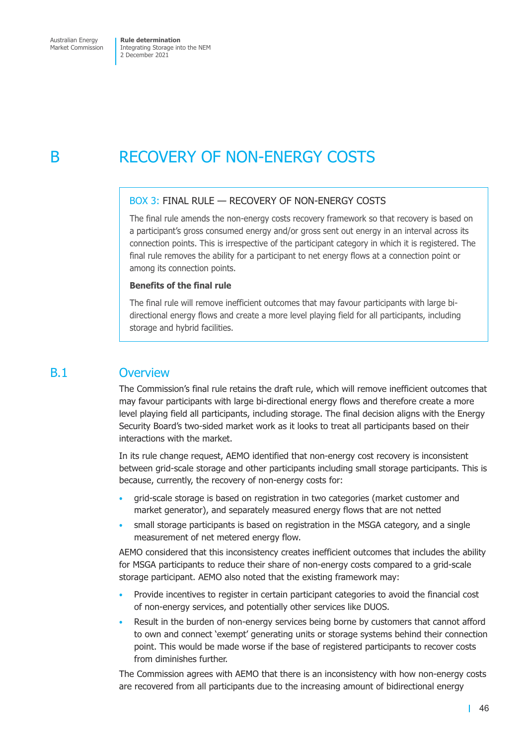# B RECOVERY OF NON-ENERGY COSTS

## BOX 3: FINAL RULE — RECOVERY OF NON-ENERGY COSTS

The final rule amends the non-energy costs recovery framework so that recovery is based on a participant's gross consumed energy and/or gross sent out energy in an interval across its connection points. This is irrespective of the participant category in which it is registered. The final rule removes the ability for a participant to net energy flows at a connection point or among its connection points.

## **Benefits of the final rule**

The final rule will remove inefficient outcomes that may favour participants with large bidirectional energy flows and create a more level playing field for all participants, including storage and hybrid facilities.

## B.1 Overview

The Commission's final rule retains the draft rule, which will remove inefficient outcomes that may favour participants with large bi-directional energy flows and therefore create a more level playing field all participants, including storage. The final decision aligns with the Energy Security Board's two-sided market work as it looks to treat all participants based on their interactions with the market.

In its rule change request, AEMO identified that non-energy cost recovery is inconsistent between grid-scale storage and other participants including small storage participants. This is because, currently, the recovery of non-energy costs for:

- grid-scale storage is based on registration in two categories (market customer and market generator), and separately measured energy flows that are not netted
- small storage participants is based on registration in the MSGA category, and a single measurement of net metered energy flow.

AEMO considered that this inconsistency creates inefficient outcomes that includes the ability for MSGA participants to reduce their share of non-energy costs compared to a grid-scale storage participant. AEMO also noted that the existing framework may:

- Provide incentives to register in certain participant categories to avoid the financial cost of non-energy services, and potentially other services like DUOS.
- Result in the burden of non-energy services being borne by customers that cannot afford to own and connect 'exempt' generating units or storage systems behind their connection point. This would be made worse if the base of registered participants to recover costs from diminishes further.

The Commission agrees with AEMO that there is an inconsistency with how non-energy costs are recovered from all participants due to the increasing amount of bidirectional energy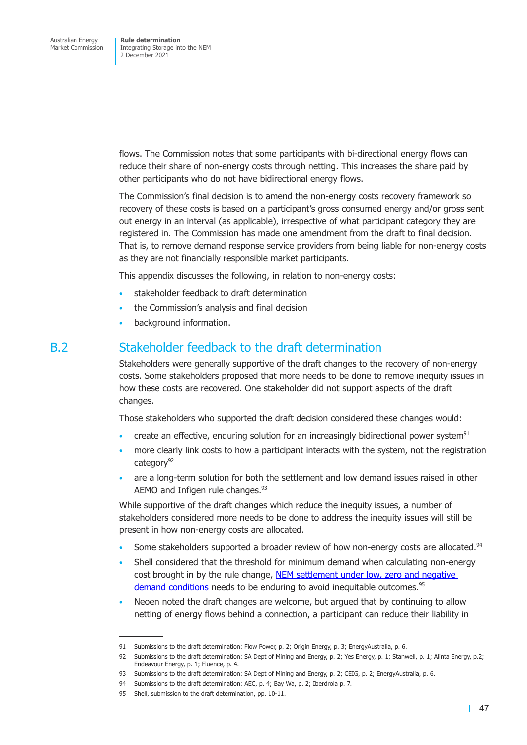flows. The Commission notes that some participants with bi-directional energy flows can reduce their share of non-energy costs through netting. This increases the share paid by other participants who do not have bidirectional energy flows.

The Commission's final decision is to amend the non-energy costs recovery framework so recovery of these costs is based on a participant's gross consumed energy and/or gross sent out energy in an interval (as applicable), irrespective of what participant category they are registered in. The Commission has made one amendment from the draft to final decision. That is, to remove demand response service providers from being liable for non-energy costs as they are not financially responsible market participants.

This appendix discusses the following, in relation to non-energy costs:

- stakeholder feedback to draft determination
- the Commission's analysis and final decision
- background information.

## B.2 Stakeholder feedback to the draft determination

<span id="page-63-0"></span>Stakeholders were generally supportive of the draft changes to the recovery of non-energy costs. Some stakeholders proposed that more needs to be done to remove inequity issues in how these costs are recovered. One stakeholder did not support aspects of the draft changes.

Those stakeholders who supported the draft decision considered these changes would:

- create an effective, enduring solution for an increasingly bidirectional power system<sup>91</sup>
- more clearly link costs to how a participant interacts with the system, not the registration category<sup>92</sup>
- are a long-term solution for both the settlement and low demand issues raised in other AEMO and Infigen rule changes.<sup>93</sup>

While supportive of the draft changes which reduce the inequity issues, a number of stakeholders considered more needs to be done to address the inequity issues will still be present in how non-energy costs are allocated.

- Some stakeholders supported a broader review of how non-energy costs are allocated.<sup>94</sup>
- Shell considered that the threshold for minimum demand when calculating non-energy cost brought in by the rule change, NEM settlement under low, zero and negative demand conditions needs to be enduring to avoid inequitable outcomes.<sup>95</sup>
- Neoen noted the draft changes are welcome, but argued that by continuing to allow netting of energy flows behind a co[nnection, a participant can reduce their liability](https://www.aemc.gov.au/rule-changes/nem-settlement-under-low-zero-and-negative-demand-conditions) in

<sup>91</sup> Submissions to the draft determination: Flow Power, p. 2; Origin Energy, p. 3; EnergyAustralia, p. 6.

<sup>92</sup> Submissions to the draft determination: SA Dept of Mining and Energy, p. 2; Yes Energy, p. 1; Stanwell, p. 1; Alinta Energy, p.2; Endeavour Energy, p. 1; Fluence, p. 4.

<sup>93</sup> Submissions to the draft determination: SA Dept of Mining and Energy, p. 2; CEIG, p. 2; EnergyAustralia, p. 6.

<sup>94</sup> Submissions to the draft determination: AEC, p. 4; Bay Wa, p. 2; Iberdrola p. 7.

<sup>95</sup> Shell, submission to the draft determination, pp. 10-11.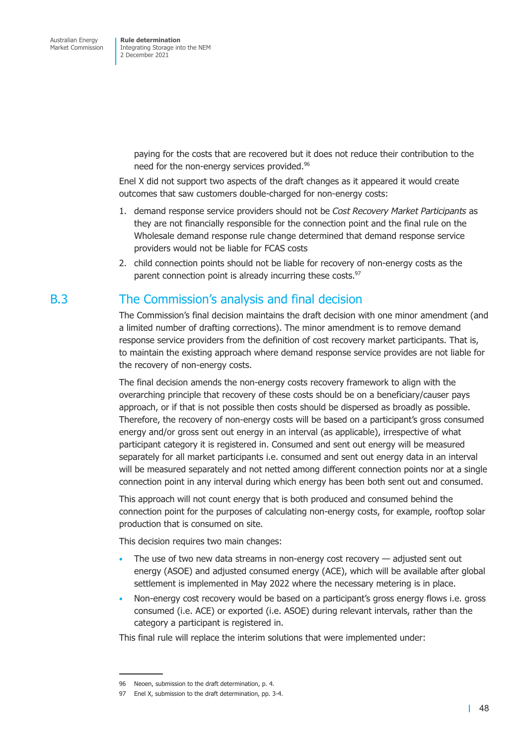> paying for the costs that are recovered but it does not reduce their contribution to the need for the non-energy services provided.<sup>96</sup>

Enel X did not support two aspects of the draft changes as it appeared it would create outcomes that saw customers double-charged for non-energy costs:

- 1. demand response service providers should not be *Cost Recovery Market Participants* as they are not financially responsible for the connection point and the final rule on the Wholesale demand response rule change determined that demand response service providers would not be liable for FCAS costs
- 2. child connection points should not be liable for recovery of non-energy costs as the parent connection point is already incurring these costs.<sup>97</sup>

# B.3 The Commission's analysis and final decision

The Commission's final decision maintains the draft decision with one minor amendment (and a limited number of drafting corrections). The minor amendment is to remove demand response service providers from the definition of cost recovery market participants. That is, to maintain the existing approach where demand response service provides are not liable for the recovery of non-energy costs.

The final decision amends the non-energy costs recovery framework to align with the overarching principle that recovery of these costs should be on a beneficiary/causer pays approach, or if that is not possible then costs should be dispersed as broadly as possible. Therefore, the recovery of non-energy costs will be based on a participant's gross consumed energy and/or gross sent out energy in an interval (as applicable), irrespective of what participant category it is registered in. Consumed and sent out energy will be measured separately for all market participants i.e. consumed and sent out energy data in an interval will be measured separately and not netted among different connection points nor at a single connection point in any interval during which energy has been both sent out and consumed.

This approach will not count energy that is both produced and consumed behind the connection point for the purposes of calculating non-energy costs, for example, rooftop solar production that is consumed on site.

This decision requires two main changes:

- The use of two new data streams in non-energy cost recovery  $-$  adjusted sent out energy (ASOE) and adjusted consumed energy (ACE), which will be available after global settlement is implemented in May 2022 where the necessary metering is in place.
- Non-energy cost recovery would be based on a participant's gross energy flows i.e. gross consumed (i.e. ACE) or exported (i.e. ASOE) during relevant intervals, rather than the category a participant is registered in.

This final rule will replace the interim solutions that were implemented under:

<sup>96</sup> Neoen, submission to the draft determination, p. 4.

<sup>97</sup> Enel X, submission to the draft determination, pp. 3-4.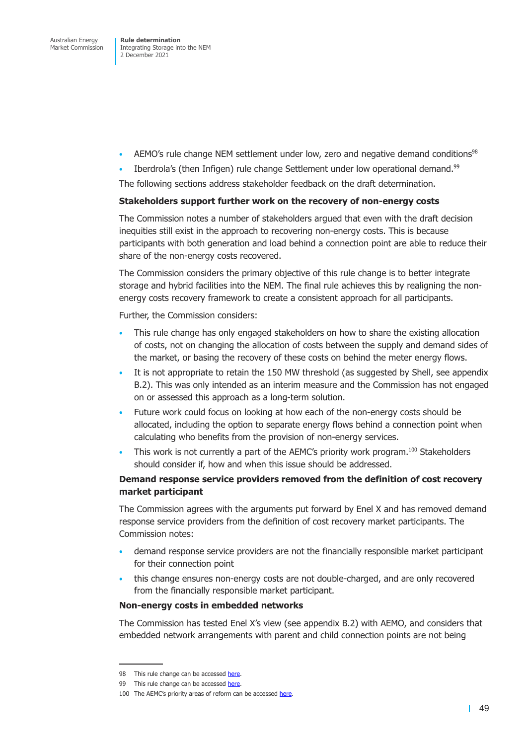Integrating Storage into the NEM 2 December 2021

- AEMO's rule change NEM settlement under low, zero and negative demand conditions<sup>98</sup>
- Iberdrola's (then Infigen) rule change Settlement under low operational demand.<sup>99</sup>

The following sections address stakeholder feedback on the draft determination.

#### **Stakeholders support further work on the recovery of non-energy costs**

The Commission notes a number of stakeholders argued that even with the draft decision inequities still exist in the approach to recovering non-energy costs. This is because participants with both generation and load behind a connection point are able to reduce their share of the non-energy costs recovered.

The Commission considers the primary objective of this rule change is to better integrate storage and hybrid facilities into the NEM. The final rule achieves this by realigning the nonenergy costs recovery framework to create a consistent approach for all participants.

Further, the Commission considers:

- This rule change has only engaged stakeholders on how to share the existing allocation of costs, not on changing the allocation of costs between the supply and demand sides of the market, or basing the recovery of these costs on behind the meter energy flows.
- It is not appropriate to retain the 150 MW threshold (as suggested by Shell, see appendix B.2). This was only intended as an interim measure and the Commission has not engaged on or assessed this approach as a long-term solution.
- Future work could focus on looking at how each of the non-energy costs should [be](#page-63-0)  [allo](#page-63-0)cated, including the option to separate energy flows behind a connection point when calculating who benefits from the provision of non-energy services.
- $\bullet$  This work is not currently a part of the AEMC's priority work program.<sup>100</sup> Stakeholders should consider if, how and when this issue should be addressed.

## **Demand response service providers removed from the definition of cost recovery market participant**

The Commission agrees with the arguments put forward by Enel X and has removed demand response service providers from the definition of cost recovery market participants. The Commission notes:

- demand response service providers are not the financially responsible market participant for their connection point
- this change ensures non-energy costs are not double-charged, and are only recovered from the financially responsible market participant.

## **Non-energy costs in embedded networks**

The Commission has tested Enel X's view (see appendix B.2) with AEMO, and considers that embedded network arrangements with parent and child connection points are not being

<sup>98</sup> This rule change can be accessed here.

<sup>99</sup> This rule change can be accessed here.

<sup>100</sup> The AEMC's priority areas of reform can be accessed here.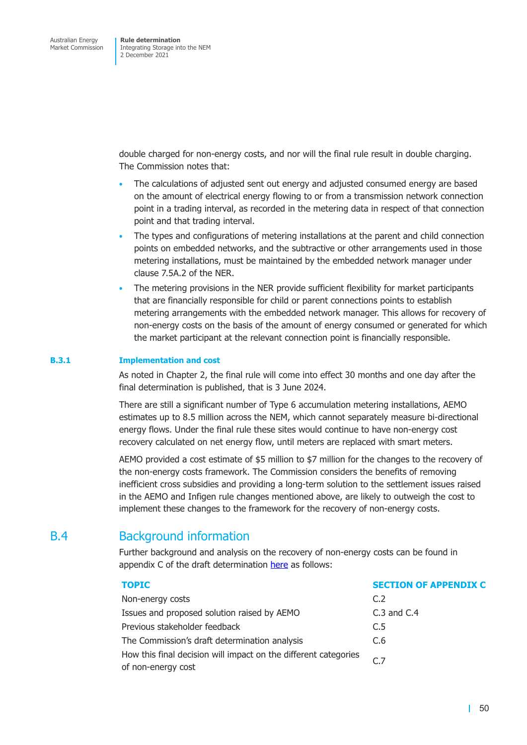double charged for non-energy costs, and nor will the final rule result in double charging. The Commission notes that:

- The calculations of adjusted sent out energy and adjusted consumed energy are based on the amount of electrical energy flowing to or from a transmission network connection point in a trading interval, as recorded in the metering data in respect of that connection point and that trading interval.
- The types and configurations of metering installations at the parent and child connection points on embedded networks, and the subtractive or other arrangements used in those metering installations, must be maintained by the embedded network manager under clause 7.5A.2 of the NER.
- The metering provisions in the NER provide sufficient flexibility for market participants that are financially responsible for child or parent connections points to establish metering arrangements with the embedded network manager. This allows for recovery of non-energy costs on the basis of the amount of energy consumed or generated for which the market participant at the relevant connection point is financially responsible.

## **B.3.1 Implementation and cost**

As noted in Chapter 2, the final rule will come into effect 30 months and one day after the final determination is published, that is 3 June 2024.

There are still a significant number of Type 6 accumulation metering installations, AEMO estimates up to 8.5 million across the NEM, which cannot separately measure bi-directional energy flows. Under the final rule these sites would continue to have non-energy cost recovery calculated on net energy flow, until meters are replaced with smart meters.

AEMO provided a cost estimate of \$5 million to \$7 million for the changes to the recovery of the non-energy costs framework. The Commission considers the benefits of removing inefficient cross subsidies and providing a long-term solution to the settlement issues raised in the AEMO and Infigen rule changes mentioned above, are likely to outweigh the cost to implement these changes to the framework for the recovery of non-energy costs.

# B.4 Background information

Further background and analysis on the recovery of non-energy costs can be found in appendix C of the draft determination here as follows:

## **TOPIC SECTION OF APPENDIX C**

| Non-energy costs<br>C.2                                                                           |  |
|---------------------------------------------------------------------------------------------------|--|
|                                                                                                   |  |
| Issues and proposed solution raised by AEMO<br>$C.3$ and $C.4$                                    |  |
| Previous stakeholder feedback<br>C.5                                                              |  |
| The Commission's draft determination analysis<br>C.6                                              |  |
| How this final decision will impact on the different categories<br>$\sim$ 7<br>of non-energy cost |  |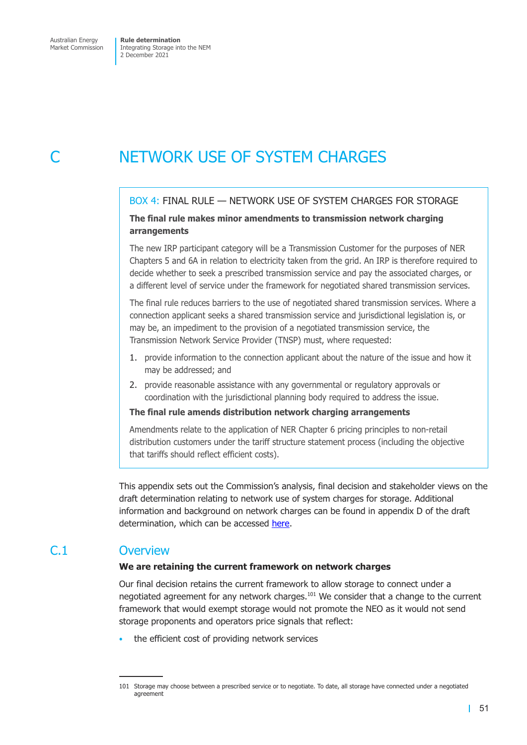Market Commission

Integrating Storage into the NEM 2 December 2021

# NETWORK USE OF SYSTEM CHARGES

## BOX 4: FINAL RULE — NETWORK USE OF SYSTEM CHARGES FOR STORAGE

## **The final rule makes minor amendments to transmission network charging arrangements**

The new IRP participant category will be a Transmission Customer for the purposes of NER Chapters 5 and 6A in relation to electricity taken from the grid. An IRP is therefore required to decide whether to seek a prescribed transmission service and pay the associated charges, or a different level of service under the framework for negotiated shared transmission services.

The final rule reduces barriers to the use of negotiated shared transmission services. Where a connection applicant seeks a shared transmission service and jurisdictional legislation is, or may be, an impediment to the provision of a negotiated transmission service, the Transmission Network Service Provider (TNSP) must, where requested:

- 1. provide information to the connection applicant about the nature of the issue and how it may be addressed; and
- 2. provide reasonable assistance with any governmental or regulatory approvals or coordination with the jurisdictional planning body required to address the issue.

## **The final rule amends distribution network charging arrangements**

Amendments relate to the application of NER Chapter 6 pricing principles to non-retail distribution customers under the tariff structure statement process (including the objective that tariffs should reflect efficient costs).

This appendix sets out the Commission's analysis, final decision and stakeholder views on the draft determination relating to network use of system charges for storage. Additional information and background on network charges can be found in appendix D of the draft determination, which can be accessed here.

# C.1 Overview

## **We are retaining the current fra[mewor](https://www.aemc.gov.au/sites/default/files/2021-07/integrating_energy_storage_systems_into_the_nem_-_erc0280_-_draft_determination.pdf)k on network charges**

Our final decision retains the current framework to allow storage to connect under a negotiated agreement for any network charges.101 We consider that a change to the current framework that would exempt storage would not promote the NEO as it would not send storage proponents and operators price signals that reflect:

the efficient cost of providing network services

<sup>101</sup> Storage may choose between a prescribed service or to negotiate. To date, all storage have connected under a negotiated agreement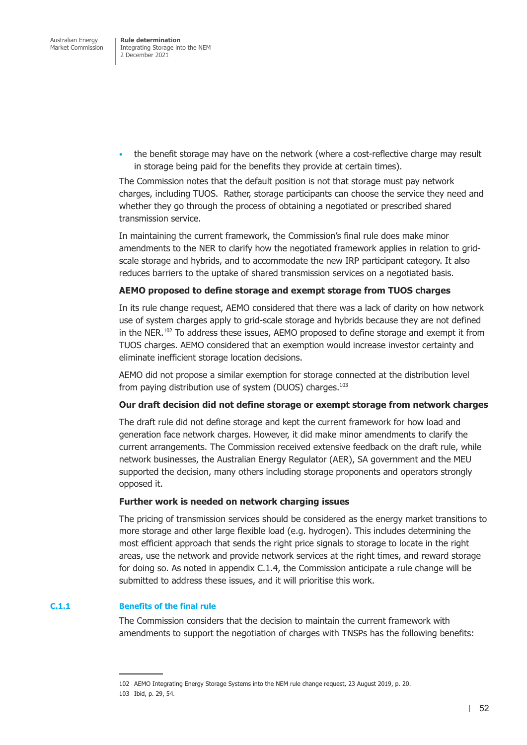• the benefit storage may have on the network (where a cost-reflective charge may result in storage being paid for the benefits they provide at certain times).

The Commission notes that the default position is not that storage must pay network charges, including TUOS. Rather, storage participants can choose the service they need and whether they go through the process of obtaining a negotiated or prescribed shared transmission service.

In maintaining the current framework, the Commission's final rule does make minor amendments to the NER to clarify how the negotiated framework applies in relation to gridscale storage and hybrids, and to accommodate the new IRP participant category. It also reduces barriers to the uptake of shared transmission services on a negotiated basis.

## **AEMO proposed to define storage and exempt storage from TUOS charges**

In its rule change request, AEMO considered that there was a lack of clarity on how network use of system charges apply to grid-scale storage and hybrids because they are not defined in the NER.<sup>102</sup> To address these issues, AEMO proposed to define storage and exempt it from TUOS charges. AEMO considered that an exemption would increase investor certainty and eliminate inefficient storage location decisions.

AEMO did not propose a similar exemption for storage connected at the distribution level from paying distribution use of system (DUOS) charges.<sup>103</sup>

## **Our draft decision did not define storage or exempt storage from network charges**

The draft rule did not define storage and kept the current framework for how load and generation face network charges. However, it did make minor amendments to clarify the current arrangements. The Commission received extensive feedback on the draft rule, while network businesses, the Australian Energy Regulator (AER), SA government and the MEU supported the decision, many others including storage proponents and operators strongly opposed it.

#### **Further work is needed on network charging issues**

The pricing of transmission services should be considered as the energy market transitions to more storage and other large flexible load (e.g. hydrogen). This includes determining the most efficient approach that sends the right price signals to storage to locate in the right areas, use the network and provide network services at the right times, and reward storage for doing so. As noted in appendix C.1.4, the Commission anticipate a rule change will be submitted to address these issues, and it will prioritise this work.

## **C.1.1 Benefits of the final rule**

The Commission considers that the decision to maintain the current framework with amendments to support the negotiation of charges with TNSPs has the following benefits:

<sup>102</sup> AEMO Integrating Energy Storage Systems into the NEM rule change request, 23 August 2019, p. 20.

<sup>103</sup> Ibid, p. 29, 54.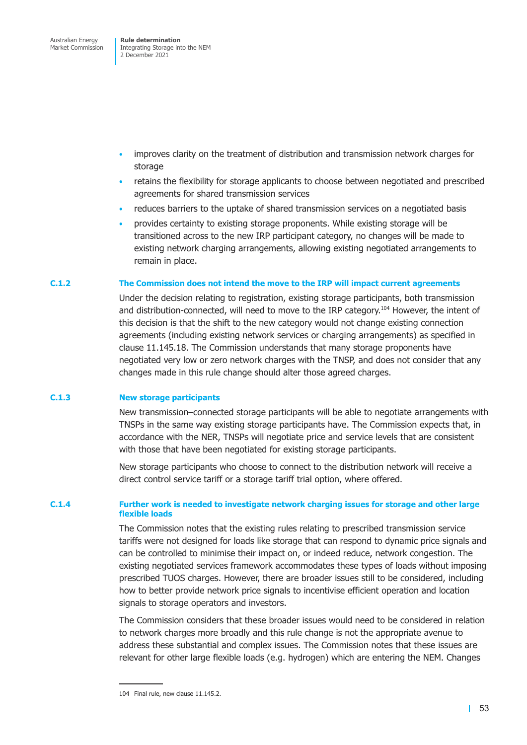- improves clarity on the treatment of distribution and transmission network charges for storage
- retains the flexibility for storage applicants to choose between negotiated and prescribed agreements for shared transmission services
- reduces barriers to the uptake of shared transmission services on a negotiated basis
- provides certainty to existing storage proponents. While existing storage will be transitioned across to the new IRP participant category, no changes will be made to existing network charging arrangements, allowing existing negotiated arrangements to remain in place.

## **C.1.2 The Commission does not intend the move to the IRP will impact current agreements**

Under the decision relating to registration, existing storage participants, both transmission and distribution-connected, will need to move to the IRP category.<sup>104</sup> However, the intent of this decision is that the shift to the new category would not change existing connection agreements (including existing network services or charging arrangements) as specified in clause 11.145.18. The Commission understands that many storage proponents have negotiated very low or zero network charges with the TNSP, and does not consider that any changes made in this rule change should alter those agreed charges.

## **C.1.3 New storage participants**

New transmission–connected storage participants will be able to negotiate arrangements with TNSPs in the same way existing storage participants have. The Commission expects that, in accordance with the NER, TNSPs will negotiate price and service levels that are consistent with those that have been negotiated for existing storage participants.

New storage participants who choose to connect to the distribution network will receive a direct control service tariff or a storage tariff trial option, where offered.

## **C.1.4 Further work is needed to investigate network charging issues for storage and other large flexible loads**

<span id="page-69-0"></span>The Commission notes that the existing rules relating to prescribed transmission service tariffs were not designed for loads like storage that can respond to dynamic price signals and can be controlled to minimise their impact on, or indeed reduce, network congestion. The existing negotiated services framework accommodates these types of loads without imposing prescribed TUOS charges. However, there are broader issues still to be considered, including how to better provide network price signals to incentivise efficient operation and location signals to storage operators and investors.

The Commission considers that these broader issues would need to be considered in relation to network charges more broadly and this rule change is not the appropriate avenue to address these substantial and complex issues. The Commission notes that these issues are relevant for other large flexible loads (e.g. hydrogen) which are entering the NEM. Changes

<sup>104</sup> Final rule, new clause 11.145.2.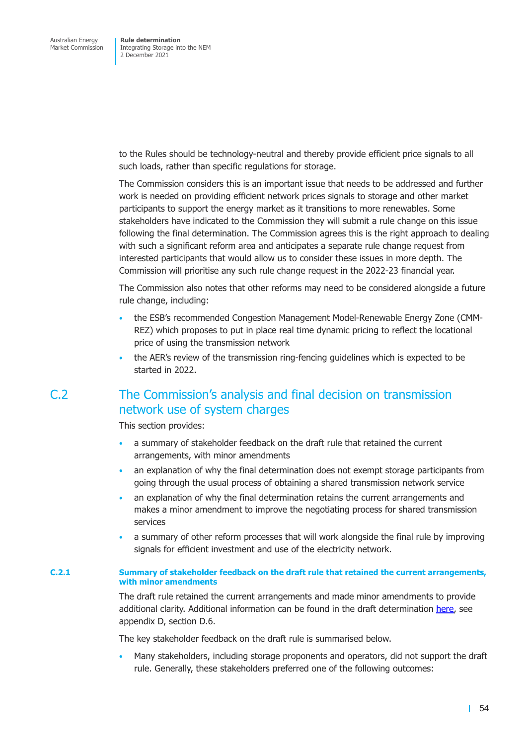to the Rules should be technology-neutral and thereby provide efficient price signals to all such loads, rather than specific regulations for storage.

The Commission considers this is an important issue that needs to be addressed and further work is needed on providing efficient network prices signals to storage and other market participants to support the energy market as it transitions to more renewables. Some stakeholders have indicated to the Commission they will submit a rule change on this issue following the final determination. The Commission agrees this is the right approach to dealing with such a significant reform area and anticipates a separate rule change request from interested participants that would allow us to consider these issues in more depth. The Commission will prioritise any such rule change request in the 2022-23 financial year.

The Commission also notes that other reforms may need to be considered alongside a future rule change, including:

- the ESB's recommended Congestion Management Model-Renewable Energy Zone (CMM-REZ) which proposes to put in place real time dynamic pricing to reflect the locational price of using the transmission network
- the AER's review of the transmission ring-fencing guidelines which is expected to be started in 2022.

# C.2 The Commission's analysis and final decision on transmission network use of system charges

This section provides:

- a summary of stakeholder feedback on the draft rule that retained the current arrangements, with minor amendments
- an explanation of why the final determination does not exempt storage participants from going through the usual process of obtaining a shared transmission network service
- an explanation of why the final determination retains the current arrangements and makes a minor amendment to improve the negotiating process for shared transmission services
- a summary of other reform processes that will work alongside the final rule by improving signals for efficient investment and use of the electricity network.

#### **C.2.1 Summary of stakeholder feedback on the draft rule that retained the current arrangements, with minor amendments**

The draft rule retained the current arrangements and made minor amendments to provide additional clarity. Additional information can be found in the draft determination here, see appendix D, section D.6.

The key stakeholder feedback on the draft rule is summarised below.

• Many stakeholders, including storage proponents and operators, did not sup[port t](https://www.aemc.gov.au/sites/default/files/2021-07/integrating_energy_storage_systems_into_the_nem_-_erc0280_-_draft_determination.pdf)he draft rule. Generally, these stakeholders preferred one of the following outcomes:

| 54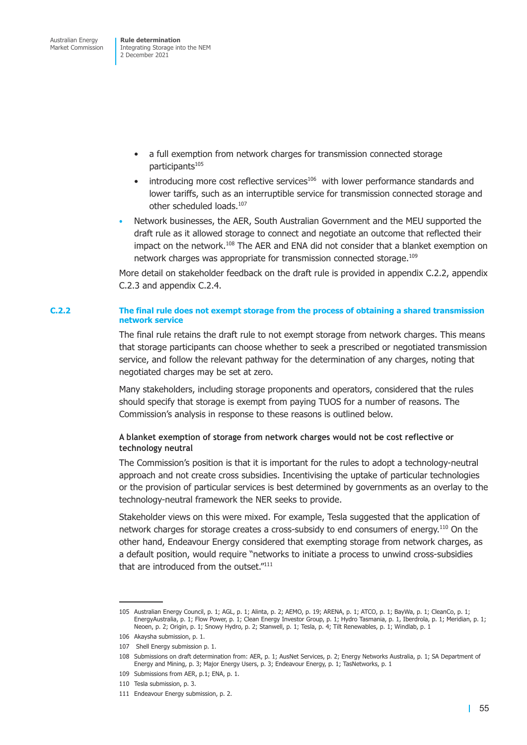Integrating Storage into the NEM 2 December 2021

- a full exemption from network charges for transmission connected storage participants<sup>105</sup>
- $\bullet$  introducing more cost reflective services<sup>106</sup> with lower performance standards and lower tariffs, such as an interruptible service for transmission connected storage and other scheduled loads.<sup>107</sup>
- Network businesses, the AER, South Australian Government and the MEU supported the draft rule as it allowed storage to connect and negotiate an outcome that reflected their impact on the network.108 The AER and ENA did not consider that a blanket exemption on network charges was appropriate for transmission connected storage.<sup>109</sup>

More detail on stakeholder feedback on the draft rule is provided in appendix C.2.2, appendix C.2.3 and appendix C.2.4.

#### **C.2.2 The final rule does not exempt storage from the process of obtaini[ng a shared tran](#page-71-0)[smission](#page-74-0)  network service**

<span id="page-71-0"></span>[The fi](#page-74-0)nal [rule retains the d](#page-78-0)raft rule to not exempt storage from network charges. This means that storage participants can choose whether to seek a prescribed or negotiated transmission service, and follow the relevant pathway for the determination of any charges, noting that negotiated charges may be set at zero.

Many stakeholders, including storage proponents and operators, considered that the rules should specify that storage is exempt from paying TUOS for a number of reasons. The Commission's analysis in response to these reasons is outlined below.

## **A blanket exemption of storage from network charges would not be cost reflective or technology neutral**

The Commission's position is that it is important for the rules to adopt a technology-neutral approach and not create cross subsidies. Incentivising the uptake of particular technologies or the provision of particular services is best determined by governments as an overlay to the technology-neutral framework the NER seeks to provide.

Stakeholder views on this were mixed. For example, Tesla suggested that the application of network charges for storage creates a cross-subsidy to end consumers of energy.110 On the other hand, Endeavour Energy considered that exempting storage from network charges, as a default position, would require "networks to initiate a process to unwind cross-subsidies that are introduced from the outset."<sup>111</sup>

<sup>105</sup> Australian Energy Council, p. 1; AGL, p. 1; Alinta, p. 2; AEMO, p. 19; ARENA, p. 1; ATCO, p. 1; BayWa, p. 1; CleanCo, p. 1; EnergyAustralia, p. 1; Flow Power, p. 1; Clean Energy Investor Group, p. 1; Hydro Tasmania, p. 1, Iberdrola, p. 1; Meridian, p. 1; Neoen, p. 2; Origin, p. 1; Snowy Hydro, p. 2; Stanwell, p. 1; Tesla, p. 4; Tilt Renewables, p. 1; Windlab, p. 1

<sup>106</sup> Akaysha submission, p. 1.

<sup>107</sup> Shell Energy submission p. 1.

<sup>108</sup> Submissions on draft determination from: AER, p. 1; AusNet Services, p. 2; Energy Networks Australia, p. 1; SA Department of Energy and Mining, p. 3; Major Energy Users, p. 3; Endeavour Energy, p. 1; TasNetworks, p. 1

<sup>109</sup> Submissions from AER, p.1; ENA, p. 1.

<sup>110</sup> Tesla submission, p. 3.

<sup>111</sup> Endeavour Energy submission, p. 2.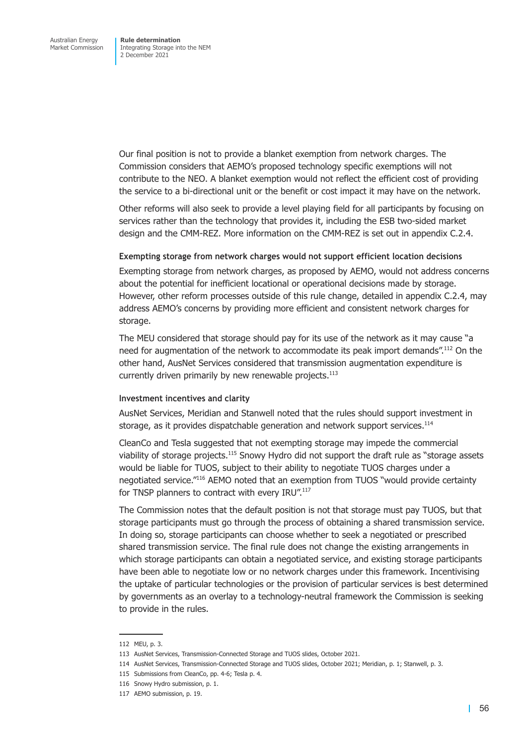Our final position is not to provide a blanket exemption from network charges. The Commission considers that AEMO's proposed technology specific exemptions will not contribute to the NEO. A blanket exemption would not reflect the efficient cost of providing the service to a bi-directional unit or the benefit or cost impact it may have on the network.

Other reforms will also seek to provide a level playing field for all participants by focusing on services rather than the technology that provides it, including the ESB two-sided market design and the CMM-REZ. More information on the CMM-REZ is set out in appendix C.2.4.

#### **Exempting storage from network charges would not support efficient location decisions**

Exempting storage from network charges, as proposed by AEMO, would n[ot address conc](#page-78-0)erns about the potential for inefficient locational or operational decisions made by storage. However, other reform processes outside of this rule change, detailed in appendix C.2.4, may address AEMO's concerns by providing more efficient and consistent network charges for storage.

The MEU considered that storage should pay for its use of the network [as it may cause "](#page-78-0)a need for augmentation of the network to accommodate its peak import demands".<sup>112</sup> On the other hand, AusNet Services considered that transmission augmentation expenditure is currently driven primarily by new renewable projects.<sup>113</sup>

### **Investment incentives and clarity**

AusNet Services, Meridian and Stanwell noted that the rules should support investment in storage, as it provides dispatchable generation and network support services.<sup>114</sup>

CleanCo and Tesla suggested that not exempting storage may impede the commercial viability of storage projects.115 Snowy Hydro did not support the draft rule as "storage assets would be liable for TUOS, subject to their ability to negotiate TUOS charges under a negotiated service."116 AEMO noted that an exemption from TUOS "would provide certainty for TNSP planners to contract with every IRU".<sup>117</sup>

The Commission notes that the default position is not that storage must pay TUOS, but that storage participants must go through the process of obtaining a shared transmission service. In doing so, storage participants can choose whether to seek a negotiated or prescribed shared transmission service. The final rule does not change the existing arrangements in which storage participants can obtain a negotiated service, and existing storage participants have been able to negotiate low or no network charges under this framework. Incentivising the uptake of particular technologies or the provision of particular services is best determined by governments as an overlay to a technology-neutral framework the Commission is seeking to provide in the rules.

116 Snowy Hydro submission, p. 1.

<sup>112</sup> MEU, p. 3.

<sup>113</sup> AusNet Services, Transmission-Connected Storage and TUOS slides, October 2021.

<sup>114</sup> AusNet Services, Transmission-Connected Storage and TUOS slides, October 2021; Meridian, p. 1; Stanwell, p. 3.

<sup>115</sup> Submissions from CleanCo, pp. 4-6; Tesla p. 4.

<sup>117</sup> AEMO submission, p. 19.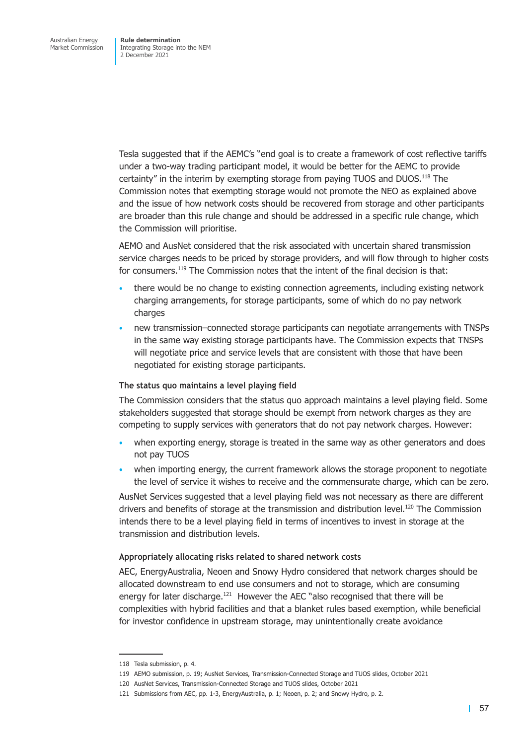Tesla suggested that if the AEMC's "end goal is to create a framework of cost reflective tariffs under a two-way trading participant model, it would be better for the AEMC to provide certainty" in the interim by exempting storage from paying TUOS and DUOS.118 The Commission notes that exempting storage would not promote the NEO as explained above and the issue of how network costs should be recovered from storage and other participants are broader than this rule change and should be addressed in a specific rule change, which the Commission will prioritise.

AEMO and AusNet considered that the risk associated with uncertain shared transmission service charges needs to be priced by storage providers, and will flow through to higher costs for consumers.<sup>119</sup> The Commission notes that the intent of the final decision is that:

- there would be no change to existing connection agreements, including existing network charging arrangements, for storage participants, some of which do no pay network charges
- new transmission–connected storage participants can negotiate arrangements with TNSPs in the same way existing storage participants have. The Commission expects that TNSPs will negotiate price and service levels that are consistent with those that have been negotiated for existing storage participants.

### **The status quo maintains a level playing field**

The Commission considers that the status quo approach maintains a level playing field. Some stakeholders suggested that storage should be exempt from network charges as they are competing to supply services with generators that do not pay network charges. However:

- when exporting energy, storage is treated in the same way as other generators and does not pay TUOS
- when importing energy, the current framework allows the storage proponent to negotiate the level of service it wishes to receive and the commensurate charge, which can be zero.

AusNet Services suggested that a level playing field was not necessary as there are different drivers and benefits of storage at the transmission and distribution level.<sup>120</sup> The Commission intends there to be a level playing field in terms of incentives to invest in storage at the transmission and distribution levels.

### **Appropriately allocating risks related to shared network costs**

AEC, EnergyAustralia, Neoen and Snowy Hydro considered that network charges should be allocated downstream to end use consumers and not to storage, which are consuming energy for later discharge.<sup>121</sup> However the AEC "also recognised that there will be complexities with hybrid facilities and that a blanket rules based exemption, while beneficial for investor confidence in upstream storage, may unintentionally create avoidance

<sup>118</sup> Tesla submission, p. 4.

<sup>119</sup> AEMO submission, p. 19; AusNet Services, Transmission-Connected Storage and TUOS slides, October 2021

<sup>120</sup> AusNet Services, Transmission-Connected Storage and TUOS slides, October 2021

<sup>121</sup> Submissions from AEC, pp. 1-3, EnergyAustralia, p. 1; Neoen, p. 2; and Snowy Hydro, p. 2.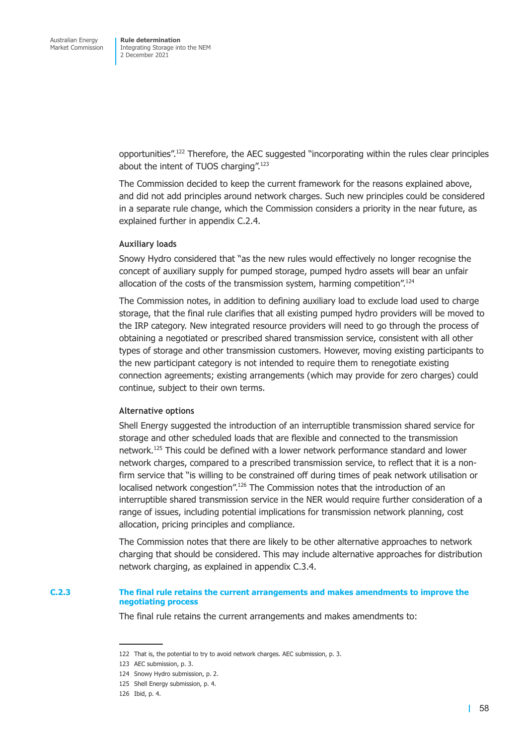opportunities".122 Therefore, the AEC suggested "incorporating within the rules clear principles about the intent of TUOS charging".<sup>123</sup>

The Commission decided to keep the current framework for the reasons explained above, and did not add principles around network charges. Such new principles could be considered in a separate rule change, which the Commission considers a priority in the near future, as explained further in appendix C.2.4.

### **Auxiliary loads**

Snowy Hydro consi[dered that "as th](#page-78-0)e new rules would effectively no longer recognise the concept of auxiliary supply for pumped storage, pumped hydro assets will bear an unfair allocation of the costs of the transmission system, harming competition".<sup>124</sup>

The Commission notes, in addition to defining auxiliary load to exclude load used to charge storage, that the final rule clarifies that all existing pumped hydro providers will be moved to the IRP category. New integrated resource providers will need to go through the process of obtaining a negotiated or prescribed shared transmission service, consistent with all other types of storage and other transmission customers. However, moving existing participants to the new participant category is not intended to require them to renegotiate existing connection agreements; existing arrangements (which may provide for zero charges) could continue, subject to their own terms.

#### **Alternative options**

Shell Energy suggested the introduction of an interruptible transmission shared service for storage and other scheduled loads that are flexible and connected to the transmission network.125 This could be defined with a lower network performance standard and lower network charges, compared to a prescribed transmission service, to reflect that it is a nonfirm service that "is willing to be constrained off during times of peak network utilisation or localised network congestion".<sup>126</sup> The Commission notes that the introduction of an interruptible shared transmission service in the NER would require further consideration of a range of issues, including potential implications for transmission network planning, cost allocation, pricing principles and compliance.

The Commission notes that there are likely to be other alternative approaches to network charging that should be considered. This may include alternative approaches for distribution network charging, as explained in appendix C.3.4.

#### **C.2.3 The final rule retains the current arrangements and makes amendments to improve the negotiating process**

The final rule retains the current [arrangements an](#page-81-0)d makes amendments to:

<sup>122</sup> That is, the potential to try to avoid network charges. AEC submission, p. 3.

<sup>123</sup> AEC submission, p. 3.

<sup>124</sup> Snowy Hydro submission, p. 2.

<sup>125</sup> Shell Energy submission, p. 4.

<sup>126</sup> Ibid, p. 4.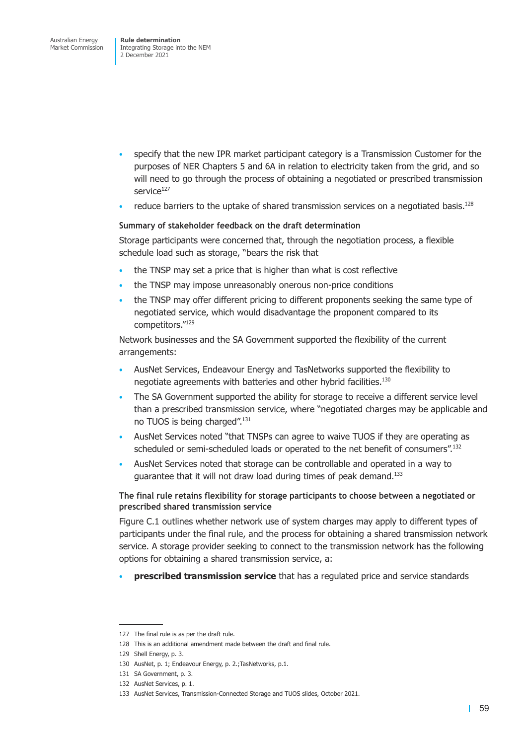- specify that the new IPR market participant category is a Transmission Customer for the purposes of NER Chapters 5 and 6A in relation to electricity taken from the grid, and so will need to go through the process of obtaining a negotiated or prescribed transmission service<sup>127</sup>
- reduce barriers to the uptake of shared transmission services on a negotiated basis.<sup>128</sup>

### **Summary of stakeholder feedback on the draft determination**

Storage participants were concerned that, through the negotiation process, a flexible schedule load such as storage, "bears the risk that

- the TNSP may set a price that is higher than what is cost reflective
- the TNSP may impose unreasonably onerous non-price conditions
- the TNSP may offer different pricing to different proponents seeking the same type of negotiated service, which would disadvantage the proponent compared to its competitors."129

Network businesses and the SA Government supported the flexibility of the current arrangements:

- AusNet Services, Endeavour Energy and TasNetworks supported the flexibility to negotiate agreements with batteries and other hybrid facilities.<sup>130</sup>
- The SA Government supported the ability for storage to receive a different service level than a prescribed transmission service, where "negotiated charges may be applicable and no TUOS is being charged".<sup>131</sup>
- AusNet Services noted "that TNSPs can agree to waive TUOS if they are operating as scheduled or semi-scheduled loads or operated to the net benefit of consumers".132
- AusNet Services noted that storage can be controllable and operated in a way to guarantee that it will not draw load during times of peak demand.<sup>133</sup>

### **The final rule retains flexibility for storage participants to choose between a negotiated or prescribed shared transmission service**

Figure C.1 outlines whether network use of system charges may apply to different types of participants under the final rule, and the process for obtaining a shared transmission network service. A storage provider seeking to connect to the transmission network has the following [options for](#page-76-0) obtaining a shared transmission service, a:

• **prescribed transmission service** that has a regulated price and service standards

<sup>127</sup> The final rule is as per the draft rule.

<sup>128</sup> This is an additional amendment made between the draft and final rule.

<sup>129</sup> Shell Energy, p. 3.

<sup>130</sup> AusNet, p. 1; Endeavour Energy, p. 2.;TasNetworks, p.1.

<sup>131</sup> SA Government, p. 3.

<sup>132</sup> AusNet Services, p. 1.

<sup>133</sup> AusNet Services, Transmission-Connected Storage and TUOS slides, October 2021.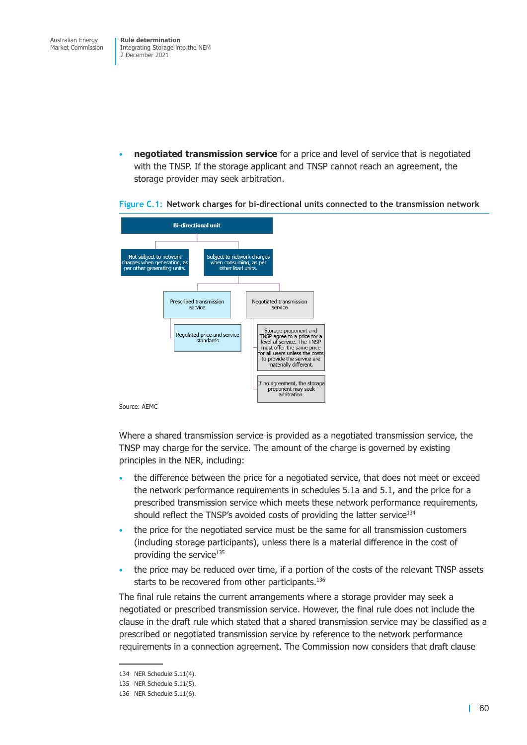• **negotiated transmission service** for a price and level of service that is negotiated with the TNSP. If the storage applicant and TNSP cannot reach an agreement, the storage provider may seek arbitration.



### <span id="page-76-0"></span>**Figure C.1: Network charges for bi-directional units connected to the transmission network**

Where a shared transmission service is provided as a negotiated transmission service, the TNSP may charge for the service. The amount of the charge is governed by existing principles in the NER, including:

- the difference between the price for a negotiated service, that does not meet or exceed the network performance requirements in schedules 5.1a and 5.1, and the price for a prescribed transmission service which meets these network performance requirements, should reflect the TNSP's avoided costs of providing the latter service<sup>134</sup>
- the price for the negotiated service must be the same for all transmission customers (including storage participants), unless there is a material difference in the cost of providing the service<sup>135</sup>
- the price may be reduced over time, if a portion of the costs of the relevant TNSP assets starts to be recovered from other participants.<sup>136</sup>

The final rule retains the current arrangements where a storage provider may seek a negotiated or prescribed transmission service. However, the final rule does not include the clause in the draft rule which stated that a shared transmission service may be classified as a prescribed or negotiated transmission service by reference to the network performance requirements in a connection agreement. The Commission now considers that draft clause

<sup>134</sup> NER Schedule 5.11(4).

<sup>135</sup> NER Schedule 5.11(5).

<sup>136</sup> NER Schedule 5.11(6).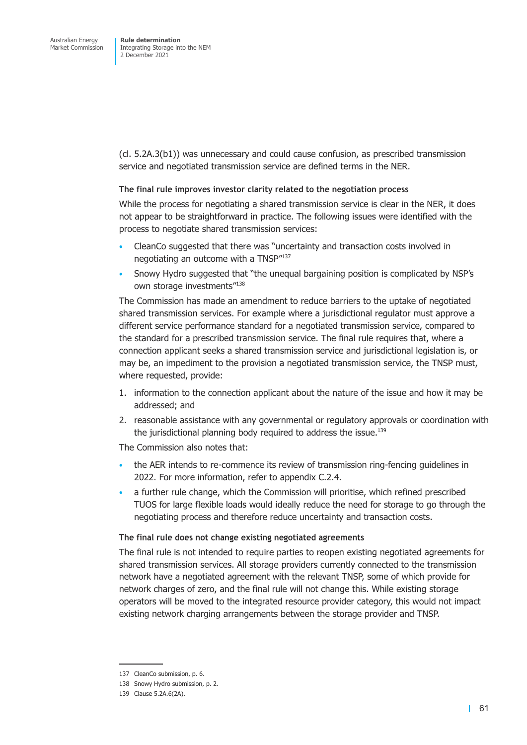(cl. 5.2A.3(b1)) was unnecessary and could cause confusion, as prescribed transmission service and negotiated transmission service are defined terms in the NER.

### **The final rule improves investor clarity related to the negotiation process**

While the process for negotiating a shared transmission service is clear in the NER, it does not appear to be straightforward in practice. The following issues were identified with the process to negotiate shared transmission services:

- CleanCo suggested that there was "uncertainty and transaction costs involved in negotiating an outcome with a TNSP"137
- Snowy Hydro suggested that "the unequal bargaining position is complicated by NSP's own storage investments"<sup>138</sup>

The Commission has made an amendment to reduce barriers to the uptake of negotiated shared transmission services. For example where a jurisdictional regulator must approve a different service performance standard for a negotiated transmission service, compared to the standard for a prescribed transmission service. The final rule requires that, where a connection applicant seeks a shared transmission service and jurisdictional legislation is, or may be, an impediment to the provision a negotiated transmission service, the TNSP must, where requested, provide:

- 1. information to the connection applicant about the nature of the issue and how it may be addressed; and
- 2. reasonable assistance with any governmental or regulatory approvals or coordination with the jurisdictional planning body required to address the issue.<sup>139</sup>

The Commission also notes that:

- the AER intends to re-commence its review of transmission ring-fencing guidelines in 2022. For more information, refer to appendix C.2.4.
- a further rule change, which the Commission will prioritise, which refined prescribed TUOS for large flexible loads would ideally reduce the need for storage to go through the negotiating process and therefore re[duce uncertainty](#page-78-0) and transaction costs.

### **The final rule does not change existing negotiated agreements**

The final rule is not intended to require parties to reopen existing negotiated agreements for shared transmission services. All storage providers currently connected to the transmission network have a negotiated agreement with the relevant TNSP, some of which provide for network charges of zero, and the final rule will not change this. While existing storage operators will be moved to the integrated resource provider category, this would not impact existing network charging arrangements between the storage provider and TNSP.

<sup>137</sup> CleanCo submission, p. 6.

<sup>138</sup> Snowy Hydro submission, p. 2.

<sup>139</sup> Clause 5.2A.6(2A).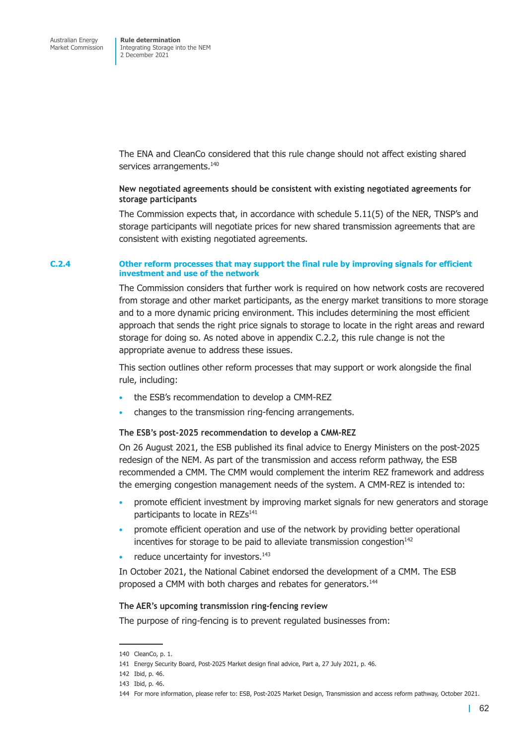Integrating Storage into the NEM 2 December 2021

The ENA and CleanCo considered that this rule change should not affect existing shared services arrangements.<sup>140</sup>

### **New negotiated agreements should be consistent with existing negotiated agreements for storage participants**

The Commission expects that, in accordance with schedule 5.11(5) of the NER, TNSP's and storage participants will negotiate prices for new shared transmission agreements that are consistent with existing negotiated agreements.

#### **C.2.4 Other reform processes that may support the final rule by improving signals for efficient investment and use of the network**

<span id="page-78-0"></span>The Commission considers that further work is required on how network costs are recovered from storage and other market participants, as the energy market transitions to more storage and to a more dynamic pricing environment. This includes determining the most efficient approach that sends the right price signals to storage to locate in the right areas and reward storage for doing so. As noted above in appendix C.2.2, this rule change is not the appropriate avenue to address these issues.

This section outlines other reform processes that may support or work alongside the final rule, including:

- the ESB's recommendation to develop a CMM-REZ
- changes to the transmission ring-fencing arrangements.

### **The ESB's post-2025 recommendation to develop a CMM-REZ**

On 26 August 2021, the ESB published its final advice to Energy Ministers on the post-2025 redesign of the NEM. As part of the transmission and access reform pathway, the ESB recommended a CMM. The CMM would complement the interim REZ framework and address the emerging congestion management needs of the system. A CMM-REZ is intended to:

- promote efficient investment by improving market signals for new generators and storage participants to locate in REZs<sup>141</sup>
- promote efficient operation and use of the network by providing better operational incentives for storage to be paid to alleviate transmission congestion $142$
- reduce uncertainty for investors.<sup>143</sup>

In October 2021, the National Cabinet endorsed the development of a CMM. The ESB proposed a CMM with both charges and rebates for generators.<sup>144</sup>

#### **The AER's upcoming transmission ring-fencing review**

The purpose of ring-fencing is to prevent regulated businesses from:

<sup>140</sup> CleanCo, p. 1.

<sup>141</sup> Energy Security Board, Post-2025 Market design final advice, Part a, 27 July 2021, p. 46.

<sup>142</sup> Ibid, p. 46.

<sup>143</sup> Ibid, p. 46.

<sup>144</sup> For more information, please refer to: ESB, Post-2025 Market Design, Transmission and access reform pathway, October 2021.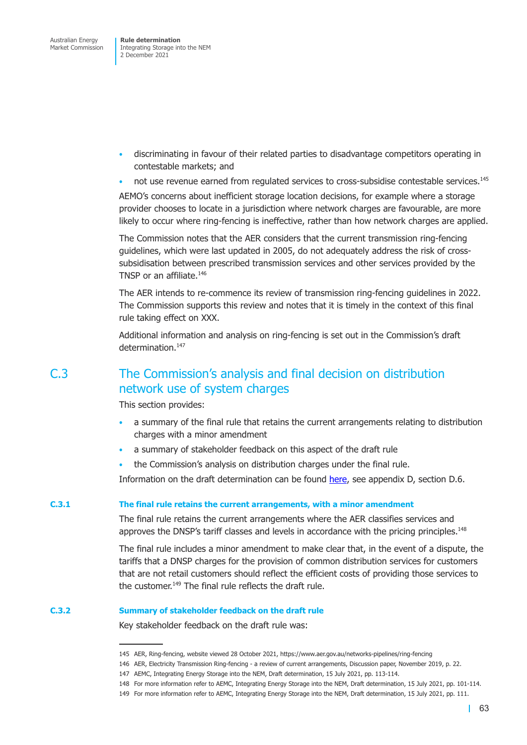- discriminating in favour of their related parties to disadvantage competitors operating in contestable markets; and
- not use revenue earned from regulated services to cross-subsidise contestable services.<sup>145</sup>

AEMO's concerns about inefficient storage location decisions, for example where a storage provider chooses to locate in a jurisdiction where network charges are favourable, are more likely to occur where ring-fencing is ineffective, rather than how network charges are applied.

The Commission notes that the AER considers that the current transmission ring-fencing guidelines, which were last updated in 2005, do not adequately address the risk of crosssubsidisation between prescribed transmission services and other services provided by the TNSP or an affiliate.<sup>146</sup>

The AER intends to re-commence its review of transmission ring-fencing guidelines in 2022. The Commission supports this review and notes that it is timely in the context of this final rule taking effect on XXX.

Additional information and analysis on ring-fencing is set out in the Commission's draft determination.<sup>147</sup>

## C.3 The Commission's analysis and final decision on distribution network use of system charges

This section provides:

- a summary of the final rule that retains the current arrangements relating to distribution charges with a minor amendment
- a summary of stakeholder feedback on this aspect of the draft rule
- the Commission's analysis on distribution charges under the final rule.

Information on the draft determination can be found here, see appendix D, section D.6.

#### **C.3.1 The final rule retains the current arrangements, with a minor amendment**

The final rule retains the current arrangements wher[e the](https://here) AER classifies services and approves the DNSP's tariff classes and levels in accordance with the pricing principles.<sup>148</sup>

The final rule includes a minor amendment to make clear that, in the event of a dispute, the tariffs that a DNSP charges for the provision of common distribution services for customers that are not retail customers should reflect the efficient costs of providing those services to the customer.<sup>149</sup> The final rule reflects the draft rule.

### **C.3.2 Summary of stakeholder feedback on the draft rule**

Key stakeholder feedback on the draft rule was:

<sup>145</sup> AER, Ring-fencing, website viewed 28 October 2021, https://www.aer.gov.au/networks-pipelines/ring-fencing

<sup>146</sup> AER, Electricity Transmission Ring-fencing - a review of current arrangements, Discussion paper, November 2019, p. 22.

<sup>147</sup> AEMC, Integrating Energy Storage into the NEM, Draft determination, 15 July 2021, pp. 113-114.

<sup>148</sup> For more information refer to AEMC, Integrating Energy Storage into the NEM, Draft determination, 15 July 2021, pp. 101-114.

<sup>149</sup> For more information refer to AEMC, Integrating Energy Storage into the NEM, Draft determination, 15 July 2021, pp. 111.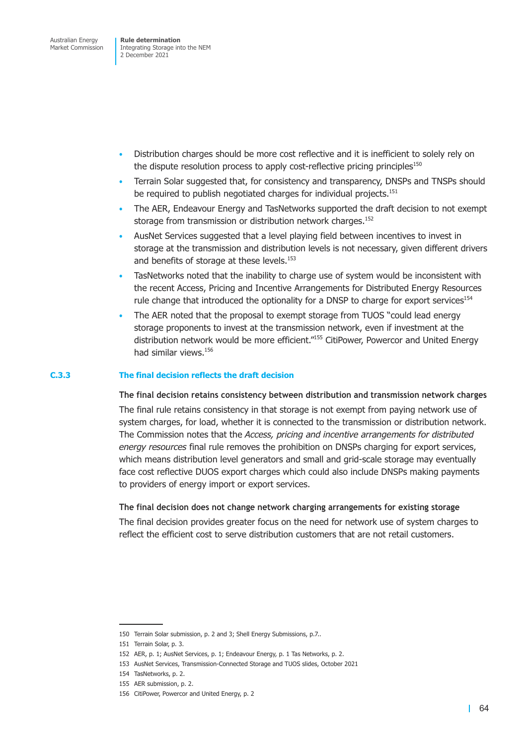- Distribution charges should be more cost reflective and it is inefficient to solely rely on the dispute resolution process to apply cost-reflective pricing principles<sup>150</sup>
- Terrain Solar suggested that, for consistency and transparency, DNSPs and TNSPs should be required to publish negotiated charges for individual projects.<sup>151</sup>
- The AER, Endeavour Energy and TasNetworks supported the draft decision to not exempt storage from transmission or distribution network charges.<sup>152</sup>
- AusNet Services suggested that a level playing field between incentives to invest in storage at the transmission and distribution levels is not necessary, given different drivers and benefits of storage at these levels.<sup>153</sup>
- TasNetworks noted that the inability to charge use of system would be inconsistent with the recent Access, Pricing and Incentive Arrangements for Distributed Energy Resources rule change that introduced the optionality for a DNSP to charge for export services<sup>154</sup>
- The AER noted that the proposal to exempt storage from TUOS "could lead energy storage proponents to invest at the transmission network, even if investment at the distribution network would be more efficient."155 CitiPower, Powercor and United Energy had similar views.156

### **C.3.3 The final decision reflects the draft decision**

### **The final decision retains consistency between distribution and transmission network charges**

The final rule retains consistency in that storage is not exempt from paying network use of system charges, for load, whether it is connected to the transmission or distribution network. The Commission notes that the *Access, pricing and incentive arrangements for distributed energy resources* final rule removes the prohibition on DNSPs charging for export services, which means distribution level generators and small and grid-scale storage may eventually face cost reflective DUOS export charges which could also include DNSPs making payments to providers of energy import or export services.

### **The final decision does not change network charging arrangements for existing storage**

The final decision provides greater focus on the need for network use of system charges to reflect the efficient cost to serve distribution customers that are not retail customers.

<sup>150</sup> Terrain Solar submission, p. 2 and 3; Shell Energy Submissions, p.7..

<sup>151</sup> Terrain Solar, p. 3.

<sup>152</sup> AER, p. 1; AusNet Services, p. 1; Endeavour Energy, p. 1 Tas Networks, p. 2.

<sup>153</sup> AusNet Services, Transmission-Connected Storage and TUOS slides, October 2021

<sup>154</sup> TasNetworks, p. 2.

<sup>155</sup> AER submission, p. 2.

<sup>156</sup> CitiPower, Powercor and United Energy, p. 2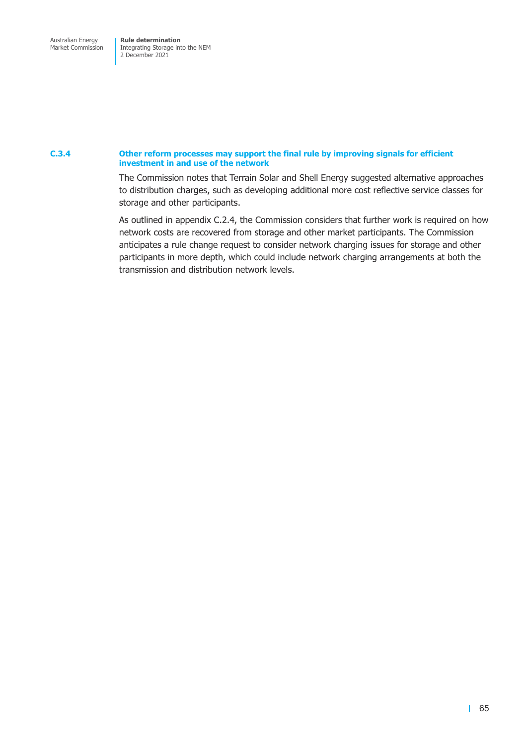Market Commission

Integrating Storage into the NEM 2 December 2021

### **C.3.4 Other reform processes may support the final rule by improving signals for efficient investment in and use of the network**

The Commission notes that Terrain Solar and Shell Energy suggested alternative approaches to distribution charges, such as developing additional more cost reflective service classes for storage and other participants.

<span id="page-81-0"></span>As outlined in appendix C.2.4, the Commission considers that further work is required on how network costs are recovered from storage and other market participants. The Commission anticipates a rule change request to consider network charging issues for storage and other participants i[n more depth, wh](#page-78-0)ich could include network charging arrangements at both the transmission and distribution network levels.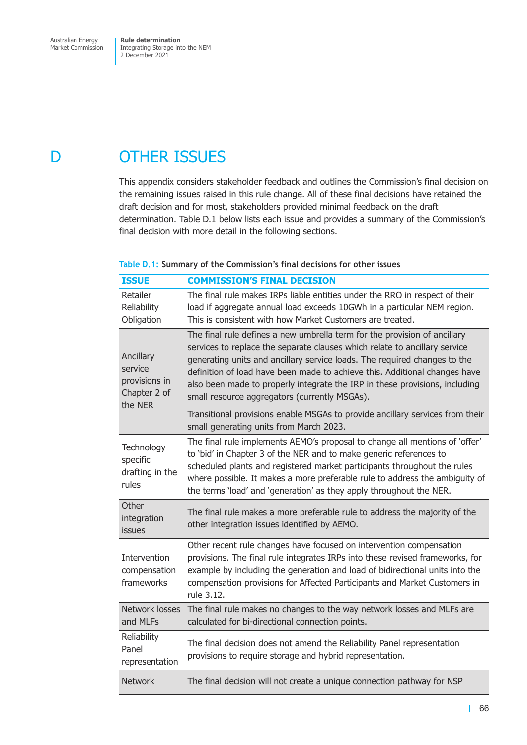Market Commission

Integrating Storage into the NEM 2 December 2021

# D OTHER ISSUES

This appendix considers stakeholder feedback and outlines the Commission's final decision on the remaining issues raised in this rule change. All of these final decisions have retained the draft decision and for most, stakeholders provided minimal feedback on the draft determination. Table D.1 below lists each issue and provides a summary of the Commission's final decision with more detail in the following sections.

### **Table D.1: Sum[mary of th](#page-82-0)e Commission's final decisions for other issues**

<span id="page-82-0"></span>

| <b>ISSUE</b>                                                     | <b>COMMISSION'S FINAL DECISION</b>                                                                                                                                                                                                                                                                                                                                                                                                                 |
|------------------------------------------------------------------|----------------------------------------------------------------------------------------------------------------------------------------------------------------------------------------------------------------------------------------------------------------------------------------------------------------------------------------------------------------------------------------------------------------------------------------------------|
| Retailer<br>Reliability<br>Obligation                            | The final rule makes IRPs liable entities under the RRO in respect of their<br>load if aggregate annual load exceeds 10GWh in a particular NEM region.<br>This is consistent with how Market Customers are treated.                                                                                                                                                                                                                                |
| Ancillary<br>service<br>provisions in<br>Chapter 2 of<br>the NER | The final rule defines a new umbrella term for the provision of ancillary<br>services to replace the separate clauses which relate to ancillary service<br>generating units and ancillary service loads. The required changes to the<br>definition of load have been made to achieve this. Additional changes have<br>also been made to properly integrate the IRP in these provisions, including<br>small resource aggregators (currently MSGAs). |
|                                                                  | Transitional provisions enable MSGAs to provide ancillary services from their<br>small generating units from March 2023.                                                                                                                                                                                                                                                                                                                           |
| Technology<br>specific<br>drafting in the<br>rules               | The final rule implements AEMO's proposal to change all mentions of 'offer'<br>to 'bid' in Chapter 3 of the NER and to make generic references to<br>scheduled plants and registered market participants throughout the rules<br>where possible. It makes a more preferable rule to address the ambiguity of<br>the terms 'load' and 'generation' as they apply throughout the NER.                                                                |
| Other<br>integration<br>issues                                   | The final rule makes a more preferable rule to address the majority of the<br>other integration issues identified by AEMO.                                                                                                                                                                                                                                                                                                                         |
| <b>Intervention</b><br>compensation<br>frameworks                | Other recent rule changes have focused on intervention compensation<br>provisions. The final rule integrates IRPs into these revised frameworks, for<br>example by including the generation and load of bidirectional units into the<br>compensation provisions for Affected Participants and Market Customers in<br>rule 3.12.                                                                                                                    |
| Network losses<br>and MLFs                                       | The final rule makes no changes to the way network losses and MLFs are<br>calculated for bi-directional connection points.                                                                                                                                                                                                                                                                                                                         |
| Reliability<br>Panel<br>representation                           | The final decision does not amend the Reliability Panel representation<br>provisions to require storage and hybrid representation.                                                                                                                                                                                                                                                                                                                 |
| <b>Network</b>                                                   | The final decision will not create a unique connection pathway for NSP                                                                                                                                                                                                                                                                                                                                                                             |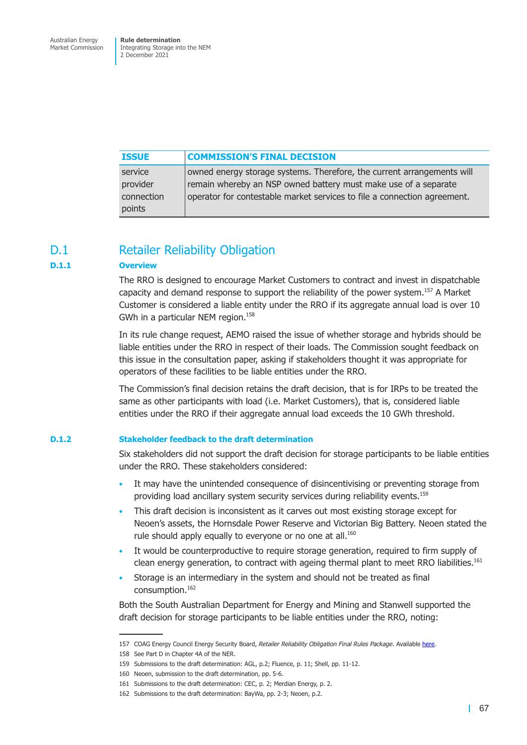Integrating Storage into the NEM 2 December 2021

| <b>ISSUE</b> | <b>COMMISSION'S FINAL DECISION</b>                                       |
|--------------|--------------------------------------------------------------------------|
| service      | owned energy storage systems. Therefore, the current arrangements will   |
| provider     | remain whereby an NSP owned battery must make use of a separate          |
| connection   | operator for contestable market services to file a connection agreement. |
| points       |                                                                          |

### D.1 Retailer Reliability Obligation

### **D.1.1 Overview**

The RRO is designed to encourage Market Customers to contract and invest in dispatchable capacity and demand response to support the reliability of the power system.<sup>157</sup> A Market Customer is considered a liable entity under the RRO if its aggregate annual load is over 10 GWh in a particular NEM region.<sup>158</sup>

In its rule change request, AEMO raised the issue of whether storage and hybrids should be liable entities under the RRO in respect of their loads. The Commission sought feedback on this issue in the consultation paper, asking if stakeholders thought it was appropriate for operators of these facilities to be liable entities under the RRO.

The Commission's final decision retains the draft decision, that is for IRPs to be treated the same as other participants with load (i.e. Market Customers), that is, considered liable entities under the RRO if their aggregate annual load exceeds the 10 GWh threshold.

#### **D.1.2 Stakeholder feedback to the draft determination**

Six stakeholders did not support the draft decision for storage participants to be liable entities under the RRO. These stakeholders considered:

- It may have the unintended consequence of disincentivising or preventing storage from providing load ancillary system security services during reliability events.<sup>159</sup>
- This draft decision is inconsistent as it carves out most existing storage except for Neoen's assets, the Hornsdale Power Reserve and Victorian Big Battery. Neoen stated the rule should apply equally to everyone or no one at all.<sup>160</sup>
- It would be counterproductive to require storage generation, required to firm supply of clean energy generation, to contract with ageing thermal plant to meet RRO liabilities.<sup>161</sup>
- Storage is an intermediary in the system and should not be treated as final consumption.162

Both the South Australian Department for Energy and Mining and Stanwell supported the draft decision for storage participants to be liable entities under the RRO, noting:

<sup>157</sup> COAG Energy Council Energy Security Board, *Retailer Reliability Obligation Final Rules Package*. Available here.

<sup>158</sup> See Part D in Chapter 4A of the NER.

<sup>159</sup> Submissions to the draft determination: AGL, p.2; Fluence, p. 11; Shell, pp. 11-12.

<sup>160</sup> Neoen, submission to the draft determination, pp. 5-6.

<sup>161</sup> Submissions to the draft determination: CEC, p. 2; Merdian Energy, p. 2.

<sup>162</sup> Submissions to the draft determination: BayWa, pp. 2-3; Neoen, p.2.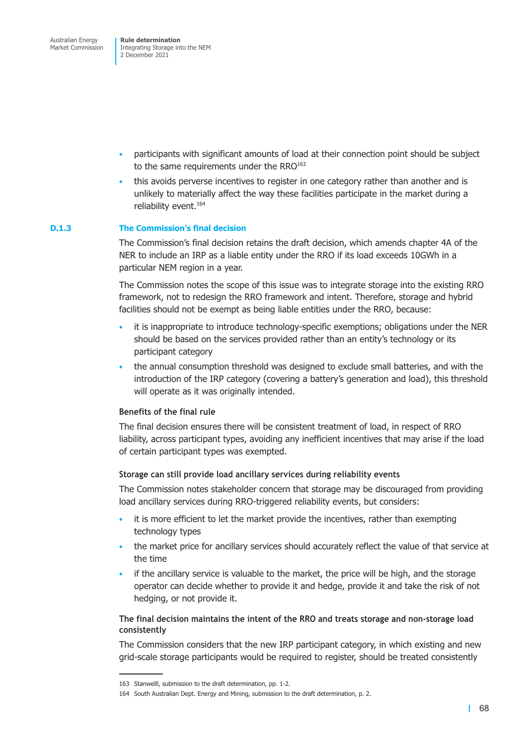- participants with significant amounts of load at their connection point should be subject to the same requirements under the RRO<sup>163</sup>
- this avoids perverse incentives to register in one category rather than another and is unlikely to materially affect the way these facilities participate in the market during a reliability event.<sup>164</sup>

### **D.1.3 The Commission's final decision**

The Commission's final decision retains the draft decision, which amends chapter 4A of the NER to include an IRP as a liable entity under the RRO if its load exceeds 10GWh in a particular NEM region in a year.

The Commission notes the scope of this issue was to integrate storage into the existing RRO framework, not to redesign the RRO framework and intent. Therefore, storage and hybrid facilities should not be exempt as being liable entities under the RRO, because:

- it is inappropriate to introduce technology-specific exemptions; obligations under the NER should be based on the services provided rather than an entity's technology or its participant category
- the annual consumption threshold was designed to exclude small batteries, and with the introduction of the IRP category (covering a battery's generation and load), this threshold will operate as it was originally intended.

### **Benefits of the final rule**

The final decision ensures there will be consistent treatment of load, in respect of RRO liability, across participant types, avoiding any inefficient incentives that may arise if the load of certain participant types was exempted.

### **Storage can still provide load ancillary services during reliability events**

The Commission notes stakeholder concern that storage may be discouraged from providing load ancillary services during RRO-triggered reliability events, but considers:

- it is more efficient to let the market provide the incentives, rather than exempting technology types
- the market price for ancillary services should accurately reflect the value of that service at the time
- if the ancillary service is valuable to the market, the price will be high, and the storage operator can decide whether to provide it and hedge, provide it and take the risk of not hedging, or not provide it.

### **The final decision maintains the intent of the RRO and treats storage and non-storage load consistently**

The Commission considers that the new IRP participant category, in which existing and new grid-scale storage participants would be required to register, should be treated consistently

<sup>163</sup> Stanwelll, submission to the draft determination, pp. 1-2.

<sup>164</sup> South Australian Dept. Energy and Mining, submission to the draft determination, p. 2.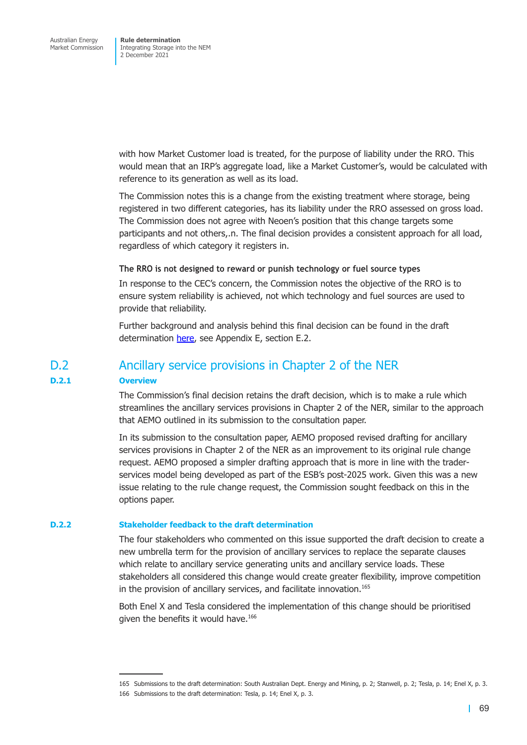with how Market Customer load is treated, for the purpose of liability under the RRO. This would mean that an IRP's aggregate load, like a Market Customer's, would be calculated with reference to its generation as well as its load.

The Commission notes this is a change from the existing treatment where storage, being registered in two different categories, has its liability under the RRO assessed on gross load. The Commission does not agree with Neoen's position that this change targets some participants and not others,.n. The final decision provides a consistent approach for all load, regardless of which category it registers in.

### **The RRO is not designed to reward or punish technology or fuel source types**

In response to the CEC's concern, the Commission notes the objective of the RRO is to ensure system reliability is achieved, not which technology and fuel sources are used to provide that reliability.

Further background and analysis behind this final decision can be found in the draft determination here, see Appendix E, section E.2.

### D.2 Ancillary service provisions in Chapter 2 of the NER

### **D.2.1 Overview**

The Commission's final decision retains the draft decision, which is to make a rule which streamlines the ancillary services provisions in Chapter 2 of the NER, similar to the approach that AEMO outlined in its submission to the consultation paper.

In its submission to the consultation paper, AEMO proposed revised drafting for ancillary services provisions in Chapter 2 of the NER as an improvement to its original rule change request. AEMO proposed a simpler drafting approach that is more in line with the traderservices model being developed as part of the ESB's post-2025 work. Given this was a new issue relating to the rule change request, the Commission sought feedback on this in the options paper.

#### **D.2.2 Stakeholder feedback to the draft determination**

The four stakeholders who commented on this issue supported the draft decision to create a new umbrella term for the provision of ancillary services to replace the separate clauses which relate to ancillary service generating units and ancillary service loads. These stakeholders all considered this change would create greater flexibility, improve competition in the provision of ancillary services, and facilitate innovation.<sup>165</sup>

Both Enel X and Tesla considered the implementation of this change should be prioritised given the benefits it would have.<sup>166</sup>

<sup>165</sup> Submissions to the draft determination: South Australian Dept. Energy and Mining, p. 2; Stanwell, p. 2; Tesla, p. 14; Enel X, p. 3.

<sup>166</sup> Submissions to the draft determination: Tesla, p. 14; Enel X, p. 3.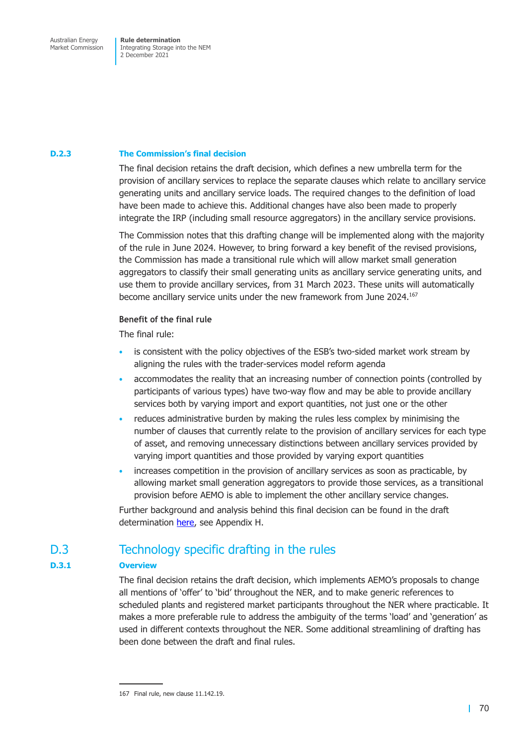Market Commission

Integrating Storage into the NEM 2 December 2021

### **D.2.3 The Commission's final decision**

The final decision retains the draft decision, which defines a new umbrella term for the provision of ancillary services to replace the separate clauses which relate to ancillary service generating units and ancillary service loads. The required changes to the definition of load have been made to achieve this. Additional changes have also been made to properly integrate the IRP (including small resource aggregators) in the ancillary service provisions.

The Commission notes that this drafting change will be implemented along with the majority of the rule in June 2024. However, to bring forward a key benefit of the revised provisions, the Commission has made a transitional rule which will allow market small generation aggregators to classify their small generating units as ancillary service generating units, and use them to provide ancillary services, from 31 March 2023. These units will automatically become ancillary service units under the new framework from June 2024.167

### **Benefit of the final rule**

The final rule:

- is consistent with the policy objectives of the ESB's two-sided market work stream by aligning the rules with the trader-services model reform agenda
- accommodates the reality that an increasing number of connection points (controlled by participants of various types) have two-way flow and may be able to provide ancillary services both by varying import and export quantities, not just one or the other
- reduces administrative burden by making the rules less complex by minimising the number of clauses that currently relate to the provision of ancillary services for each type of asset, and removing unnecessary distinctions between ancillary services provided by varying import quantities and those provided by varying export quantities
- increases competition in the provision of ancillary services as soon as practicable, by allowing market small generation aggregators to provide those services, as a transitional provision before AEMO is able to implement the other ancillary service changes.

Further background and analysis behind this final decision can be found in the draft determination here, see Appendix H.

### D.3 Technology specific drafting in the rules

### **D.3.1 Overview**

The final decision retains the draft decision, which implements AEMO's proposals to change all mentions of 'offer' to 'bid' throughout the NER, and to make generic references to scheduled plants and registered market participants throughout the NER where practicable. It makes a more preferable rule to address the ambiguity of the terms 'load' and 'generation' as used in different contexts throughout the NER. Some additional streamlining of drafting has been done between the draft and final rules.

<sup>167</sup> Final rule, new clause 11.142.19.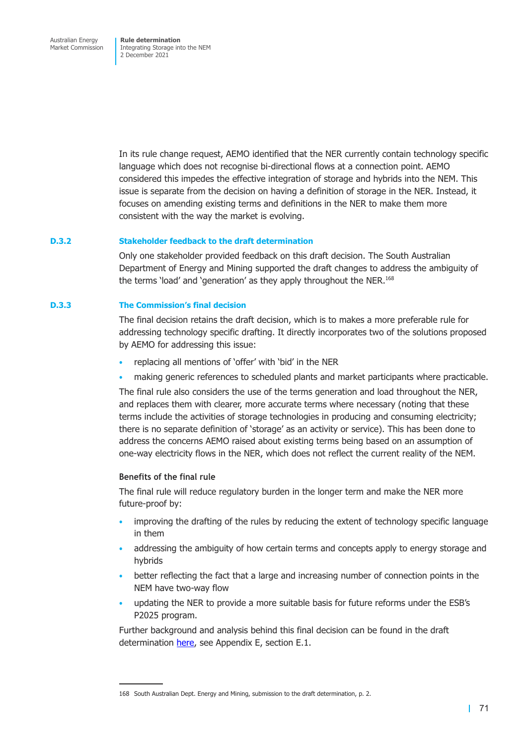Integrating Storage into the NEM 2 December 2021

In its rule change request, AEMO identified that the NER currently contain technology specific language which does not recognise bi-directional flows at a connection point. AEMO considered this impedes the effective integration of storage and hybrids into the NEM. This issue is separate from the decision on having a definition of storage in the NER. Instead, it focuses on amending existing terms and definitions in the NER to make them more consistent with the way the market is evolving.

### **D.3.2 Stakeholder feedback to the draft determination**

Only one stakeholder provided feedback on this draft decision. The South Australian Department of Energy and Mining supported the draft changes to address the ambiguity of the terms 'load' and 'generation' as they apply throughout the NER.<sup>168</sup>

#### **D.3.3 The Commission's final decision**

The final decision retains the draft decision, which is to makes a more preferable rule for addressing technology specific drafting. It directly incorporates two of the solutions proposed by AEMO for addressing this issue:

- replacing all mentions of 'offer' with 'bid' in the NER
- making generic references to scheduled plants and market participants where practicable.

The final rule also considers the use of the terms generation and load throughout the NER, and replaces them with clearer, more accurate terms where necessary (noting that these terms include the activities of storage technologies in producing and consuming electricity; there is no separate definition of 'storage' as an activity or service). This has been done to address the concerns AEMO raised about existing terms being based on an assumption of one-way electricity flows in the NER, which does not reflect the current reality of the NEM.

### **Benefits of the final rule**

The final rule will reduce regulatory burden in the longer term and make the NER more future-proof by:

- improving the drafting of the rules by reducing the extent of technology specific language in them
- addressing the ambiguity of how certain terms and concepts apply to energy storage and hybrids
- better reflecting the fact that a large and increasing number of connection points in the NEM have two-way flow
- updating the NER to provide a more suitable basis for future reforms under the ESB's P2025 program.

Further background and analysis behind this final decision can be found in the draft determination here, see Appendix E, section E.1.

<sup>168</sup> South Australian Dept. Energy and Mining, submission to the draft determination, p. 2.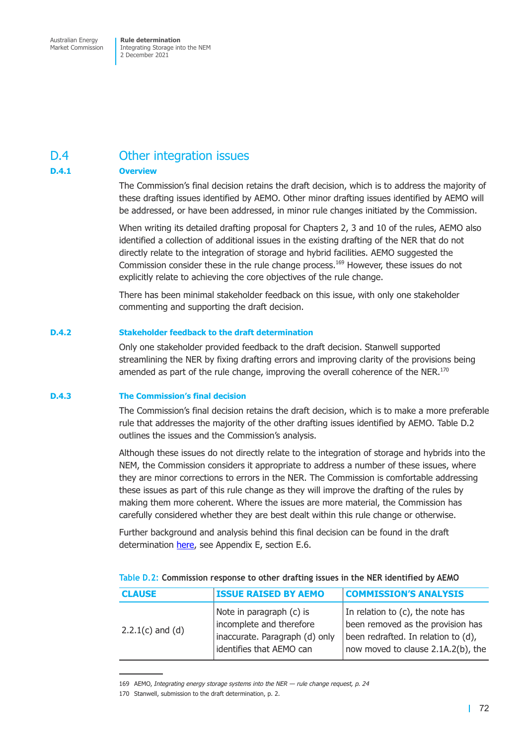Market Commission

Integrating Storage into the NEM 2 December 2021

## D.4 Other integration issues

### **D.4.1 Overview**

The Commission's final decision retains the draft decision, which is to address the majority of these drafting issues identified by AEMO. Other minor drafting issues identified by AEMO will be addressed, or have been addressed, in minor rule changes initiated by the Commission.

When writing its detailed drafting proposal for Chapters 2, 3 and 10 of the rules, AEMO also identified a collection of additional issues in the existing drafting of the NER that do not directly relate to the integration of storage and hybrid facilities. AEMO suggested the Commission consider these in the rule change process.169 However, these issues do not explicitly relate to achieving the core objectives of the rule change.

There has been minimal stakeholder feedback on this issue, with only one stakeholder commenting and supporting the draft decision.

### **D.4.2 Stakeholder feedback to the draft determination**

Only one stakeholder provided feedback to the draft decision. Stanwell supported streamlining the NER by fixing drafting errors and improving clarity of the provisions being amended as part of the rule change, improving the overall coherence of the NER.<sup>170</sup>

#### **D.4.3 The Commission's final decision**

The Commission's final decision retains the draft decision, which is to make a more preferable rule that addresses the majority of the other drafting issues identified by AEMO. Table D.2 outlines the issues and the Commission's analysis.

Although these issues do not directly relate to the integration of storage and hybrids into the NEM, the Commission considers it appropriate to address a number of these iss[ues, where](#page-88-0) they are minor corrections to errors in the NER. The Commission is comfortable addressing these issues as part of this rule change as they will improve the drafting of the rules by making them more coherent. Where the issues are more material, the Commission has carefully considered whether they are best dealt within this rule change or otherwise.

Further background and analysis behind this final decision can be found in the draft determination here, see Appendix E, section E.6.

| <b>CLAUSE</b>        | <b>ISSUE RAISED BY AEMO</b>                                                                                        | <b>COMMISSION'S ANALYSIS</b>                                                                                                                       |  |
|----------------------|--------------------------------------------------------------------------------------------------------------------|----------------------------------------------------------------------------------------------------------------------------------------------------|--|
| $2.2.1(c)$ and $(d)$ | Note in paragraph (c) is<br>incomplete and therefore<br>inaccurate. Paragraph (d) only<br>identifies that AEMO can | In relation to (c), the note has<br>been removed as the provision has<br>been redrafted. In relation to (d),<br>now moved to clause 2.1A.2(b), the |  |

#### <span id="page-88-0"></span>**Table D.2: Commission response to other drafting issues in the NER identified by AEMO**

<sup>169</sup> AEMO, *Integrating energy storage systems into the NER — rule change request, p. 24*

<sup>170</sup> Stanwell, submission to the draft determination, p. 2.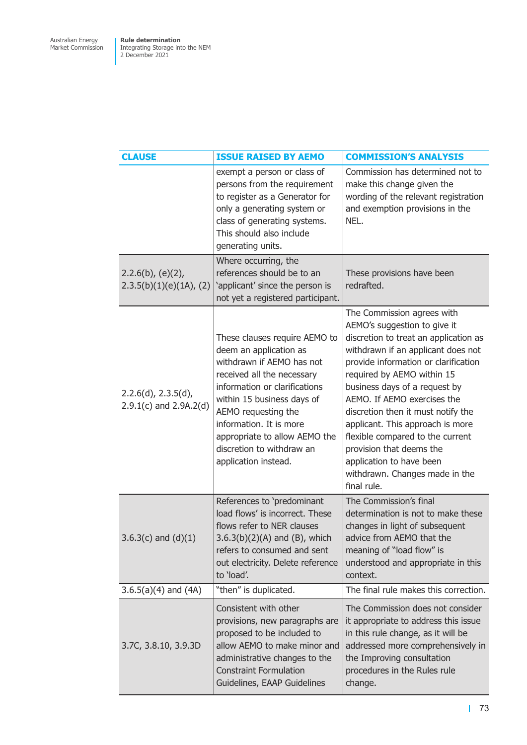| <b>CLAUSE</b>                                     | <b>ISSUE RAISED BY AEMO</b>                                                                                                                                                                                                                                                                                               | <b>COMMISSION'S ANALYSIS</b>                                                                                                                                                                                                                                                                                                                                                                                                                                                                           |
|---------------------------------------------------|---------------------------------------------------------------------------------------------------------------------------------------------------------------------------------------------------------------------------------------------------------------------------------------------------------------------------|--------------------------------------------------------------------------------------------------------------------------------------------------------------------------------------------------------------------------------------------------------------------------------------------------------------------------------------------------------------------------------------------------------------------------------------------------------------------------------------------------------|
|                                                   | exempt a person or class of<br>persons from the requirement<br>to register as a Generator for<br>only a generating system or<br>class of generating systems.<br>This should also include<br>generating units.                                                                                                             | Commission has determined not to<br>make this change given the<br>wording of the relevant registration<br>and exemption provisions in the<br>NEL.                                                                                                                                                                                                                                                                                                                                                      |
| $2.2.6(b)$ , (e)(2),<br>2.3.5(b)(1)(e)(1A), (2)   | Where occurring, the<br>references should be to an<br>'applicant' since the person is<br>not yet a registered participant.                                                                                                                                                                                                | These provisions have been<br>redrafted.                                                                                                                                                                                                                                                                                                                                                                                                                                                               |
| 2.2.6(d), 2.3.5(d),<br>$2.9.1(c)$ and $2.9A.2(d)$ | These clauses require AEMO to<br>deem an application as<br>withdrawn if AEMO has not<br>received all the necessary<br>information or clarifications<br>within 15 business days of<br>AEMO requesting the<br>information. It is more<br>appropriate to allow AEMO the<br>discretion to withdraw an<br>application instead. | The Commission agrees with<br>AEMO's suggestion to give it<br>discretion to treat an application as<br>withdrawn if an applicant does not<br>provide information or clarification<br>required by AEMO within 15<br>business days of a request by<br>AEMO. If AEMO exercises the<br>discretion then it must notify the<br>applicant. This approach is more<br>flexible compared to the current<br>provision that deems the<br>application to have been<br>withdrawn. Changes made in the<br>final rule. |
| $3.6.3(c)$ and $(d)(1)$                           | References to 'predominant<br>load flows' is incorrect. These<br>flows refer to NER clauses<br>$3.6.3(b)(2)(A)$ and (B), which<br>refers to consumed and sent<br>out electricity. Delete reference<br>to 'load'.                                                                                                          | The Commission's final<br>determination is not to make these<br>changes in light of subsequent<br>advice from AEMO that the<br>meaning of "load flow" is<br>understood and appropriate in this<br>context.                                                                                                                                                                                                                                                                                             |
| $3.6.5(a)(4)$ and $(4A)$                          | "then" is duplicated.                                                                                                                                                                                                                                                                                                     | The final rule makes this correction.                                                                                                                                                                                                                                                                                                                                                                                                                                                                  |
| 3.7C, 3.8.10, 3.9.3D                              | Consistent with other<br>provisions, new paragraphs are<br>proposed to be included to<br>allow AEMO to make minor and<br>administrative changes to the<br><b>Constraint Formulation</b><br>Guidelines, EAAP Guidelines                                                                                                    | The Commission does not consider<br>it appropriate to address this issue<br>in this rule change, as it will be<br>addressed more comprehensively in<br>the Improving consultation<br>procedures in the Rules rule<br>change.                                                                                                                                                                                                                                                                           |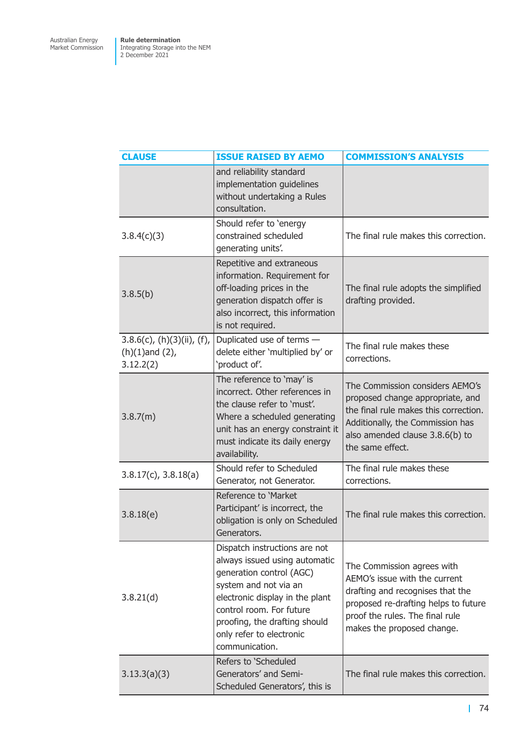| <b>CLAUSE</b>                                                      | <b>ISSUE RAISED BY AEMO</b>                                                                                                                                                                                                                                       | <b>COMMISSION'S ANALYSIS</b>                                                                                                                                                                             |
|--------------------------------------------------------------------|-------------------------------------------------------------------------------------------------------------------------------------------------------------------------------------------------------------------------------------------------------------------|----------------------------------------------------------------------------------------------------------------------------------------------------------------------------------------------------------|
|                                                                    | and reliability standard<br>implementation guidelines<br>without undertaking a Rules<br>consultation.                                                                                                                                                             |                                                                                                                                                                                                          |
| 3.8.4(c)(3)                                                        | Should refer to 'energy<br>constrained scheduled<br>generating units'.                                                                                                                                                                                            | The final rule makes this correction.                                                                                                                                                                    |
| 3.8.5(b)                                                           | Repetitive and extraneous<br>information. Requirement for<br>off-loading prices in the<br>generation dispatch offer is<br>also incorrect, this information<br>is not required.                                                                                    | The final rule adopts the simplified<br>drafting provided.                                                                                                                                               |
| $3.8.6(c)$ , (h)(3)(ii), (f),<br>$(h)(1)$ and $(2)$ ,<br>3.12.2(2) | Duplicated use of terms -<br>delete either 'multiplied by' or<br>'product of'.                                                                                                                                                                                    | The final rule makes these<br>corrections.                                                                                                                                                               |
| 3.8.7(m)                                                           | The reference to 'may' is<br>incorrect. Other references in<br>the clause refer to 'must'.<br>Where a scheduled generating<br>unit has an energy constraint it<br>must indicate its daily energy<br>availability.                                                 | The Commission considers AEMO's<br>proposed change appropriate, and<br>the final rule makes this correction.<br>Additionally, the Commission has<br>also amended clause 3.8.6(b) to<br>the same effect.  |
| $3.8.17(c)$ , $3.8.18(a)$                                          | Should refer to Scheduled<br>Generator, not Generator.                                                                                                                                                                                                            | The final rule makes these<br>corrections.                                                                                                                                                               |
| 3.8.18(e)                                                          | Reference to 'Market<br>Participant' is incorrect, the<br>obligation is only on Scheduled<br>Generators.                                                                                                                                                          | The final rule makes this correction.                                                                                                                                                                    |
| 3.8.21(d)                                                          | Dispatch instructions are not<br>always issued using automatic<br>generation control (AGC)<br>system and not via an<br>electronic display in the plant<br>control room. For future<br>proofing, the drafting should<br>only refer to electronic<br>communication. | The Commission agrees with<br>AEMO's issue with the current<br>drafting and recognises that the<br>proposed re-drafting helps to future<br>proof the rules. The final rule<br>makes the proposed change. |
| 3.13.3(a)(3)                                                       | Refers to 'Scheduled<br>Generators' and Semi-<br>Scheduled Generators', this is                                                                                                                                                                                   | The final rule makes this correction.                                                                                                                                                                    |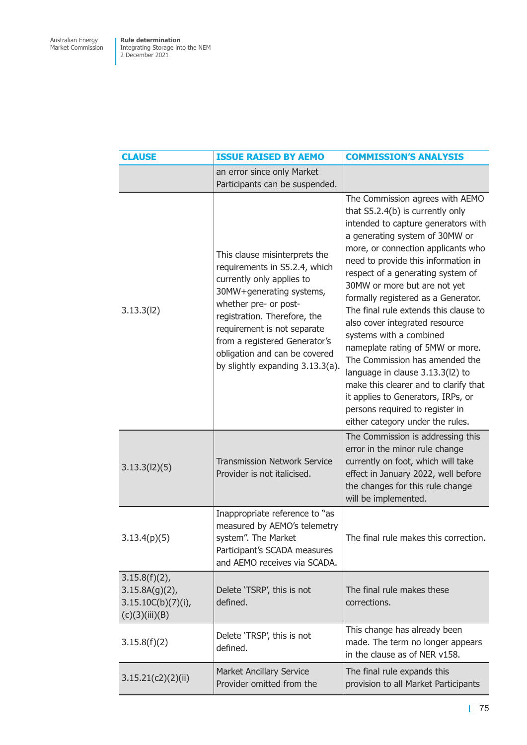| <b>CLAUSE</b>                                                                | <b>ISSUE RAISED BY AEMO</b>                                                                                                                                                                                                                                                                                           | <b>COMMISSION'S ANALYSIS</b>                                                                                                                                                                                                                                                                                                                                                                                                                                                                                                                                                                                                                                                                                |
|------------------------------------------------------------------------------|-----------------------------------------------------------------------------------------------------------------------------------------------------------------------------------------------------------------------------------------------------------------------------------------------------------------------|-------------------------------------------------------------------------------------------------------------------------------------------------------------------------------------------------------------------------------------------------------------------------------------------------------------------------------------------------------------------------------------------------------------------------------------------------------------------------------------------------------------------------------------------------------------------------------------------------------------------------------------------------------------------------------------------------------------|
|                                                                              | an error since only Market<br>Participants can be suspended.                                                                                                                                                                                                                                                          |                                                                                                                                                                                                                                                                                                                                                                                                                                                                                                                                                                                                                                                                                                             |
| 3.13.3(12)                                                                   | This clause misinterprets the<br>requirements in S5.2.4, which<br>currently only applies to<br>30MW+generating systems,<br>whether pre- or post-<br>registration. Therefore, the<br>requirement is not separate<br>from a registered Generator's<br>obligation and can be covered<br>by slightly expanding 3.13.3(a). | The Commission agrees with AEMO<br>that S5.2.4(b) is currently only<br>intended to capture generators with<br>a generating system of 30MW or<br>more, or connection applicants who<br>need to provide this information in<br>respect of a generating system of<br>30MW or more but are not yet<br>formally registered as a Generator.<br>The final rule extends this clause to<br>also cover integrated resource<br>systems with a combined<br>nameplate rating of 5MW or more.<br>The Commission has amended the<br>language in clause 3.13.3(l2) to<br>make this clearer and to clarify that<br>it applies to Generators, IRPs, or<br>persons required to register in<br>either category under the rules. |
| 3.13.3(12)(5)                                                                | <b>Transmission Network Service</b><br>Provider is not italicised.                                                                                                                                                                                                                                                    | The Commission is addressing this<br>error in the minor rule change<br>currently on foot, which will take<br>effect in January 2022, well before<br>the changes for this rule change<br>will be implemented.                                                                                                                                                                                                                                                                                                                                                                                                                                                                                                |
| 3.13.4(p)(5)                                                                 | Inappropriate reference to "as<br>measured by AEMO's telemetry<br>system". The Market<br>Participant's SCADA measures<br>and AEMO receives via SCADA.                                                                                                                                                                 | The final rule makes this correction.                                                                                                                                                                                                                                                                                                                                                                                                                                                                                                                                                                                                                                                                       |
| $3.15.8(f)(2)$ ,<br>$3.15.8A(g)(2)$ ,<br>3.15.10C(b)(7)(i)<br>(c)(3)(iii)(B) | Delete 'TSRP', this is not<br>defined.                                                                                                                                                                                                                                                                                | The final rule makes these<br>corrections.                                                                                                                                                                                                                                                                                                                                                                                                                                                                                                                                                                                                                                                                  |
| 3.15.8(f)(2)                                                                 | Delete 'TRSP', this is not<br>defined.                                                                                                                                                                                                                                                                                | This change has already been<br>made. The term no longer appears<br>in the clause as of NER v158.                                                                                                                                                                                                                                                                                                                                                                                                                                                                                                                                                                                                           |
| 3.15.21(c2)(2)(ii)                                                           | <b>Market Ancillary Service</b><br>Provider omitted from the                                                                                                                                                                                                                                                          | The final rule expands this<br>provision to all Market Participants                                                                                                                                                                                                                                                                                                                                                                                                                                                                                                                                                                                                                                         |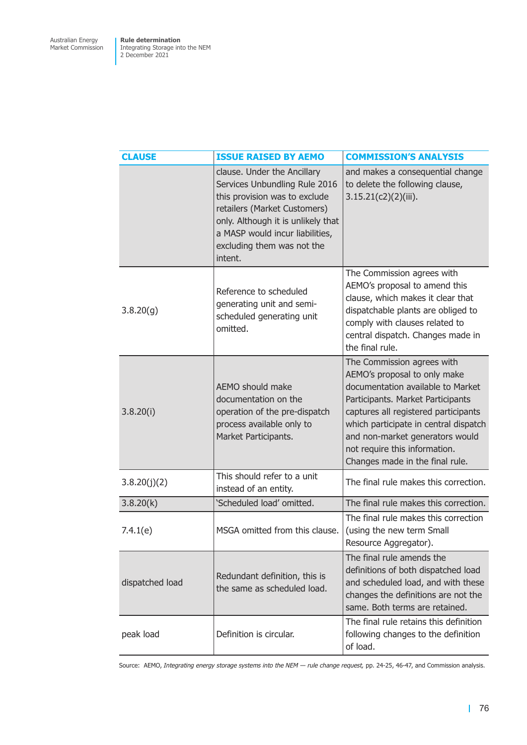| <b>CLAUSE</b>   | <b>ISSUE RAISED BY AEMO</b>                                                                                                                                                                                                                     | <b>COMMISSION'S ANALYSIS</b>                                                                                                                                                                                                                                                                                                 |
|-----------------|-------------------------------------------------------------------------------------------------------------------------------------------------------------------------------------------------------------------------------------------------|------------------------------------------------------------------------------------------------------------------------------------------------------------------------------------------------------------------------------------------------------------------------------------------------------------------------------|
|                 | clause. Under the Ancillary<br>Services Unbundling Rule 2016<br>this provision was to exclude<br>retailers (Market Customers)<br>only. Although it is unlikely that<br>a MASP would incur liabilities,<br>excluding them was not the<br>intent. | and makes a consequential change<br>to delete the following clause,<br>$3.15.21(c2)(2)(iii)$ .                                                                                                                                                                                                                               |
| 3.8.20(g)       | Reference to scheduled<br>generating unit and semi-<br>scheduled generating unit<br>omitted.                                                                                                                                                    | The Commission agrees with<br>AEMO's proposal to amend this<br>clause, which makes it clear that<br>dispatchable plants are obliged to<br>comply with clauses related to<br>central dispatch. Changes made in<br>the final rule.                                                                                             |
| 3.8.20(i)       | AEMO should make<br>documentation on the<br>operation of the pre-dispatch<br>process available only to<br>Market Participants.                                                                                                                  | The Commission agrees with<br>AEMO's proposal to only make<br>documentation available to Market<br>Participants. Market Participants<br>captures all registered participants<br>which participate in central dispatch<br>and non-market generators would<br>not require this information.<br>Changes made in the final rule. |
| 3.8.20(j)(2)    | This should refer to a unit<br>instead of an entity.                                                                                                                                                                                            | The final rule makes this correction.                                                                                                                                                                                                                                                                                        |
| 3.8.20(k)       | 'Scheduled load' omitted.                                                                                                                                                                                                                       | The final rule makes this correction.                                                                                                                                                                                                                                                                                        |
| 7.4.1(e)        | MSGA omitted from this clause.                                                                                                                                                                                                                  | The final rule makes this correction<br>(using the new term Small<br>Resource Aggregator).                                                                                                                                                                                                                                   |
| dispatched load | Redundant definition, this is<br>the same as scheduled load.                                                                                                                                                                                    | The final rule amends the<br>definitions of both dispatched load<br>and scheduled load, and with these<br>changes the definitions are not the<br>same. Both terms are retained.                                                                                                                                              |
| peak load       | Definition is circular.                                                                                                                                                                                                                         | The final rule retains this definition<br>following changes to the definition<br>of load.                                                                                                                                                                                                                                    |

Source: AEMO, *Integrating energy storage systems into the NEM — rule change request,* pp. 24-25, 46-47, and Commission analysis.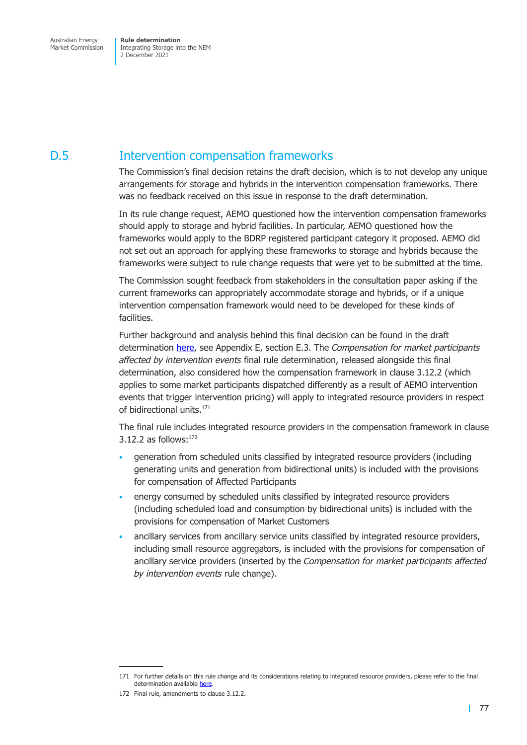Market Commission

Integrating Storage into the NEM 2 December 2021

# D.5 Intervention compensation frameworks

The Commission's final decision retains the draft decision, which is to not develop any unique arrangements for storage and hybrids in the intervention compensation frameworks. There was no feedback received on this issue in response to the draft determination.

In its rule change request, AEMO questioned how the intervention compensation frameworks should apply to storage and hybrid facilities. In particular, AEMO questioned how the frameworks would apply to the BDRP registered participant category it proposed. AEMO did not set out an approach for applying these frameworks to storage and hybrids because the frameworks were subject to rule change requests that were yet to be submitted at the time.

The Commission sought feedback from stakeholders in the consultation paper asking if the current frameworks can appropriately accommodate storage and hybrids, or if a unique intervention compensation framework would need to be developed for these kinds of facilities.

Further background and analysis behind this final decision can be found in the draft determination here, see Appendix E, section E.3. The *Compensation for market participants affected by intervention events* final rule determination, released alongside this final determination, also considered how the compensation framework in clause 3.12.2 (which applies to some market participants dispatched differently as a result of AEMO intervention events that tri[gger](https://www.aemc.gov.au/sites/default/files/2021-07/integrating_energy_storage_systems_into_the_nem_-_erc0280_-_draft_determination.pdf) intervention pricing) will apply to integrated resource providers in respect of bidirectional units.<sup>171</sup>

The final rule includes integrated resource providers in the compensation framework in clause 3.12.2 as follows: $172$ 

- generation from scheduled units classified by integrated resource providers (including generating units and generation from bidirectional units) is included with the provisions for compensation of Affected Participants
- energy consumed by scheduled units classified by integrated resource providers (including scheduled load and consumption by bidirectional units) is included with the provisions for compensation of Market Customers
- ancillary services from ancillary service units classified by integrated resource providers, including small resource aggregators, is included with the provisions for compensation of ancillary service providers (inserted by the *Compensation for market participants affected by intervention events* rule change).

<sup>171</sup> For further details on this rule change and its considerations relating to integrated resource providers, please refer to the final determination available here.

<sup>172</sup> Final rule, amendments to clause 3.12.2.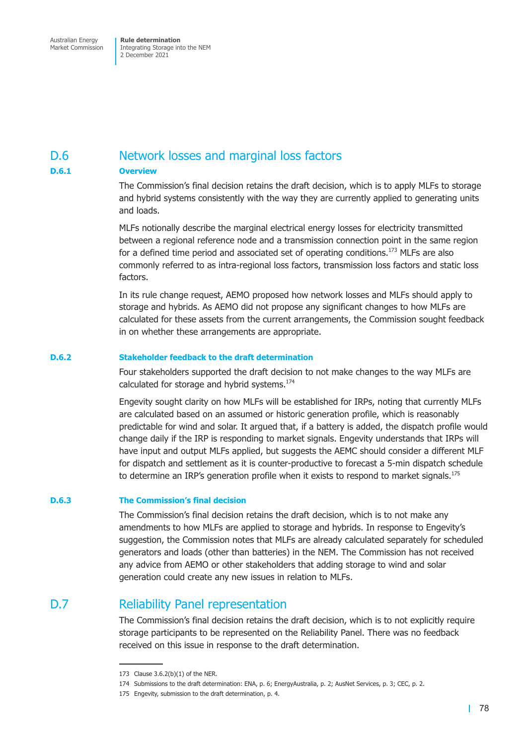## D.6 Network losses and marginal loss factors

### **D.6.1 Overview**

The Commission's final decision retains the draft decision, which is to apply MLFs to storage and hybrid systems consistently with the way they are currently applied to generating units and loads.

MLFs notionally describe the marginal electrical energy losses for electricity transmitted between a regional reference node and a transmission connection point in the same region for a defined time period and associated set of operating conditions.<sup>173</sup> MLFs are also commonly referred to as intra-regional loss factors, transmission loss factors and static loss factors.

In its rule change request, AEMO proposed how network losses and MLFs should apply to storage and hybrids. As AEMO did not propose any significant changes to how MLFs are calculated for these assets from the current arrangements, the Commission sought feedback in on whether these arrangements are appropriate.

### **D.6.2 Stakeholder feedback to the draft determination**

Four stakeholders supported the draft decision to not make changes to the way MLFs are calculated for storage and hybrid systems.<sup>174</sup>

Engevity sought clarity on how MLFs will be established for IRPs, noting that currently MLFs are calculated based on an assumed or historic generation profile, which is reasonably predictable for wind and solar. It argued that, if a battery is added, the dispatch profile would change daily if the IRP is responding to market signals. Engevity understands that IRPs will have input and output MLFs applied, but suggests the AEMC should consider a different MLF for dispatch and settlement as it is counter-productive to forecast a 5-min dispatch schedule to determine an IRP's generation profile when it exists to respond to market signals.<sup>175</sup>

### **D.6.3 The Commission's final decision**

The Commission's final decision retains the draft decision, which is to not make any amendments to how MLFs are applied to storage and hybrids. In response to Engevity's suggestion, the Commission notes that MLFs are already calculated separately for scheduled generators and loads (other than batteries) in the NEM. The Commission has not received any advice from AEMO or other stakeholders that adding storage to wind and solar generation could create any new issues in relation to MLFs.

### D.7 Reliability Panel representation

The Commission's final decision retains the draft decision, which is to not explicitly require storage participants to be represented on the Reliability Panel. There was no feedback received on this issue in response to the draft determination.

<sup>173</sup> Clause 3.6.2(b)(1) of the NER.

<sup>174</sup> Submissions to the draft determination: ENA, p. 6; EnergyAustralia, p. 2; AusNet Services, p. 3; CEC, p. 2.

<sup>175</sup> Engevity, submission to the draft determination, p. 4.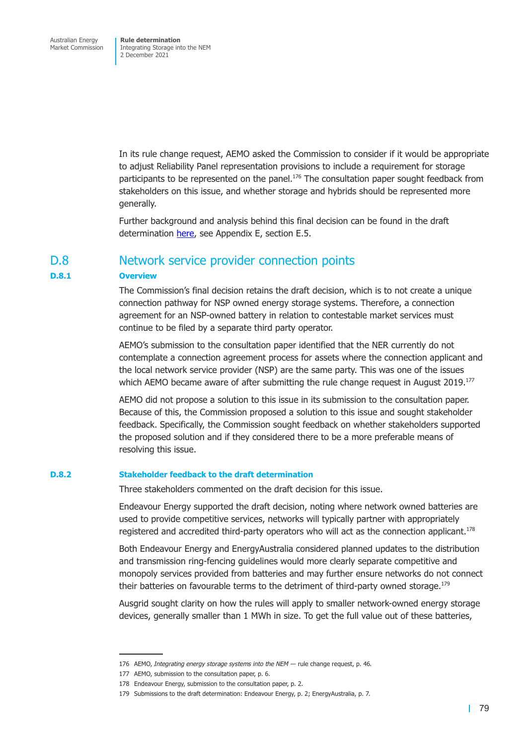In its rule change request, AEMO asked the Commission to consider if it would be appropriate to adjust Reliability Panel representation provisions to include a requirement for storage participants to be represented on the panel.<sup>176</sup> The consultation paper sought feedback from stakeholders on this issue, and whether storage and hybrids should be represented more generally.

Further background and analysis behind this final decision can be found in the draft determination here, see Appendix E, section E.5.

### D.8 Network service provider connection points

### **D.8.1 Overview**

The Commission's final decision retains the draft decision, which is to not create a unique connection pathway for NSP owned energy storage systems. Therefore, a connection agreement for an NSP-owned battery in relation to contestable market services must continue to be filed by a separate third party operator.

AEMO's submission to the consultation paper identified that the NER currently do not contemplate a connection agreement process for assets where the connection applicant and the local network service provider (NSP) are the same party. This was one of the issues which AEMO became aware of after submitting the rule change request in August  $2019$ <sup>177</sup>

AEMO did not propose a solution to this issue in its submission to the consultation paper. Because of this, the Commission proposed a solution to this issue and sought stakeholder feedback. Specifically, the Commission sought feedback on whether stakeholders supported the proposed solution and if they considered there to be a more preferable means of resolving this issue.

### **D.8.2 Stakeholder feedback to the draft determination**

Three stakeholders commented on the draft decision for this issue.

Endeavour Energy supported the draft decision, noting where network owned batteries are used to provide competitive services, networks will typically partner with appropriately registered and accredited third-party operators who will act as the connection applicant.<sup>178</sup>

Both Endeavour Energy and EnergyAustralia considered planned updates to the distribution and transmission ring-fencing guidelines would more clearly separate competitive and monopoly services provided from batteries and may further ensure networks do not connect their batteries on favourable terms to the detriment of third-party owned storage.<sup>179</sup>

Ausgrid sought clarity on how the rules will apply to smaller network-owned energy storage devices, generally smaller than 1 MWh in size. To get the full value out of these batteries,

<sup>176</sup> AEMO, *Integrating energy storage systems into the NEM —* rule change request, p. 46*.*

<sup>177</sup> AEMO, submission to the consultation paper, p. 6.

<sup>178</sup> Endeavour Energy, submission to the consultation paper, p. 2.

<sup>179</sup> Submissions to the draft determination: Endeavour Energy, p. 2; EnergyAustralia, p. 7.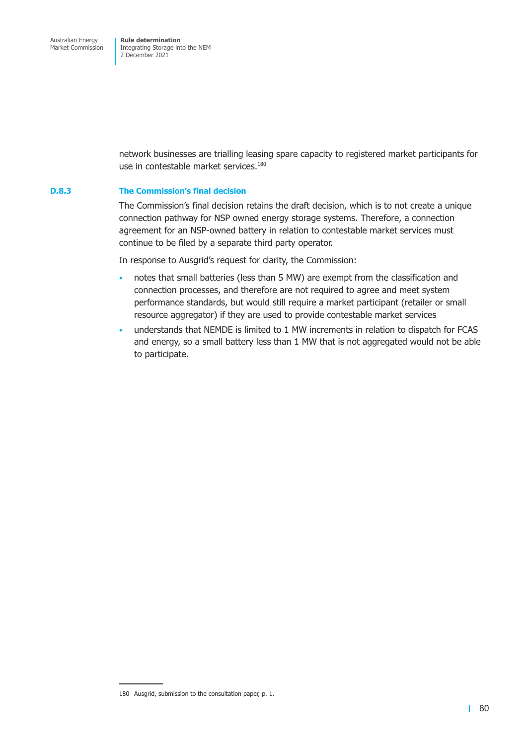network businesses are trialling leasing spare capacity to registered market participants for use in contestable market services.<sup>180</sup>

### **D.8.3 The Commission's final decision**

The Commission's final decision retains the draft decision, which is to not create a unique connection pathway for NSP owned energy storage systems. Therefore, a connection agreement for an NSP-owned battery in relation to contestable market services must continue to be filed by a separate third party operator.

In response to Ausgrid's request for clarity, the Commission:

- notes that small batteries (less than 5 MW) are exempt from the classification and connection processes, and therefore are not required to agree and meet system performance standards, but would still require a market participant (retailer or small resource aggregator) if they are used to provide contestable market services
- understands that NEMDE is limited to 1 MW increments in relation to dispatch for FCAS and energy, so a small battery less than 1 MW that is not aggregated would not be able to participate.

<sup>180</sup> Ausgrid, submission to the consultation paper, p. 1.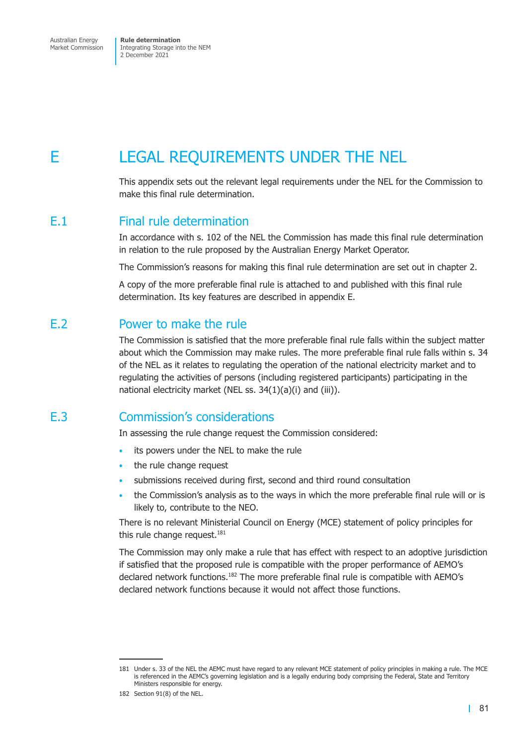Australian Energy Market Commission

**Rule determination**  Integrating Storage into the NEM 2 December 2021

# E LEGAL REQUIREMENTS UNDER THE NEL

This appendix sets out the relevant legal requirements under the NEL for the Commission to make this final rule determination.

### E.1 Final rule determination

In accordance with s. 102 of the NEL the Commission has made this final rule determination in relation to the rule proposed by the Australian Energy Market Operator.

The Commission's reasons for making this final rule determination are set out in chapter 2.

A copy of the more preferable final rule is attached to and published with this final rule determination. Its key features are described in appendix E.

### E.2 Power to make the rule

The Commission is satisfied that the more preferable final rule falls within the subject matter about which the Commission may make rules. The more preferable final rule falls within s. 34 of the NEL as it relates to regulating the operation of the national electricity market and to regulating the activities of persons (including registered participants) participating in the national electricity market (NEL ss. 34(1)(a)(i) and (iii)).

## E.3 Commission's considerations

In assessing the rule change request the Commission considered:

- its powers under the NEL to make the rule
- the rule change request
- submissions received during first, second and third round consultation
- the Commission's analysis as to the ways in which the more preferable final rule will or is likely to, contribute to the NEO.

There is no relevant Ministerial Council on Energy (MCE) statement of policy principles for this rule change request. $181$ 

The Commission may only make a rule that has effect with respect to an adoptive jurisdiction if satisfied that the proposed rule is compatible with the proper performance of AEMO's declared network functions.<sup>182</sup> The more preferable final rule is compatible with AEMO's declared network functions because it would not affect those functions.

<sup>181</sup> Under s. 33 of the NEL the AEMC must have regard to any relevant MCE statement of policy principles in making a rule. The MCE is referenced in the AEMC's governing legislation and is a legally enduring body comprising the Federal, State and Territory Ministers responsible for energy.

<sup>182</sup> Section 91(8) of the NEL.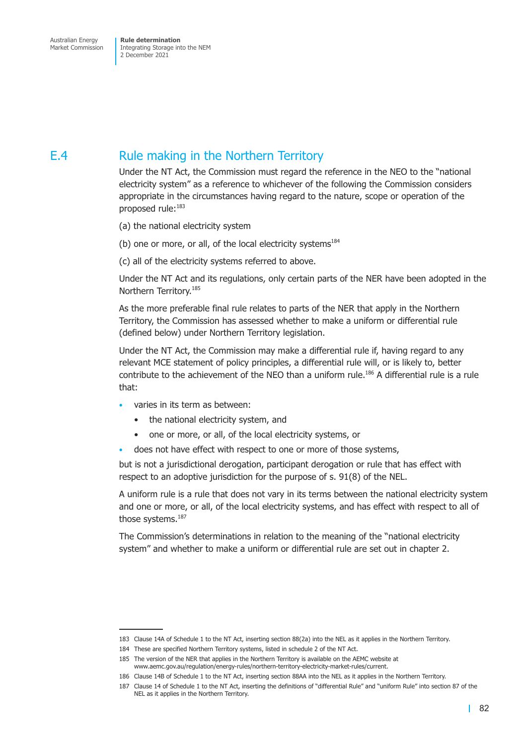# E.4 Rule making in the Northern Territory

Under the NT Act, the Commission must regard the reference in the NEO to the "national electricity system" as a reference to whichever of the following the Commission considers appropriate in the circumstances having regard to the nature, scope or operation of the proposed rule:183

- (a) the national electricity system
- (b) one or more, or all, of the local electricity systems $184$
- (c) all of the electricity systems referred to above.

Under the NT Act and its regulations, only certain parts of the NER have been adopted in the Northern Territory.185

As the more preferable final rule relates to parts of the NER that apply in the Northern Territory, the Commission has assessed whether to make a uniform or differential rule (defined below) under Northern Territory legislation.

Under the NT Act, the Commission may make a differential rule if, having regard to any relevant MCE statement of policy principles, a differential rule will, or is likely to, better contribute to the achievement of the NEO than a uniform rule.<sup>186</sup> A differential rule is a rule that:

- varies in its term as between:
	- the national electricity system, and
	- one or more, or all, of the local electricity systems, or
- does not have effect with respect to one or more of those systems,

but is not a jurisdictional derogation, participant derogation or rule that has effect with respect to an adoptive jurisdiction for the purpose of s. 91(8) of the NEL.

A uniform rule is a rule that does not vary in its terms between the national electricity system and one or more, or all, of the local electricity systems, and has effect with respect to all of those systems.<sup>187</sup>

The Commission's determinations in relation to the meaning of the "national electricity system" and whether to make a uniform or differential rule are set out in chapter 2.

<sup>183</sup> Clause 14A of Schedule 1 to the NT Act, inserting section 88(2a) into the NEL as it applies in the Northern Territory.

<sup>184</sup> These are specified Northern Territory systems, listed in schedule 2 of the NT Act.

<sup>185</sup> The version of the NER that applies in the Northern Territory is available on the AEMC website at

www.aemc.gov.au/regulation/energy-rules/northern-territory-electricity-market-rules/current.

<sup>186</sup> Clause 14B of Schedule 1 to the NT Act, inserting section 88AA into the NEL as it applies in the Northern Territory.

<sup>187</sup> Clause 14 of Schedule 1 to the NT Act, inserting the definitions of "differential Rule" and "uniform Rule" into section 87 of the NEL as it applies in the Northern Territory.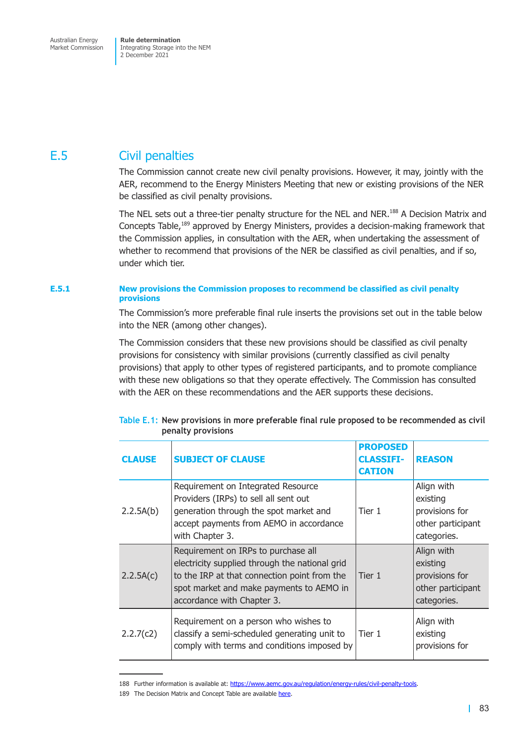Market Commission

Integrating Storage into the NEM 2 December 2021

# E.5 Civil penalties

The Commission cannot create new civil penalty provisions. However, it may, jointly with the AER, recommend to the Energy Ministers Meeting that new or existing provisions of the NER be classified as civil penalty provisions.

The NEL sets out a three-tier penalty structure for the NEL and NER.<sup>188</sup> A Decision Matrix and Concepts Table,189 approved by Energy Ministers, provides a decision-making framework that the Commission applies, in consultation with the AER, when undertaking the assessment of whether to recommend that provisions of the NER be classified as civil penalties, and if so, under which tier.

### **E.5.1 New provisions the Commission proposes to recommend be classified as civil penalty provisions**

The Commission's more preferable final rule inserts the provisions set out in the table below into the NER (among other changes).

The Commission considers that these new provisions should be classified as civil penalty provisions for consistency with similar provisions (currently classified as civil penalty provisions) that apply to other types of registered participants, and to promote compliance with these new obligations so that they operate effectively. The Commission has consulted with the AER on these recommendations and the AER supports these decisions.

| <b>CLAUSE</b> | <b>SUBJECT OF CLAUSE</b>                                                                                                                                                                                        | <b>PROPOSED</b><br><b>CLASSIFI-</b><br><b>CATION</b> | <b>REASON</b>                                                                |
|---------------|-----------------------------------------------------------------------------------------------------------------------------------------------------------------------------------------------------------------|------------------------------------------------------|------------------------------------------------------------------------------|
| 2.2.5A(b)     | Requirement on Integrated Resource<br>Providers (IRPs) to sell all sent out<br>generation through the spot market and<br>accept payments from AEMO in accordance<br>with Chapter 3.                             | Tier 1                                               | Align with<br>existing<br>provisions for<br>other participant<br>categories. |
| 2.2.5A(c)     | Requirement on IRPs to purchase all<br>electricity supplied through the national grid<br>to the IRP at that connection point from the<br>spot market and make payments to AEMO in<br>accordance with Chapter 3. | Tier 1                                               | Align with<br>existing<br>provisions for<br>other participant<br>categories. |
| 2.2.7(c2)     | Requirement on a person who wishes to<br>classify a semi-scheduled generating unit to<br>comply with terms and conditions imposed by                                                                            | Tier 1                                               | Align with<br>existing<br>provisions for                                     |

### **Table E.1: New provisions in more preferable final rule proposed to be recommended as civil penalty provisions**

<sup>188</sup> Further information is available at: https://www.aemc.gov.au/regulation/energy-rules/civil-penalty-tools.

<sup>189</sup> The Decision Matrix and Concept Table are available here.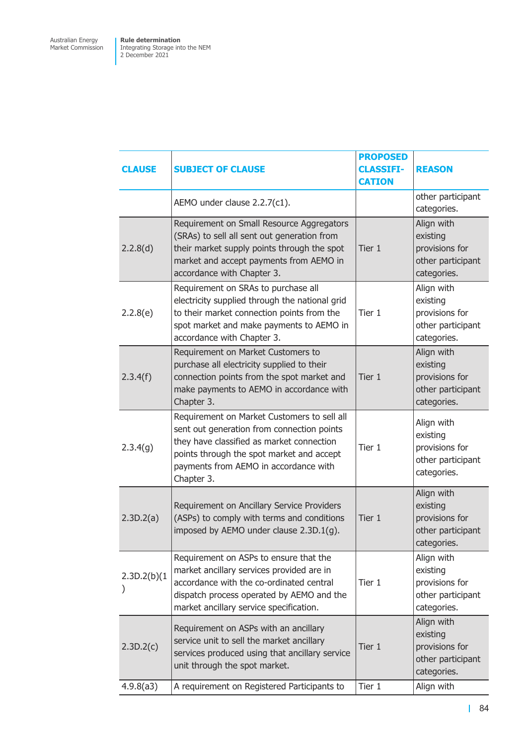| <b>CLAUSE</b> | <b>SUBJECT OF CLAUSE</b>                                                                                                                                                                                                                   | <b>PROPOSED</b><br><b>CLASSIFI-</b><br><b>CATION</b> | <b>REASON</b>                                                                |
|---------------|--------------------------------------------------------------------------------------------------------------------------------------------------------------------------------------------------------------------------------------------|------------------------------------------------------|------------------------------------------------------------------------------|
|               | AEMO under clause 2.2.7(c1).                                                                                                                                                                                                               |                                                      | other participant<br>categories.                                             |
| 2.2.8(d)      | Requirement on Small Resource Aggregators<br>(SRAs) to sell all sent out generation from<br>their market supply points through the spot<br>market and accept payments from AEMO in<br>accordance with Chapter 3.                           | Tier 1                                               | Align with<br>existing<br>provisions for<br>other participant<br>categories. |
| 2.2.8(e)      | Requirement on SRAs to purchase all<br>electricity supplied through the national grid<br>to their market connection points from the<br>spot market and make payments to AEMO in<br>accordance with Chapter 3.                              | Tier 1                                               | Align with<br>existing<br>provisions for<br>other participant<br>categories. |
| 2.3.4(f)      | Requirement on Market Customers to<br>purchase all electricity supplied to their<br>connection points from the spot market and<br>make payments to AEMO in accordance with<br>Chapter 3.                                                   | Tier 1                                               | Align with<br>existing<br>provisions for<br>other participant<br>categories. |
| 2.3.4(g)      | Requirement on Market Customers to sell all<br>sent out generation from connection points<br>they have classified as market connection<br>points through the spot market and accept<br>payments from AEMO in accordance with<br>Chapter 3. | Tier 1                                               | Align with<br>existing<br>provisions for<br>other participant<br>categories. |
| 2.3D.2(a)     | Requirement on Ancillary Service Providers<br>(ASPs) to comply with terms and conditions<br>imposed by AEMO under clause 2.3D.1(g).                                                                                                        | Tier 1                                               | Align with<br>existing<br>provisions for<br>other participant<br>categories. |
| 2.3D.2(b)(1)  | Requirement on ASPs to ensure that the<br>market ancillary services provided are in<br>accordance with the co-ordinated central<br>dispatch process operated by AEMO and the<br>market ancillary service specification.                    | Tier 1                                               | Align with<br>existing<br>provisions for<br>other participant<br>categories. |
| 2.3D.2(c)     | Requirement on ASPs with an ancillary<br>service unit to sell the market ancillary<br>services produced using that ancillary service<br>unit through the spot market.                                                                      | Tier 1                                               | Align with<br>existing<br>provisions for<br>other participant<br>categories. |
| 4.9.8(a3)     | A requirement on Registered Participants to                                                                                                                                                                                                | Tier 1                                               | Align with                                                                   |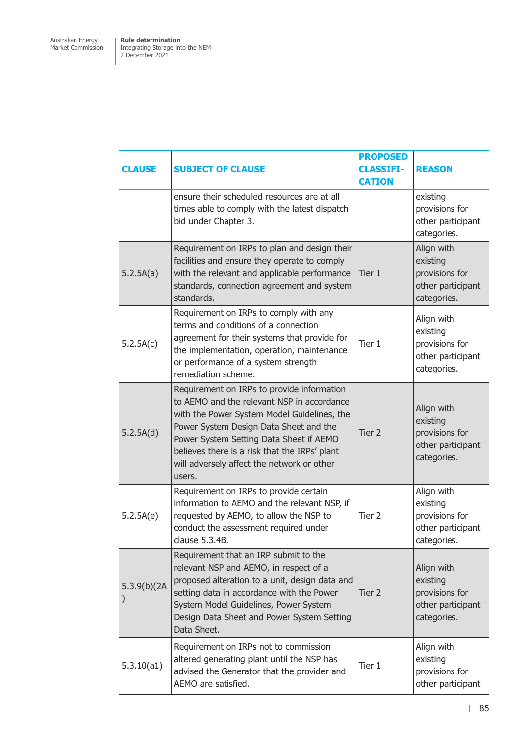| <b>CLAUSE</b> | <b>SUBJECT OF CLAUSE</b>                                                                                                                                                                                                                                                                                                              | <b>PROPOSED</b><br><b>CLASSIFI-</b><br><b>CATION</b> | <b>REASON</b>                                                                |
|---------------|---------------------------------------------------------------------------------------------------------------------------------------------------------------------------------------------------------------------------------------------------------------------------------------------------------------------------------------|------------------------------------------------------|------------------------------------------------------------------------------|
|               | ensure their scheduled resources are at all<br>times able to comply with the latest dispatch<br>bid under Chapter 3.                                                                                                                                                                                                                  |                                                      | existing<br>provisions for<br>other participant<br>categories.               |
| 5.2.5A(a)     | Requirement on IRPs to plan and design their<br>facilities and ensure they operate to comply<br>with the relevant and applicable performance<br>standards, connection agreement and system<br>standards.                                                                                                                              | Tier 1                                               | Align with<br>existing<br>provisions for<br>other participant<br>categories. |
| 5.2.5A(c)     | Requirement on IRPs to comply with any<br>terms and conditions of a connection<br>agreement for their systems that provide for<br>the implementation, operation, maintenance<br>or performance of a system strength<br>remediation scheme.                                                                                            | Tier 1                                               | Align with<br>existing<br>provisions for<br>other participant<br>categories. |
| 5.2.5A(d)     | Requirement on IRPs to provide information<br>to AEMO and the relevant NSP in accordance<br>with the Power System Model Guidelines, the<br>Power System Design Data Sheet and the<br>Power System Setting Data Sheet if AEMO<br>believes there is a risk that the IRPs' plant<br>will adversely affect the network or other<br>users. | Tier 2                                               | Align with<br>existing<br>provisions for<br>other participant<br>categories. |
| 5.2.5A(e)     | Requirement on IRPs to provide certain<br>information to AEMO and the relevant NSP, if<br>requested by AEMO, to allow the NSP to<br>conduct the assessment required under<br>clause 5.3.4B.                                                                                                                                           | Tier 2                                               | Align with<br>existing<br>provisions for<br>other participant<br>categories. |
| 5.3.9(b)(2A)  | Requirement that an IRP submit to the<br>relevant NSP and AEMO, in respect of a<br>proposed alteration to a unit, design data and<br>setting data in accordance with the Power<br>System Model Guidelines, Power System<br>Design Data Sheet and Power System Setting<br>Data Sheet.                                                  | Tier 2                                               | Align with<br>existing<br>provisions for<br>other participant<br>categories. |
| 5.3.10(a1)    | Requirement on IRPs not to commission<br>altered generating plant until the NSP has<br>advised the Generator that the provider and<br>AEMO are satisfied.                                                                                                                                                                             | Tier 1                                               | Align with<br>existing<br>provisions for<br>other participant                |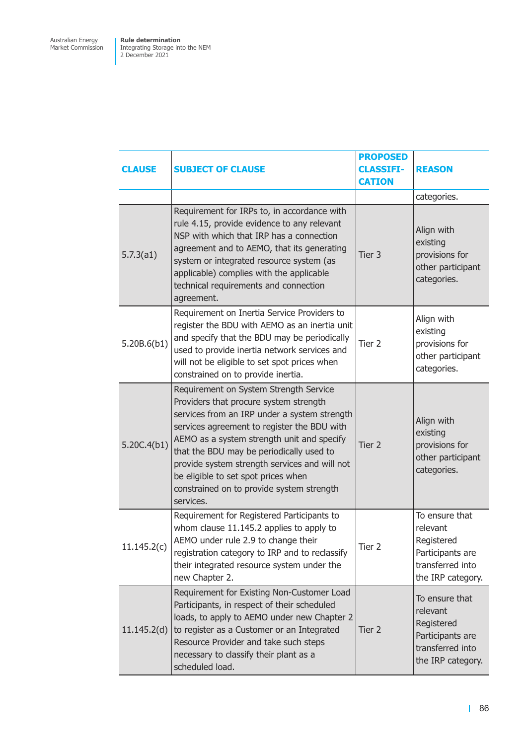| <b>CLAUSE</b> | <b>SUBJECT OF CLAUSE</b>                                                                                                                                                                                                                                                                                                                                                                                                    | <b>PROPOSED</b><br><b>CLASSIFI-</b><br><b>CATION</b> | <b>REASON</b>                                                                                         |
|---------------|-----------------------------------------------------------------------------------------------------------------------------------------------------------------------------------------------------------------------------------------------------------------------------------------------------------------------------------------------------------------------------------------------------------------------------|------------------------------------------------------|-------------------------------------------------------------------------------------------------------|
|               |                                                                                                                                                                                                                                                                                                                                                                                                                             |                                                      | categories.                                                                                           |
| 5.7.3(a1)     | Requirement for IRPs to, in accordance with<br>rule 4.15, provide evidence to any relevant<br>NSP with which that IRP has a connection<br>agreement and to AEMO, that its generating<br>system or integrated resource system (as<br>applicable) complies with the applicable<br>technical requirements and connection<br>agreement.                                                                                         | Tier 3                                               | Align with<br>existing<br>provisions for<br>other participant<br>categories.                          |
| 5.20B.6(b1)   | Requirement on Inertia Service Providers to<br>register the BDU with AEMO as an inertia unit<br>and specify that the BDU may be periodically<br>used to provide inertia network services and<br>will not be eligible to set spot prices when<br>constrained on to provide inertia.                                                                                                                                          | Tier 2                                               | Align with<br>existing<br>provisions for<br>other participant<br>categories.                          |
| 5.20C.4(b1)   | Requirement on System Strength Service<br>Providers that procure system strength<br>services from an IRP under a system strength<br>services agreement to register the BDU with<br>AEMO as a system strength unit and specify<br>that the BDU may be periodically used to<br>provide system strength services and will not<br>be eligible to set spot prices when<br>constrained on to provide system strength<br>services. | Tier 2                                               | Align with<br>existing<br>provisions for<br>other participant<br>categories.                          |
| 11.145.2(c)   | Requirement for Registered Participants to<br>whom clause 11.145.2 applies to apply to<br>AEMO under rule 2.9 to change their<br>registration category to IRP and to reclassify<br>their integrated resource system under the<br>new Chapter 2.                                                                                                                                                                             | Tier 2                                               | To ensure that<br>relevant<br>Registered<br>Participants are<br>transferred into<br>the IRP category. |
| 11.145.2(d)   | Requirement for Existing Non-Customer Load<br>Participants, in respect of their scheduled<br>loads, to apply to AEMO under new Chapter 2<br>to register as a Customer or an Integrated<br>Resource Provider and take such steps<br>necessary to classify their plant as a<br>scheduled load.                                                                                                                                | Tier 2                                               | To ensure that<br>relevant<br>Registered<br>Participants are<br>transferred into<br>the IRP category. |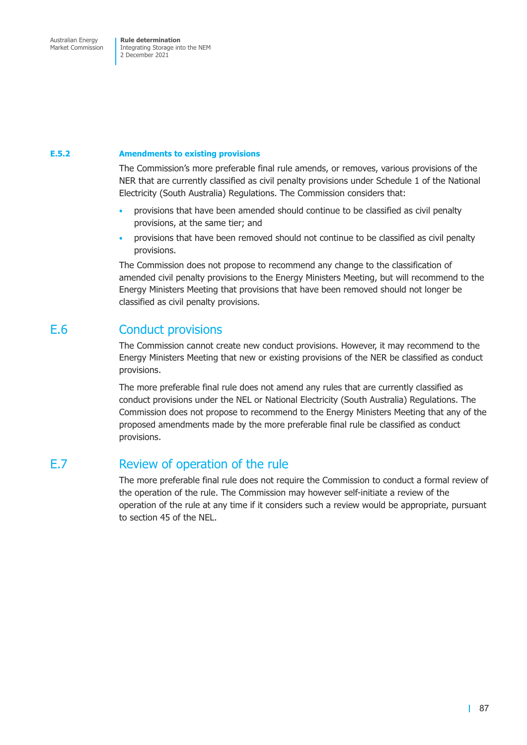### **E.5.2 Amendments to existing provisions**

The Commission's more preferable final rule amends, or removes, various provisions of the NER that are currently classified as civil penalty provisions under Schedule 1 of the National Electricity (South Australia) Regulations. The Commission considers that:

- provisions that have been amended should continue to be classified as civil penalty provisions, at the same tier; and
- provisions that have been removed should not continue to be classified as civil penalty provisions.

The Commission does not propose to recommend any change to the classification of amended civil penalty provisions to the Energy Ministers Meeting, but will recommend to the Energy Ministers Meeting that provisions that have been removed should not longer be classified as civil penalty provisions.

### E.6 Conduct provisions

The Commission cannot create new conduct provisions. However, it may recommend to the Energy Ministers Meeting that new or existing provisions of the NER be classified as conduct provisions.

The more preferable final rule does not amend any rules that are currently classified as conduct provisions under the NEL or National Electricity (South Australia) Regulations. The Commission does not propose to recommend to the Energy Ministers Meeting that any of the proposed amendments made by the more preferable final rule be classified as conduct provisions.

# E.7 Review of operation of the rule

The more preferable final rule does not require the Commission to conduct a formal review of the operation of the rule. The Commission may however self-initiate a review of the operation of the rule at any time if it considers such a review would be appropriate, pursuant to section 45 of the NEL.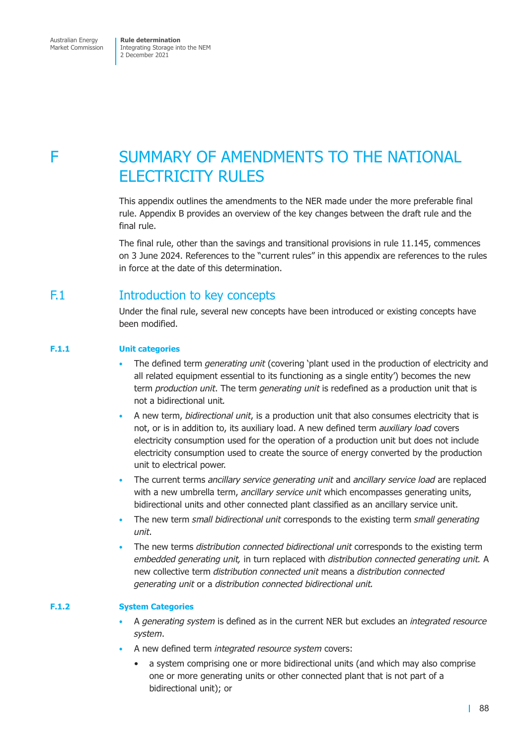# F SUMMARY OF AMENDMENTS TO THE NATIONAL ELECTRICITY RULES

This appendix outlines the amendments to the NER made under the more preferable final rule. Appendix B provides an overview of the key changes between the draft rule and the final rule.

The final rule, other than the savings and transitional provisions in rule 11.145, commences on 3 June 2024. References to the "current rules" in this appendix are references to the rules in force at the date of this determination.

## F.1 **Introduction to key concepts**

Under the final rule, several new concepts have been introduced or existing concepts have been modified.

### **F.1.1 Unit categories**

- The defined term *generating unit* (covering 'plant used in the production of electricity and all related equipment essential to its functioning as a single entity') becomes the new term *production unit*. The term *generating unit* is redefined as a production unit that is not a bidirectional unit*.*
- A new term, *bidirectional unit*, is a production unit that also consumes electricity that is not, or is in addition to, its auxiliary load. A new defined term *auxiliary load* covers electricity consumption used for the operation of a production unit but does not include electricity consumption used to create the source of energy converted by the production unit to electrical power.
- The current terms *ancillary service generating unit* and *ancillary service load* are replaced with a new umbrella term, *ancillary service unit* which encompasses generating units, bidirectional units and other connected plant classified as an ancillary service unit.
- The new term *small bidirectional unit* corresponds to the existing term *small generating unit*.
- The new terms *distribution connected bidirectional unit* corresponds to the existing term *embedded generating unit,* in turn replaced with *distribution connected generating unit.* A new collective term *distribution connected unit* means a *distribution connected generating unit* or a *distribution connected bidirectional unit.*

### **F.1.2 System Categories**

- A *generating system* is defined as in the current NER but excludes an *integrated resource system*.
- A new defined term *integrated resource system* covers:
	- a system comprising one or more bidirectional units (and which may also comprise one or more generating units or other connected plant that is not part of a bidirectional unit); or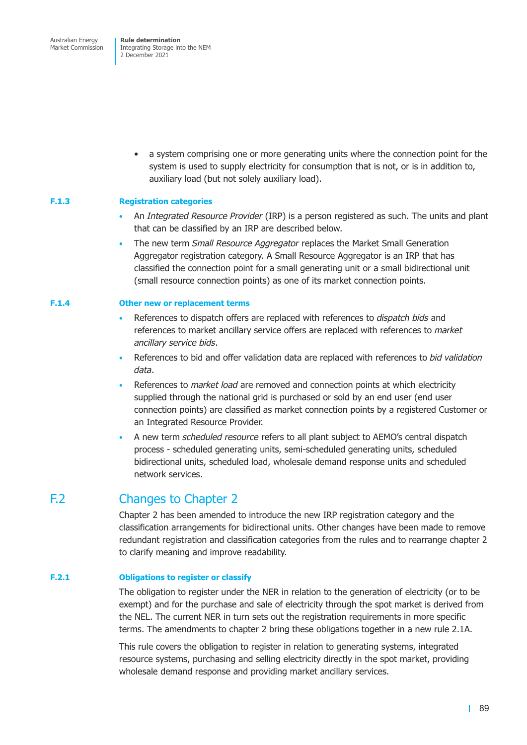> • a system comprising one or more generating units where the connection point for the system is used to supply electricity for consumption that is not, or is in addition to, auxiliary load (but not solely auxiliary load).

### **F.1.3 Registration categories**

- An *Integrated Resource Provider* (IRP) is a person registered as such. The units and plant that can be classified by an IRP are described below.
- The new term *Small Resource Aggregator* replaces the Market Small Generation Aggregator registration category. A Small Resource Aggregator is an IRP that has classified the connection point for a small generating unit or a small bidirectional unit (small resource connection points) as one of its market connection points.

#### **F.1.4 Other new or replacement terms**

- References to dispatch offers are replaced with references to *dispatch bids* and references to market ancillary service offers are replaced with references to *market ancillary service bids*.
- References to bid and offer validation data are replaced with references to *bid validation data*.
- References to *market load* are removed and connection points at which electricity supplied through the national grid is purchased or sold by an end user (end user connection points) are classified as market connection points by a registered Customer or an Integrated Resource Provider.
- A new term *scheduled resource* refers to all plant subject to AEMO's central dispatch process - scheduled generating units, semi-scheduled generating units, scheduled bidirectional units, scheduled load, wholesale demand response units and scheduled network services.

### F.2 Changes to Chapter 2

Chapter 2 has been amended to introduce the new IRP registration category and the classification arrangements for bidirectional units. Other changes have been made to remove redundant registration and classification categories from the rules and to rearrange chapter 2 to clarify meaning and improve readability.

### **F.2.1 Obligations to register or classify**

The obligation to register under the NER in relation to the generation of electricity (or to be exempt) and for the purchase and sale of electricity through the spot market is derived from the NEL. The current NER in turn sets out the registration requirements in more specific terms. The amendments to chapter 2 bring these obligations together in a new rule 2.1A.

This rule covers the obligation to register in relation to generating systems, integrated resource systems, purchasing and selling electricity directly in the spot market, providing wholesale demand response and providing market ancillary services.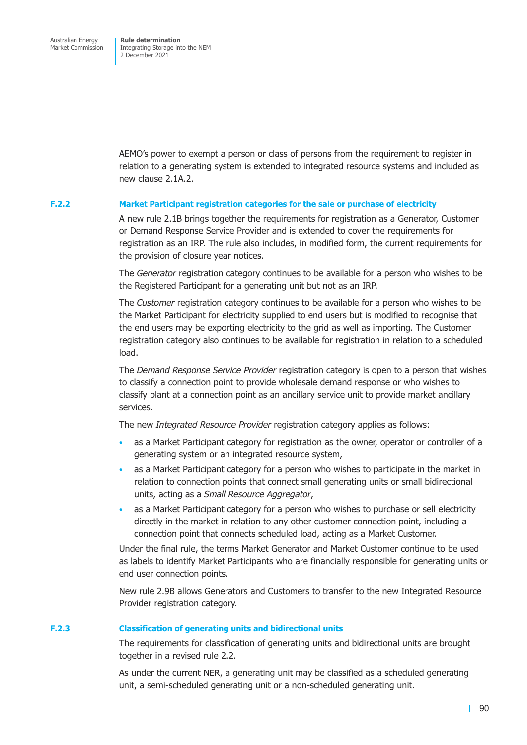AEMO's power to exempt a person or class of persons from the requirement to register in relation to a generating system is extended to integrated resource systems and included as new clause 2.1A.2.

### **F.2.2 Market Participant registration categories for the sale or purchase of electricity**

A new rule 2.1B brings together the requirements for registration as a Generator, Customer or Demand Response Service Provider and is extended to cover the requirements for registration as an IRP. The rule also includes, in modified form, the current requirements for the provision of closure year notices.

The *Generator* registration category continues to be available for a person who wishes to be the Registered Participant for a generating unit but not as an IRP.

The *Customer* registration category continues to be available for a person who wishes to be the Market Participant for electricity supplied to end users but is modified to recognise that the end users may be exporting electricity to the grid as well as importing. The Customer registration category also continues to be available for registration in relation to a scheduled load.

The *Demand Response Service Provider* registration category is open to a person that wishes to classify a connection point to provide wholesale demand response or who wishes to classify plant at a connection point as an ancillary service unit to provide market ancillary services.

The new *Integrated Resource Provider* registration category applies as follows:

- as a Market Participant category for registration as the owner, operator or controller of a generating system or an integrated resource system,
- as a Market Participant category for a person who wishes to participate in the market in relation to connection points that connect small generating units or small bidirectional units, acting as a *Small Resource Aggregator*,
- as a Market Participant category for a person who wishes to purchase or sell electricity directly in the market in relation to any other customer connection point, including a connection point that connects scheduled load, acting as a Market Customer.

Under the final rule, the terms Market Generator and Market Customer continue to be used as labels to identify Market Participants who are financially responsible for generating units or end user connection points.

New rule 2.9B allows Generators and Customers to transfer to the new Integrated Resource Provider registration category.

### **F.2.3 Classification of generating units and bidirectional units**

The requirements for classification of generating units and bidirectional units are brought together in a revised rule 2.2.

As under the current NER, a generating unit may be classified as a scheduled generating unit, a semi-scheduled generating unit or a non-scheduled generating unit.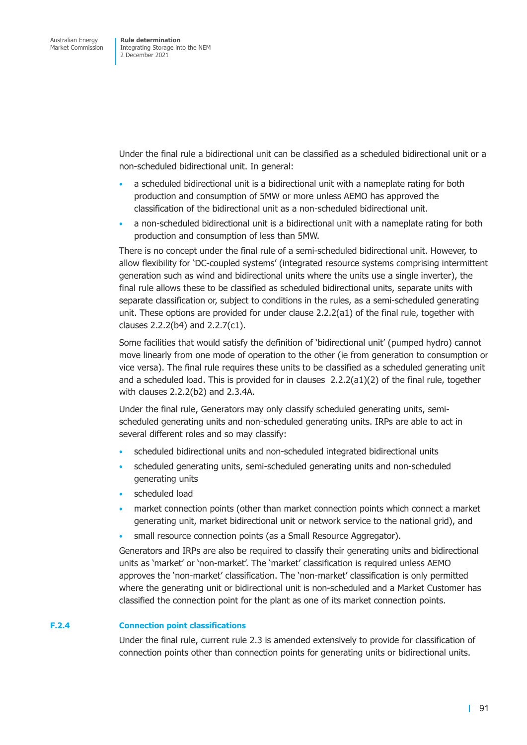Under the final rule a bidirectional unit can be classified as a scheduled bidirectional unit or a non-scheduled bidirectional unit. In general:

- a scheduled bidirectional unit is a bidirectional unit with a nameplate rating for both production and consumption of 5MW or more unless AEMO has approved the classification of the bidirectional unit as a non-scheduled bidirectional unit.
- a non-scheduled bidirectional unit is a bidirectional unit with a nameplate rating for both production and consumption of less than 5MW.

There is no concept under the final rule of a semi-scheduled bidirectional unit. However, to allow flexibility for 'DC-coupled systems' (integrated resource systems comprising intermittent generation such as wind and bidirectional units where the units use a single inverter), the final rule allows these to be classified as scheduled bidirectional units, separate units with separate classification or, subject to conditions in the rules, as a semi-scheduled generating unit. These options are provided for under clause 2.2.2(a1) of the final rule, together with clauses 2.2.2(b4) and 2.2.7(c1).

Some facilities that would satisfy the definition of 'bidirectional unit' (pumped hydro) cannot move linearly from one mode of operation to the other (ie from generation to consumption or vice versa). The final rule requires these units to be classified as a scheduled generating unit and a scheduled load. This is provided for in clauses  $2.2.2(a1)(2)$  of the final rule, together with clauses 2.2.2(b2) and 2.3.4A.

Under the final rule, Generators may only classify scheduled generating units, semischeduled generating units and non-scheduled generating units. IRPs are able to act in several different roles and so may classify:

- scheduled bidirectional units and non-scheduled integrated bidirectional units
- scheduled generating units, semi-scheduled generating units and non-scheduled generating units
- scheduled load
- market connection points (other than market connection points which connect a market generating unit, market bidirectional unit or network service to the national grid), and
- small resource connection points (as a Small Resource Aggregator).

Generators and IRPs are also be required to classify their generating units and bidirectional units as 'market' or 'non-market'. The 'market' classification is required unless AEMO approves the 'non-market' classification. The 'non-market' classification is only permitted where the generating unit or bidirectional unit is non-scheduled and a Market Customer has classified the connection point for the plant as one of its market connection points.

### **F.2.4 Connection point classifications**

Under the final rule, current rule 2.3 is amended extensively to provide for classification of connection points other than connection points for generating units or bidirectional units.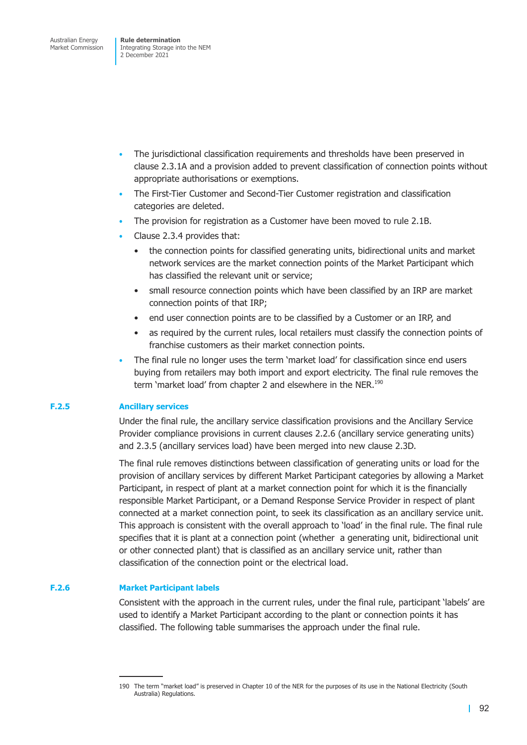- The jurisdictional classification requirements and thresholds have been preserved in clause 2.3.1A and a provision added to prevent classification of connection points without appropriate authorisations or exemptions.
- The First-Tier Customer and Second-Tier Customer registration and classification categories are deleted.
- The provision for registration as a Customer have been moved to rule 2.1B.
- Clause 2.3.4 provides that:
	- the connection points for classified generating units, bidirectional units and market network services are the market connection points of the Market Participant which has classified the relevant unit or service;
	- small resource connection points which have been classified by an IRP are market connection points of that IRP;
	- end user connection points are to be classified by a Customer or an IRP, and
	- as required by the current rules, local retailers must classify the connection points of franchise customers as their market connection points.
- The final rule no longer uses the term 'market load' for classification since end users buying from retailers may both import and export electricity. The final rule removes the term 'market load' from chapter 2 and elsewhere in the NER.<sup>190</sup>

### **F.2.5 Ancillary services**

Under the final rule, the ancillary service classification provisions and the Ancillary Service Provider compliance provisions in current clauses 2.2.6 (ancillary service generating units) and 2.3.5 (ancillary services load) have been merged into new clause 2.3D.

The final rule removes distinctions between classification of generating units or load for the provision of ancillary services by different Market Participant categories by allowing a Market Participant, in respect of plant at a market connection point for which it is the financially responsible Market Participant, or a Demand Response Service Provider in respect of plant connected at a market connection point, to seek its classification as an ancillary service unit. This approach is consistent with the overall approach to 'load' in the final rule. The final rule specifies that it is plant at a connection point (whether a generating unit, bidirectional unit or other connected plant) that is classified as an ancillary service unit, rather than classification of the connection point or the electrical load.

### **F.2.6 Market Participant labels**

Consistent with the approach in the current rules, under the final rule, participant 'labels' are used to identify a Market Participant according to the plant or connection points it has classified. The following table summarises the approach under the final rule.

<sup>190</sup> The term "market load" is preserved in Chapter 10 of the NER for the purposes of its use in the National Electricity (South Australia) Regulations.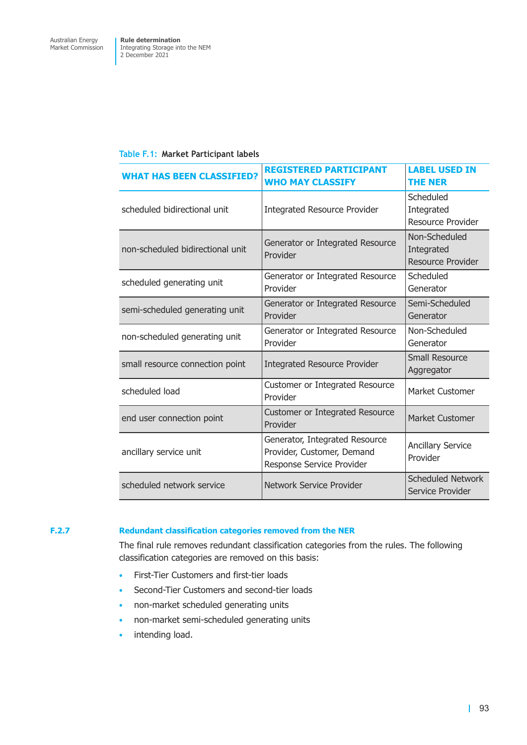|  |  | Table F.1: Market Participant labels |  |
|--|--|--------------------------------------|--|
|--|--|--------------------------------------|--|

| <b>WHAT HAS BEEN CLASSIFIED?</b> | <b>REGISTERED PARTICIPANT</b><br><b>WHO MAY CLASSIFY</b>                                  | <b>LABEL USED IN</b><br><b>THE NER</b>                  |
|----------------------------------|-------------------------------------------------------------------------------------------|---------------------------------------------------------|
| scheduled bidirectional unit     | <b>Integrated Resource Provider</b>                                                       | Scheduled<br>Integrated<br><b>Resource Provider</b>     |
| non-scheduled bidirectional unit | Generator or Integrated Resource<br>Provider                                              | Non-Scheduled<br>Integrated<br><b>Resource Provider</b> |
| scheduled generating unit        | Generator or Integrated Resource<br>Provider                                              | Scheduled<br>Generator                                  |
| semi-scheduled generating unit   | Generator or Integrated Resource<br>Provider                                              | Semi-Scheduled<br>Generator                             |
| non-scheduled generating unit    | Generator or Integrated Resource<br>Provider                                              | Non-Scheduled<br>Generator                              |
| small resource connection point  | <b>Integrated Resource Provider</b>                                                       | <b>Small Resource</b><br>Aggregator                     |
| scheduled load                   | Customer or Integrated Resource<br>Provider                                               | Market Customer                                         |
| end user connection point        | Customer or Integrated Resource<br>Provider                                               | <b>Market Customer</b>                                  |
| ancillary service unit           | Generator, Integrated Resource<br>Provider, Customer, Demand<br>Response Service Provider | <b>Ancillary Service</b><br>Provider                    |
| scheduled network service        | Network Service Provider                                                                  | <b>Scheduled Network</b><br>Service Provider            |

### **F.2.7 Redundant classification categories removed from the NER**

The final rule removes redundant classification categories from the rules. The following classification categories are removed on this basis:

- First-Tier Customers and first-tier loads
- Second-Tier Customers and second-tier loads
- non-market scheduled generating units
- non-market semi-scheduled generating units
- intending load.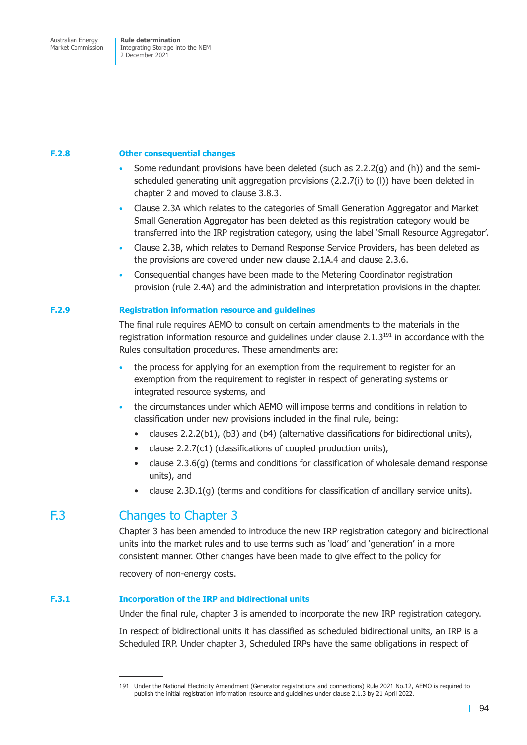### **F.2.8 Other consequential changes**

- Some redundant provisions have been deleted (such as 2.2.2(g) and (h)) and the semischeduled generating unit aggregation provisions (2.2.7(i) to (l)) have been deleted in chapter 2 and moved to clause 3.8.3.
- Clause 2.3A which relates to the categories of Small Generation Aggregator and Market Small Generation Aggregator has been deleted as this registration category would be transferred into the IRP registration category, using the label 'Small Resource Aggregator'.
- Clause 2.3B, which relates to Demand Response Service Providers, has been deleted as the provisions are covered under new clause 2.1A.4 and clause 2.3.6.
- Consequential changes have been made to the Metering Coordinator registration provision (rule 2.4A) and the administration and interpretation provisions in the chapter.

### **F.2.9 Registration information resource and guidelines**

The final rule requires AEMO to consult on certain amendments to the materials in the registration information resource and guidelines under clause  $2.1.3^{191}$  in accordance with the Rules consultation procedures. These amendments are:

- the process for applying for an exemption from the requirement to register for an exemption from the requirement to register in respect of generating systems or integrated resource systems, and
- the circumstances under which AEMO will impose terms and conditions in relation to classification under new provisions included in the final rule, being:
	- clauses 2.2.2(b1), (b3) and (b4) (alternative classifications for bidirectional units),
	- clause 2.2.7(c1) (classifications of coupled production units),
	- clause 2.3.6(g) (terms and conditions for classification of wholesale demand response units), and
	- clause 2.3D.1(g) (terms and conditions for classification of ancillary service units).

# F.3 Changes to Chapter 3

Chapter 3 has been amended to introduce the new IRP registration category and bidirectional units into the market rules and to use terms such as 'load' and 'generation' in a more consistent manner. Other changes have been made to give effect to the policy for

recovery of non-energy costs.

### **F.3.1 Incorporation of the IRP and bidirectional units**

Under the final rule, chapter 3 is amended to incorporate the new IRP registration category.

In respect of bidirectional units it has classified as scheduled bidirectional units, an IRP is a Scheduled IRP. Under chapter 3, Scheduled IRPs have the same obligations in respect of

<sup>191</sup> Under the National Electricity Amendment (Generator registrations and connections) Rule 2021 No.12, AEMO is required to publish the initial registration information resource and guidelines under clause 2.1.3 by 21 April 2022.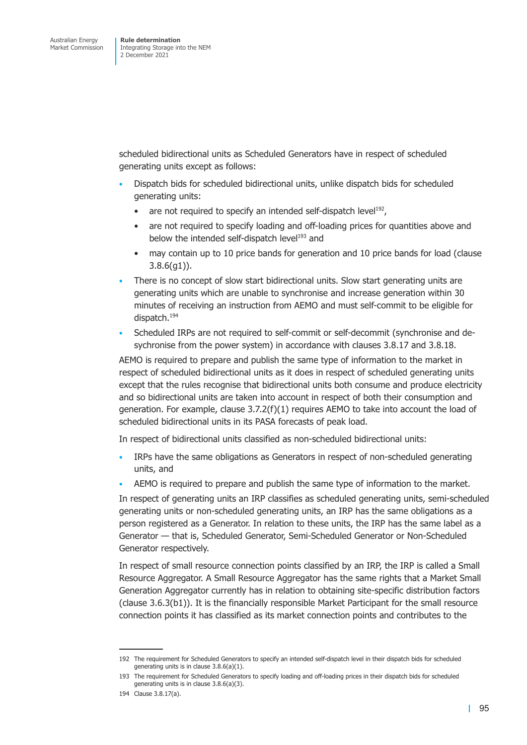scheduled bidirectional units as Scheduled Generators have in respect of scheduled generating units except as follows:

- Dispatch bids for scheduled bidirectional units, unlike dispatch bids for scheduled generating units:
	- are not required to specify an intended self-dispatch level<sup>192</sup>,
	- are not required to specify loading and off-loading prices for quantities above and below the intended self-dispatch level<sup>193</sup> and
	- may contain up to 10 price bands for generation and 10 price bands for load (clause 3.8.6(g1)).
- There is no concept of slow start bidirectional units. Slow start generating units are generating units which are unable to synchronise and increase generation within 30 minutes of receiving an instruction from AEMO and must self-commit to be eligible for dispatch.194
- Scheduled IRPs are not required to self-commit or self-decommit (synchronise and desychronise from the power system) in accordance with clauses 3.8.17 and 3.8.18.

AEMO is required to prepare and publish the same type of information to the market in respect of scheduled bidirectional units as it does in respect of scheduled generating units except that the rules recognise that bidirectional units both consume and produce electricity and so bidirectional units are taken into account in respect of both their consumption and generation. For example, clause  $3.7.2(f)(1)$  requires AEMO to take into account the load of scheduled bidirectional units in its PASA forecasts of peak load.

In respect of bidirectional units classified as non-scheduled bidirectional units:

- IRPs have the same obligations as Generators in respect of non-scheduled generating units, and
- AEMO is required to prepare and publish the same type of information to the market.

In respect of generating units an IRP classifies as scheduled generating units, semi-scheduled generating units or non-scheduled generating units, an IRP has the same obligations as a person registered as a Generator. In relation to these units, the IRP has the same label as a Generator — that is, Scheduled Generator, Semi-Scheduled Generator or Non-Scheduled Generator respectively.

In respect of small resource connection points classified by an IRP, the IRP is called a Small Resource Aggregator. A Small Resource Aggregator has the same rights that a Market Small Generation Aggregator currently has in relation to obtaining site-specific distribution factors (clause 3.6.3(b1)). It is the financially responsible Market Participant for the small resource connection points it has classified as its market connection points and contributes to the

<sup>192</sup> The requirement for Scheduled Generators to specify an intended self-dispatch level in their dispatch bids for scheduled generating units is in clause 3.8.6(a)(1).

<sup>193</sup> The requirement for Scheduled Generators to specify loading and off-loading prices in their dispatch bids for scheduled generating units is in clause 3.8.6(a)(3).

<sup>194</sup> Clause 3.8.17(a).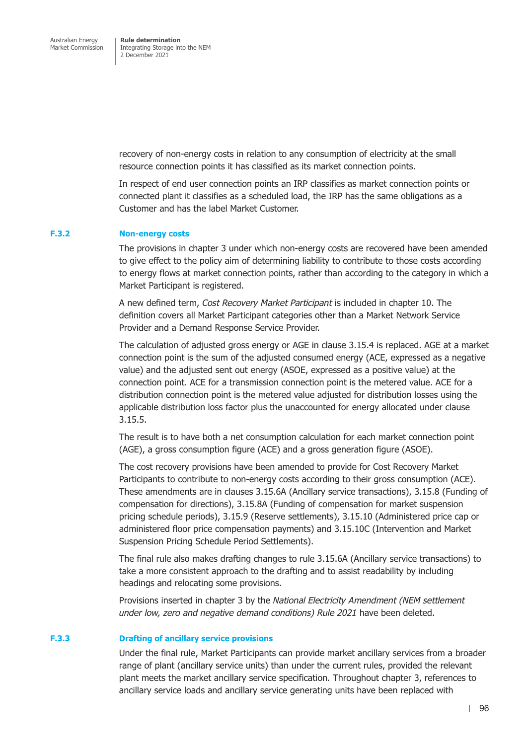recovery of non-energy costs in relation to any consumption of electricity at the small resource connection points it has classified as its market connection points.

In respect of end user connection points an IRP classifies as market connection points or connected plant it classifies as a scheduled load, the IRP has the same obligations as a Customer and has the label Market Customer.

#### **F.3.2 Non-energy costs**

The provisions in chapter 3 under which non-energy costs are recovered have been amended to give effect to the policy aim of determining liability to contribute to those costs according to energy flows at market connection points, rather than according to the category in which a Market Participant is registered.

A new defined term, *Cost Recovery Market Participant* is included in chapter 10. The definition covers all Market Participant categories other than a Market Network Service Provider and a Demand Response Service Provider.

The calculation of adjusted gross energy or AGE in clause 3.15.4 is replaced. AGE at a market connection point is the sum of the adjusted consumed energy (ACE, expressed as a negative value) and the adjusted sent out energy (ASOE, expressed as a positive value) at the connection point. ACE for a transmission connection point is the metered value. ACE for a distribution connection point is the metered value adjusted for distribution losses using the applicable distribution loss factor plus the unaccounted for energy allocated under clause 3.15.5.

The result is to have both a net consumption calculation for each market connection point (AGE), a gross consumption figure (ACE) and a gross generation figure (ASOE).

The cost recovery provisions have been amended to provide for Cost Recovery Market Participants to contribute to non-energy costs according to their gross consumption (ACE). These amendments are in clauses 3.15.6A (Ancillary service transactions), 3.15.8 (Funding of compensation for directions), 3.15.8A (Funding of compensation for market suspension pricing schedule periods), 3.15.9 (Reserve settlements), 3.15.10 (Administered price cap or administered floor price compensation payments) and 3.15.10C (Intervention and Market Suspension Pricing Schedule Period Settlements).

The final rule also makes drafting changes to rule 3.15.6A (Ancillary service transactions) to take a more consistent approach to the drafting and to assist readability by including headings and relocating some provisions.

Provisions inserted in chapter 3 by the *National Electricity Amendment (NEM settlement under low, zero and negative demand conditions) Rule 2021* have been deleted.

#### **F.3.3 Drafting of ancillary service provisions**

Under the final rule, Market Participants can provide market ancillary services from a broader range of plant (ancillary service units) than under the current rules, provided the relevant plant meets the market ancillary service specification. Throughout chapter 3, references to ancillary service loads and ancillary service generating units have been replaced with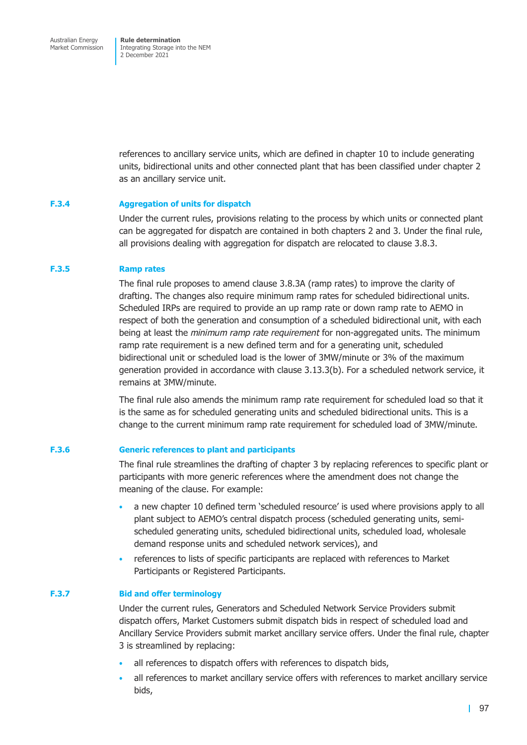references to ancillary service units, which are defined in chapter 10 to include generating units, bidirectional units and other connected plant that has been classified under chapter 2 as an ancillary service unit.

### **F.3.4 Aggregation of units for dispatch**

Under the current rules, provisions relating to the process by which units or connected plant can be aggregated for dispatch are contained in both chapters 2 and 3. Under the final rule, all provisions dealing with aggregation for dispatch are relocated to clause 3.8.3.

### **F.3.5 Ramp rates**

The final rule proposes to amend clause 3.8.3A (ramp rates) to improve the clarity of drafting. The changes also require minimum ramp rates for scheduled bidirectional units. Scheduled IRPs are required to provide an up ramp rate or down ramp rate to AEMO in respect of both the generation and consumption of a scheduled bidirectional unit, with each being at least the *minimum ramp rate requirement* for non-aggregated units. The minimum ramp rate requirement is a new defined term and for a generating unit, scheduled bidirectional unit or scheduled load is the lower of 3MW/minute or 3% of the maximum generation provided in accordance with clause 3.13.3(b). For a scheduled network service, it remains at 3MW/minute.

The final rule also amends the minimum ramp rate requirement for scheduled load so that it is the same as for scheduled generating units and scheduled bidirectional units. This is a change to the current minimum ramp rate requirement for scheduled load of 3MW/minute.

### **F.3.6 Generic references to plant and participants**

The final rule streamlines the drafting of chapter 3 by replacing references to specific plant or participants with more generic references where the amendment does not change the meaning of the clause. For example:

- a new chapter 10 defined term 'scheduled resource' is used where provisions apply to all plant subject to AEMO's central dispatch process (scheduled generating units, semischeduled generating units, scheduled bidirectional units, scheduled load, wholesale demand response units and scheduled network services), and
- references to lists of specific participants are replaced with references to Market Participants or Registered Participants.

### **F.3.7 Bid and offer terminology**

Under the current rules, Generators and Scheduled Network Service Providers submit dispatch offers, Market Customers submit dispatch bids in respect of scheduled load and Ancillary Service Providers submit market ancillary service offers. Under the final rule, chapter 3 is streamlined by replacing:

- all references to dispatch offers with references to dispatch bids,
- all references to market ancillary service offers with references to market ancillary service bids,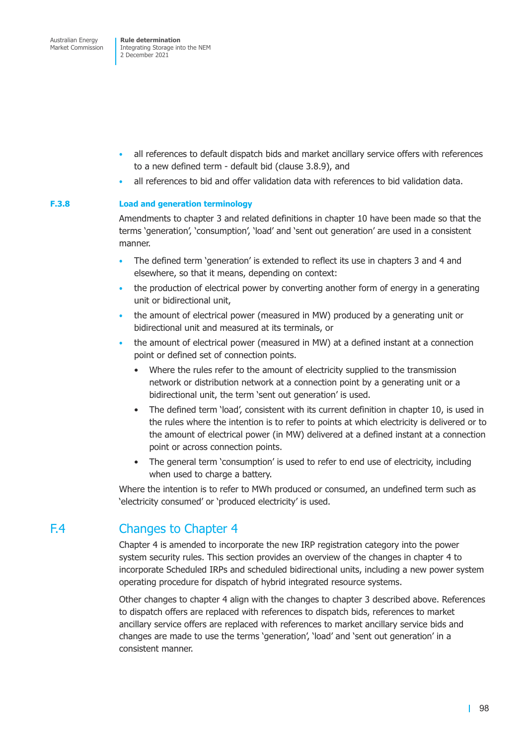- all references to default dispatch bids and market ancillary service offers with references to a new defined term - default bid (clause 3.8.9), and
- all references to bid and offer validation data with references to bid validation data.

### **F.3.8 Load and generation terminology**

Amendments to chapter 3 and related definitions in chapter 10 have been made so that the terms 'generation', 'consumption', 'load' and 'sent out generation' are used in a consistent manner.

- The defined term 'generation' is extended to reflect its use in chapters 3 and 4 and elsewhere, so that it means, depending on context:
- the production of electrical power by converting another form of energy in a generating unit or bidirectional unit,
- the amount of electrical power (measured in MW) produced by a generating unit or bidirectional unit and measured at its terminals, or
- the amount of electrical power (measured in MW) at a defined instant at a connection point or defined set of connection points.
	- Where the rules refer to the amount of electricity supplied to the transmission network or distribution network at a connection point by a generating unit or a bidirectional unit, the term 'sent out generation' is used.
	- The defined term 'load', consistent with its current definition in chapter 10, is used in the rules where the intention is to refer to points at which electricity is delivered or to the amount of electrical power (in MW) delivered at a defined instant at a connection point or across connection points.
	- The general term 'consumption' is used to refer to end use of electricity, including when used to charge a battery.

Where the intention is to refer to MWh produced or consumed, an undefined term such as 'electricity consumed' or 'produced electricity' is used.

# F.4 Changes to Chapter 4

Chapter 4 is amended to incorporate the new IRP registration category into the power system security rules. This section provides an overview of the changes in chapter 4 to incorporate Scheduled IRPs and scheduled bidirectional units, including a new power system operating procedure for dispatch of hybrid integrated resource systems.

Other changes to chapter 4 align with the changes to chapter 3 described above. References to dispatch offers are replaced with references to dispatch bids, references to market ancillary service offers are replaced with references to market ancillary service bids and changes are made to use the terms 'generation', 'load' and 'sent out generation' in a consistent manner.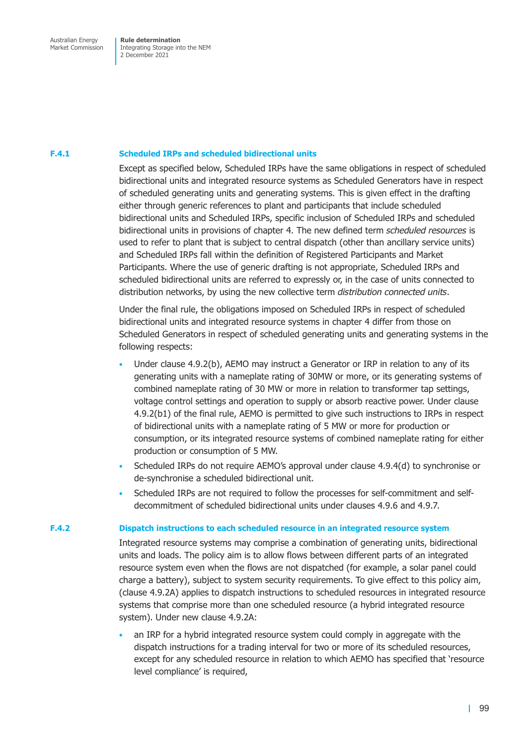### **F.4.1 Scheduled IRPs and scheduled bidirectional units**

Except as specified below, Scheduled IRPs have the same obligations in respect of scheduled bidirectional units and integrated resource systems as Scheduled Generators have in respect of scheduled generating units and generating systems. This is given effect in the drafting either through generic references to plant and participants that include scheduled bidirectional units and Scheduled IRPs, specific inclusion of Scheduled IRPs and scheduled bidirectional units in provisions of chapter 4. The new defined term *scheduled resources* is used to refer to plant that is subject to central dispatch (other than ancillary service units) and Scheduled IRPs fall within the definition of Registered Participants and Market Participants. Where the use of generic drafting is not appropriate, Scheduled IRPs and scheduled bidirectional units are referred to expressly or, in the case of units connected to distribution networks, by using the new collective term *distribution connected units*.

Under the final rule, the obligations imposed on Scheduled IRPs in respect of scheduled bidirectional units and integrated resource systems in chapter 4 differ from those on Scheduled Generators in respect of scheduled generating units and generating systems in the following respects:

- Under clause 4.9.2(b), AEMO may instruct a Generator or IRP in relation to any of its generating units with a nameplate rating of 30MW or more, or its generating systems of combined nameplate rating of 30 MW or more in relation to transformer tap settings, voltage control settings and operation to supply or absorb reactive power. Under clause 4.9.2(b1) of the final rule, AEMO is permitted to give such instructions to IRPs in respect of bidirectional units with a nameplate rating of 5 MW or more for production or consumption, or its integrated resource systems of combined nameplate rating for either production or consumption of 5 MW.
- Scheduled IRPs do not require AEMO's approval under clause 4.9.4(d) to synchronise or de-synchronise a scheduled bidirectional unit.
- Scheduled IRPs are not required to follow the processes for self-commitment and selfdecommitment of scheduled bidirectional units under clauses 4.9.6 and 4.9.7.

### **F.4.2 Dispatch instructions to each scheduled resource in an integrated resource system**

Integrated resource systems may comprise a combination of generating units, bidirectional units and loads. The policy aim is to allow flows between different parts of an integrated resource system even when the flows are not dispatched (for example, a solar panel could charge a battery), subject to system security requirements. To give effect to this policy aim, (clause 4.9.2A) applies to dispatch instructions to scheduled resources in integrated resource systems that comprise more than one scheduled resource (a hybrid integrated resource system). Under new clause 4.9.2A:

• an IRP for a hybrid integrated resource system could comply in aggregate with the dispatch instructions for a trading interval for two or more of its scheduled resources, except for any scheduled resource in relation to which AEMO has specified that 'resource level compliance' is required,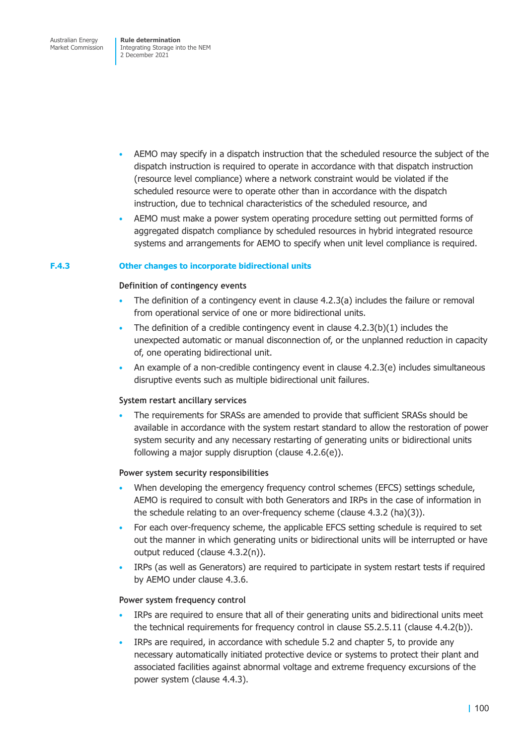Australian Energy Market Commission

**Rule determination**  Integrating Storage into the NEM 2 December 2021

- AEMO may specify in a dispatch instruction that the scheduled resource the subject of the dispatch instruction is required to operate in accordance with that dispatch instruction (resource level compliance) where a network constraint would be violated if the scheduled resource were to operate other than in accordance with the dispatch instruction, due to technical characteristics of the scheduled resource, and
- AEMO must make a power system operating procedure setting out permitted forms of aggregated dispatch compliance by scheduled resources in hybrid integrated resource systems and arrangements for AEMO to specify when unit level compliance is required.

### **F.4.3 Other changes to incorporate bidirectional units**

### **Definition of contingency events**

- The definition of a contingency event in clause  $4.2.3(a)$  includes the failure or removal from operational service of one or more bidirectional units.
- The definition of a credible contingency event in clause  $4.2.3(b)(1)$  includes the unexpected automatic or manual disconnection of, or the unplanned reduction in capacity of, one operating bidirectional unit.
- An example of a non-credible contingency event in clause 4.2.3(e) includes simultaneous disruptive events such as multiple bidirectional unit failures.

### **System restart ancillary services**

• The requirements for SRASs are amended to provide that sufficient SRASs should be available in accordance with the system restart standard to allow the restoration of power system security and any necessary restarting of generating units or bidirectional units following a major supply disruption (clause 4.2.6(e)).

### **Power system security responsibilities**

- When developing the emergency frequency control schemes (EFCS) settings schedule, AEMO is required to consult with both Generators and IRPs in the case of information in the schedule relating to an over-frequency scheme (clause 4.3.2 (ha)(3)).
- For each over-frequency scheme, the applicable EFCS setting schedule is required to set out the manner in which generating units or bidirectional units will be interrupted or have output reduced (clause 4.3.2(n)).
- IRPs (as well as Generators) are required to participate in system restart tests if required by AEMO under clause 4.3.6.

### **Power system frequency control**

- IRPs are required to ensure that all of their generating units and bidirectional units meet the technical requirements for frequency control in clause S5.2.5.11 (clause 4.4.2(b)).
- IRPs are required, in accordance with schedule 5.2 and chapter 5, to provide any necessary automatically initiated protective device or systems to protect their plant and associated facilities against abnormal voltage and extreme frequency excursions of the power system (clause 4.4.3).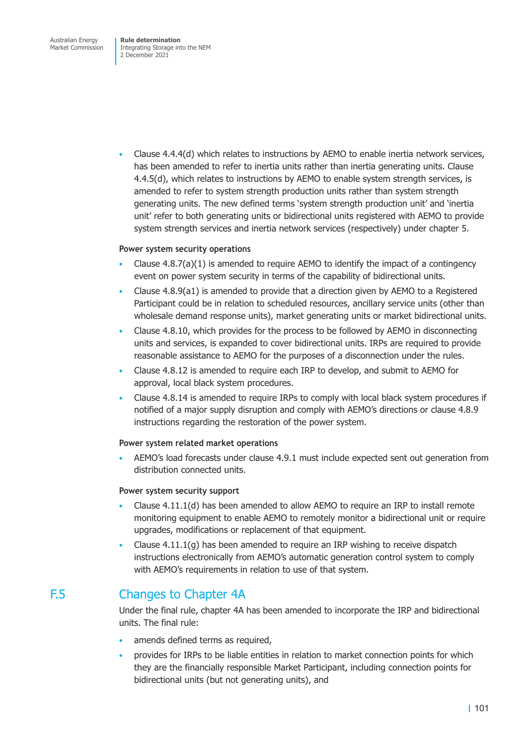Australian Energy Market Commission **Rule determination**  Integrating Storage into the NEM 2 December 2021

• Clause 4.4.4(d) which relates to instructions by AEMO to enable inertia network services, has been amended to refer to inertia units rather than inertia generating units. Clause 4.4.5(d), which relates to instructions by AEMO to enable system strength services, is amended to refer to system strength production units rather than system strength generating units. The new defined terms 'system strength production unit' and 'inertia unit' refer to both generating units or bidirectional units registered with AEMO to provide system strength services and inertia network services (respectively) under chapter 5.

### **Power system security operations**

- Clause  $4.8.7(a)(1)$  is amended to require AEMO to identify the impact of a contingency event on power system security in terms of the capability of bidirectional units.
- Clause 4.8.9(a1) is amended to provide that a direction given by AEMO to a Registered Participant could be in relation to scheduled resources, ancillary service units (other than wholesale demand response units), market generating units or market bidirectional units.
- Clause 4.8.10, which provides for the process to be followed by AEMO in disconnecting units and services, is expanded to cover bidirectional units. IRPs are required to provide reasonable assistance to AEMO for the purposes of a disconnection under the rules.
- Clause 4.8.12 is amended to require each IRP to develop, and submit to AEMO for approval, local black system procedures.
- Clause 4.8.14 is amended to require IRPs to comply with local black system procedures if notified of a major supply disruption and comply with AEMO's directions or clause 4.8.9 instructions regarding the restoration of the power system.

### **Power system related market operations**

• AEMO's load forecasts under clause 4.9.1 must include expected sent out generation from distribution connected units.

### **Power system security support**

- Clause  $4.11.1(d)$  has been amended to allow AEMO to require an IRP to install remote monitoring equipment to enable AEMO to remotely monitor a bidirectional unit or require upgrades, modifications or replacement of that equipment.
- Clause 4.11.1(g) has been amended to require an IRP wishing to receive dispatch instructions electronically from AEMO's automatic generation control system to comply with AEMO's requirements in relation to use of that system.

### F.5 Changes to Chapter 4A

Under the final rule, chapter 4A has been amended to incorporate the IRP and bidirectional units. The final rule:

- amends defined terms as required,
- provides for IRPs to be liable entities in relation to market connection points for which they are the financially responsible Market Participant, including connection points for bidirectional units (but not generating units), and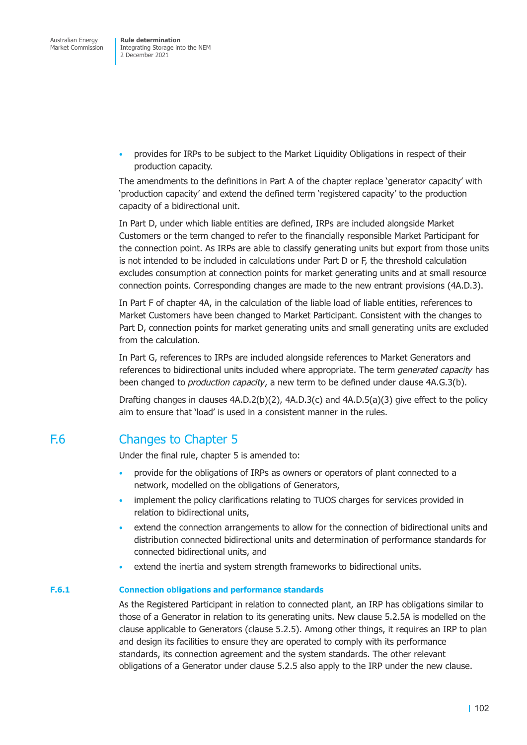• provides for IRPs to be subject to the Market Liquidity Obligations in respect of their production capacity.

The amendments to the definitions in Part A of the chapter replace 'generator capacity' with 'production capacity' and extend the defined term 'registered capacity' to the production capacity of a bidirectional unit.

In Part D, under which liable entities are defined, IRPs are included alongside Market Customers or the term changed to refer to the financially responsible Market Participant for the connection point. As IRPs are able to classify generating units but export from those units is not intended to be included in calculations under Part D or F, the threshold calculation excludes consumption at connection points for market generating units and at small resource connection points. Corresponding changes are made to the new entrant provisions (4A.D.3).

In Part F of chapter 4A, in the calculation of the liable load of liable entities, references to Market Customers have been changed to Market Participant. Consistent with the changes to Part D, connection points for market generating units and small generating units are excluded from the calculation.

In Part G, references to IRPs are included alongside references to Market Generators and references to bidirectional units included where appropriate. The term *generated capacity* has been changed to *production capacity*, a new term to be defined under clause 4A.G.3(b).

Drafting changes in clauses 4A.D.2(b)(2), 4A.D.3(c) and 4A.D.5(a)(3) give effect to the policy aim to ensure that 'load' is used in a consistent manner in the rules.

# F.6 Changes to Chapter 5

Under the final rule, chapter 5 is amended to:

- provide for the obligations of IRPs as owners or operators of plant connected to a network, modelled on the obligations of Generators,
- implement the policy clarifications relating to TUOS charges for services provided in relation to bidirectional units,
- extend the connection arrangements to allow for the connection of bidirectional units and distribution connected bidirectional units and determination of performance standards for connected bidirectional units, and
- extend the inertia and system strength frameworks to bidirectional units.

### **F.6.1 Connection obligations and performance standards**

As the Registered Participant in relation to connected plant, an IRP has obligations similar to those of a Generator in relation to its generating units. New clause 5.2.5A is modelled on the clause applicable to Generators (clause 5.2.5). Among other things, it requires an IRP to plan and design its facilities to ensure they are operated to comply with its performance standards, its connection agreement and the system standards. The other relevant obligations of a Generator under clause 5.2.5 also apply to the IRP under the new clause.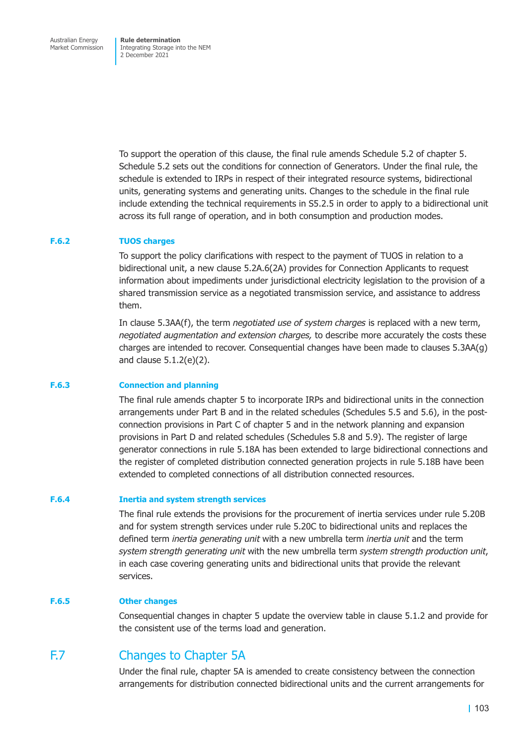To support the operation of this clause, the final rule amends Schedule 5.2 of chapter 5. Schedule 5.2 sets out the conditions for connection of Generators. Under the final rule, the schedule is extended to IRPs in respect of their integrated resource systems, bidirectional units, generating systems and generating units. Changes to the schedule in the final rule include extending the technical requirements in S5.2.5 in order to apply to a bidirectional unit across its full range of operation, and in both consumption and production modes.

### **F.6.2 TUOS charges**

To support the policy clarifications with respect to the payment of TUOS in relation to a bidirectional unit, a new clause 5.2A.6(2A) provides for Connection Applicants to request information about impediments under jurisdictional electricity legislation to the provision of a shared transmission service as a negotiated transmission service, and assistance to address them.

In clause 5.3AA(f), the term *negotiated use of system charges* is replaced with a new term, *negotiated augmentation and extension charges,* to describe more accurately the costs these charges are intended to recover. Consequential changes have been made to clauses 5.3AA(g) and clause 5.1.2(e)(2).

### **F.6.3 Connection and planning**

The final rule amends chapter 5 to incorporate IRPs and bidirectional units in the connection arrangements under Part B and in the related schedules (Schedules 5.5 and 5.6), in the postconnection provisions in Part C of chapter 5 and in the network planning and expansion provisions in Part D and related schedules (Schedules 5.8 and 5.9). The register of large generator connections in rule 5.18A has been extended to large bidirectional connections and the register of completed distribution connected generation projects in rule 5.18B have been extended to completed connections of all distribution connected resources.

### **F.6.4 Inertia and system strength services**

The final rule extends the provisions for the procurement of inertia services under rule 5.20B and for system strength services under rule 5.20C to bidirectional units and replaces the defined term *inertia generating unit* with a new umbrella term *inertia unit* and the term *system strength generating unit* with the new umbrella term *system strength production unit*, in each case covering generating units and bidirectional units that provide the relevant services.

### **F.6.5 Other changes**

Consequential changes in chapter 5 update the overview table in clause 5.1.2 and provide for the consistent use of the terms load and generation.

### F.7 Changes to Chapter 5A

Under the final rule, chapter 5A is amended to create consistency between the connection arrangements for distribution connected bidirectional units and the current arrangements for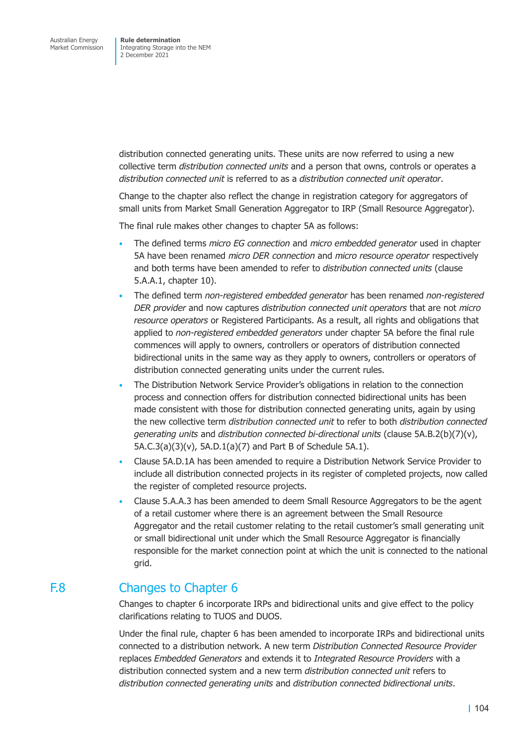distribution connected generating units. These units are now referred to using a new collective term *distribution connected units* and a person that owns, controls or operates a *distribution connected unit* is referred to as a *distribution connected unit operator*.

Change to the chapter also reflect the change in registration category for aggregators of small units from Market Small Generation Aggregator to IRP (Small Resource Aggregator).

The final rule makes other changes to chapter 5A as follows:

- The defined terms *micro EG connection* and *micro embedded generator* used in chapter 5A have been renamed *micro DER connection* and *micro resource operator* respectively and both terms have been amended to refer to *distribution connected units* (clause 5.A.A.1, chapter 10).
- The defined term *non-registered embedded generator* has been renamed *non-registered DER provider* and now captures *distribution connected unit operators* that are not *micro resource operators* or Registered Participants. As a result, all rights and obligations that applied to *non-registered embedded generators* under chapter 5A before the final rule commences will apply to owners, controllers or operators of distribution connected bidirectional units in the same way as they apply to owners, controllers or operators of distribution connected generating units under the current rules.
- The Distribution Network Service Provider's obligations in relation to the connection process and connection offers for distribution connected bidirectional units has been made consistent with those for distribution connected generating units, again by using the new collective term *distribution connected unit* to refer to both *distribution connected generating units* and *distribution connected bi-directional units* (clause 5A.B.2(b)(7)(v), 5A.C.3(a)(3)(v), 5A.D.1(a)(7) and Part B of Schedule 5A.1).
- Clause 5A.D.1A has been amended to require a Distribution Network Service Provider to include all distribution connected projects in its register of completed projects, now called the register of completed resource projects.
- Clause 5.A.A.3 has been amended to deem Small Resource Aggregators to be the agent of a retail customer where there is an agreement between the Small Resource Aggregator and the retail customer relating to the retail customer's small generating unit or small bidirectional unit under which the Small Resource Aggregator is financially responsible for the market connection point at which the unit is connected to the national grid.

### F.8 Changes to Chapter 6

Changes to chapter 6 incorporate IRPs and bidirectional units and give effect to the policy clarifications relating to TUOS and DUOS.

Under the final rule, chapter 6 has been amended to incorporate IRPs and bidirectional units connected to a distribution network. A new term *Distribution Connected Resource Provider*  replaces *Embedded Generators* and extends it to *Integrated Resource Providers* with a distribution connected system and a new term *distribution connected unit* refers to *distribution connected generating units* and *distribution connected bidirectional units*.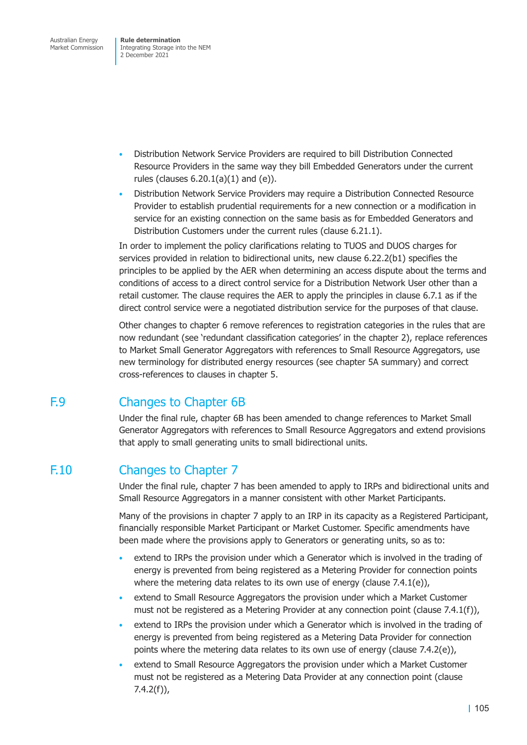Australian Energy Market Commission

**Rule determination**  Integrating Storage into the NEM 2 December 2021

- Distribution Network Service Providers are required to bill Distribution Connected Resource Providers in the same way they bill Embedded Generators under the current rules (clauses  $6.20.1(a)(1)$  and  $(e)$ ).
- Distribution Network Service Providers may require a Distribution Connected Resource Provider to establish prudential requirements for a new connection or a modification in service for an existing connection on the same basis as for Embedded Generators and Distribution Customers under the current rules (clause 6.21.1).

In order to implement the policy clarifications relating to TUOS and DUOS charges for services provided in relation to bidirectional units, new clause 6.22.2(b1) specifies the principles to be applied by the AER when determining an access dispute about the terms and conditions of access to a direct control service for a Distribution Network User other than a retail customer. The clause requires the AER to apply the principles in clause 6.7.1 as if the direct control service were a negotiated distribution service for the purposes of that clause.

Other changes to chapter 6 remove references to registration categories in the rules that are now redundant (see 'redundant classification categories' in the chapter 2), replace references to Market Small Generator Aggregators with references to Small Resource Aggregators, use new terminology for distributed energy resources (see chapter 5A summary) and correct cross-references to clauses in chapter 5.

# F.9 Changes to Chapter 6B

Under the final rule, chapter 6B has been amended to change references to Market Small Generator Aggregators with references to Small Resource Aggregators and extend provisions that apply to small generating units to small bidirectional units.

# F.10 Changes to Chapter 7

Under the final rule, chapter 7 has been amended to apply to IRPs and bidirectional units and Small Resource Aggregators in a manner consistent with other Market Participants.

Many of the provisions in chapter 7 apply to an IRP in its capacity as a Registered Participant, financially responsible Market Participant or Market Customer. Specific amendments have been made where the provisions apply to Generators or generating units, so as to:

- extend to IRPs the provision under which a Generator which is involved in the trading of energy is prevented from being registered as a Metering Provider for connection points where the metering data relates to its own use of energy (clause 7.4.1(e)),
- extend to Small Resource Aggregators the provision under which a Market Customer must not be registered as a Metering Provider at any connection point (clause 7.4.1(f)),
- extend to IRPs the provision under which a Generator which is involved in the trading of energy is prevented from being registered as a Metering Data Provider for connection points where the metering data relates to its own use of energy (clause 7.4.2(e)),
- extend to Small Resource Aggregators the provision under which a Market Customer must not be registered as a Metering Data Provider at any connection point (clause 7.4.2(f)),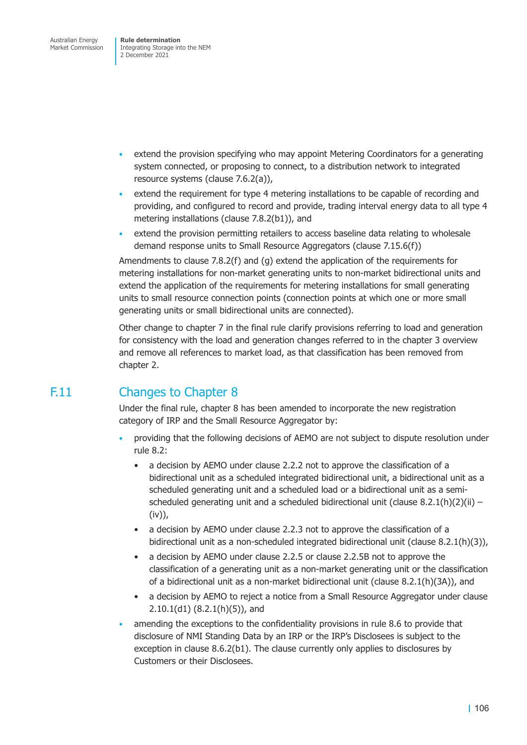- extend the provision specifying who may appoint Metering Coordinators for a generating system connected, or proposing to connect, to a distribution network to integrated resource systems (clause 7.6.2(a)),
- extend the requirement for type 4 metering installations to be capable of recording and providing, and configured to record and provide, trading interval energy data to all type 4 metering installations (clause 7.8.2(b1)), and
- extend the provision permitting retailers to access baseline data relating to wholesale demand response units to Small Resource Aggregators (clause 7.15.6(f))

Amendments to clause 7.8.2(f) and (g) extend the application of the requirements for metering installations for non-market generating units to non-market bidirectional units and extend the application of the requirements for metering installations for small generating units to small resource connection points (connection points at which one or more small generating units or small bidirectional units are connected).

Other change to chapter 7 in the final rule clarify provisions referring to load and generation for consistency with the load and generation changes referred to in the chapter 3 overview and remove all references to market load, as that classification has been removed from chapter 2.

# F.11 Changes to Chapter 8

Under the final rule, chapter 8 has been amended to incorporate the new registration category of IRP and the Small Resource Aggregator by:

- providing that the following decisions of AEMO are not subject to dispute resolution under rule 8.2:
	- a decision by AEMO under clause 2.2.2 not to approve the classification of a bidirectional unit as a scheduled integrated bidirectional unit, a bidirectional unit as a scheduled generating unit and a scheduled load or a bidirectional unit as a semischeduled generating unit and a scheduled bidirectional unit (clause  $8.2.1(h)(2)(ii)$  – (iv)),
	- a decision by AEMO under clause 2.2.3 not to approve the classification of a bidirectional unit as a non-scheduled integrated bidirectional unit (clause 8.2.1(h)(3)),
	- a decision by AEMO under clause 2.2.5 or clause 2.2.5B not to approve the classification of a generating unit as a non-market generating unit or the classification of a bidirectional unit as a non-market bidirectional unit (clause 8.2.1(h)(3A)), and
	- a decision by AEMO to reject a notice from a Small Resource Aggregator under clause 2.10.1(d1) (8.2.1(h)(5)), and
- amending the exceptions to the confidentiality provisions in rule 8.6 to provide that disclosure of NMI Standing Data by an IRP or the IRP's Disclosees is subject to the exception in clause 8.6.2(b1). The clause currently only applies to disclosures by Customers or their Disclosees.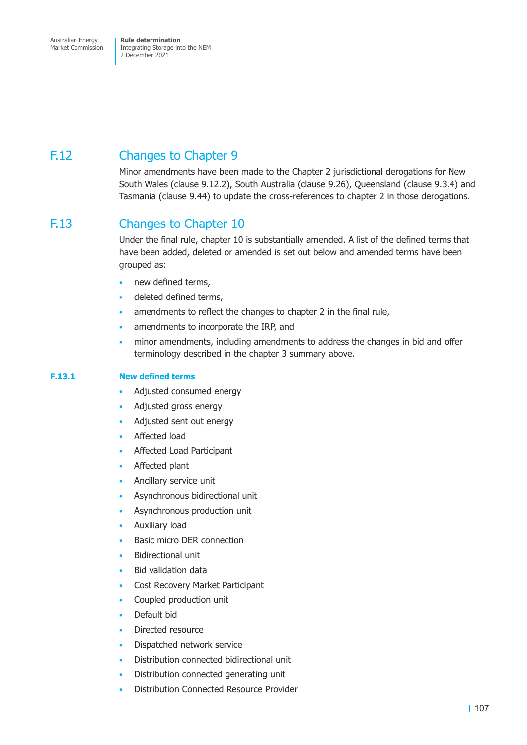Australian Energy Market Commission

**Rule determination**  Integrating Storage into the NEM 2 December 2021

# F.12 Changes to Chapter 9

Minor amendments have been made to the Chapter 2 jurisdictional derogations for New South Wales (clause 9.12.2), South Australia (clause 9.26), Queensland (clause 9.3.4) and Tasmania (clause 9.44) to update the cross-references to chapter 2 in those derogations.

# F.13 Changes to Chapter 10

Under the final rule, chapter 10 is substantially amended. A list of the defined terms that have been added, deleted or amended is set out below and amended terms have been grouped as:

- new defined terms,
- deleted defined terms,
- amendments to reflect the changes to chapter 2 in the final rule,
- amendments to incorporate the IRP, and
- minor amendments, including amendments to address the changes in bid and offer terminology described in the chapter 3 summary above.

### **F.13.1 New defined terms**

- Adjusted consumed energy
- Adjusted gross energy
- Adjusted sent out energy
- Affected load
- Affected Load Participant
- Affected plant
- Ancillary service unit
- Asynchronous bidirectional unit
- Asynchronous production unit
- Auxiliary load
- Basic micro DER connection
- Bidirectional unit
- Bid validation data
- Cost Recovery Market Participant
- Coupled production unit
- Default bid
- Directed resource
- Dispatched network service
- Distribution connected bidirectional unit
- Distribution connected generating unit
- Distribution Connected Resource Provider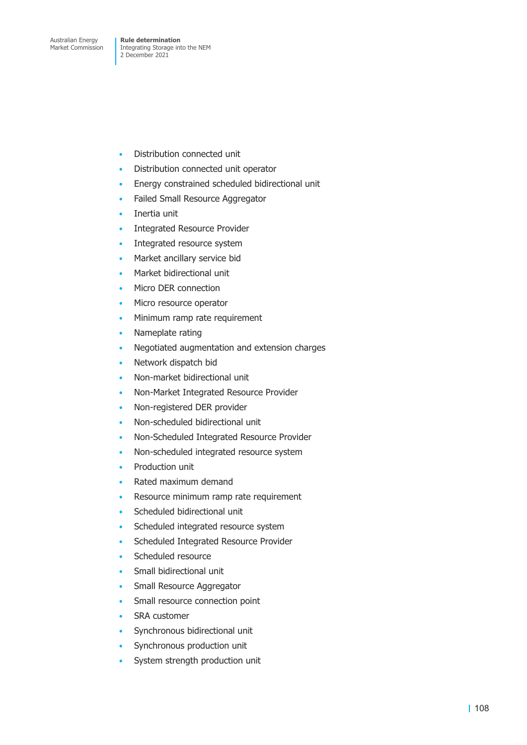- Distribution connected unit
- Distribution connected unit operator
- Energy constrained scheduled bidirectional unit
- Failed Small Resource Aggregator
- Inertia unit
- Integrated Resource Provider
- Integrated resource system
- Market ancillary service bid
- Market bidirectional unit
- Micro DER connection
- Micro resource operator
- Minimum ramp rate requirement
- Nameplate rating
- Negotiated augmentation and extension charges
- Network dispatch bid
- Non-market bidirectional unit
- Non-Market Integrated Resource Provider
- Non-registered DER provider
- Non-scheduled bidirectional unit
- Non-Scheduled Integrated Resource Provider
- Non-scheduled integrated resource system
- Production unit
- Rated maximum demand
- Resource minimum ramp rate requirement
- Scheduled bidirectional unit
- Scheduled integrated resource system
- Scheduled Integrated Resource Provider
- Scheduled resource
- Small bidirectional unit
- Small Resource Aggregator
- Small resource connection point
- SRA customer
- Synchronous bidirectional unit
- Synchronous production unit
- System strength production unit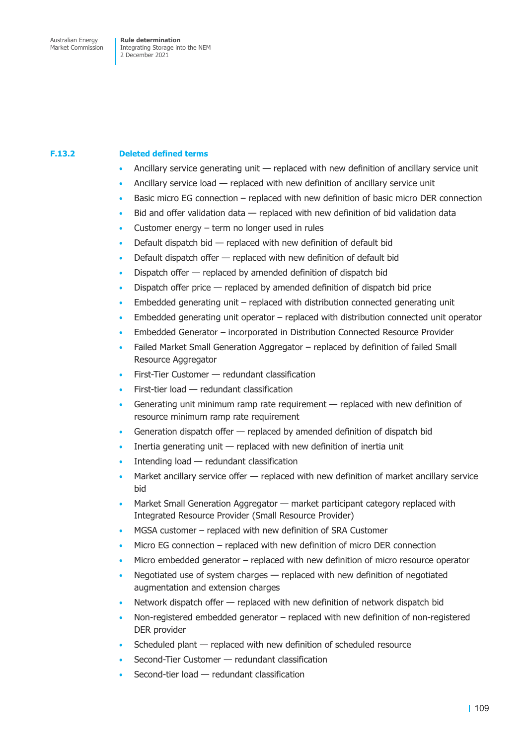### **F.13.2 Deleted defined terms**

- Ancillary service generating unit replaced with new definition of ancillary service unit
- Ancillary service load replaced with new definition of ancillary service unit
- Basic micro EG connection replaced with new definition of basic micro DER connection
- Bid and offer validation data replaced with new definition of bid validation data
- Customer energy  $-$  term no longer used in rules
- Default dispatch bid  $-$  replaced with new definition of default bid
- Default dispatch offer replaced with new definition of default bid
- Dispatch offer replaced by amended definition of dispatch bid
- Dispatch offer price replaced by amended definition of dispatch bid price
- Embedded generating unit replaced with distribution connected generating unit
- $E$ mbedded generating unit operator  $-$  replaced with distribution connected unit operator
- Embedded Generator incorporated in Distribution Connected Resource Provider
- Failed Market Small Generation Aggregator replaced by definition of failed Small Resource Aggregator
- First-Tier Customer redundant classification
- $First$ -tier load  $-$  redundant classification
- Generating unit minimum ramp rate requirement replaced with new definition of resource minimum ramp rate requirement
- Generation dispatch offer replaced by amended definition of dispatch bid
- Inertia generating unit  $-$  replaced with new definition of inertia unit
- Intending load  $-$  redundant classification
- Market ancillary service offer replaced with new definition of market ancillary service bid
- Market Small Generation Aggregator market participant category replaced with Integrated Resource Provider (Small Resource Provider)
- MGSA customer replaced with new definition of SRA Customer
- Micro EG connection replaced with new definition of micro DER connection
- Micro embedded generator replaced with new definition of micro resource operator
- Negotiated use of system charges replaced with new definition of negotiated augmentation and extension charges
- Network dispatch offer replaced with new definition of network dispatch bid
- Non-registered embedded generator replaced with new definition of non-registered DER provider
- Scheduled plant replaced with new definition of scheduled resource
- Second-Tier Customer redundant classification
- Second-tier load redundant classification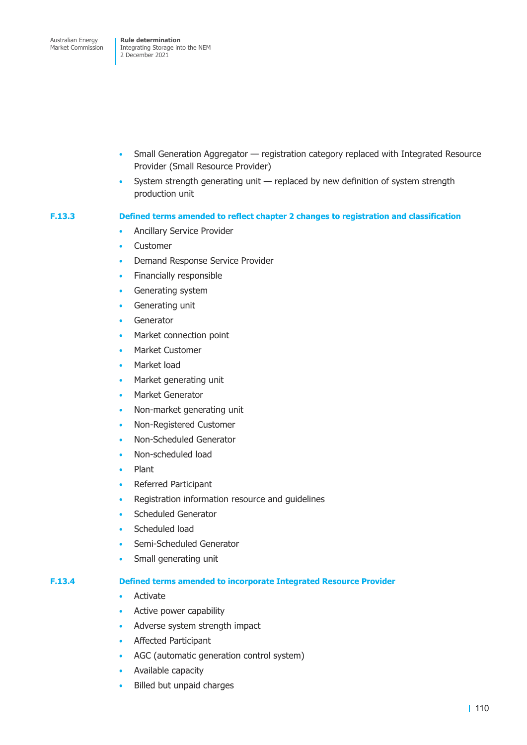- Small Generation Aggregator registration category replaced with Integrated Resource Provider (Small Resource Provider)
- System strength generating unit replaced by new definition of system strength production unit

### **F.13.3 Defined terms amended to reflect chapter 2 changes to registration and classification**

- Ancillary Service Provider
- **Customer**
- Demand Response Service Provider
- Financially responsible
- Generating system
- Generating unit
- **Generator**
- Market connection point
- Market Customer
- Market load
- Market generating unit
- Market Generator
- Non-market generating unit
- Non-Registered Customer
- Non-Scheduled Generator
- Non-scheduled load
- Plant
- Referred Participant
- Registration information resource and guidelines
- Scheduled Generator
- Scheduled load
- Semi-Scheduled Generator
- Small generating unit

### **F.13.4 Defined terms amended to incorporate Integrated Resource Provider**

- Activate
- Active power capability
- Adverse system strength impact
- Affected Participant
- AGC (automatic generation control system)
- Available capacity
- Billed but unpaid charges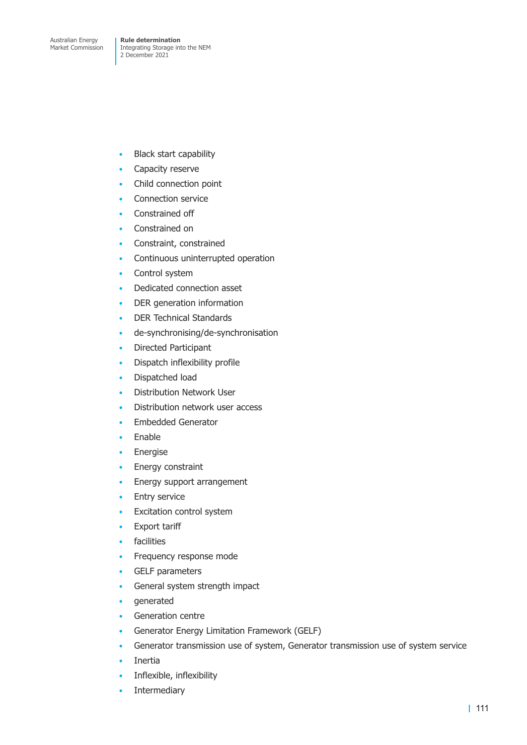- Black start capability
- Capacity reserve
- Child connection point
- Connection service
- Constrained off
- Constrained on
- Constraint, constrained
- Continuous uninterrupted operation
- Control system
- Dedicated connection asset
- DER generation information
- DER Technical Standards
- de-synchronising/de-synchronisation
- Directed Participant
- Dispatch inflexibility profile
- Dispatched load
- Distribution Network User
- Distribution network user access
- Embedded Generator
- Enable
- Energise
- Energy constraint
- Energy support arrangement
- Entry service
- Excitation control system
- **Export tariff**
- facilities
- Frequency response mode
- GELF parameters
- General system strength impact
- generated
- Generation centre
- Generator Energy Limitation Framework (GELF)
- Generator transmission use of system, Generator transmission use of system service
- Inertia
- Inflexible, inflexibility
- Intermediary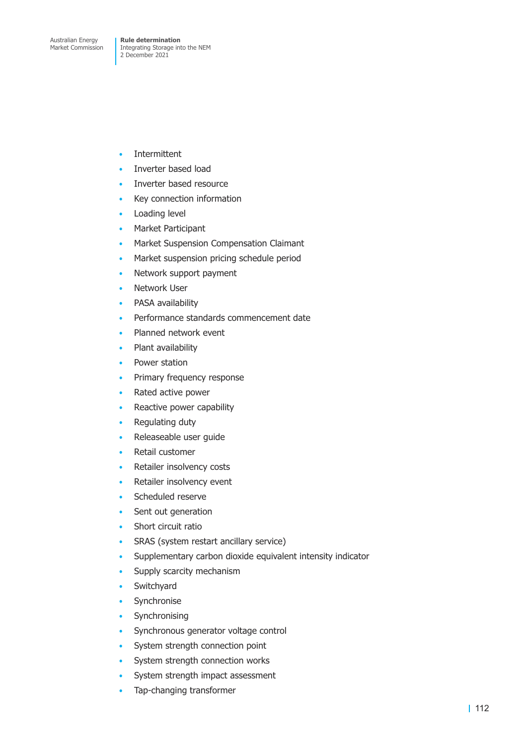- Intermittent
- Inverter based load
- Inverter based resource
- Key connection information
- Loading level
- Market Participant
- Market Suspension Compensation Claimant
- Market suspension pricing schedule period
- Network support payment
- **Network User**
- PASA availability
- Performance standards commencement date
- Planned network event
- Plant availability
- Power station
- Primary frequency response
- Rated active power
- Reactive power capability
- Regulating duty
- Releaseable user guide
- Retail customer
- Retailer insolvency costs
- Retailer insolvency event
- Scheduled reserve
- Sent out generation
- Short circuit ratio
- SRAS (system restart ancillary service)
- Supplementary carbon dioxide equivalent intensity indicator
- Supply scarcity mechanism
- **Switchvard**
- Synchronise
- Synchronising
- Synchronous generator voltage control
- System strength connection point
- System strength connection works
- System strength impact assessment
- Tap-changing transformer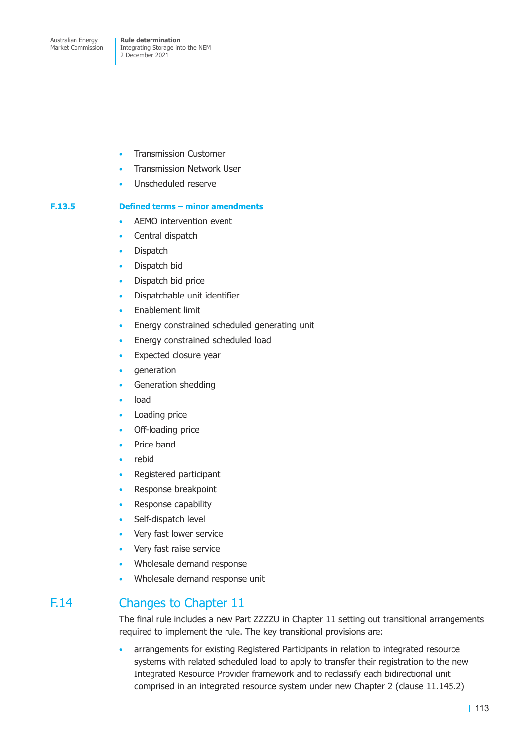- Transmission Customer
- Transmission Network User
- Unscheduled reserve

### **F.13.5 Defined terms – minor amendments**

- AEMO intervention event
- Central dispatch
- **Dispatch**
- Dispatch bid
- Dispatch bid price
- Dispatchable unit identifier
- Enablement limit
- Energy constrained scheduled generating unit
- Energy constrained scheduled load
- Expected closure year
- generation
- Generation shedding
- load
- Loading price
- Off-loading price
- Price band
- rebid
- Registered participant
- Response breakpoint
- Response capability
- Self-dispatch level
- Very fast lower service
- Very fast raise service
- Wholesale demand response
- Wholesale demand response unit

# F.14 Changes to Chapter 11

The final rule includes a new Part ZZZZU in Chapter 11 setting out transitional arrangements required to implement the rule. The key transitional provisions are:

• arrangements for existing Registered Participants in relation to integrated resource systems with related scheduled load to apply to transfer their registration to the new Integrated Resource Provider framework and to reclassify each bidirectional unit comprised in an integrated resource system under new Chapter 2 (clause 11.145.2)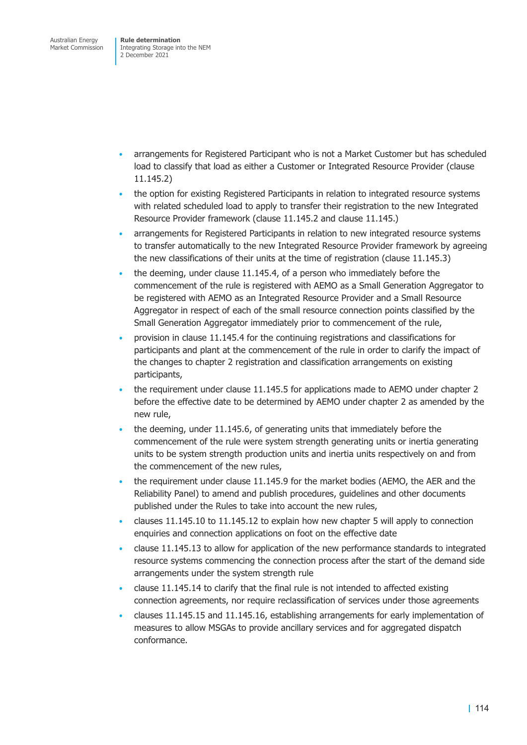- arrangements for Registered Participant who is not a Market Customer but has scheduled load to classify that load as either a Customer or Integrated Resource Provider (clause 11.145.2)
- the option for existing Registered Participants in relation to integrated resource systems with related scheduled load to apply to transfer their registration to the new Integrated Resource Provider framework (clause 11.145.2 and clause 11.145.)
- arrangements for Registered Participants in relation to new integrated resource systems to transfer automatically to the new Integrated Resource Provider framework by agreeing the new classifications of their units at the time of registration (clause 11.145.3)
- the deeming, under clause 11.145.4, of a person who immediately before the commencement of the rule is registered with AEMO as a Small Generation Aggregator to be registered with AEMO as an Integrated Resource Provider and a Small Resource Aggregator in respect of each of the small resource connection points classified by the Small Generation Aggregator immediately prior to commencement of the rule,
- provision in clause 11.145.4 for the continuing registrations and classifications for participants and plant at the commencement of the rule in order to clarify the impact of the changes to chapter 2 registration and classification arrangements on existing participants,
- the requirement under clause 11.145.5 for applications made to AEMO under chapter 2 before the effective date to be determined by AEMO under chapter 2 as amended by the new rule,
- the deeming, under 11.145.6, of generating units that immediately before the commencement of the rule were system strength generating units or inertia generating units to be system strength production units and inertia units respectively on and from the commencement of the new rules,
- the requirement under clause 11.145.9 for the market bodies (AEMO, the AER and the Reliability Panel) to amend and publish procedures, guidelines and other documents published under the Rules to take into account the new rules,
- clauses 11.145.10 to 11.145.12 to explain how new chapter 5 will apply to connection enquiries and connection applications on foot on the effective date
- clause 11.145.13 to allow for application of the new performance standards to integrated resource systems commencing the connection process after the start of the demand side arrangements under the system strength rule
- clause 11.145.14 to clarify that the final rule is not intended to affected existing connection agreements, nor require reclassification of services under those agreements
- clauses 11.145.15 and 11.145.16, establishing arrangements for early implementation of measures to allow MSGAs to provide ancillary services and for aggregated dispatch conformance.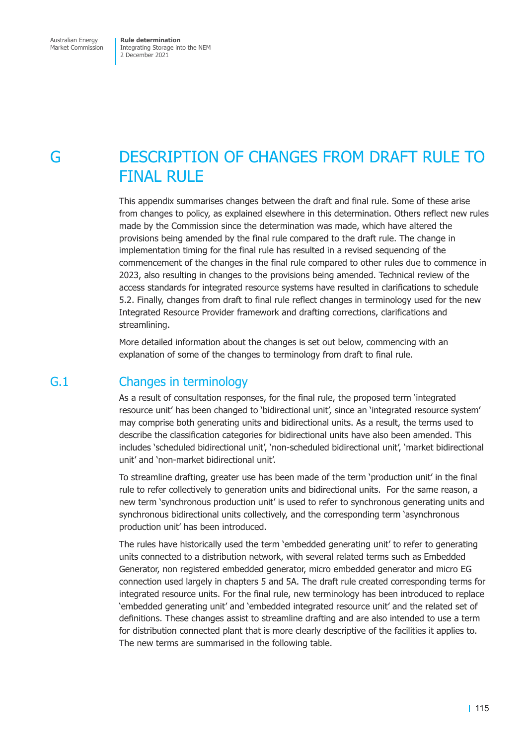# G DESCRIPTION OF CHANGES FROM DRAFT RULE TO FINAL RULE

This appendix summarises changes between the draft and final rule. Some of these arise from changes to policy, as explained elsewhere in this determination. Others reflect new rules made by the Commission since the determination was made, which have altered the provisions being amended by the final rule compared to the draft rule. The change in implementation timing for the final rule has resulted in a revised sequencing of the commencement of the changes in the final rule compared to other rules due to commence in 2023, also resulting in changes to the provisions being amended. Technical review of the access standards for integrated resource systems have resulted in clarifications to schedule 5.2. Finally, changes from draft to final rule reflect changes in terminology used for the new Integrated Resource Provider framework and drafting corrections, clarifications and streamlining.

More detailed information about the changes is set out below, commencing with an explanation of some of the changes to terminology from draft to final rule.

### G.1 Changes in terminology

As a result of consultation responses, for the final rule, the proposed term 'integrated resource unit' has been changed to 'bidirectional unit', since an 'integrated resource system' may comprise both generating units and bidirectional units. As a result, the terms used to describe the classification categories for bidirectional units have also been amended. This includes 'scheduled bidirectional unit', 'non-scheduled bidirectional unit', 'market bidirectional unit' and 'non-market bidirectional unit'.

To streamline drafting, greater use has been made of the term 'production unit' in the final rule to refer collectively to generation units and bidirectional units. For the same reason, a new term 'synchronous production unit' is used to refer to synchronous generating units and synchronous bidirectional units collectively, and the corresponding term 'asynchronous production unit' has been introduced.

The rules have historically used the term 'embedded generating unit' to refer to generating units connected to a distribution network, with several related terms such as Embedded Generator, non registered embedded generator, micro embedded generator and micro EG connection used largely in chapters 5 and 5A. The draft rule created corresponding terms for integrated resource units. For the final rule, new terminology has been introduced to replace 'embedded generating unit' and 'embedded integrated resource unit' and the related set of definitions. These changes assist to streamline drafting and are also intended to use a term for distribution connected plant that is more clearly descriptive of the facilities it applies to. The new terms are summarised in the following table.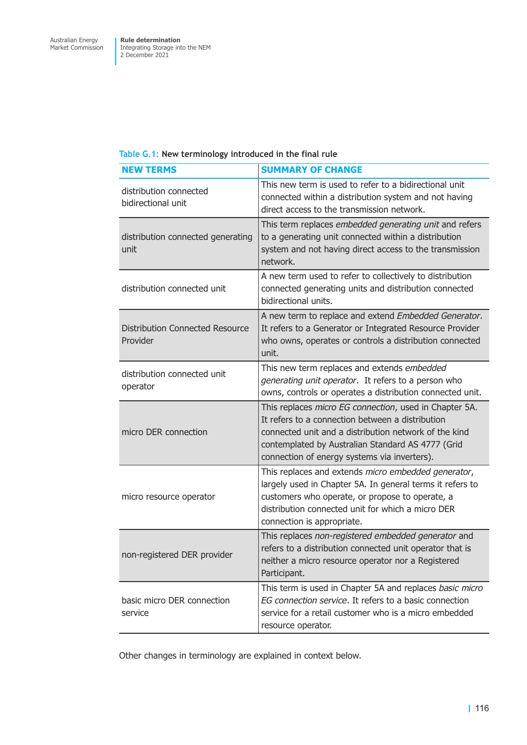### **Table G.1: New terminology introduced in the final rule**

| <b>NEW TERMS</b>                                   | <b>SUMMARY OF CHANGE</b>                                                                                                                                                                                                                                                 |
|----------------------------------------------------|--------------------------------------------------------------------------------------------------------------------------------------------------------------------------------------------------------------------------------------------------------------------------|
| distribution connected<br>bidirectional unit       | This new term is used to refer to a bidirectional unit<br>connected within a distribution system and not having<br>direct access to the transmission network.                                                                                                            |
| distribution connected generating<br>unit          | This term replaces embedded generating unit and refers<br>to a generating unit connected within a distribution<br>system and not having direct access to the transmission<br>network.                                                                                    |
| distribution connected unit                        | A new term used to refer to collectively to distribution<br>connected generating units and distribution connected<br>bidirectional units.                                                                                                                                |
| <b>Distribution Connected Resource</b><br>Provider | A new term to replace and extend Embedded Generator.<br>It refers to a Generator or Integrated Resource Provider<br>who owns, operates or controls a distribution connected<br>unit.                                                                                     |
| distribution connected unit<br>operator            | This new term replaces and extends embedded<br>generating unit operator. It refers to a person who<br>owns, controls or operates a distribution connected unit.                                                                                                          |
| micro DER connection                               | This replaces micro EG connection, used in Chapter 5A.<br>It refers to a connection between a distribution<br>connected unit and a distribution network of the kind<br>contemplated by Australian Standard AS 4777 (Grid<br>connection of energy systems via inverters). |
| micro resource operator                            | This replaces and extends micro embedded generator,<br>largely used in Chapter 5A. In general terms it refers to<br>customers who operate, or propose to operate, a<br>distribution connected unit for which a micro DER<br>connection is appropriate.                   |
| non-registered DER provider                        | This replaces non-registered embedded generator and<br>refers to a distribution connected unit operator that is<br>neither a micro resource operator nor a Registered<br>Participant.                                                                                    |
| basic micro DER connection<br>service              | This term is used in Chapter 5A and replaces basic micro<br>EG connection service. It refers to a basic connection<br>service for a retail customer who is a micro embedded<br>resource operator.                                                                        |

Other changes in terminology are explained in context below.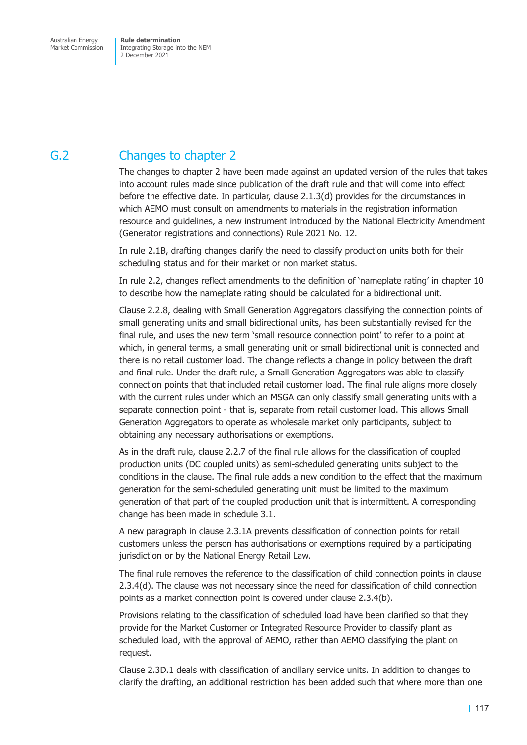# G.2 Changes to chapter 2

The changes to chapter 2 have been made against an updated version of the rules that takes into account rules made since publication of the draft rule and that will come into effect before the effective date. In particular, clause 2.1.3(d) provides for the circumstances in which AEMO must consult on amendments to materials in the registration information resource and guidelines, a new instrument introduced by the National Electricity Amendment (Generator registrations and connections) Rule 2021 No. 12.

In rule 2.1B, drafting changes clarify the need to classify production units both for their scheduling status and for their market or non market status.

In rule 2.2, changes reflect amendments to the definition of 'nameplate rating' in chapter 10 to describe how the nameplate rating should be calculated for a bidirectional unit.

Clause 2.2.8, dealing with Small Generation Aggregators classifying the connection points of small generating units and small bidirectional units, has been substantially revised for the final rule, and uses the new term 'small resource connection point' to refer to a point at which, in general terms, a small generating unit or small bidirectional unit is connected and there is no retail customer load. The change reflects a change in policy between the draft and final rule. Under the draft rule, a Small Generation Aggregators was able to classify connection points that that included retail customer load. The final rule aligns more closely with the current rules under which an MSGA can only classify small generating units with a separate connection point - that is, separate from retail customer load. This allows Small Generation Aggregators to operate as wholesale market only participants, subject to obtaining any necessary authorisations or exemptions.

As in the draft rule, clause 2.2.7 of the final rule allows for the classification of coupled production units (DC coupled units) as semi-scheduled generating units subject to the conditions in the clause. The final rule adds a new condition to the effect that the maximum generation for the semi-scheduled generating unit must be limited to the maximum generation of that part of the coupled production unit that is intermittent. A corresponding change has been made in schedule 3.1.

A new paragraph in clause 2.3.1A prevents classification of connection points for retail customers unless the person has authorisations or exemptions required by a participating jurisdiction or by the National Energy Retail Law.

The final rule removes the reference to the classification of child connection points in clause 2.3.4(d). The clause was not necessary since the need for classification of child connection points as a market connection point is covered under clause 2.3.4(b).

Provisions relating to the classification of scheduled load have been clarified so that they provide for the Market Customer or Integrated Resource Provider to classify plant as scheduled load, with the approval of AEMO, rather than AEMO classifying the plant on request.

Clause 2.3D.1 deals with classification of ancillary service units. In addition to changes to clarify the drafting, an additional restriction has been added such that where more than one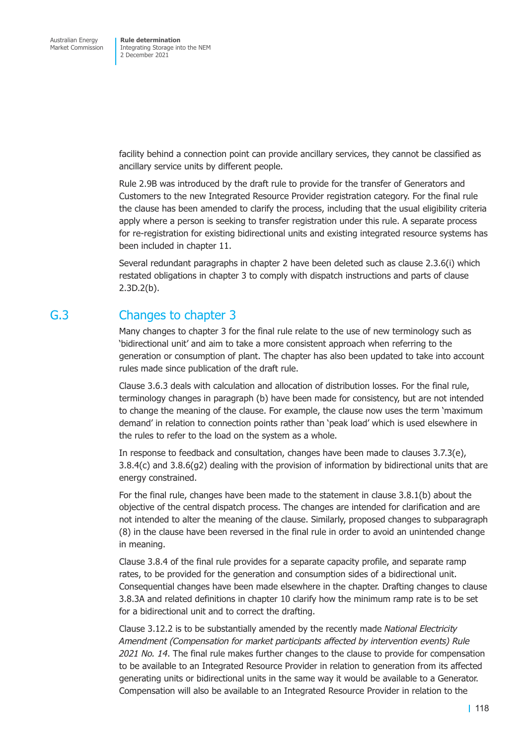facility behind a connection point can provide ancillary services, they cannot be classified as ancillary service units by different people.

Rule 2.9B was introduced by the draft rule to provide for the transfer of Generators and Customers to the new Integrated Resource Provider registration category. For the final rule the clause has been amended to clarify the process, including that the usual eligibility criteria apply where a person is seeking to transfer registration under this rule. A separate process for re-registration for existing bidirectional units and existing integrated resource systems has been included in chapter 11.

Several redundant paragraphs in chapter 2 have been deleted such as clause 2.3.6(i) which restated obligations in chapter 3 to comply with dispatch instructions and parts of clause 2.3D.2(b).

### G.3 Changes to chapter 3

Many changes to chapter 3 for the final rule relate to the use of new terminology such as 'bidirectional unit' and aim to take a more consistent approach when referring to the generation or consumption of plant. The chapter has also been updated to take into account rules made since publication of the draft rule.

Clause 3.6.3 deals with calculation and allocation of distribution losses. For the final rule, terminology changes in paragraph (b) have been made for consistency, but are not intended to change the meaning of the clause. For example, the clause now uses the term 'maximum demand' in relation to connection points rather than 'peak load' which is used elsewhere in the rules to refer to the load on the system as a whole.

In response to feedback and consultation, changes have been made to clauses 3.7.3(e), 3.8.4(c) and 3.8.6(g2) dealing with the provision of information by bidirectional units that are energy constrained.

For the final rule, changes have been made to the statement in clause 3.8.1(b) about the objective of the central dispatch process. The changes are intended for clarification and are not intended to alter the meaning of the clause. Similarly, proposed changes to subparagraph (8) in the clause have been reversed in the final rule in order to avoid an unintended change in meaning.

Clause 3.8.4 of the final rule provides for a separate capacity profile, and separate ramp rates, to be provided for the generation and consumption sides of a bidirectional unit. Consequential changes have been made elsewhere in the chapter. Drafting changes to clause 3.8.3A and related definitions in chapter 10 clarify how the minimum ramp rate is to be set for a bidirectional unit and to correct the drafting.

Clause 3.12.2 is to be substantially amended by the recently made *National Electricity Amendment (Compensation for market participants affected by intervention events) Rule 2021 No. 14*. The final rule makes further changes to the clause to provide for compensation to be available to an Integrated Resource Provider in relation to generation from its affected generating units or bidirectional units in the same way it would be available to a Generator. Compensation will also be available to an Integrated Resource Provider in relation to the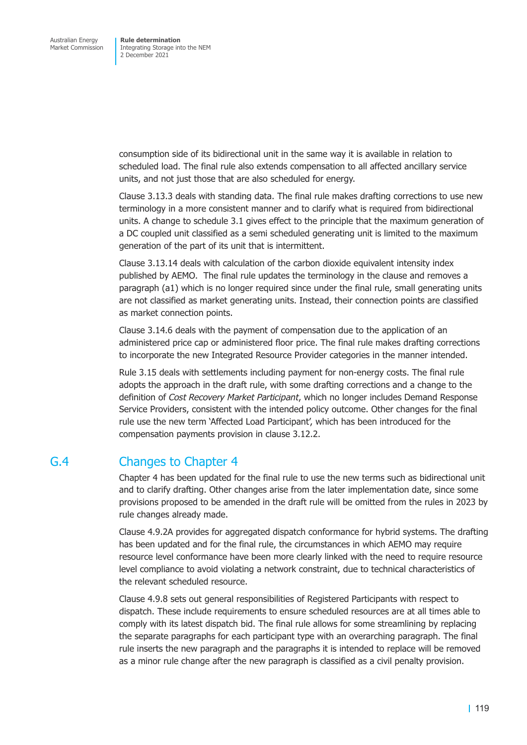consumption side of its bidirectional unit in the same way it is available in relation to scheduled load. The final rule also extends compensation to all affected ancillary service units, and not just those that are also scheduled for energy.

Clause 3.13.3 deals with standing data. The final rule makes drafting corrections to use new terminology in a more consistent manner and to clarify what is required from bidirectional units. A change to schedule 3.1 gives effect to the principle that the maximum generation of a DC coupled unit classified as a semi scheduled generating unit is limited to the maximum generation of the part of its unit that is intermittent.

Clause 3.13.14 deals with calculation of the carbon dioxide equivalent intensity index published by AEMO. The final rule updates the terminology in the clause and removes a paragraph (a1) which is no longer required since under the final rule, small generating units are not classified as market generating units. Instead, their connection points are classified as market connection points.

Clause 3.14.6 deals with the payment of compensation due to the application of an administered price cap or administered floor price. The final rule makes drafting corrections to incorporate the new Integrated Resource Provider categories in the manner intended.

Rule 3.15 deals with settlements including payment for non-energy costs. The final rule adopts the approach in the draft rule, with some drafting corrections and a change to the definition of *Cost Recovery Market Participant*, which no longer includes Demand Response Service Providers, consistent with the intended policy outcome. Other changes for the final rule use the new term 'Affected Load Participant', which has been introduced for the compensation payments provision in clause 3.12.2.

# G.4 Changes to Chapter 4

Chapter 4 has been updated for the final rule to use the new terms such as bidirectional unit and to clarify drafting. Other changes arise from the later implementation date, since some provisions proposed to be amended in the draft rule will be omitted from the rules in 2023 by rule changes already made.

Clause 4.9.2A provides for aggregated dispatch conformance for hybrid systems. The drafting has been updated and for the final rule, the circumstances in which AEMO may require resource level conformance have been more clearly linked with the need to require resource level compliance to avoid violating a network constraint, due to technical characteristics of the relevant scheduled resource.

Clause 4.9.8 sets out general responsibilities of Registered Participants with respect to dispatch. These include requirements to ensure scheduled resources are at all times able to comply with its latest dispatch bid. The final rule allows for some streamlining by replacing the separate paragraphs for each participant type with an overarching paragraph. The final rule inserts the new paragraph and the paragraphs it is intended to replace will be removed as a minor rule change after the new paragraph is classified as a civil penalty provision.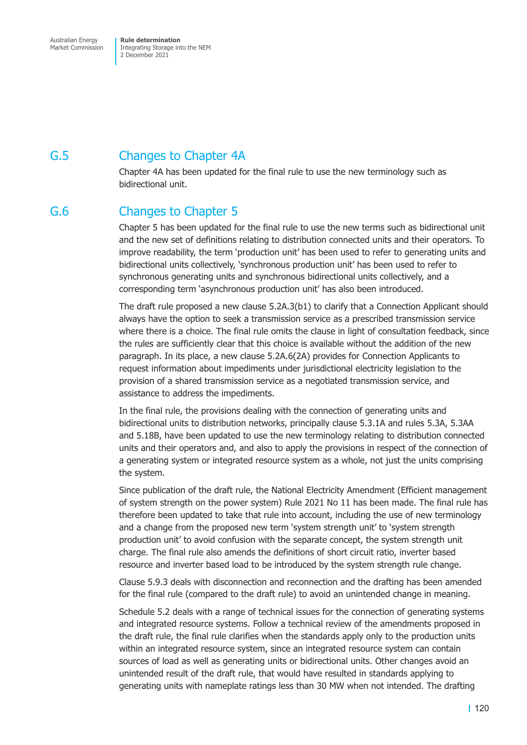Australian Energy Market Commission

**Rule determination**  Integrating Storage into the NEM 2 December 2021

# G.5 Changes to Chapter 4A

Chapter 4A has been updated for the final rule to use the new terminology such as bidirectional unit.

# G.6 Changes to Chapter 5

Chapter 5 has been updated for the final rule to use the new terms such as bidirectional unit and the new set of definitions relating to distribution connected units and their operators. To improve readability, the term 'production unit' has been used to refer to generating units and bidirectional units collectively, 'synchronous production unit' has been used to refer to synchronous generating units and synchronous bidirectional units collectively, and a corresponding term 'asynchronous production unit' has also been introduced.

The draft rule proposed a new clause 5.2A.3(b1) to clarify that a Connection Applicant should always have the option to seek a transmission service as a prescribed transmission service where there is a choice. The final rule omits the clause in light of consultation feedback, since the rules are sufficiently clear that this choice is available without the addition of the new paragraph. In its place, a new clause 5.2A.6(2A) provides for Connection Applicants to request information about impediments under jurisdictional electricity legislation to the provision of a shared transmission service as a negotiated transmission service, and assistance to address the impediments.

In the final rule, the provisions dealing with the connection of generating units and bidirectional units to distribution networks, principally clause 5.3.1A and rules 5.3A, 5.3AA and 5.18B, have been updated to use the new terminology relating to distribution connected units and their operators and, and also to apply the provisions in respect of the connection of a generating system or integrated resource system as a whole, not just the units comprising the system.

Since publication of the draft rule, the National Electricity Amendment (Efficient management of system strength on the power system) Rule 2021 No 11 has been made. The final rule has therefore been updated to take that rule into account, including the use of new terminology and a change from the proposed new term 'system strength unit' to 'system strength production unit' to avoid confusion with the separate concept, the system strength unit charge. The final rule also amends the definitions of short circuit ratio, inverter based resource and inverter based load to be introduced by the system strength rule change.

Clause 5.9.3 deals with disconnection and reconnection and the drafting has been amended for the final rule (compared to the draft rule) to avoid an unintended change in meaning.

Schedule 5.2 deals with a range of technical issues for the connection of generating systems and integrated resource systems. Follow a technical review of the amendments proposed in the draft rule, the final rule clarifies when the standards apply only to the production units within an integrated resource system, since an integrated resource system can contain sources of load as well as generating units or bidirectional units. Other changes avoid an unintended result of the draft rule, that would have resulted in standards applying to generating units with nameplate ratings less than 30 MW when not intended. The drafting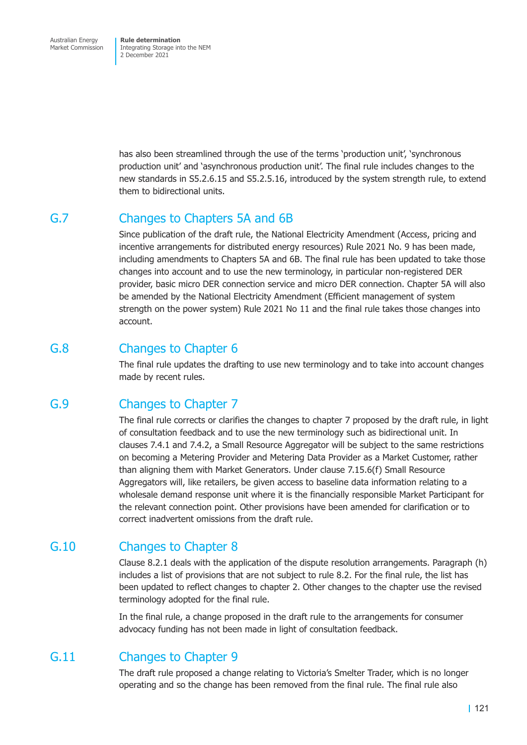Australian Energy Market Commission

**Rule determination**  Integrating Storage into the NEM 2 December 2021

has also been streamlined through the use of the terms 'production unit', 'synchronous production unit' and 'asynchronous production unit'. The final rule includes changes to the new standards in S5.2.6.15 and S5.2.5.16, introduced by the system strength rule, to extend them to bidirectional units.

### G.7 Changes to Chapters 5A and 6B

Since publication of the draft rule, the National Electricity Amendment (Access, pricing and incentive arrangements for distributed energy resources) Rule 2021 No. 9 has been made, including amendments to Chapters 5A and 6B. The final rule has been updated to take those changes into account and to use the new terminology, in particular non-registered DER provider, basic micro DER connection service and micro DER connection. Chapter 5A will also be amended by the National Electricity Amendment (Efficient management of system strength on the power system) Rule 2021 No 11 and the final rule takes those changes into account.

# G.8 Changes to Chapter 6

The final rule updates the drafting to use new terminology and to take into account changes made by recent rules.

# G.9 Changes to Chapter 7

The final rule corrects or clarifies the changes to chapter 7 proposed by the draft rule, in light of consultation feedback and to use the new terminology such as bidirectional unit. In clauses 7.4.1 and 7.4.2, a Small Resource Aggregator will be subject to the same restrictions on becoming a Metering Provider and Metering Data Provider as a Market Customer, rather than aligning them with Market Generators. Under clause 7.15.6(f) Small Resource Aggregators will, like retailers, be given access to baseline data information relating to a wholesale demand response unit where it is the financially responsible Market Participant for the relevant connection point. Other provisions have been amended for clarification or to correct inadvertent omissions from the draft rule.

# G.10 Changes to Chapter 8

Clause 8.2.1 deals with the application of the dispute resolution arrangements. Paragraph (h) includes a list of provisions that are not subject to rule 8.2. For the final rule, the list has been updated to reflect changes to chapter 2. Other changes to the chapter use the revised terminology adopted for the final rule.

In the final rule, a change proposed in the draft rule to the arrangements for consumer advocacy funding has not been made in light of consultation feedback.

# G.11 Changes to Chapter 9

The draft rule proposed a change relating to Victoria's Smelter Trader, which is no longer operating and so the change has been removed from the final rule. The final rule also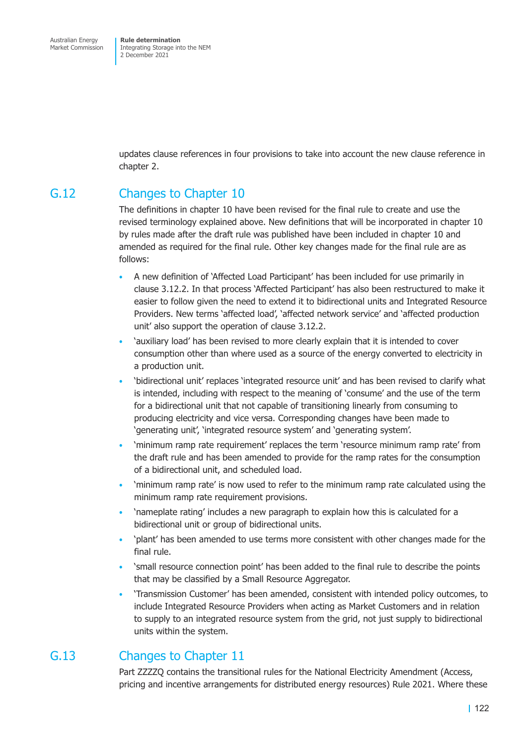updates clause references in four provisions to take into account the new clause reference in chapter 2.

# G.12 Changes to Chapter 10

The definitions in chapter 10 have been revised for the final rule to create and use the revised terminology explained above. New definitions that will be incorporated in chapter 10 by rules made after the draft rule was published have been included in chapter 10 and amended as required for the final rule. Other key changes made for the final rule are as follows:

- A new definition of 'Affected Load Participant' has been included for use primarily in clause 3.12.2. In that process 'Affected Participant' has also been restructured to make it easier to follow given the need to extend it to bidirectional units and Integrated Resource Providers. New terms 'affected load', 'affected network service' and 'affected production unit' also support the operation of clause 3.12.2.
- 'auxiliary load' has been revised to more clearly explain that it is intended to cover consumption other than where used as a source of the energy converted to electricity in a production unit.
- 'bidirectional unit' replaces 'integrated resource unit' and has been revised to clarify what is intended, including with respect to the meaning of 'consume' and the use of the term for a bidirectional unit that not capable of transitioning linearly from consuming to producing electricity and vice versa. Corresponding changes have been made to 'generating unit', 'integrated resource system' and 'generating system'.
- 'minimum ramp rate requirement' replaces the term 'resource minimum ramp rate' from the draft rule and has been amended to provide for the ramp rates for the consumption of a bidirectional unit, and scheduled load.
- 'minimum ramp rate' is now used to refer to the minimum ramp rate calculated using the minimum ramp rate requirement provisions.
- 'nameplate rating' includes a new paragraph to explain how this is calculated for a bidirectional unit or group of bidirectional units.
- 'plant' has been amended to use terms more consistent with other changes made for the final rule.
- 'small resource connection point' has been added to the final rule to describe the points that may be classified by a Small Resource Aggregator.
- 'Transmission Customer' has been amended, consistent with intended policy outcomes, to include Integrated Resource Providers when acting as Market Customers and in relation to supply to an integrated resource system from the grid, not just supply to bidirectional units within the system.

# G.13 Changes to Chapter 11

Part ZZZZQ contains the transitional rules for the National Electricity Amendment (Access, pricing and incentive arrangements for distributed energy resources) Rule 2021. Where these